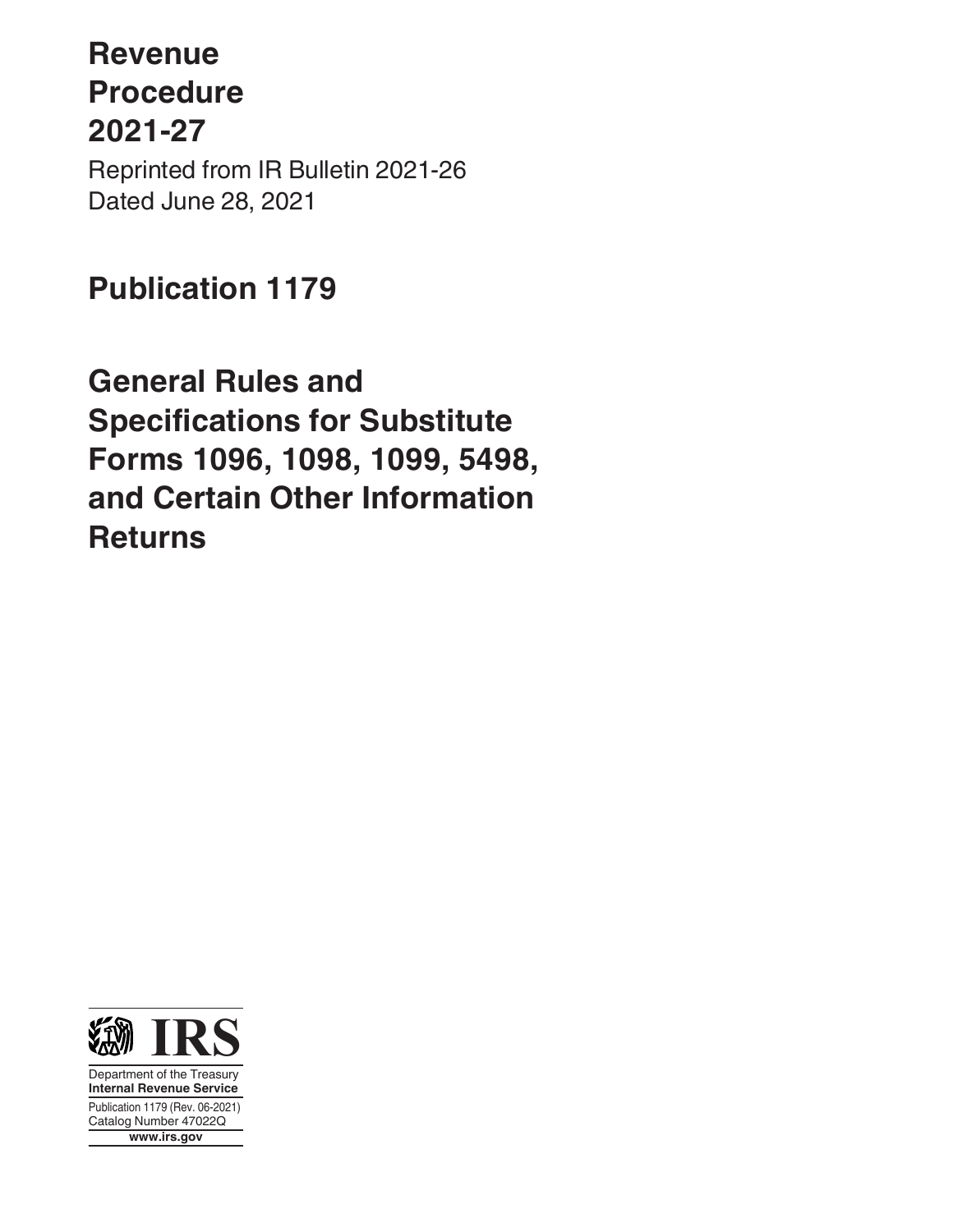# **Revenue Procedure 2021-27**

Reprinted from IR Bulletin 2021-26 Dated June 28, 2021

## **Publication 1179**

**General Rules and Specifications for Substitute Forms 1096, 1098, 1099, 5498, and Certain Other Information Returns**



Department of the Treasury **Internal Revenue Service** Publication 1179 (Rev. 06-2021) Catalog Number 47022Q **www.irs.gov**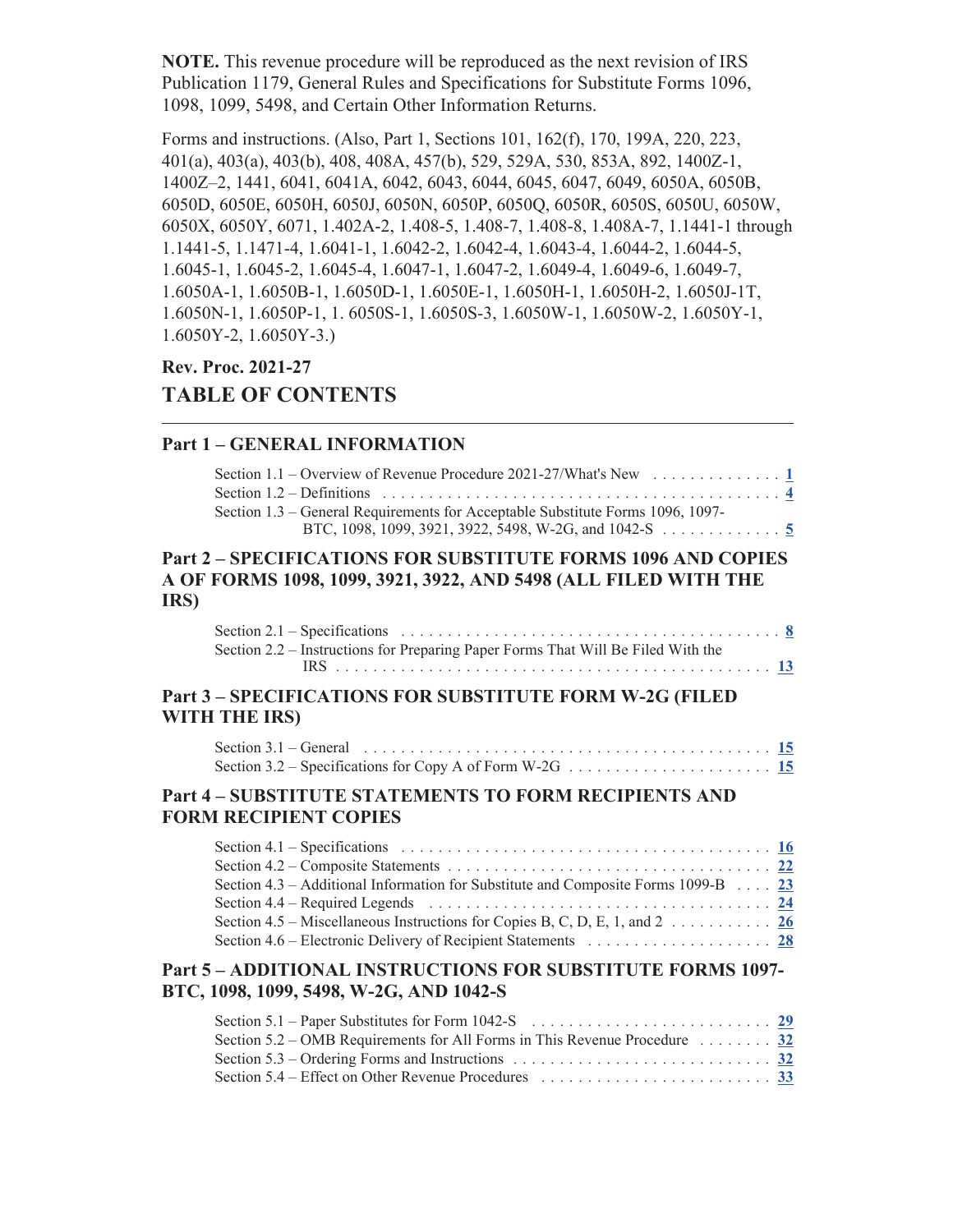**NOTE.** This revenue procedure will be reproduced as the next revision of IRS Publication 1179, General Rules and Specifications for Substitute Forms 1096, 1098, 1099, 5498, and Certain Other Information Returns.

Forms and instructions. (Also, Part 1, Sections 101, 162(f), 170, 199A, 220, 223, 401(a), 403(a), 403(b), 408, 408A, 457(b), 529, 529A, 530, 853A, 892, 1400Z-1, 1400Z–2, 1441, 6041, 6041A, 6042, 6043, 6044, 6045, 6047, 6049, 6050A, 6050B, 6050D, 6050E, 6050H, 6050J, 6050N, 6050P, 6050Q, 6050R, 6050S, 6050U, 6050W, 6050X, 6050Y, 6071, 1.402A-2, 1.408-5, 1.408-7, 1.408-8, 1.408A-7, 1.1441-1 through 1.1441-5, 1.1471-4, 1.6041-1, 1.6042-2, 1.6042-4, 1.6043-4, 1.6044-2, 1.6044-5, 1.6045-1, 1.6045-2, 1.6045-4, 1.6047-1, 1.6047-2, 1.6049-4, 1.6049-6, 1.6049-7, 1.6050A-1, 1.6050B-1, 1.6050D-1, 1.6050E-1, 1.6050H-1, 1.6050H-2, 1.6050J-1T, 1.6050N-1, 1.6050P-1, 1. 6050S-1, 1.6050S-3, 1.6050W-1, 1.6050W-2, 1.6050Y-1, 1.6050Y-2, 1.6050Y-3.)

### **Rev. Proc. 2021-27 TABLE OF CONTENTS**

#### **Part 1 – GENERAL INFORMATION**

| Section 1.1 – Overview of Revenue Procedure 2021-27/What's New $\dots \dots \dots \dots \dots$                         |  |
|------------------------------------------------------------------------------------------------------------------------|--|
| Section 1.2 – Definitions $\ldots \ldots \ldots \ldots \ldots \ldots \ldots \ldots \ldots \ldots \ldots \ldots \ldots$ |  |
| Section 1.3 – General Requirements for Acceptable Substitute Forms 1096, 1097-                                         |  |
| BTC, 1098, 1099, 3921, 3922, 5498, W-2G, and 1042-S $\dots \dots \dots$                                                |  |
|                                                                                                                        |  |

#### **Part 2 – SPECIFICATIONS FOR SUBSTITUTE FORMS 1096 AND COPIES A OF FORMS 1098, 1099, 3921, 3922, AND 5498 (ALL FILED WITH THE IRS)**

| Section 2.2 – Instructions for Preparing Paper Forms That Will Be Filed With the |  |
|----------------------------------------------------------------------------------|--|
|                                                                                  |  |

#### **Part 3 – SPECIFICATIONS FOR SUBSTITUTE FORM W-2G (FILED WITH THE IRS)**

#### **Part 4 – SUBSTITUTE STATEMENTS TO FORM RECIPIENTS AND FORM RECIPIENT COPIES**

| Section 4.1 – Specifications $\ldots \ldots \ldots \ldots \ldots \ldots \ldots \ldots \ldots \ldots \ldots \ldots \underline{16}$ |  |
|-----------------------------------------------------------------------------------------------------------------------------------|--|
|                                                                                                                                   |  |
| Section 4.3 – Additional Information for Substitute and Composite Forms 1099-B $\ldots$ 23                                        |  |
| Section 4.4 – Required Legends $\ldots \ldots \ldots \ldots \ldots \ldots \ldots \ldots \ldots \ldots \ldots \ldots$              |  |
| Section 4.5 – Miscellaneous Instructions for Copies B, C, D, E, 1, and 2 26                                                       |  |
|                                                                                                                                   |  |
|                                                                                                                                   |  |

#### **Part 5 – ADDITIONAL INSTRUCTIONS FOR SUBSTITUTE FORMS 1097- BTC, 1098, 1099, 5498, W-2G, AND 1042-S**

| Section 5.3 – Ordering Forms and Instructions $\ldots \ldots \ldots \ldots \ldots \ldots \ldots \ldots \ldots$ |  |
|----------------------------------------------------------------------------------------------------------------|--|
|                                                                                                                |  |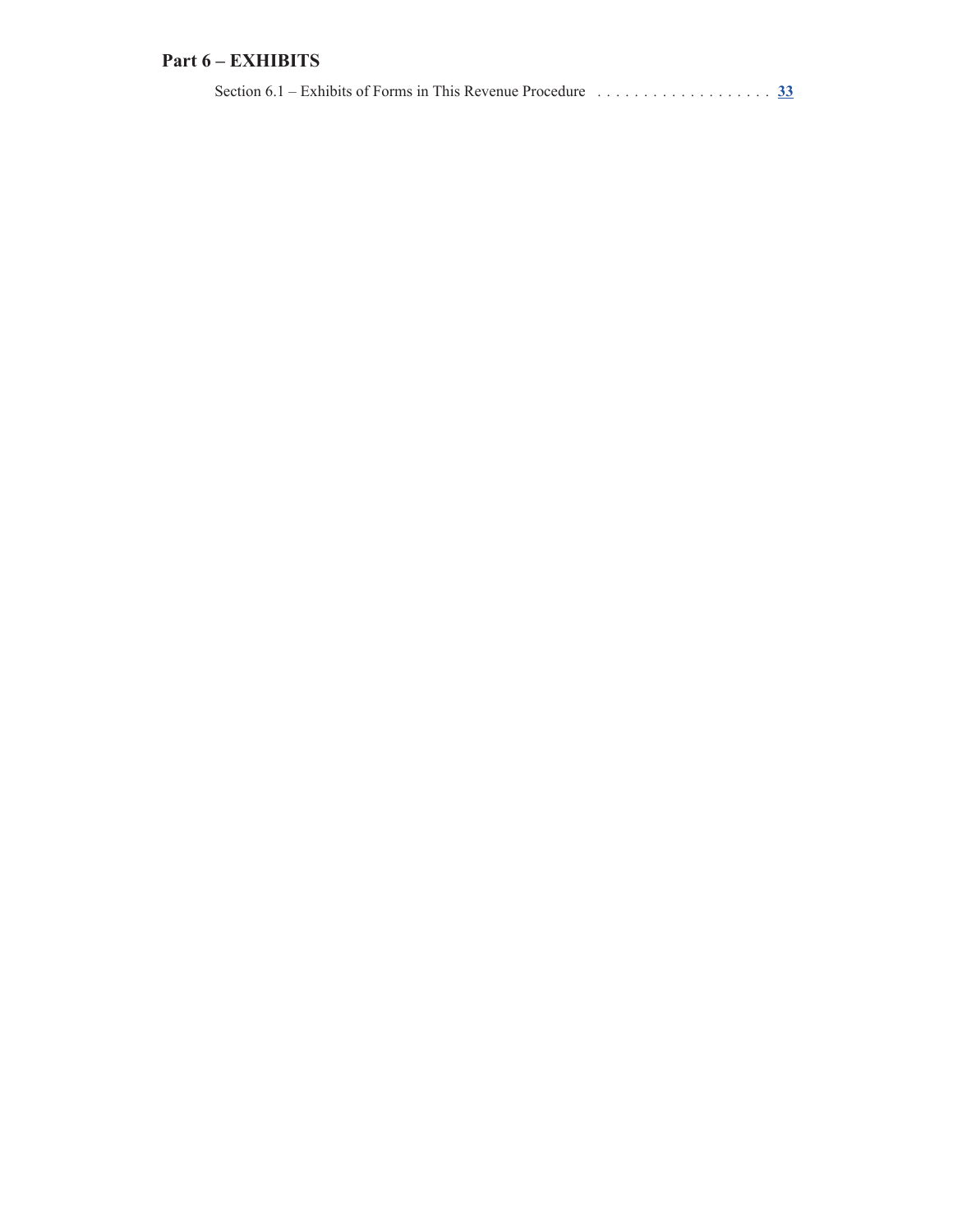#### **Part 6 – EXHIBITS**

| Section 6.1 – Exhibits of Forms in This Revenue Procedure $\ldots \ldots \ldots \ldots \ldots$ 33 |  |
|---------------------------------------------------------------------------------------------------|--|
|                                                                                                   |  |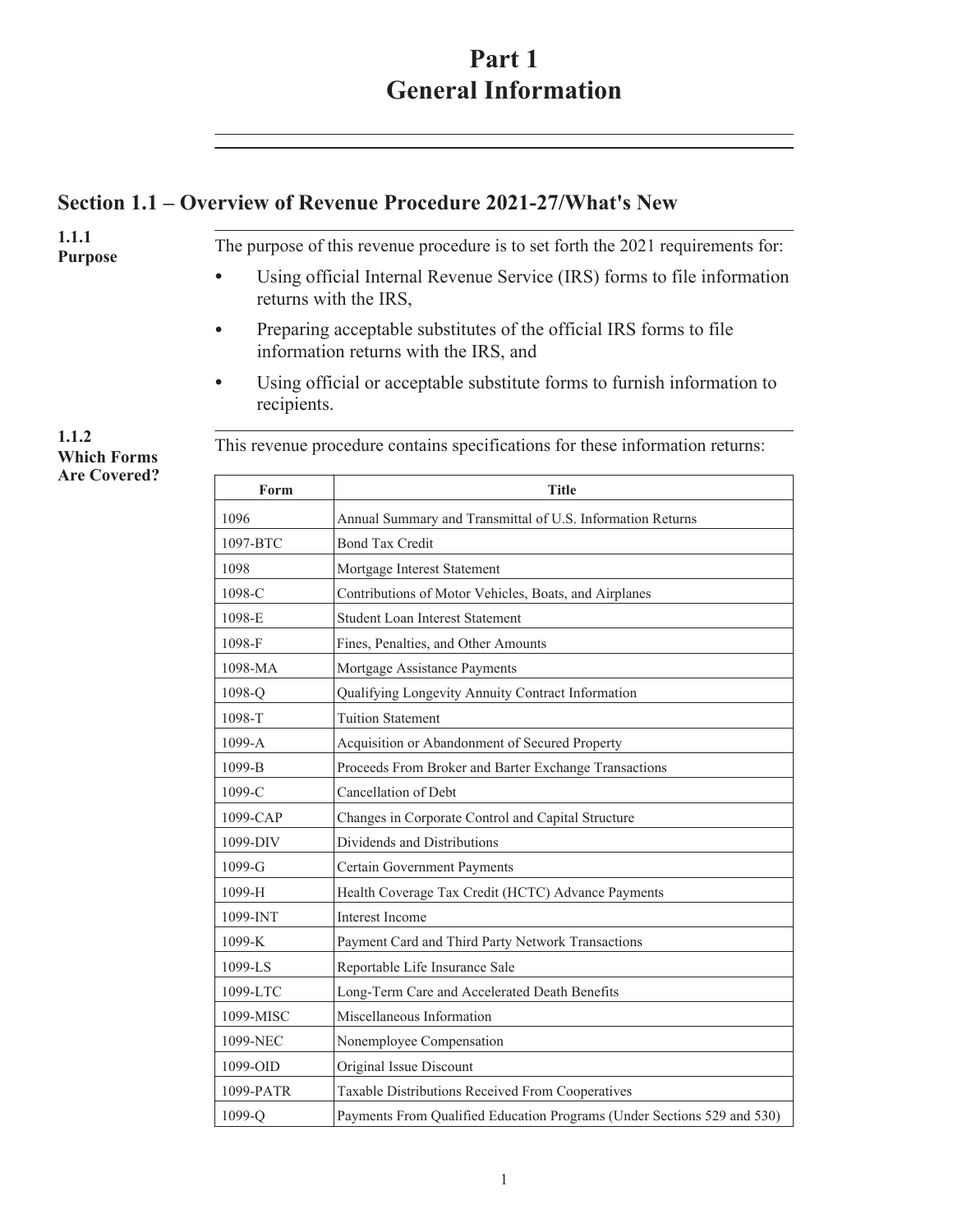### **Part 1 General Information**

### <span id="page-3-0"></span>**Section 1.1 – Overview of Revenue Procedure 2021-27/What's New**

**1.1.1 Purpose** The purpose of this revenue procedure is to set forth the 2021 requirements for:

- Using official Internal Revenue Service (IRS) forms to file information returns with the IRS,
- Preparing acceptable substitutes of the official IRS forms to file information returns with the IRS, and
- Using official or acceptable substitute forms to furnish information to recipients.

. This revenue procedure contains specifications for these information returns:

| Form       | <b>Title</b>                                                            |
|------------|-------------------------------------------------------------------------|
| 1096       | Annual Summary and Transmittal of U.S. Information Returns              |
| 1097-BTC   | <b>Bond Tax Credit</b>                                                  |
| 1098       | Mortgage Interest Statement                                             |
| 1098-C     | Contributions of Motor Vehicles, Boats, and Airplanes                   |
| 1098-E     | <b>Student Loan Interest Statement</b>                                  |
| 1098-F     | Fines, Penalties, and Other Amounts                                     |
| 1098-MA    | Mortgage Assistance Payments                                            |
| 1098-Q     | Qualifying Longevity Annuity Contract Information                       |
| 1098-T     | <b>Tuition Statement</b>                                                |
| $1099 - A$ | Acquisition or Abandonment of Secured Property                          |
| $1099-B$   | Proceeds From Broker and Barter Exchange Transactions                   |
| 1099-C     | Cancellation of Debt                                                    |
| 1099-CAP   | Changes in Corporate Control and Capital Structure                      |
| 1099-DIV   | Dividends and Distributions                                             |
| 1099-G     | <b>Certain Government Payments</b>                                      |
| 1099-H     | Health Coverage Tax Credit (HCTC) Advance Payments                      |
| 1099-INT   | <b>Interest Income</b>                                                  |
| 1099-K     | Payment Card and Third Party Network Transactions                       |
| 1099-LS    | Reportable Life Insurance Sale                                          |
| 1099-LTC   | Long-Term Care and Accelerated Death Benefits                           |
| 1099-MISC  | Miscellaneous Information                                               |
| 1099-NEC   | Nonemployee Compensation                                                |
| 1099-OID   | Original Issue Discount                                                 |
| 1099-PATR  | Taxable Distributions Received From Cooperatives                        |
| 1099-Q     | Payments From Qualified Education Programs (Under Sections 529 and 530) |

**1.1.2 Which Forms Are Covered?**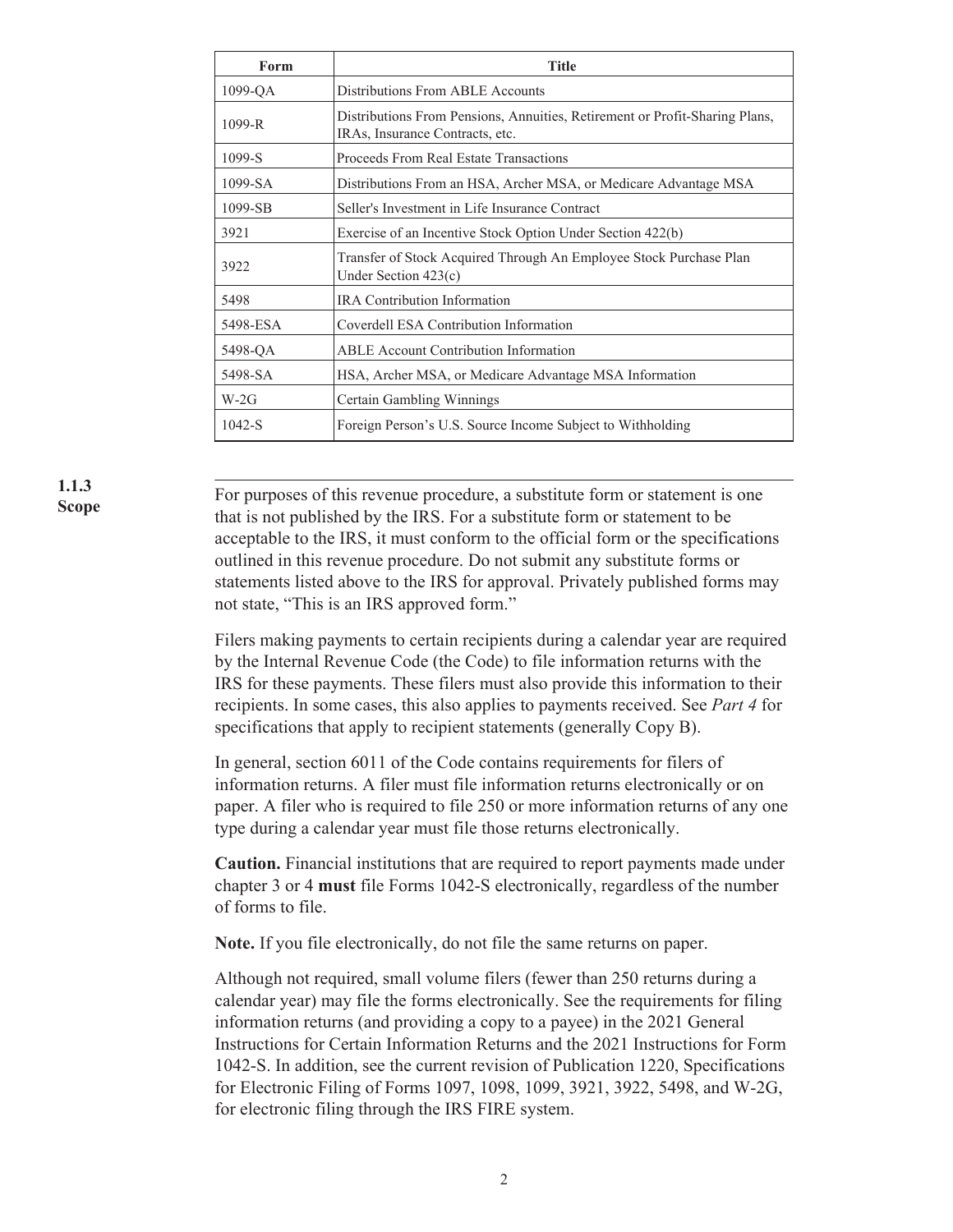| Form       | <b>Title</b>                                                                                                   |
|------------|----------------------------------------------------------------------------------------------------------------|
| 1099-OA    | Distributions From ABLE Accounts                                                                               |
| $1099 - R$ | Distributions From Pensions, Annuities, Retirement or Profit-Sharing Plans,<br>IRAs, Insurance Contracts, etc. |
| 1099-S     | Proceeds From Real Estate Transactions                                                                         |
| 1099-SA    | Distributions From an HSA, Archer MSA, or Medicare Advantage MSA                                               |
| 1099-SB    | Seller's Investment in Life Insurance Contract                                                                 |
| 3921       | Exercise of an Incentive Stock Option Under Section 422(b)                                                     |
| 3922       | Transfer of Stock Acquired Through An Employee Stock Purchase Plan<br>Under Section $423(c)$                   |
| 5498       | <b>IRA</b> Contribution Information                                                                            |
| 5498-ESA   | Coverdell ESA Contribution Information                                                                         |
| 5498-QA    | <b>ABLE</b> Account Contribution Information                                                                   |
| 5498-SA    | HSA, Archer MSA, or Medicare Advantage MSA Information                                                         |
| $W-2G$     | Certain Gambling Winnings                                                                                      |
| $1042-S$   | Foreign Person's U.S. Source Income Subject to Withholding                                                     |

**1.1.3 Scope**

. For purposes of this revenue procedure, a substitute form or statement is one that is not published by the IRS. For a substitute form or statement to be acceptable to the IRS, it must conform to the official form or the specifications outlined in this revenue procedure. Do not submit any substitute forms or statements listed above to the IRS for approval. Privately published forms may not state, "This is an IRS approved form."

Filers making payments to certain recipients during a calendar year are required by the Internal Revenue Code (the Code) to file information returns with the IRS for these payments. These filers must also provide this information to their recipients. In some cases, this also applies to payments received. See *Part 4* for specifications that apply to recipient statements (generally Copy B).

In general, section 6011 of the Code contains requirements for filers of information returns. A filer must file information returns electronically or on paper. A filer who is required to file 250 or more information returns of any one type during a calendar year must file those returns electronically.

**Caution.** Financial institutions that are required to report payments made under chapter 3 or 4 **must** file Forms 1042-S electronically, regardless of the number of forms to file.

**Note.** If you file electronically, do not file the same returns on paper.

Although not required, small volume filers (fewer than 250 returns during a calendar year) may file the forms electronically. See the requirements for filing information returns (and providing a copy to a payee) in the 2021 General Instructions for Certain Information Returns and the 2021 Instructions for Form 1042-S. In addition, see the current revision of Publication 1220, Specifications for Electronic Filing of Forms 1097, 1098, 1099, 3921, 3922, 5498, and W-2G, for electronic filing through the IRS FIRE system.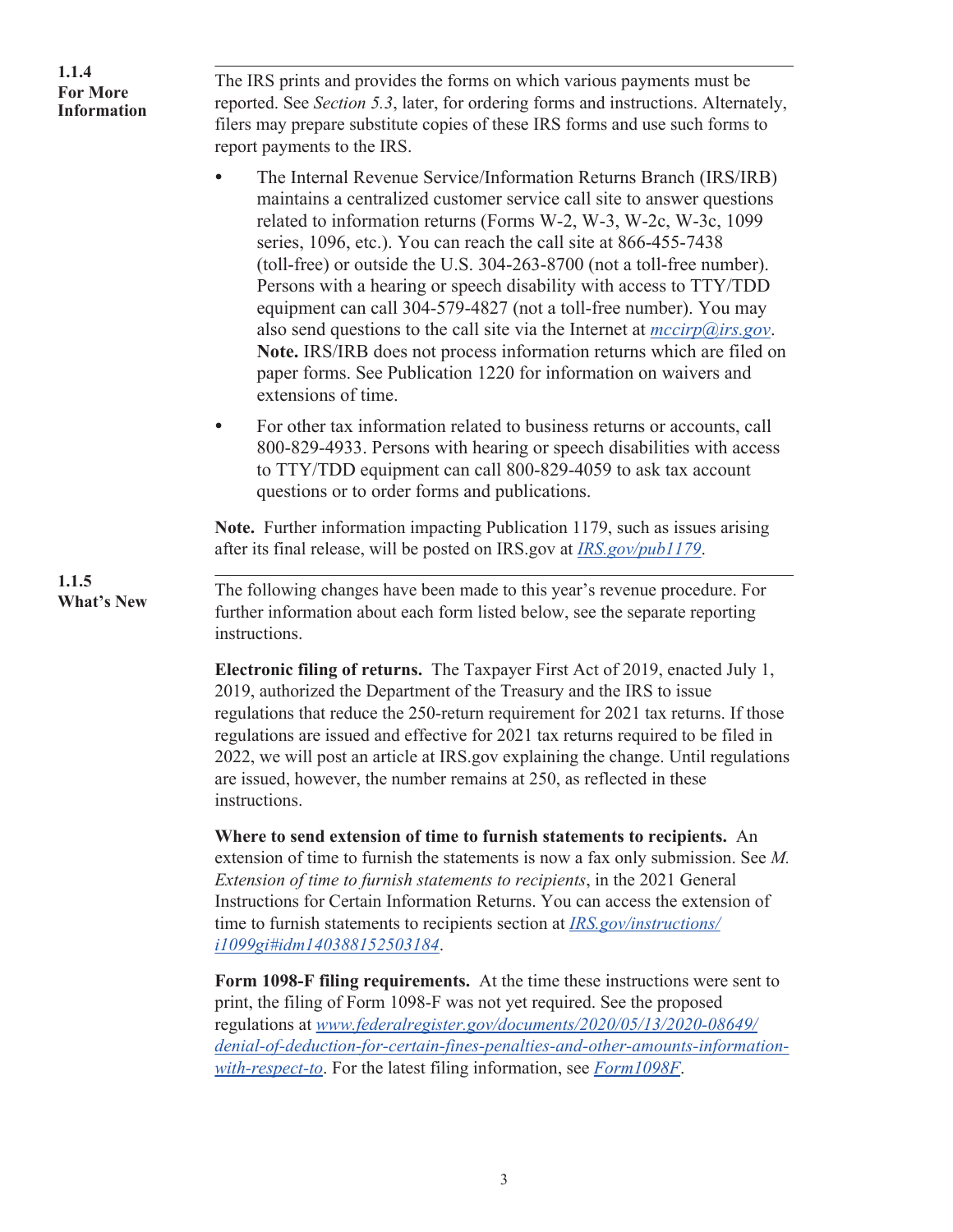| 1.1.4<br><b>For More</b><br><b>Information</b> | The IRS prints and provides the forms on which various payments must be<br>reported. See Section 5.3, later, for ordering forms and instructions. Alternately,<br>filers may prepare substitute copies of these IRS forms and use such forms to<br>report payments to the IRS.                                                                                                                                                                                                                                                                                                                                                                                                                                                                                            |
|------------------------------------------------|---------------------------------------------------------------------------------------------------------------------------------------------------------------------------------------------------------------------------------------------------------------------------------------------------------------------------------------------------------------------------------------------------------------------------------------------------------------------------------------------------------------------------------------------------------------------------------------------------------------------------------------------------------------------------------------------------------------------------------------------------------------------------|
|                                                | The Internal Revenue Service/Information Returns Branch (IRS/IRB)<br>maintains a centralized customer service call site to answer questions<br>related to information returns (Forms W-2, W-3, W-2c, W-3c, 1099<br>series, 1096, etc.). You can reach the call site at 866-455-7438<br>(toll-free) or outside the U.S. 304-263-8700 (not a toll-free number).<br>Persons with a hearing or speech disability with access to TTY/TDD<br>equipment can call 304-579-4827 (not a toll-free number). You may<br>also send questions to the call site via the Internet at $\frac{mcirp(\hat{a})irs.gov}$ .<br>Note. IRS/IRB does not process information returns which are filed on<br>paper forms. See Publication 1220 for information on waivers and<br>extensions of time. |
|                                                | For other tax information related to business returns or accounts, call<br>$\bullet$<br>800-829-4933. Persons with hearing or speech disabilities with access<br>to TTY/TDD equipment can call 800-829-4059 to ask tax account<br>questions or to order forms and publications.                                                                                                                                                                                                                                                                                                                                                                                                                                                                                           |
|                                                | Note. Further information impacting Publication 1179, such as issues arising<br>after its final release, will be posted on IRS gov at <i>IRS gov/pub1179</i> .                                                                                                                                                                                                                                                                                                                                                                                                                                                                                                                                                                                                            |
| 1.1.5<br><b>What's New</b>                     | The following changes have been made to this year's revenue procedure. For<br>further information about each form listed below, see the separate reporting<br>instructions.                                                                                                                                                                                                                                                                                                                                                                                                                                                                                                                                                                                               |
|                                                | <b>Electronic filing of returns.</b> The Taxpayer First Act of 2019, enacted July 1,<br>2019, authorized the Department of the Treasury and the IRS to issue<br>regulations that reduce the 250-return requirement for 2021 tax returns. If those<br>regulations are issued and effective for 2021 tax returns required to be filed in<br>2022, we will post an article at IRS gov explaining the change. Until regulations<br>are issued, however, the number remains at 250, as reflected in these<br>instructions.                                                                                                                                                                                                                                                     |
|                                                | Where to send extension of time to furnish statements to recipients. An<br>extension of time to furnish the statements is now a fax only submission. See $M$ .<br>Extension of time to furnish statements to recipients, in the 2021 General<br>Instructions for Certain Information Returns. You can access the extension of<br>time to furnish statements to recipients section at <i>IRS.gov/instructions/</i><br>i1099gi#idm140388152503184.                                                                                                                                                                                                                                                                                                                          |

**Form 1098-F filing requirements.** At the time these instructions were sent to print, the filing of Form 1098-F was not yet required. See the proposed regulations at *[www.federalregister.gov/documents/2020/05/13/2020-08649/](https://www.federalregister.gov/documents/2020/05/13/2020-08649/denial-of-deduction-for-certain-fines-penalties-and-other-amounts-information-with-respect-to) [denial-of-deduction-for-certain-fines-penalties-and-other-amounts-information](https://www.federalregister.gov/documents/2020/05/13/2020-08649/denial-of-deduction-for-certain-fines-penalties-and-other-amounts-information-with-respect-to)[with-respect-to](https://www.federalregister.gov/documents/2020/05/13/2020-08649/denial-of-deduction-for-certain-fines-penalties-and-other-amounts-information-with-respect-to)*. For the latest filing information, see *[Form1098F](https://www.irs.gov/Form1098F)*.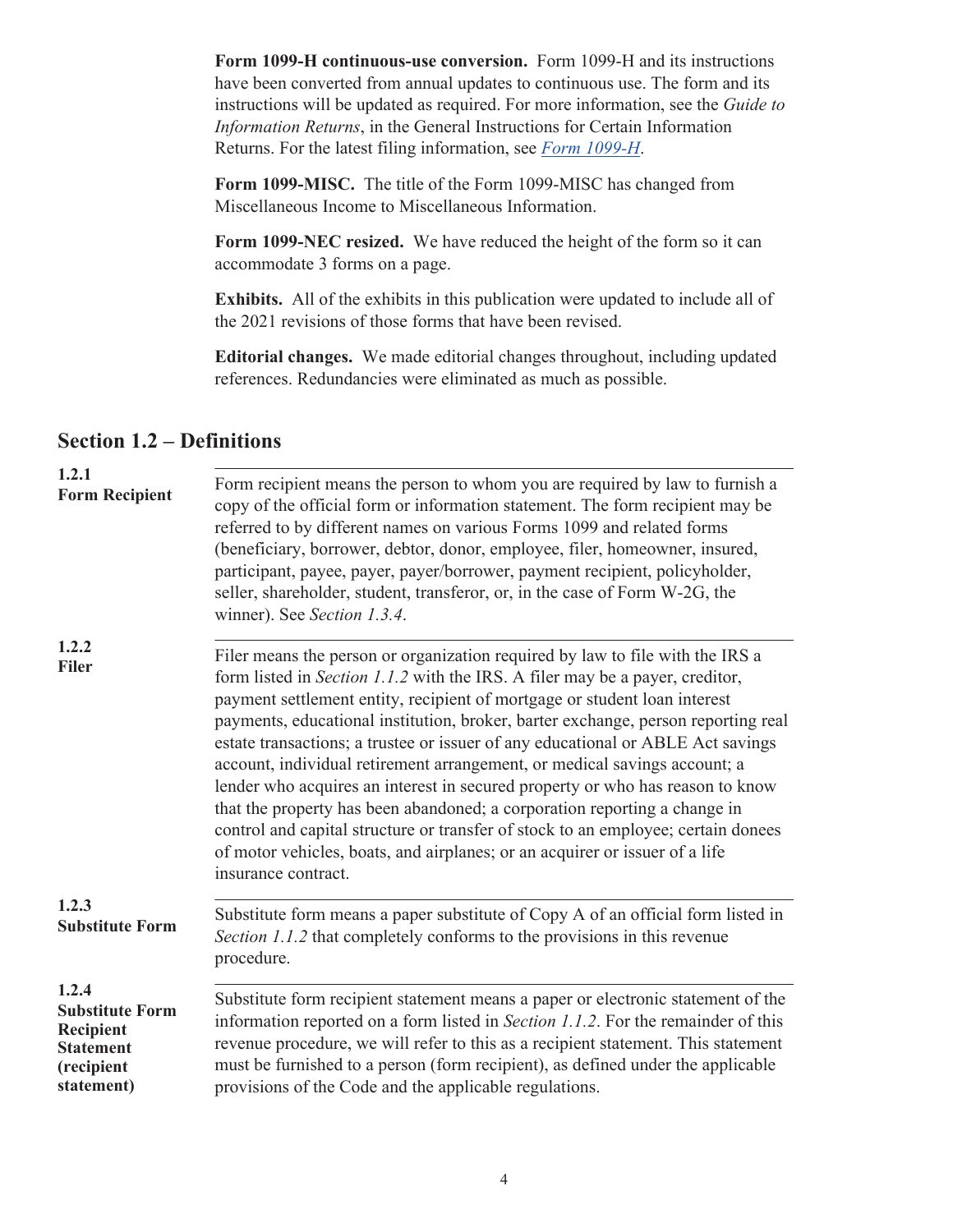<span id="page-6-0"></span>**Form 1099-H continuous-use conversion.** Form 1099-H and its instructions have been converted from annual updates to continuous use. The form and its instructions will be updated as required. For more information, see the *Guide to Information Returns*, in the General Instructions for Certain Information Returns. For the latest filing information, see *[Form 1099-H](https://www.irs.gov/forms-pubs/about-form-1099-h)*.

**Form 1099-MISC.** The title of the Form 1099-MISC has changed from Miscellaneous Income to Miscellaneous Information.

**Form 1099-NEC resized.** We have reduced the height of the form so it can accommodate 3 forms on a page.

**Exhibits.** All of the exhibits in this publication were updated to include all of the 2021 revisions of those forms that have been revised.

**Editorial changes.** We made editorial changes throughout, including updated references. Redundancies were eliminated as much as possible.

#### **Section 1.2 – Definitions**

| 1.2.1<br><b>Form Recipient</b>                                                                      | Form recipient means the person to whom you are required by law to furnish a<br>copy of the official form or information statement. The form recipient may be<br>referred to by different names on various Forms 1099 and related forms<br>(beneficiary, borrower, debtor, donor, employee, filer, homeowner, insured,<br>participant, payee, payer, payer/borrower, payment recipient, policyholder,<br>seller, shareholder, student, transferor, or, in the case of Form W-2G, the<br>winner). See Section 1.3.4.                                                                                                                                                                                                                                                                                                                                      |
|-----------------------------------------------------------------------------------------------------|----------------------------------------------------------------------------------------------------------------------------------------------------------------------------------------------------------------------------------------------------------------------------------------------------------------------------------------------------------------------------------------------------------------------------------------------------------------------------------------------------------------------------------------------------------------------------------------------------------------------------------------------------------------------------------------------------------------------------------------------------------------------------------------------------------------------------------------------------------|
| 1.2.2<br><b>Filer</b>                                                                               | Filer means the person or organization required by law to file with the IRS a<br>form listed in Section 1.1.2 with the IRS. A filer may be a payer, creditor,<br>payment settlement entity, recipient of mortgage or student loan interest<br>payments, educational institution, broker, barter exchange, person reporting real<br>estate transactions; a trustee or issuer of any educational or ABLE Act savings<br>account, individual retirement arrangement, or medical savings account; a<br>lender who acquires an interest in secured property or who has reason to know<br>that the property has been abandoned; a corporation reporting a change in<br>control and capital structure or transfer of stock to an employee; certain donees<br>of motor vehicles, boats, and airplanes; or an acquirer or issuer of a life<br>insurance contract. |
| 1.2.3<br><b>Substitute Form</b>                                                                     | Substitute form means a paper substitute of Copy A of an official form listed in<br>Section 1.1.2 that completely conforms to the provisions in this revenue<br>procedure.                                                                                                                                                                                                                                                                                                                                                                                                                                                                                                                                                                                                                                                                               |
| 1.2.4<br><b>Substitute Form</b><br><b>Recipient</b><br><b>Statement</b><br>(recipient<br>statement) | Substitute form recipient statement means a paper or electronic statement of the<br>information reported on a form listed in Section 1.1.2. For the remainder of this<br>revenue procedure, we will refer to this as a recipient statement. This statement<br>must be furnished to a person (form recipient), as defined under the applicable<br>provisions of the Code and the applicable regulations.                                                                                                                                                                                                                                                                                                                                                                                                                                                  |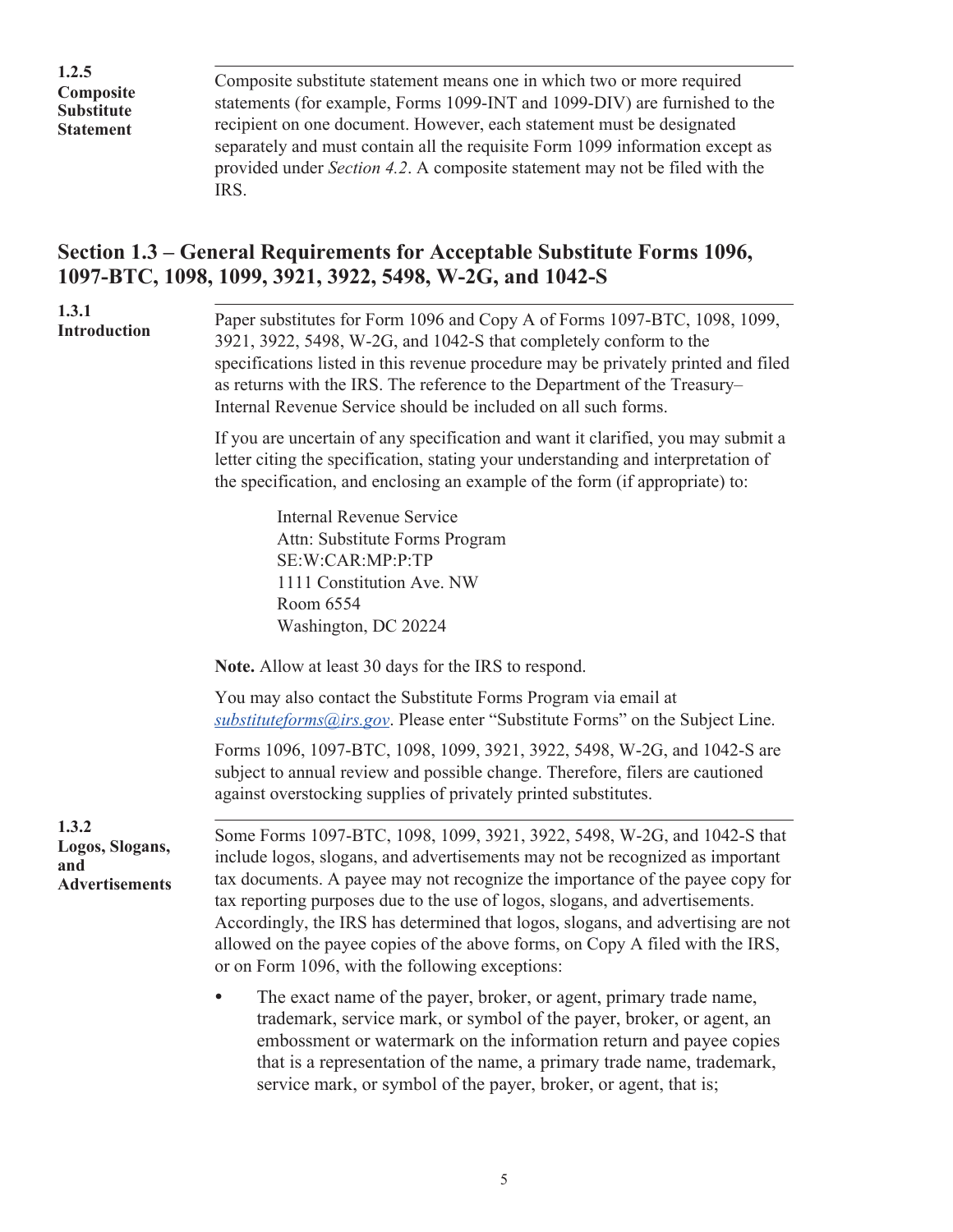<span id="page-7-0"></span>**1.2.5 Composite Substitute Statement**

. Composite substitute statement means one in which two or more required statements (for example, Forms 1099-INT and 1099-DIV) are furnished to the recipient on one document. However, each statement must be designated separately and must contain all the requisite Form 1099 information except as provided under *Section 4.2*. A composite statement may not be filed with the IRS.

### **Section 1.3 – General Requirements for Acceptable Substitute Forms 1096, 1097-BTC, 1098, 1099, 3921, 3922, 5498, W-2G, and 1042-S**

| 1.3.1<br>Introduction                                    | Paper substitutes for Form 1096 and Copy A of Forms 1097-BTC, 1098, 1099,<br>3921, 3922, 5498, W-2G, and 1042-S that completely conform to the<br>specifications listed in this revenue procedure may be privately printed and filed<br>as returns with the IRS. The reference to the Department of the Treasury-<br>Internal Revenue Service should be included on all such forms.                                                                                                                                                                |
|----------------------------------------------------------|----------------------------------------------------------------------------------------------------------------------------------------------------------------------------------------------------------------------------------------------------------------------------------------------------------------------------------------------------------------------------------------------------------------------------------------------------------------------------------------------------------------------------------------------------|
|                                                          | If you are uncertain of any specification and want it clarified, you may submit a<br>letter citing the specification, stating your understanding and interpretation of<br>the specification, and enclosing an example of the form (if appropriate) to:                                                                                                                                                                                                                                                                                             |
|                                                          | <b>Internal Revenue Service</b><br>Attn: Substitute Forms Program<br>SE:W:CAR:MP:P:TP<br>1111 Constitution Ave. NW<br>Room 6554<br>Washington, DC 20224                                                                                                                                                                                                                                                                                                                                                                                            |
|                                                          | <b>Note.</b> Allow at least 30 days for the IRS to respond.                                                                                                                                                                                                                                                                                                                                                                                                                                                                                        |
|                                                          | You may also contact the Substitute Forms Program via email at<br>substitute forms @ irs.gov. Please enter "Substitute Forms" on the Subject Line.                                                                                                                                                                                                                                                                                                                                                                                                 |
|                                                          | Forms 1096, 1097-BTC, 1098, 1099, 3921, 3922, 5498, W-2G, and 1042-S are<br>subject to annual review and possible change. Therefore, filers are cautioned<br>against overstocking supplies of privately printed substitutes.                                                                                                                                                                                                                                                                                                                       |
| 1.3.2<br>Logos, Slogans,<br>and<br><b>Advertisements</b> | Some Forms 1097-BTC, 1098, 1099, 3921, 3922, 5498, W-2G, and 1042-S that<br>include logos, slogans, and advertisements may not be recognized as important<br>tax documents. A payee may not recognize the importance of the payee copy for<br>tax reporting purposes due to the use of logos, slogans, and advertisements.<br>Accordingly, the IRS has determined that logos, slogans, and advertising are not<br>allowed on the payee copies of the above forms, on Copy A filed with the IRS,<br>or on Form 1096, with the following exceptions: |
|                                                          | The exact name of the payer, broker, or agent, primary trade name,<br>trademark, service mark, or symbol of the payer, broker, or agent, an<br>embossment or watermark on the information return and payee copies                                                                                                                                                                                                                                                                                                                                  |

5

that is a representation of the name, a primary trade name, trademark,

service mark, or symbol of the payer, broker, or agent, that is;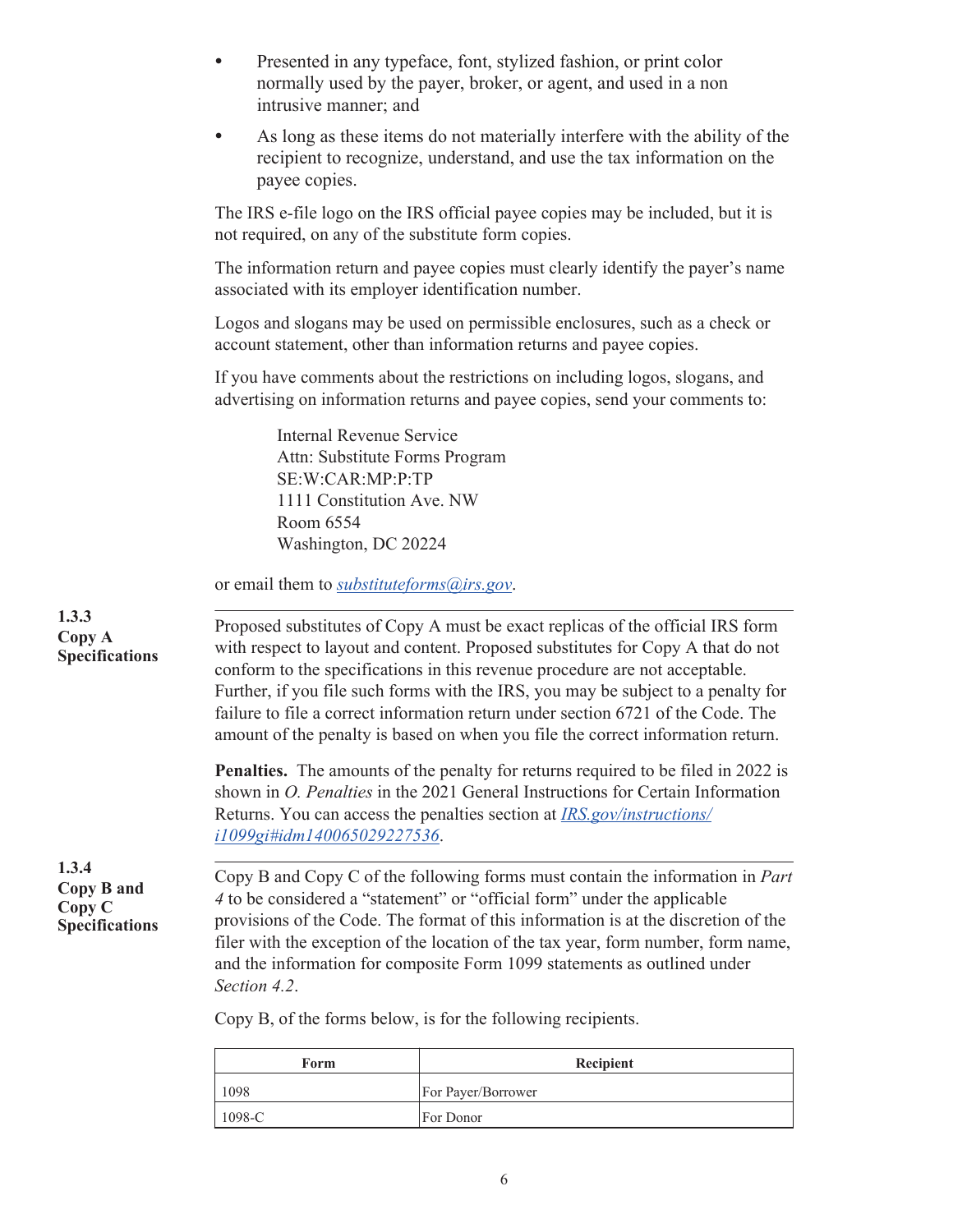| $\bullet$ | Presented in any typeface, font, stylized fashion, or print color |
|-----------|-------------------------------------------------------------------|
|           | normally used by the payer, broker, or agent, and used in a non   |
|           | intrusive manner; and                                             |

As long as these items do not materially interfere with the ability of the recipient to recognize, understand, and use the tax information on the payee copies.

The IRS e-file logo on the IRS official payee copies may be included, but it is not required, on any of the substitute form copies.

The information return and payee copies must clearly identify the payer's name associated with its employer identification number.

Logos and slogans may be used on permissible enclosures, such as a check or account statement, other than information returns and payee copies.

If you have comments about the restrictions on including logos, slogans, and advertising on information returns and payee copies, send your comments to:

> Internal Revenue Service Attn: Substitute Forms Program SE:W:CAR:MP:P:TP 1111 Constitution Ave. NW Room 6554 Washington, DC 20224

or email them to *[substituteforms@irs.gov](mailto:substituteforms@irs.gov)*.

| Proposed substitutes of Copy A must be exact replicas of the official IRS form    |  |
|-----------------------------------------------------------------------------------|--|
| with respect to layout and content. Proposed substitutes for Copy A that do not   |  |
| conform to the specifications in this revenue procedure are not acceptable.       |  |
| Further, if you file such forms with the IRS, you may be subject to a penalty for |  |
| failure to file a correct information return under section 6721 of the Code. The  |  |
| amount of the penalty is based on when you file the correct information return.   |  |
|                                                                                   |  |

**Penalties.** The amounts of the penalty for returns required to be filed in 2022 is shown in *O. Penalties* in the 2021 General Instructions for Certain Information Returns. You can access the penalties section at *[IRS.gov/instructions/](https://www.irs.gov/instructions/i1099gi#idm140065029227536) [i1099gi#idm140065029227536](https://www.irs.gov/instructions/i1099gi#idm140065029227536)*.

**1.3.4 Copy B and Copy C Specifications**

**1.3.3 Copy A Specifications**

> . Copy B and Copy C of the following forms must contain the information in *Part 4* to be considered a "statement" or "official form" under the applicable provisions of the Code. The format of this information is at the discretion of the filer with the exception of the location of the tax year, form number, form name, and the information for composite Form 1099 statements as outlined under *Section 4.2*.

Copy B, of the forms below, is for the following recipients.

| Form   | Recipient                 |
|--------|---------------------------|
| 1098   | <b>For Payer/Borrower</b> |
| 1098-C | For Donor                 |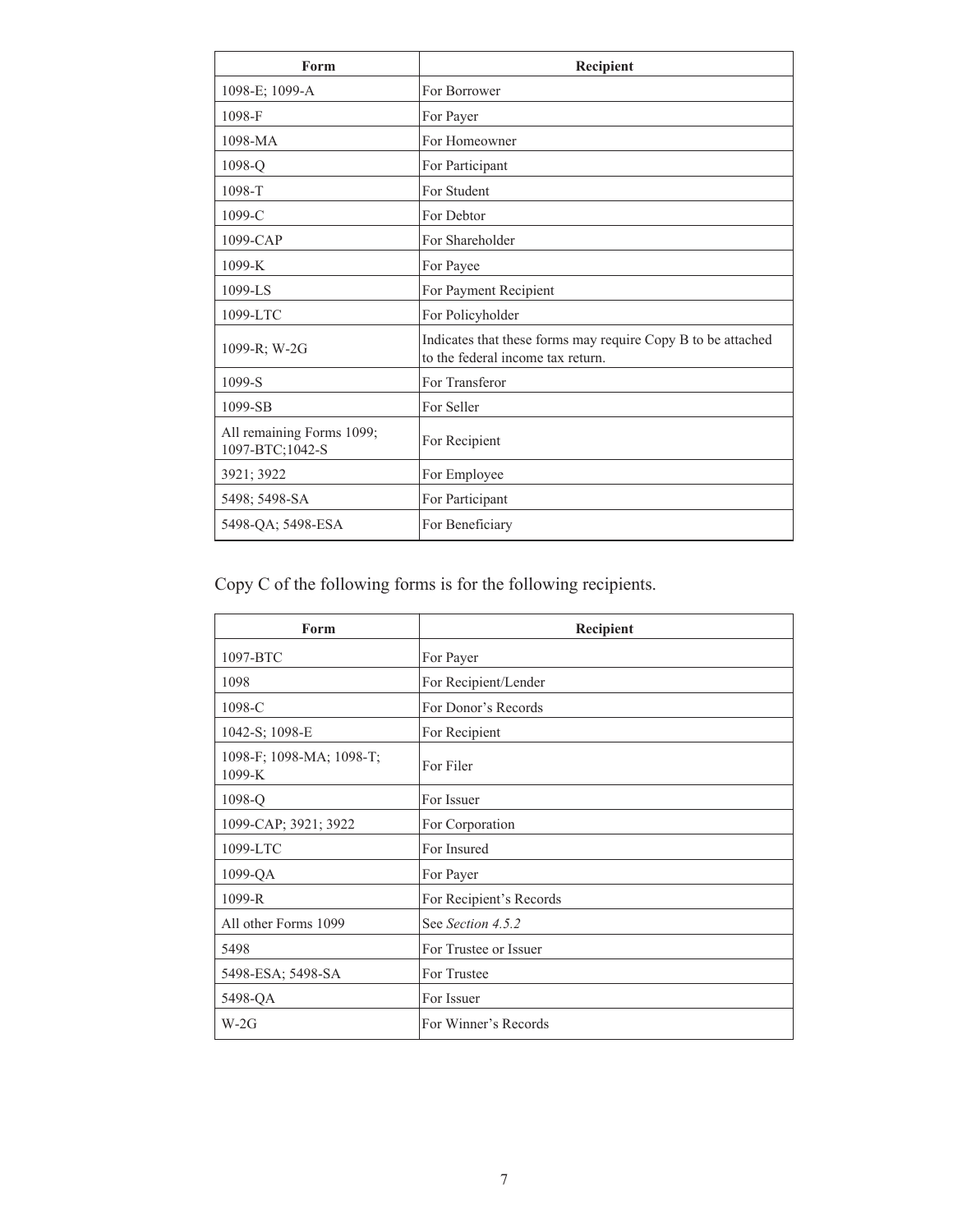| Form                                         | Recipient                                                                                         |
|----------------------------------------------|---------------------------------------------------------------------------------------------------|
| 1098-E; 1099-A                               | For Borrower                                                                                      |
| 1098-F                                       | For Payer                                                                                         |
| 1098-MA                                      | For Homeowner                                                                                     |
| 1098-Q                                       | For Participant                                                                                   |
| 1098-T                                       | For Student                                                                                       |
| 1099-C                                       | For Debtor                                                                                        |
| 1099-CAP                                     | For Shareholder                                                                                   |
| $1099-K$                                     | For Payee                                                                                         |
| 1099-LS                                      | For Payment Recipient                                                                             |
| 1099-LTC                                     | For Policyholder                                                                                  |
| 1099-R: W-2G                                 | Indicates that these forms may require Copy B to be attached<br>to the federal income tax return. |
| $1099-S$                                     | For Transferor                                                                                    |
| 1099-SB                                      | For Seller                                                                                        |
| All remaining Forms 1099;<br>1097-BTC;1042-S | For Recipient                                                                                     |
| 3921; 3922                                   | For Employee                                                                                      |
| 5498; 5498-SA                                | For Participant                                                                                   |
| 5498-QA; 5498-ESA                            | For Beneficiary                                                                                   |

Copy C of the following forms is for the following recipients.

| Form                                 | Recipient               |
|--------------------------------------|-------------------------|
| 1097-BTC                             | For Payer               |
| 1098                                 | For Recipient/Lender    |
| 1098-C                               | For Donor's Records     |
| 1042-S; 1098-E                       | For Recipient           |
| 1098-F; 1098-MA; 1098-T;<br>$1099-K$ | For Filer               |
| 1098-Q                               | For Issuer              |
| 1099-CAP; 3921; 3922                 | For Corporation         |
| 1099-LTC                             | For Insured             |
| 1099-QA                              | For Payer               |
| $1099 - R$                           | For Recipient's Records |
| All other Forms 1099                 | See Section 4.5.2       |
| 5498                                 | For Trustee or Issuer   |
| 5498-ESA; 5498-SA                    | For Trustee             |
| 5498-QA                              | For Issuer              |
| $W-2G$                               | For Winner's Records    |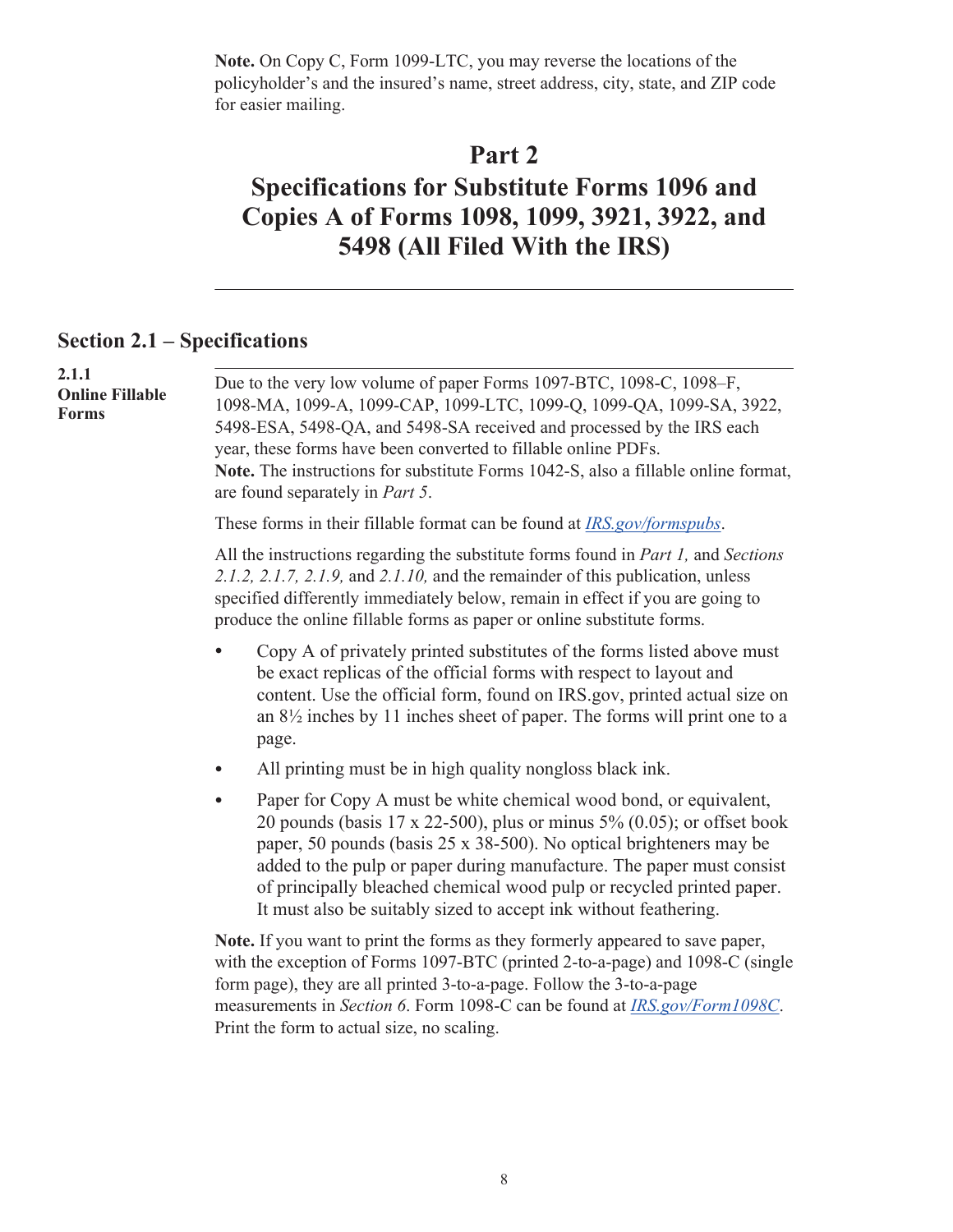<span id="page-10-0"></span>**Note.** On Copy C, Form 1099-LTC, you may reverse the locations of the policyholder's and the insured's name, street address, city, state, and ZIP code for easier mailing.

### **Part 2**

## **Specifications for Substitute Forms 1096 and Copies A of Forms 1098, 1099, 3921, 3922, and 5498 (All Filed With the IRS)**

### **Section 2.1 – Specifications**

| 2.1.1<br><b>Online Fillable</b><br><b>Forms</b> |                                                                                                                                                                                                                                                                                                                                                                                                                                                                                                                                                           |
|-------------------------------------------------|-----------------------------------------------------------------------------------------------------------------------------------------------------------------------------------------------------------------------------------------------------------------------------------------------------------------------------------------------------------------------------------------------------------------------------------------------------------------------------------------------------------------------------------------------------------|
|                                                 | Due to the very low volume of paper Forms 1097-BTC, 1098-C, 1098-F,<br>1098-MA, 1099-A, 1099-CAP, 1099-LTC, 1099-Q, 1099-QA, 1099-SA, 3922,<br>5498-ESA, 5498-QA, and 5498-SA received and processed by the IRS each<br>year, these forms have been converted to fillable online PDFs.<br>Note. The instructions for substitute Forms 1042-S, also a fillable online format,<br>are found separately in <i>Part 5</i> .                                                                                                                                   |
|                                                 | These forms in their fillable format can be found at <i>IRS.gov/formspubs.</i>                                                                                                                                                                                                                                                                                                                                                                                                                                                                            |
|                                                 | All the instructions regarding the substitute forms found in <i>Part 1</i> , and <i>Sections</i><br>2.1.2, 2.1.7, 2.1.9, and 2.1.10, and the remainder of this publication, unless<br>specified differently immediately below, remain in effect if you are going to<br>produce the online fillable forms as paper or online substitute forms.                                                                                                                                                                                                             |
|                                                 | Copy A of privately printed substitutes of the forms listed above must<br>be exact replicas of the official forms with respect to layout and<br>content. Use the official form, found on IRS gov, printed actual size on<br>an $8\frac{1}{2}$ inches by 11 inches sheet of paper. The forms will print one to a<br>page.                                                                                                                                                                                                                                  |
|                                                 | All printing must be in high quality nongloss black ink.                                                                                                                                                                                                                                                                                                                                                                                                                                                                                                  |
|                                                 | Paper for Copy A must be white chemical wood bond, or equivalent,<br>$\bullet$<br>20 pounds (basis $17 \times 22-500$ ), plus or minus $5\%$ (0.05); or offset book<br>paper, 50 pounds (basis 25 x 38-500). No optical brighteners may be<br>added to the pulp or paper during manufacture. The paper must consist<br>of principally bleached chemical wood pulp or recycled printed paper.<br>It must also be suitably sized to accept ink without feathering.                                                                                          |
|                                                 | Note. If you want to print the forms as they formerly appeared to save paper,<br>with the exception of Forms 1097-BTC (printed 2-to-a-page) and 1098-C (single<br>form page), they are all printed 3-to-a-page. Follow the 3-to-a-page<br>convenients in $\mathbb{C}$ - $\mathbb{C}$ $\mathbb{C}$ $\mathbb{C}$ and 1000 $\mathbb{C}$ and be found at ID $\mathbb{C}$ $\mathbb{C}$ $\mathbb{C}$ $\mathbb{C}$ $\mathbb{C}$ $\mathbb{C}$ $\mathbb{C}$ $\mathbb{C}$ $\mathbb{C}$ $\mathbb{C}$ $\mathbb{C}$ $\mathbb{C}$ $\mathbb{C}$ $\mathbb{C}$ $\mathbb{C$ |

measurements in *Section 6*. Form 1098-C can be found at *[IRS.gov/Form1098C](https://irs.gov/Form1098C)*. Print the form to actual size, no scaling.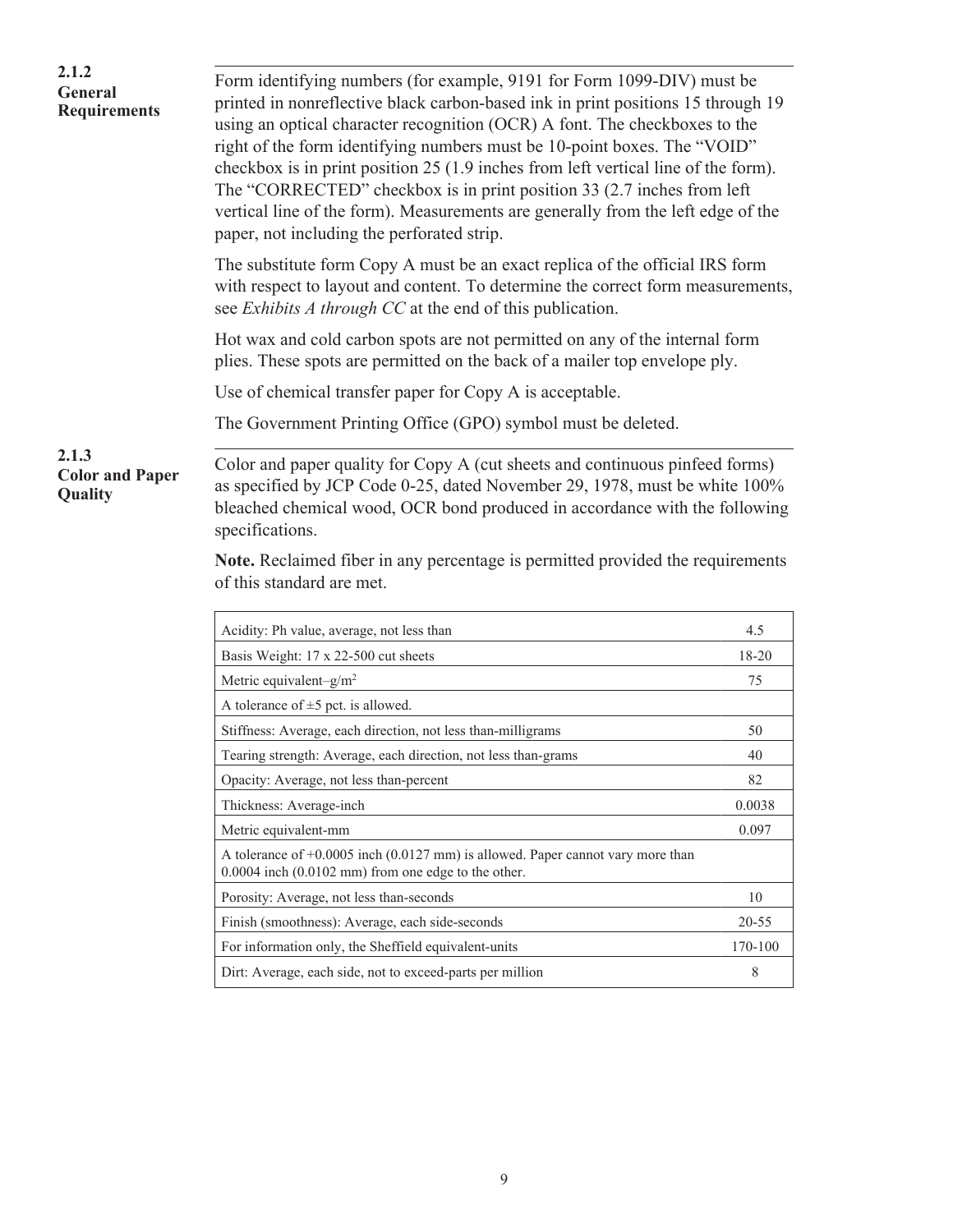| 2.1.2<br><b>General</b><br><b>Requirements</b> | Form identifying numbers (for example, 9191 for Form 1099-DIV) must be<br>printed in nonreflective black carbon-based ink in print positions 15 through 19<br>using an optical character recognition (OCR) A font. The checkboxes to the<br>right of the form identifying numbers must be 10-point boxes. The "VOID"<br>checkbox is in print position 25 (1.9 inches from left vertical line of the form).<br>The "CORRECTED" checkbox is in print position 33 (2.7 inches from left<br>vertical line of the form). Measurements are generally from the left edge of the<br>paper, not including the perforated strip. |           |
|------------------------------------------------|------------------------------------------------------------------------------------------------------------------------------------------------------------------------------------------------------------------------------------------------------------------------------------------------------------------------------------------------------------------------------------------------------------------------------------------------------------------------------------------------------------------------------------------------------------------------------------------------------------------------|-----------|
|                                                | The substitute form Copy A must be an exact replica of the official IRS form<br>with respect to layout and content. To determine the correct form measurements,<br>see <i>Exhibits A through CC</i> at the end of this publication.                                                                                                                                                                                                                                                                                                                                                                                    |           |
|                                                | Hot wax and cold carbon spots are not permitted on any of the internal form<br>plies. These spots are permitted on the back of a mailer top envelope ply.                                                                                                                                                                                                                                                                                                                                                                                                                                                              |           |
|                                                | Use of chemical transfer paper for Copy A is acceptable.                                                                                                                                                                                                                                                                                                                                                                                                                                                                                                                                                               |           |
|                                                | The Government Printing Office (GPO) symbol must be deleted.                                                                                                                                                                                                                                                                                                                                                                                                                                                                                                                                                           |           |
| 2.1.3<br><b>Color and Paper</b><br>Quality     | Color and paper quality for Copy A (cut sheets and continuous pinfeed forms)<br>as specified by JCP Code 0-25, dated November 29, 1978, must be white 100%<br>bleached chemical wood, OCR bond produced in accordance with the following<br>specifications.<br>Note. Reclaimed fiber in any percentage is permitted provided the requirements<br>of this standard are met.                                                                                                                                                                                                                                             |           |
|                                                | Acidity: Ph value, average, not less than                                                                                                                                                                                                                                                                                                                                                                                                                                                                                                                                                                              | 4.5       |
|                                                | Basis Weight: 17 x 22-500 cut sheets                                                                                                                                                                                                                                                                                                                                                                                                                                                                                                                                                                                   | 18-20     |
|                                                | Metric equivalent-g/m <sup>2</sup>                                                                                                                                                                                                                                                                                                                                                                                                                                                                                                                                                                                     | 75        |
|                                                | A tolerance of $\pm 5$ pct. is allowed.                                                                                                                                                                                                                                                                                                                                                                                                                                                                                                                                                                                |           |
|                                                | Stiffness: Average, each direction, not less than-milligrams                                                                                                                                                                                                                                                                                                                                                                                                                                                                                                                                                           | 50        |
|                                                | Tearing strength: Average, each direction, not less than-grams                                                                                                                                                                                                                                                                                                                                                                                                                                                                                                                                                         | 40        |
|                                                | Opacity: Average, not less than-percent                                                                                                                                                                                                                                                                                                                                                                                                                                                                                                                                                                                | 82        |
|                                                | Thickness: Average-inch                                                                                                                                                                                                                                                                                                                                                                                                                                                                                                                                                                                                | 0.0038    |
|                                                | Metric equivalent-mm                                                                                                                                                                                                                                                                                                                                                                                                                                                                                                                                                                                                   | 0.097     |
|                                                | A tolerance of +0.0005 inch (0.0127 mm) is allowed. Paper cannot vary more than<br>$0.0004$ inch $(0.0102$ mm) from one edge to the other.                                                                                                                                                                                                                                                                                                                                                                                                                                                                             |           |
|                                                | Porosity: Average, not less than-seconds                                                                                                                                                                                                                                                                                                                                                                                                                                                                                                                                                                               | 10        |
|                                                | Finish (smoothness): Average, each side-seconds                                                                                                                                                                                                                                                                                                                                                                                                                                                                                                                                                                        | $20 - 55$ |
|                                                |                                                                                                                                                                                                                                                                                                                                                                                                                                                                                                                                                                                                                        |           |
|                                                | For information only, the Sheffield equivalent-units                                                                                                                                                                                                                                                                                                                                                                                                                                                                                                                                                                   | 170-100   |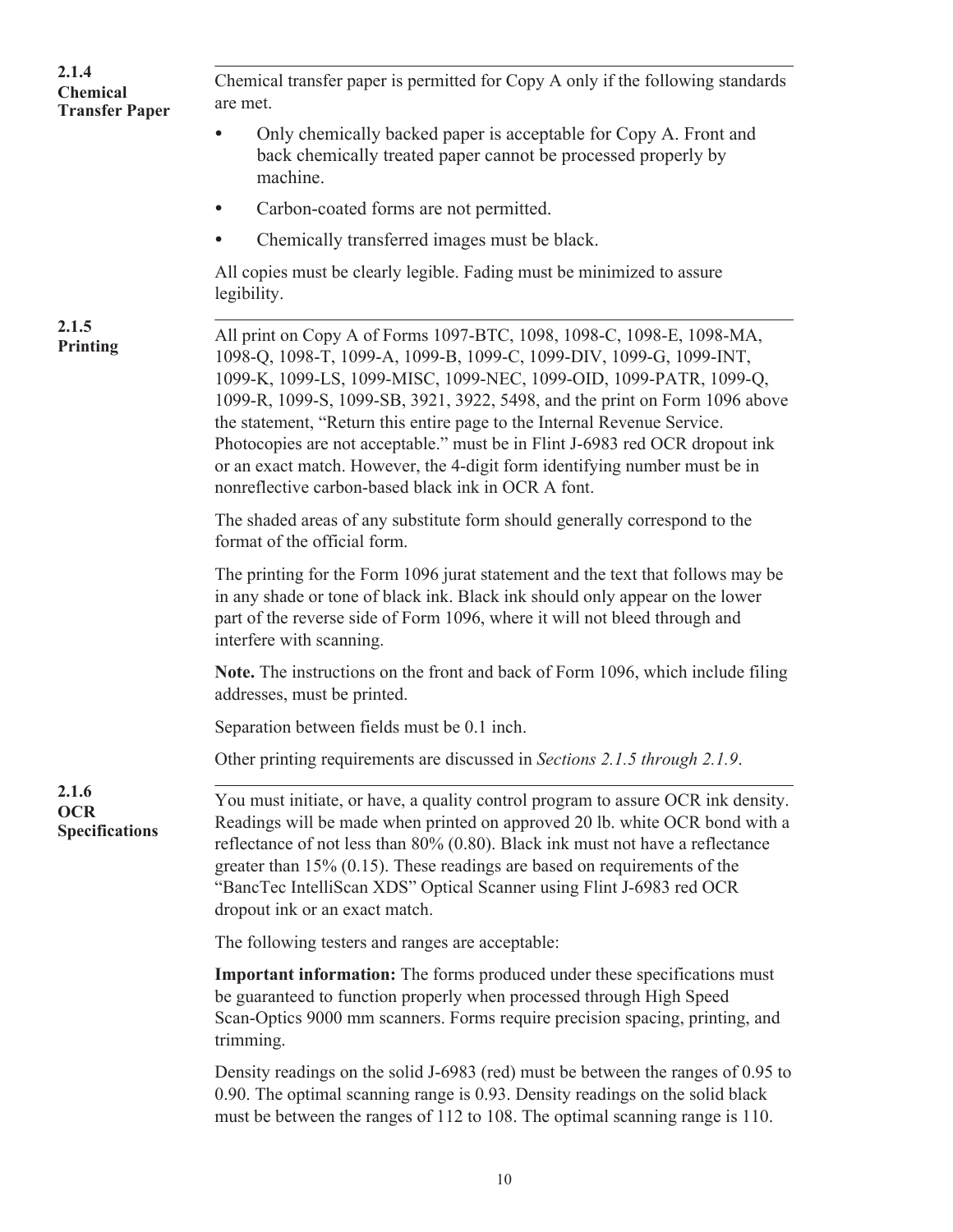| 2.1.4<br><b>Chemical</b><br><b>Transfer Paper</b> | Chemical transfer paper is permitted for Copy A only if the following standards<br>are met.                                                                                                                                                                                                                                                                                                                                                                                                                                                                                                        |
|---------------------------------------------------|----------------------------------------------------------------------------------------------------------------------------------------------------------------------------------------------------------------------------------------------------------------------------------------------------------------------------------------------------------------------------------------------------------------------------------------------------------------------------------------------------------------------------------------------------------------------------------------------------|
|                                                   | Only chemically backed paper is acceptable for Copy A. Front and<br>back chemically treated paper cannot be processed properly by<br>machine.                                                                                                                                                                                                                                                                                                                                                                                                                                                      |
|                                                   | Carbon-coated forms are not permitted.                                                                                                                                                                                                                                                                                                                                                                                                                                                                                                                                                             |
|                                                   | Chemically transferred images must be black.                                                                                                                                                                                                                                                                                                                                                                                                                                                                                                                                                       |
|                                                   | All copies must be clearly legible. Fading must be minimized to assure<br>legibility.                                                                                                                                                                                                                                                                                                                                                                                                                                                                                                              |
| 2.1.5<br>Printing                                 | All print on Copy A of Forms 1097-BTC, 1098, 1098-C, 1098-E, 1098-MA,<br>1098-Q, 1098-T, 1099-A, 1099-B, 1099-C, 1099-DIV, 1099-G, 1099-INT,<br>1099-K, 1099-LS, 1099-MISC, 1099-NEC, 1099-OID, 1099-PATR, 1099-Q,<br>1099-R, 1099-S, 1099-SB, 3921, 3922, 5498, and the print on Form 1096 above<br>the statement, "Return this entire page to the Internal Revenue Service.<br>Photocopies are not acceptable." must be in Flint J-6983 red OCR dropout ink<br>or an exact match. However, the 4-digit form identifying number must be in<br>nonreflective carbon-based black ink in OCR A font. |
|                                                   | The shaded areas of any substitute form should generally correspond to the<br>format of the official form.                                                                                                                                                                                                                                                                                                                                                                                                                                                                                         |
|                                                   | The printing for the Form 1096 jurat statement and the text that follows may be<br>in any shade or tone of black ink. Black ink should only appear on the lower<br>part of the reverse side of Form 1096, where it will not bleed through and<br>interfere with scanning.                                                                                                                                                                                                                                                                                                                          |
|                                                   | Note. The instructions on the front and back of Form 1096, which include filing<br>addresses, must be printed.                                                                                                                                                                                                                                                                                                                                                                                                                                                                                     |
|                                                   | Separation between fields must be 0.1 inch.                                                                                                                                                                                                                                                                                                                                                                                                                                                                                                                                                        |
|                                                   | Other printing requirements are discussed in Sections 2.1.5 through 2.1.9.                                                                                                                                                                                                                                                                                                                                                                                                                                                                                                                         |
| 2.1.6<br><b>OCR</b><br><b>Specifications</b>      | You must initiate, or have, a quality control program to assure OCR ink density.<br>Readings will be made when printed on approved 20 lb. white OCR bond with a<br>reflectance of not less than $80\%$ (0.80). Black ink must not have a reflectance<br>greater than $15\%$ (0.15). These readings are based on requirements of the<br>"BancTec IntelliScan XDS" Optical Scanner using Flint J-6983 red OCR<br>dropout ink or an exact match.                                                                                                                                                      |
|                                                   | The following testers and ranges are acceptable:                                                                                                                                                                                                                                                                                                                                                                                                                                                                                                                                                   |
|                                                   | <b>Important information:</b> The forms produced under these specifications must<br>be guaranteed to function properly when processed through High Speed<br>Scan-Optics 9000 mm scanners. Forms require precision spacing, printing, and<br>trimming.                                                                                                                                                                                                                                                                                                                                              |
|                                                   | Density readings on the solid J-6983 (red) must be between the ranges of 0.95 to<br>0.90. The optimal scanning range is 0.93. Density readings on the solid black<br>must be between the ranges of 112 to 108. The optimal scanning range is 110.                                                                                                                                                                                                                                                                                                                                                  |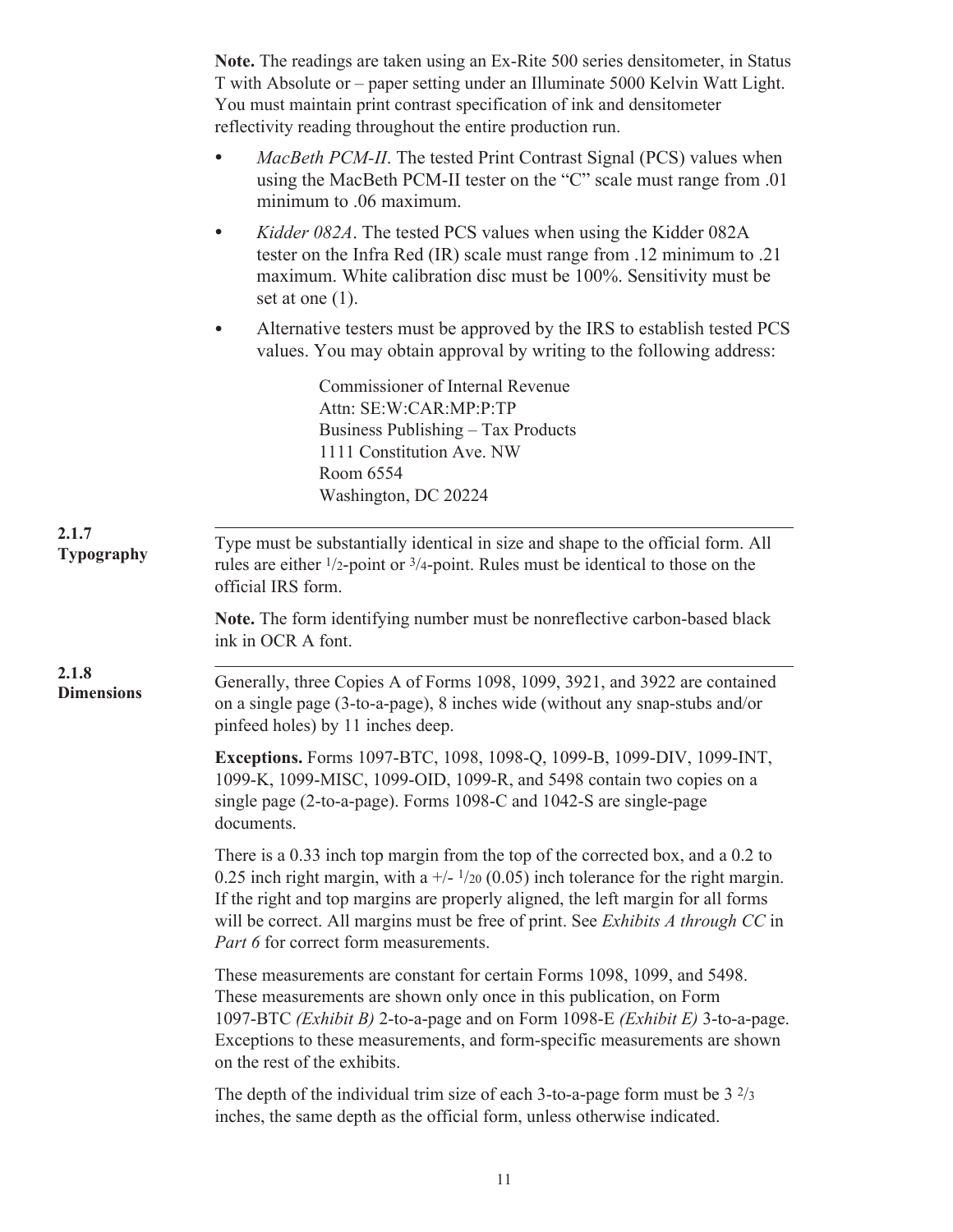|                            | Note. The readings are taken using an Ex-Rite 500 series densitemeter, in Status<br>T with Absolute or – paper setting under an Illuminate 5000 Kelvin Watt Light.<br>You must maintain print contrast specification of ink and densitometer<br>reflectivity reading throughout the entire production run.                                                                               |
|----------------------------|------------------------------------------------------------------------------------------------------------------------------------------------------------------------------------------------------------------------------------------------------------------------------------------------------------------------------------------------------------------------------------------|
|                            | <i>MacBeth PCM-II</i> . The tested Print Contrast Signal (PCS) values when<br>using the MacBeth PCM-II tester on the "C" scale must range from .01<br>minimum to .06 maximum.                                                                                                                                                                                                            |
|                            | Kidder 082A. The tested PCS values when using the Kidder 082A<br>$\bullet$<br>tester on the Infra Red (IR) scale must range from .12 minimum to .21<br>maximum. White calibration disc must be 100%. Sensitivity must be<br>set at one $(1)$ .                                                                                                                                           |
|                            | Alternative testers must be approved by the IRS to establish tested PCS<br>values. You may obtain approval by writing to the following address:                                                                                                                                                                                                                                          |
|                            | Commissioner of Internal Revenue<br>Attn: SE:W:CAR:MP:P:TP<br>Business Publishing - Tax Products<br>1111 Constitution Ave. NW<br>Room 6554<br>Washington, DC 20224                                                                                                                                                                                                                       |
| 2.1.7<br><b>Typography</b> | Type must be substantially identical in size and shape to the official form. All<br>rules are either $\frac{1}{2}$ -point or $\frac{3}{4}$ -point. Rules must be identical to those on the<br>official IRS form.                                                                                                                                                                         |
|                            | Note. The form identifying number must be nonreflective carbon-based black<br>ink in OCR A font.                                                                                                                                                                                                                                                                                         |
| 2.1.8<br><b>Dimensions</b> | Generally, three Copies A of Forms 1098, 1099, 3921, and 3922 are contained<br>on a single page (3-to-a-page), 8 inches wide (without any snap-stubs and/or<br>pinfeed holes) by 11 inches deep.                                                                                                                                                                                         |
|                            | Exceptions. Forms 1097-BTC, 1098, 1098-Q, 1099-B, 1099-DIV, 1099-INT,<br>1099-K, 1099-MISC, 1099-OID, 1099-R, and 5498 contain two copies on a<br>single page (2-to-a-page). Forms 1098-C and 1042-S are single-page<br>documents.                                                                                                                                                       |
|                            | There is a 0.33 inch top margin from the top of the corrected box, and a 0.2 to<br>0.25 inch right margin, with a $+/-1/20$ (0.05) inch tolerance for the right margin.<br>If the right and top margins are properly aligned, the left margin for all forms<br>will be correct. All margins must be free of print. See Exhibits A through CC in<br>Part 6 for correct form measurements. |
|                            | These measurements are constant for certain Forms 1098, 1099, and 5498.<br>These measurements are shown only once in this publication, on Form<br>1097-BTC (Exhibit B) 2-to-a-page and on Form 1098-E (Exhibit E) 3-to-a-page.<br>Exceptions to these measurements, and form-specific measurements are shown<br>on the rest of the exhibits.                                             |
|                            | The depth of the individual trim size of each 3-to-a-page form must be $3\frac{2}{3}$<br>inches, the same depth as the official form, unless otherwise indicated.                                                                                                                                                                                                                        |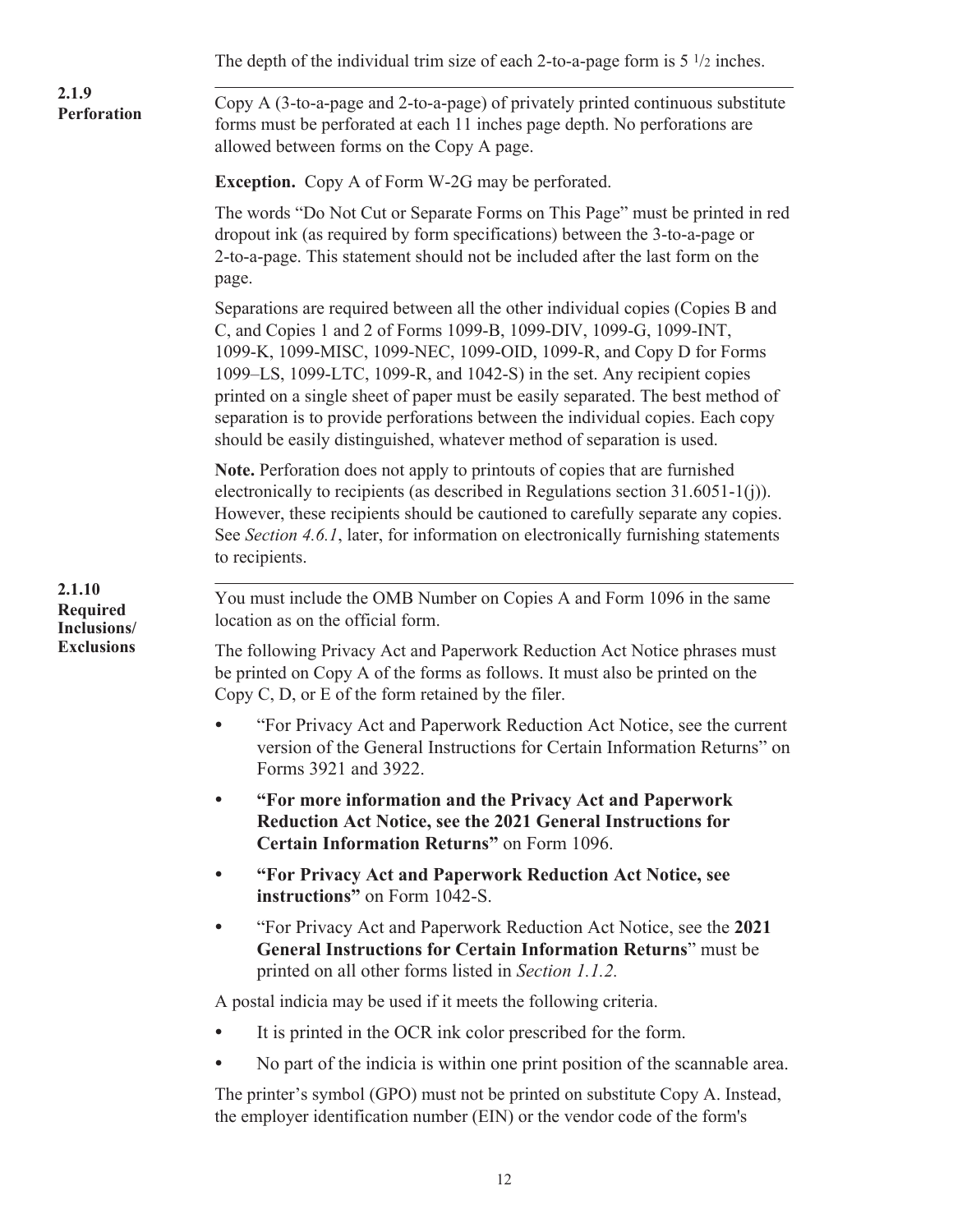|                                                               | The depth of the individual trim size of each 2-to-a-page form is $5\frac{1}{2}$ inches.                                                                                                                                                                                                                                                                                                                                                                                                                                                              |
|---------------------------------------------------------------|-------------------------------------------------------------------------------------------------------------------------------------------------------------------------------------------------------------------------------------------------------------------------------------------------------------------------------------------------------------------------------------------------------------------------------------------------------------------------------------------------------------------------------------------------------|
| 2.1.9<br><b>Perforation</b>                                   | Copy A (3-to-a-page and 2-to-a-page) of privately printed continuous substitute<br>forms must be perforated at each 11 inches page depth. No perforations are<br>allowed between forms on the Copy A page.                                                                                                                                                                                                                                                                                                                                            |
|                                                               | <b>Exception.</b> Copy A of Form W-2G may be perforated.                                                                                                                                                                                                                                                                                                                                                                                                                                                                                              |
|                                                               | The words "Do Not Cut or Separate Forms on This Page" must be printed in red<br>dropout ink (as required by form specifications) between the 3-to-a-page or<br>2-to-a-page. This statement should not be included after the last form on the<br>page.                                                                                                                                                                                                                                                                                                 |
|                                                               | Separations are required between all the other individual copies (Copies B and<br>C, and Copies 1 and 2 of Forms 1099-B, 1099-DIV, 1099-G, 1099-INT,<br>1099-K, 1099-MISC, 1099-NEC, 1099-OID, 1099-R, and Copy D for Forms<br>1099–LS, 1099-LTC, 1099-R, and 1042-S) in the set. Any recipient copies<br>printed on a single sheet of paper must be easily separated. The best method of<br>separation is to provide perforations between the individual copies. Each copy<br>should be easily distinguished, whatever method of separation is used. |
|                                                               | Note. Perforation does not apply to printouts of copies that are furnished<br>electronically to recipients (as described in Regulations section $31.6051-1(j)$ ).<br>However, these recipients should be cautioned to carefully separate any copies.<br>See Section 4.6.1, later, for information on electronically furnishing statements<br>to recipients.                                                                                                                                                                                           |
| 2.1.10<br><b>Required</b><br>Inclusions/<br><b>Exclusions</b> | You must include the OMB Number on Copies A and Form 1096 in the same<br>location as on the official form.                                                                                                                                                                                                                                                                                                                                                                                                                                            |
|                                                               | The following Privacy Act and Paperwork Reduction Act Notice phrases must<br>be printed on Copy A of the forms as follows. It must also be printed on the<br>Copy $C$ , $D$ , or $E$ of the form retained by the filer.                                                                                                                                                                                                                                                                                                                               |
|                                                               | "For Privacy Act and Paperwork Reduction Act Notice, see the current<br>version of the General Instructions for Certain Information Returns" on<br>Forms 3921 and 3922.                                                                                                                                                                                                                                                                                                                                                                               |
|                                                               | "For more information and the Privacy Act and Paperwork<br>$\bullet$<br>Reduction Act Notice, see the 2021 General Instructions for<br>Certain Information Returns" on Form 1096.                                                                                                                                                                                                                                                                                                                                                                     |
|                                                               | "For Privacy Act and Paperwork Reduction Act Notice, see<br>$\bullet$<br>instructions" on Form 1042-S.                                                                                                                                                                                                                                                                                                                                                                                                                                                |
|                                                               | "For Privacy Act and Paperwork Reduction Act Notice, see the 2021<br>$\bullet$<br><b>General Instructions for Certain Information Returns</b> " must be<br>printed on all other forms listed in Section 1.1.2.                                                                                                                                                                                                                                                                                                                                        |
|                                                               | A postal indicia may be used if it meets the following criteria.                                                                                                                                                                                                                                                                                                                                                                                                                                                                                      |
|                                                               | It is printed in the OCR ink color prescribed for the form.                                                                                                                                                                                                                                                                                                                                                                                                                                                                                           |
|                                                               | No part of the indicia is within one print position of the scannable area.                                                                                                                                                                                                                                                                                                                                                                                                                                                                            |
|                                                               | The printer's symbol (GPO) must not be printed on substitute Copy A. Instead,<br>the employer identification number (EIN) or the vendor code of the form's                                                                                                                                                                                                                                                                                                                                                                                            |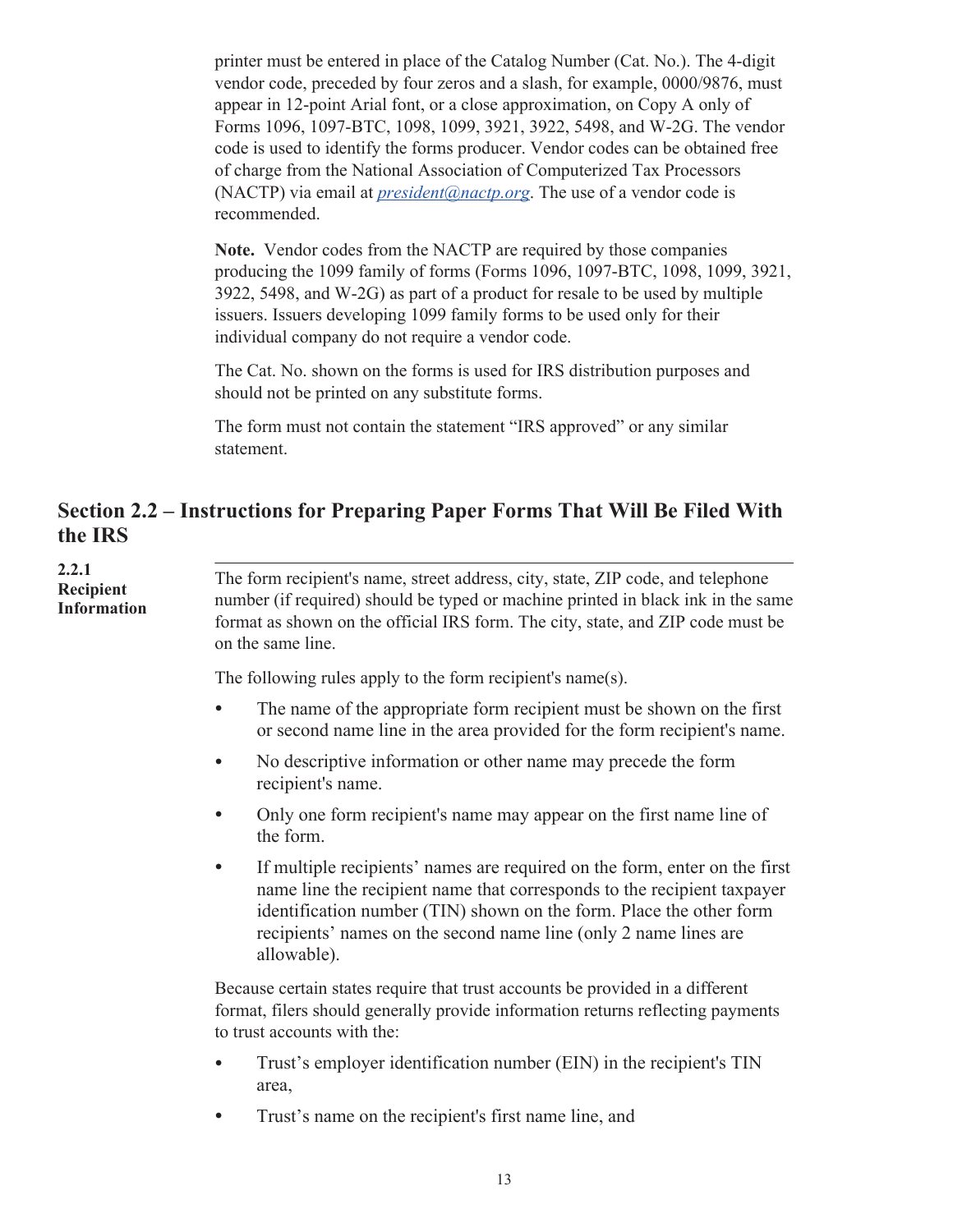<span id="page-15-0"></span>printer must be entered in place of the Catalog Number (Cat. No.). The 4-digit vendor code, preceded by four zeros and a slash, for example, 0000/9876, must appear in 12-point Arial font, or a close approximation, on Copy A only of Forms 1096, 1097-BTC, 1098, 1099, 3921, 3922, 5498, and W-2G. The vendor code is used to identify the forms producer. Vendor codes can be obtained free of charge from the National Association of Computerized Tax Processors (NACTP) via email at *[president@nactp.org](mailto:president@nactp.org.)*. The use of a vendor code is recommended.

**Note.** Vendor codes from the NACTP are required by those companies producing the 1099 family of forms (Forms 1096, 1097-BTC, 1098, 1099, 3921, 3922, 5498, and W-2G) as part of a product for resale to be used by multiple issuers. Issuers developing 1099 family forms to be used only for their individual company do not require a vendor code.

The Cat. No. shown on the forms is used for IRS distribution purposes and should not be printed on any substitute forms.

The form must not contain the statement "IRS approved" or any similar statement.

### **Section 2.2 – Instructions for Preparing Paper Forms That Will Be Filed With the IRS**

**2.2.1 Recipient Information**

. The form recipient's name, street address, city, state, ZIP code, and telephone number (if required) should be typed or machine printed in black ink in the same format as shown on the official IRS form. The city, state, and ZIP code must be on the same line.

The following rules apply to the form recipient's name(s).

- The name of the appropriate form recipient must be shown on the first or second name line in the area provided for the form recipient's name.
- No descriptive information or other name may precede the form recipient's name.
- Only one form recipient's name may appear on the first name line of the form.
- If multiple recipients' names are required on the form, enter on the first name line the recipient name that corresponds to the recipient taxpayer identification number (TIN) shown on the form. Place the other form recipients' names on the second name line (only 2 name lines are allowable).

Because certain states require that trust accounts be provided in a different format, filers should generally provide information returns reflecting payments to trust accounts with the:

- Trust's employer identification number (EIN) in the recipient's TIN area,
- Trust's name on the recipient's first name line, and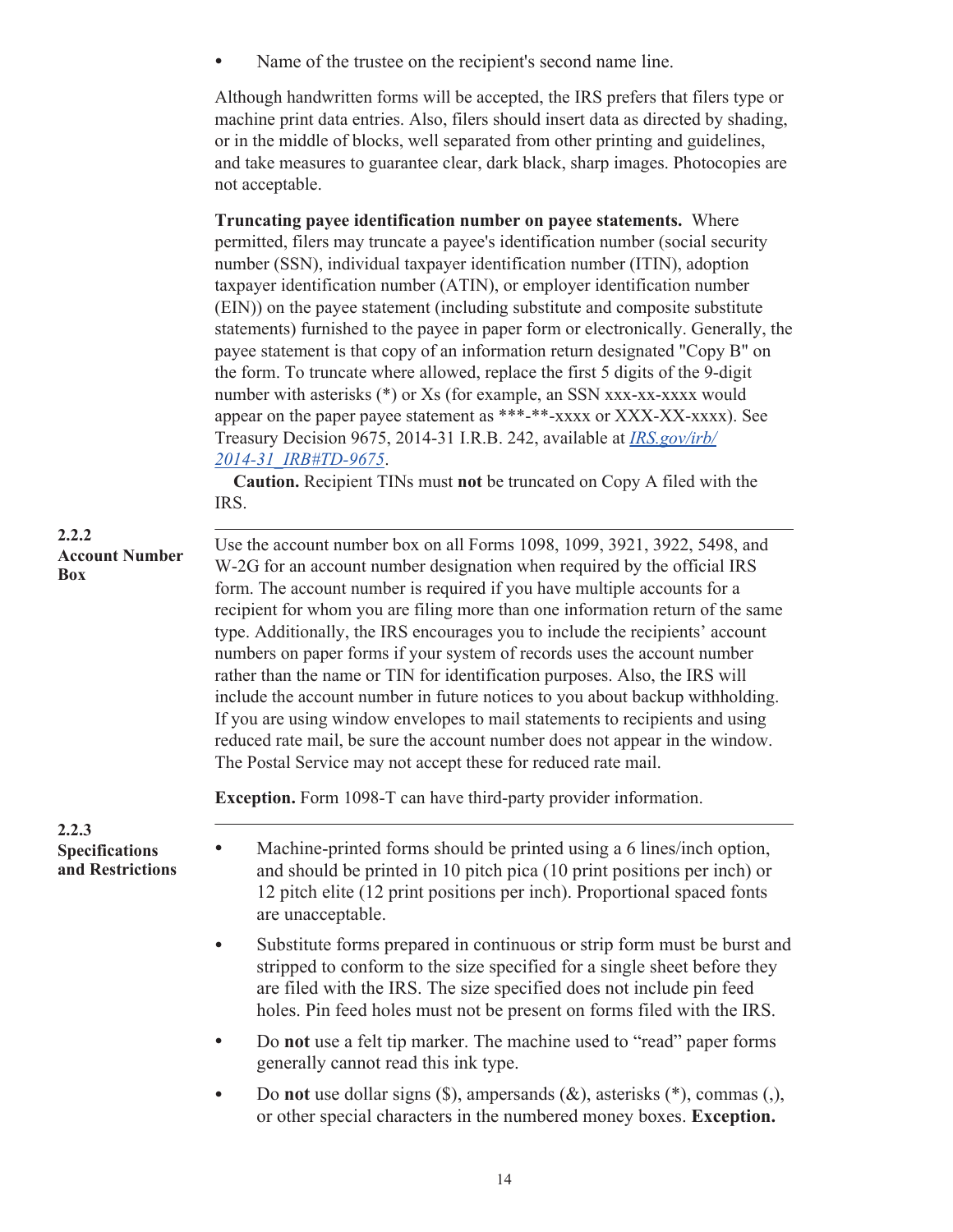• Name of the trustee on the recipient's second name line.

Although handwritten forms will be accepted, the IRS prefers that filers type or machine print data entries. Also, filers should insert data as directed by shading, or in the middle of blocks, well separated from other printing and guidelines, and take measures to guarantee clear, dark black, sharp images. Photocopies are not acceptable.

|                                                    | Truncating payee identification number on payee statements. Where<br>permitted, filers may truncate a payee's identification number (social security<br>number (SSN), individual taxpayer identification number (ITIN), adoption<br>taxpayer identification number (ATIN), or employer identification number<br>(EIN)) on the payee statement (including substitute and composite substitute<br>statements) furnished to the payee in paper form or electronically. Generally, the<br>payee statement is that copy of an information return designated "Copy B" on<br>the form. To truncate where allowed, replace the first 5 digits of the 9-digit<br>number with asterisks (*) or Xs (for example, an SSN xxx-xx-xxxx would<br>appear on the paper payee statement as ***-**-xxxx or XXX-XX-xxxx). See<br>Treasury Decision 9675, 2014-31 I.R.B. 242, available at <i>IRS.gov/irb/</i><br>2014-31 IRB#TD-9675.<br><b>Caution.</b> Recipient TINs must not be truncated on Copy A filed with the<br>IRS. |
|----------------------------------------------------|------------------------------------------------------------------------------------------------------------------------------------------------------------------------------------------------------------------------------------------------------------------------------------------------------------------------------------------------------------------------------------------------------------------------------------------------------------------------------------------------------------------------------------------------------------------------------------------------------------------------------------------------------------------------------------------------------------------------------------------------------------------------------------------------------------------------------------------------------------------------------------------------------------------------------------------------------------------------------------------------------------|
| 2.2.2<br><b>Account Number</b><br><b>Box</b>       | Use the account number box on all Forms 1098, 1099, 3921, 3922, 5498, and<br>W-2G for an account number designation when required by the official IRS<br>form. The account number is required if you have multiple accounts for a<br>recipient for whom you are filing more than one information return of the same<br>type. Additionally, the IRS encourages you to include the recipients' account<br>numbers on paper forms if your system of records uses the account number<br>rather than the name or TIN for identification purposes. Also, the IRS will<br>include the account number in future notices to you about backup withholding.<br>If you are using window envelopes to mail statements to recipients and using<br>reduced rate mail, be sure the account number does not appear in the window.<br>The Postal Service may not accept these for reduced rate mail.                                                                                                                         |
|                                                    | <b>Exception.</b> Form 1098-T can have third-party provider information.                                                                                                                                                                                                                                                                                                                                                                                                                                                                                                                                                                                                                                                                                                                                                                                                                                                                                                                                   |
| 2.2.3<br><b>Specifications</b><br>and Restrictions | Machine-printed forms should be printed using a 6 lines/inch option,<br>and should be printed in 10 pitch pica (10 print positions per inch) or<br>12 pitch elite (12 print positions per inch). Proportional spaced fonts<br>are unacceptable.                                                                                                                                                                                                                                                                                                                                                                                                                                                                                                                                                                                                                                                                                                                                                            |
|                                                    | Substitute forms prepared in continuous or strip form must be burst and<br>stripped to conform to the size specified for a single sheet before they<br>are filed with the IRS. The size specified does not include pin feed<br>holes. Pin feed holes must not be present on forms filed with the IRS.                                                                                                                                                                                                                                                                                                                                                                                                                                                                                                                                                                                                                                                                                                      |
|                                                    | Do not use a felt tip marker. The machine used to "read" paper forms<br>generally cannot read this ink type.                                                                                                                                                                                                                                                                                                                                                                                                                                                                                                                                                                                                                                                                                                                                                                                                                                                                                               |
|                                                    | Do not use dollar signs $(\$)$ , ampersands $(\&)$ , asterisks $(*)$ , commas $($ ),<br>$\bullet$<br>or other special characters in the numbered money boxes. Exception.                                                                                                                                                                                                                                                                                                                                                                                                                                                                                                                                                                                                                                                                                                                                                                                                                                   |

14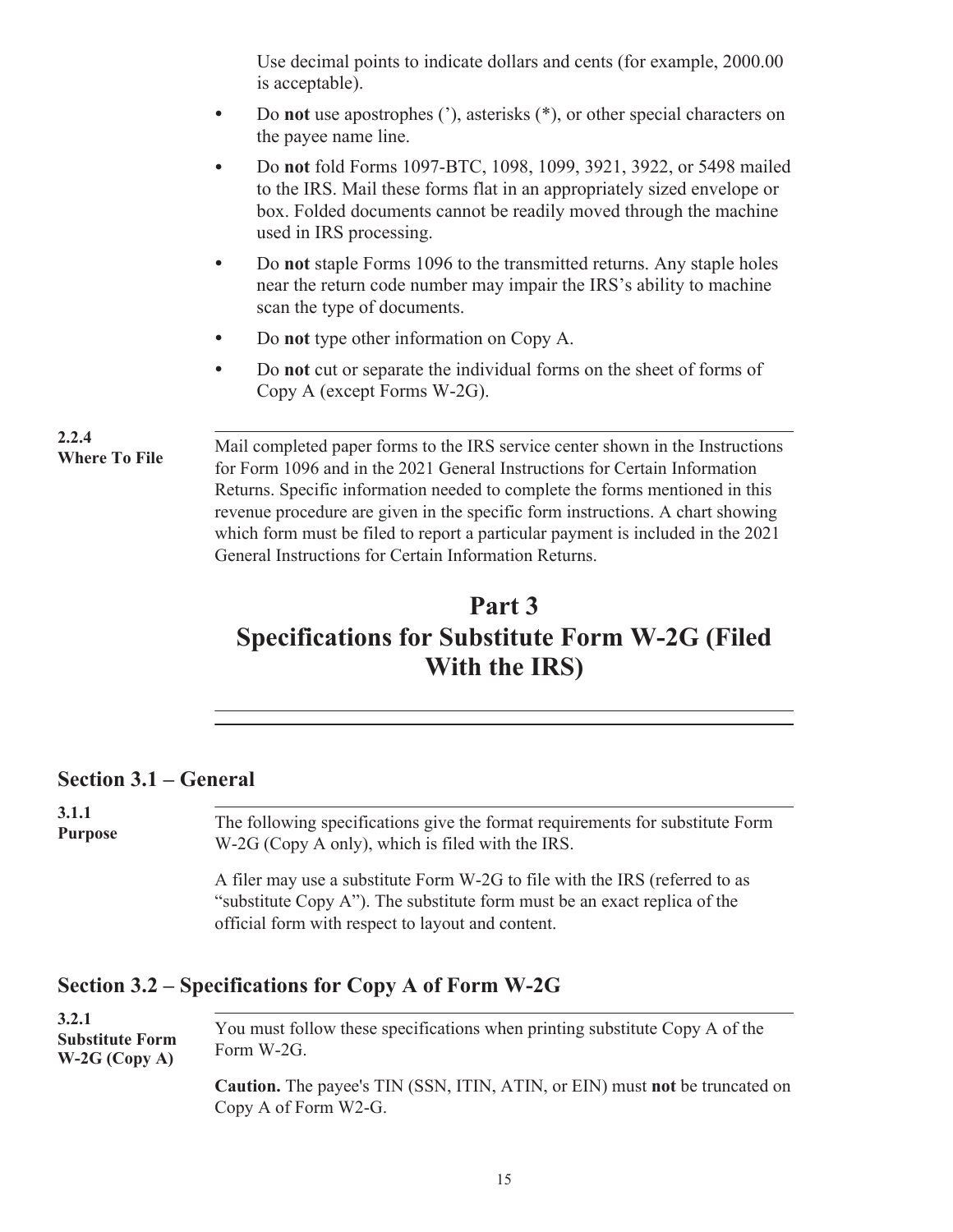Use decimal points to indicate dollars and cents (for example, 2000.00 is acceptable).

- <span id="page-17-0"></span>• Do **not** use apostrophes ('), asterisks (\*), or other special characters on the payee name line.
- Do **not** fold Forms 1097-BTC, 1098, 1099, 3921, 3922, or 5498 mailed to the IRS. Mail these forms flat in an appropriately sized envelope or box. Folded documents cannot be readily moved through the machine used in IRS processing.
- Do **not** staple Forms 1096 to the transmitted returns. Any staple holes near the return code number may impair the IRS's ability to machine scan the type of documents.
- Do **not** type other information on Copy A.
- Do **not** cut or separate the individual forms on the sheet of forms of Copy A (except Forms W-2G).

**2.2.4 Where To File**

.Mail completed paper forms to the IRS service center shown in the Instructions for Form 1096 and in the 2021 General Instructions for Certain Information Returns. Specific information needed to complete the forms mentioned in this revenue procedure are given in the specific form instructions. A chart showing which form must be filed to report a particular payment is included in the 2021 General Instructions for Certain Information Returns.

## **Part 3 Specifications for Substitute Form W-2G (Filed With the IRS)**

### **Section 3.1 – General**

. The following specifications give the format requirements for substitute Form W-2G (Copy A only), which is filed with the IRS. **3.1.1 Purpose**

A filer may use a substitute Form W-2G to file with the IRS (referred to as "substitute Copy A"). The substitute form must be an exact replica of the official form with respect to layout and content.

### **Section 3.2 – Specifications for Copy A of Form W-2G**

. You must follow these specifications when printing substitute Copy A of the Form W-2G. **Caution.** The payee's TIN (SSN, ITIN, ATIN, or EIN) must **not** be truncated on Copy A of Form W2-G. **3.2.1 Substitute Form W-2G (Copy A)**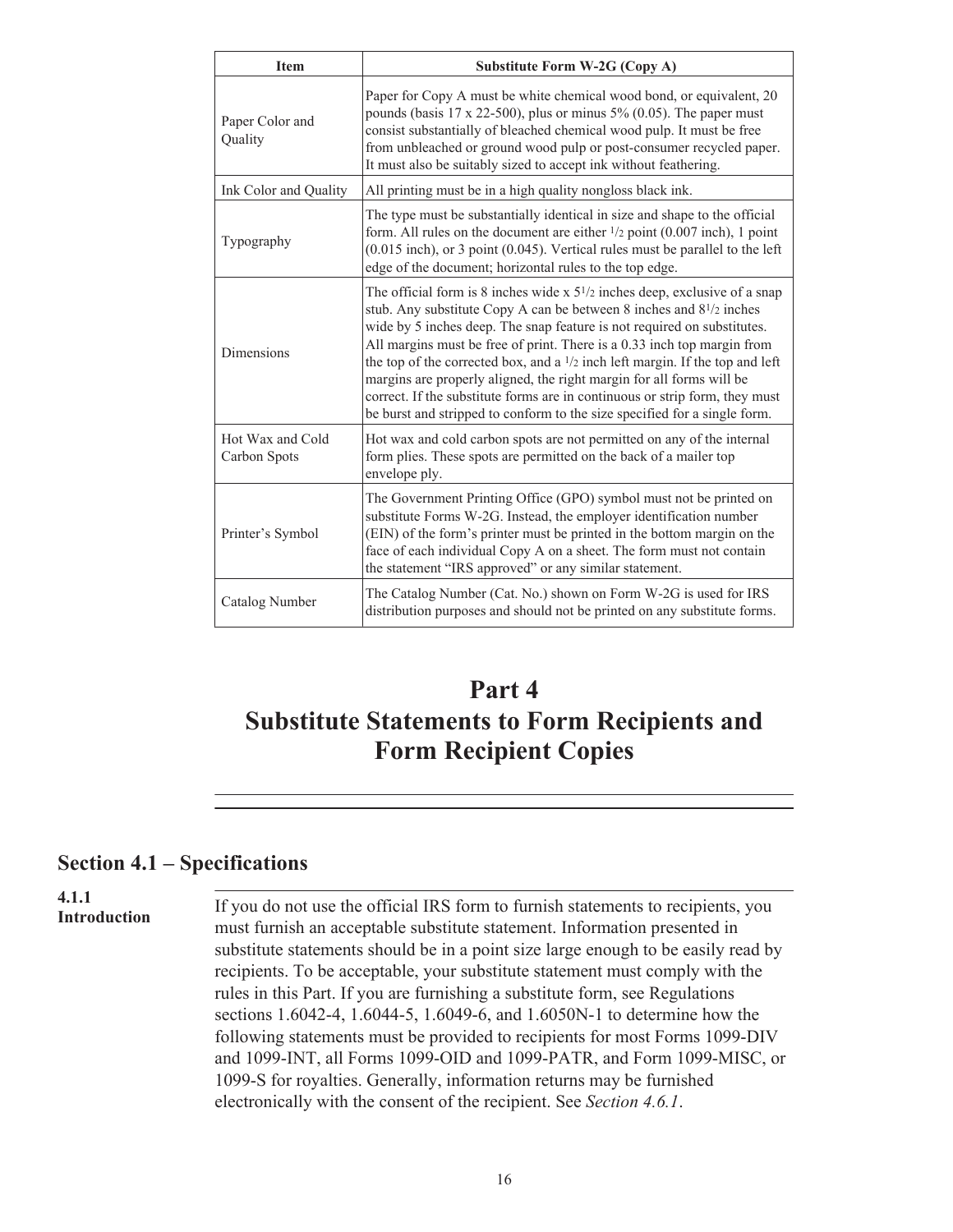<span id="page-18-0"></span>

| <b>Item</b>                      | <b>Substitute Form W-2G (Copy A)</b>                                                                                                                                                                                                                                                                                                                                                                                                                                                                                                                                                                                                                           |
|----------------------------------|----------------------------------------------------------------------------------------------------------------------------------------------------------------------------------------------------------------------------------------------------------------------------------------------------------------------------------------------------------------------------------------------------------------------------------------------------------------------------------------------------------------------------------------------------------------------------------------------------------------------------------------------------------------|
| Paper Color and<br>Quality       | Paper for Copy A must be white chemical wood bond, or equivalent, 20<br>pounds (basis $17 \times 22-500$ ), plus or minus $5\%$ (0.05). The paper must<br>consist substantially of bleached chemical wood pulp. It must be free<br>from unbleached or ground wood pulp or post-consumer recycled paper.<br>It must also be suitably sized to accept ink without feathering.                                                                                                                                                                                                                                                                                    |
| Ink Color and Quality            | All printing must be in a high quality nongloss black ink.                                                                                                                                                                                                                                                                                                                                                                                                                                                                                                                                                                                                     |
| Typography                       | The type must be substantially identical in size and shape to the official<br>form. All rules on the document are either $\frac{1}{2}$ point (0.007 inch), 1 point<br>$(0.015$ inch), or 3 point $(0.045)$ . Vertical rules must be parallel to the left<br>edge of the document; horizontal rules to the top edge.                                                                                                                                                                                                                                                                                                                                            |
| Dimensions                       | The official form is 8 inches wide $x$ 5 <sup>1</sup> / <sub>2</sub> inches deep, exclusive of a snap<br>stub. Any substitute Copy A can be between 8 inches and $8^{1/2}$ inches<br>wide by 5 inches deep. The snap feature is not required on substitutes.<br>All margins must be free of print. There is a 0.33 inch top margin from<br>the top of the corrected box, and a $1/2$ inch left margin. If the top and left<br>margins are properly aligned, the right margin for all forms will be<br>correct. If the substitute forms are in continuous or strip form, they must<br>be burst and stripped to conform to the size specified for a single form. |
| Hot Wax and Cold<br>Carbon Spots | Hot wax and cold carbon spots are not permitted on any of the internal<br>form plies. These spots are permitted on the back of a mailer top<br>envelope ply.                                                                                                                                                                                                                                                                                                                                                                                                                                                                                                   |
| Printer's Symbol                 | The Government Printing Office (GPO) symbol must not be printed on<br>substitute Forms W-2G. Instead, the employer identification number<br>(EIN) of the form's printer must be printed in the bottom margin on the<br>face of each individual Copy A on a sheet. The form must not contain<br>the statement "IRS approved" or any similar statement.                                                                                                                                                                                                                                                                                                          |
| Catalog Number                   | The Catalog Number (Cat. No.) shown on Form W-2G is used for IRS<br>distribution purposes and should not be printed on any substitute forms.                                                                                                                                                                                                                                                                                                                                                                                                                                                                                                                   |

## **Part 4 Substitute Statements to Form Recipients and Form Recipient Copies**

#### **Section 4.1 – Specifications**

#### **4.1.1 Introduction**

. If you do not use the official IRS form to furnish statements to recipients, you must furnish an acceptable substitute statement. Information presented in substitute statements should be in a point size large enough to be easily read by recipients. To be acceptable, your substitute statement must comply with the rules in this Part. If you are furnishing a substitute form, see Regulations sections 1.6042-4, 1.6044-5, 1.6049-6, and 1.6050N-1 to determine how the following statements must be provided to recipients for most Forms 1099-DIV and 1099-INT, all Forms 1099-OID and 1099-PATR, and Form 1099-MISC, or 1099-S for royalties. Generally, information returns may be furnished electronically with the consent of the recipient. See *Section 4.6.1*.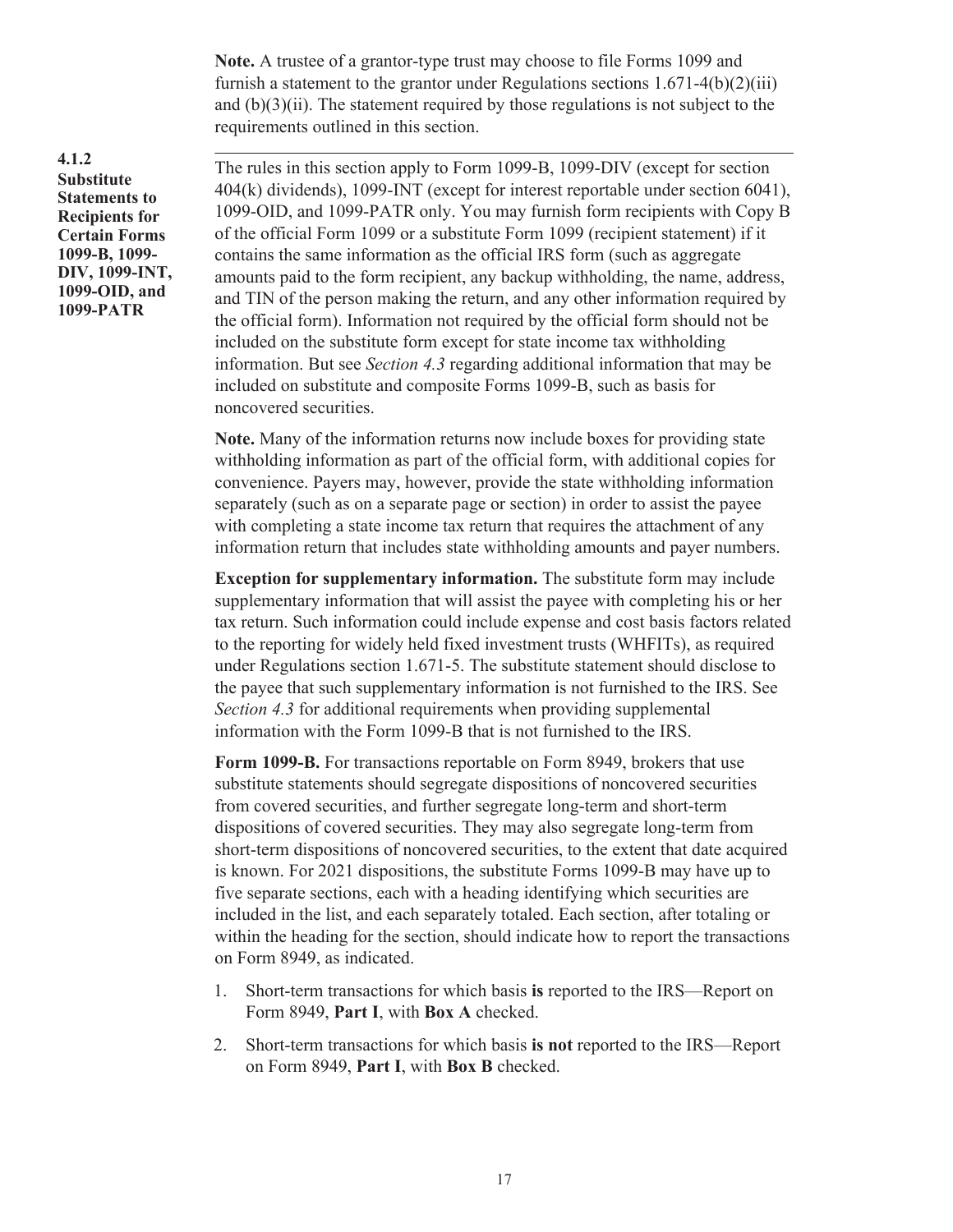**Note.** A trustee of a grantor-type trust may choose to file Forms 1099 and furnish a statement to the grantor under Regulations sections 1.671-4(b)(2)(iii) and  $(b)(3)(ii)$ . The statement required by those regulations is not subject to the requirements outlined in this section.

**4.1.2 Substitute Statements to Recipients for Certain Forms 1099-B, 1099- DIV, 1099-INT, 1099-OID, and 1099-PATR**

. The rules in this section apply to Form 1099-B, 1099-DIV (except for section 404(k) dividends), 1099-INT (except for interest reportable under section 6041), 1099-OID, and 1099-PATR only. You may furnish form recipients with Copy B of the official Form 1099 or a substitute Form 1099 (recipient statement) if it contains the same information as the official IRS form (such as aggregate amounts paid to the form recipient, any backup withholding, the name, address, and TIN of the person making the return, and any other information required by the official form). Information not required by the official form should not be included on the substitute form except for state income tax withholding information. But see *Section 4.3* regarding additional information that may be included on substitute and composite Forms 1099-B, such as basis for noncovered securities.

**Note.** Many of the information returns now include boxes for providing state withholding information as part of the official form, with additional copies for convenience. Payers may, however, provide the state withholding information separately (such as on a separate page or section) in order to assist the payee with completing a state income tax return that requires the attachment of any information return that includes state withholding amounts and payer numbers.

**Exception for supplementary information.** The substitute form may include supplementary information that will assist the payee with completing his or her tax return. Such information could include expense and cost basis factors related to the reporting for widely held fixed investment trusts (WHFITs), as required under Regulations section 1.671-5. The substitute statement should disclose to the payee that such supplementary information is not furnished to the IRS. See *Section 4.3* for additional requirements when providing supplemental information with the Form 1099-B that is not furnished to the IRS.

**Form 1099-B.** For transactions reportable on Form 8949, brokers that use substitute statements should segregate dispositions of noncovered securities from covered securities, and further segregate long-term and short-term dispositions of covered securities. They may also segregate long-term from short-term dispositions of noncovered securities, to the extent that date acquired is known. For 2021 dispositions, the substitute Forms 1099-B may have up to five separate sections, each with a heading identifying which securities are included in the list, and each separately totaled. Each section, after totaling or within the heading for the section, should indicate how to report the transactions on Form 8949, as indicated.

- 1. Short-term transactions for which basis **is** reported to the IRS—Report on Form 8949, **Part I**, with **Box A** checked.
- 2. Short-term transactions for which basis **is not** reported to the IRS—Report on Form 8949, **Part I**, with **Box B** checked.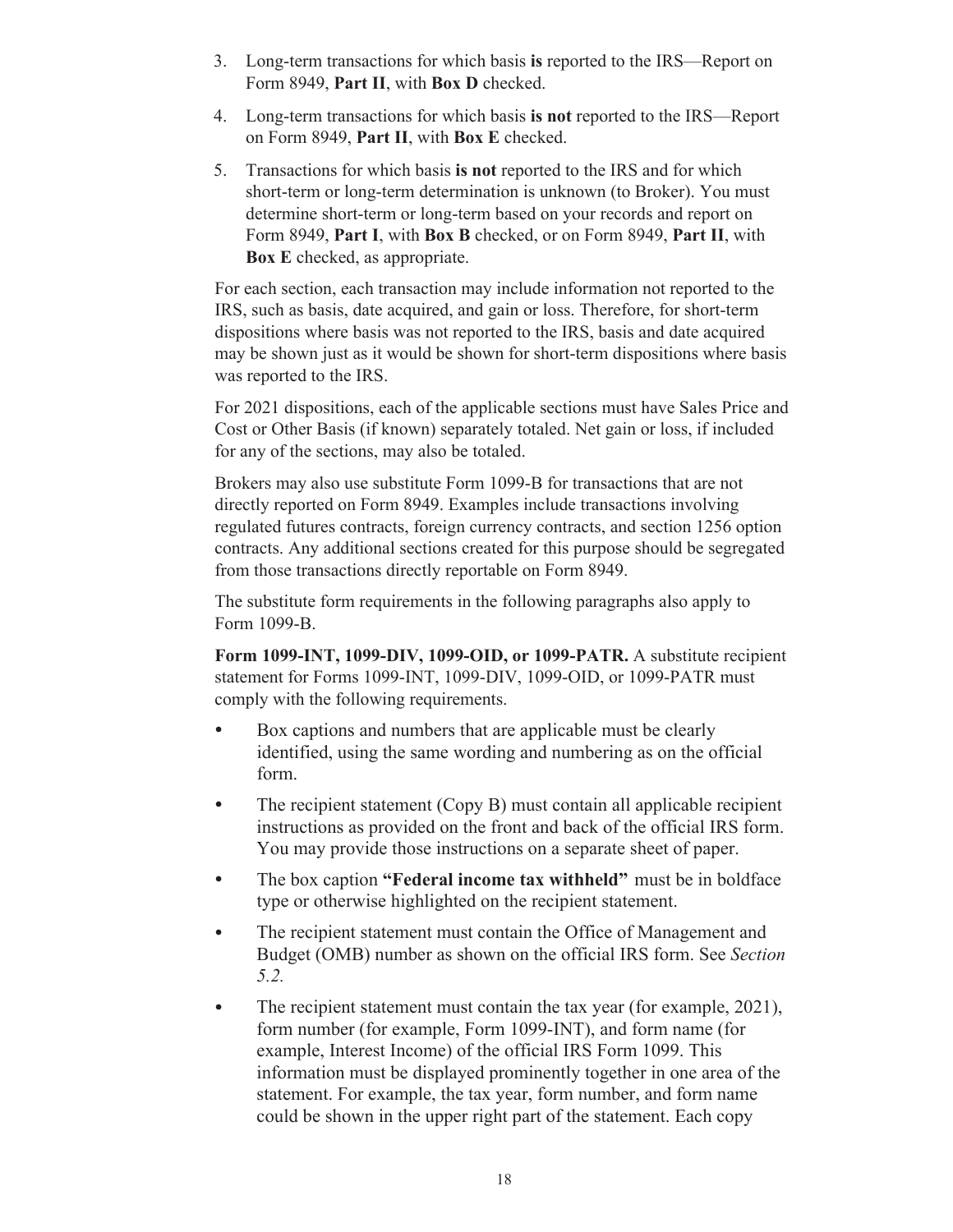- 3. Long-term transactions for which basis **is** reported to the IRS—Report on Form 8949, **Part II**, with **Box D** checked.
- 4. Long-term transactions for which basis **is not** reported to the IRS—Report on Form 8949, **Part II**, with **Box E** checked.
- 5. Transactions for which basis **is not** reported to the IRS and for which short-term or long-term determination is unknown (to Broker). You must determine short-term or long-term based on your records and report on Form 8949, **Part I**, with **Box B** checked, or on Form 8949, **Part II**, with **Box E** checked, as appropriate.

For each section, each transaction may include information not reported to the IRS, such as basis, date acquired, and gain or loss. Therefore, for short-term dispositions where basis was not reported to the IRS, basis and date acquired may be shown just as it would be shown for short-term dispositions where basis was reported to the IRS.

For 2021 dispositions, each of the applicable sections must have Sales Price and Cost or Other Basis (if known) separately totaled. Net gain or loss, if included for any of the sections, may also be totaled.

Brokers may also use substitute Form 1099-B for transactions that are not directly reported on Form 8949. Examples include transactions involving regulated futures contracts, foreign currency contracts, and section 1256 option contracts. Any additional sections created for this purpose should be segregated from those transactions directly reportable on Form 8949.

The substitute form requirements in the following paragraphs also apply to Form 1099-B.

**Form 1099-INT, 1099-DIV, 1099-OID, or 1099-PATR.** A substitute recipient statement for Forms 1099-INT, 1099-DIV, 1099-OID, or 1099-PATR must comply with the following requirements.

- Box captions and numbers that are applicable must be clearly identified, using the same wording and numbering as on the official form.
- The recipient statement (Copy B) must contain all applicable recipient instructions as provided on the front and back of the official IRS form. You may provide those instructions on a separate sheet of paper.
- The box caption **"Federal income tax withheld"** must be in boldface type or otherwise highlighted on the recipient statement.
- The recipient statement must contain the Office of Management and Budget (OMB) number as shown on the official IRS form. See *Section 5.2.*
- The recipient statement must contain the tax year (for example, 2021), form number (for example, Form 1099-INT), and form name (for example, Interest Income) of the official IRS Form 1099. This information must be displayed prominently together in one area of the statement. For example, the tax year, form number, and form name could be shown in the upper right part of the statement. Each copy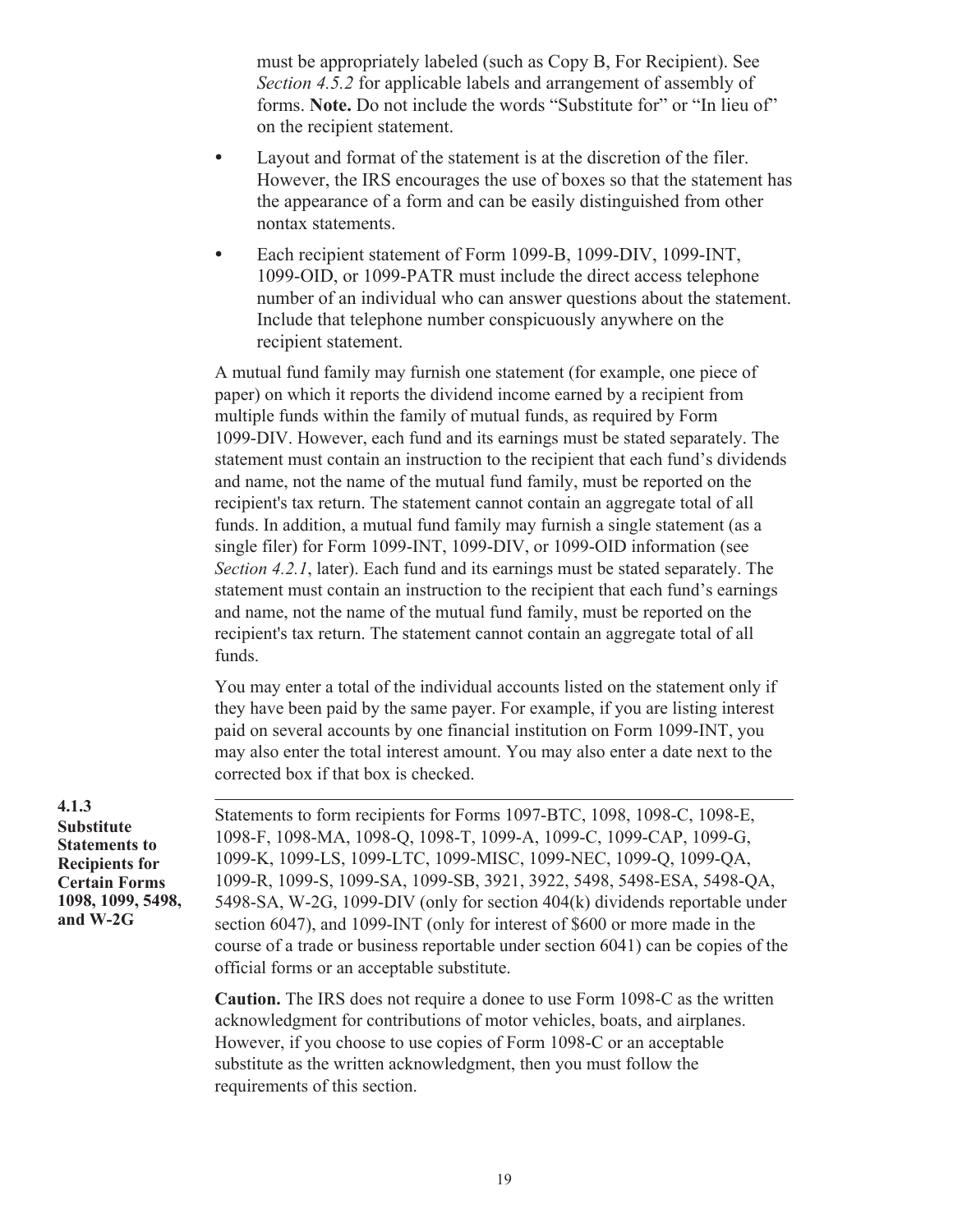must be appropriately labeled (such as Copy B, For Recipient). See *Section 4.5.2* for applicable labels and arrangement of assembly of forms. **Note.** Do not include the words "Substitute for" or "In lieu of" on the recipient statement.

- Layout and format of the statement is at the discretion of the filer. However, the IRS encourages the use of boxes so that the statement has the appearance of a form and can be easily distinguished from other nontax statements.
- Each recipient statement of Form 1099-B, 1099-DIV, 1099-INT, 1099-OID, or 1099-PATR must include the direct access telephone number of an individual who can answer questions about the statement. Include that telephone number conspicuously anywhere on the recipient statement.

A mutual fund family may furnish one statement (for example, one piece of paper) on which it reports the dividend income earned by a recipient from multiple funds within the family of mutual funds, as required by Form 1099-DIV. However, each fund and its earnings must be stated separately. The statement must contain an instruction to the recipient that each fund's dividends and name, not the name of the mutual fund family, must be reported on the recipient's tax return. The statement cannot contain an aggregate total of all funds. In addition, a mutual fund family may furnish a single statement (as a single filer) for Form 1099-INT, 1099-DIV, or 1099-OID information (see *Section 4.2.1*, later). Each fund and its earnings must be stated separately. The statement must contain an instruction to the recipient that each fund's earnings and name, not the name of the mutual fund family, must be reported on the recipient's tax return. The statement cannot contain an aggregate total of all funds.

You may enter a total of the individual accounts listed on the statement only if they have been paid by the same payer. For example, if you are listing interest paid on several accounts by one financial institution on Form 1099-INT, you may also enter the total interest amount. You may also enter a date next to the corrected box if that box is checked.

**4.1.3 Substitute Statements to Recipients for Certain Forms 1098, 1099, 5498, and W-2G**

. Statements to form recipients for Forms 1097-BTC, 1098, 1098-C, 1098-E, 1098-F, 1098-MA, 1098-Q, 1098-T, 1099-A, 1099-C, 1099-CAP, 1099-G, 1099-K, 1099-LS, 1099-LTC, 1099-MISC, 1099-NEC, 1099-Q, 1099-QA, 1099-R, 1099-S, 1099-SA, 1099-SB, 3921, 3922, 5498, 5498-ESA, 5498-QA, 5498-SA, W-2G, 1099-DIV (only for section 404(k) dividends reportable under section 6047), and 1099-INT (only for interest of \$600 or more made in the course of a trade or business reportable under section 6041) can be copies of the official forms or an acceptable substitute.

**Caution.** The IRS does not require a donee to use Form 1098-C as the written acknowledgment for contributions of motor vehicles, boats, and airplanes. However, if you choose to use copies of Form 1098-C or an acceptable substitute as the written acknowledgment, then you must follow the requirements of this section.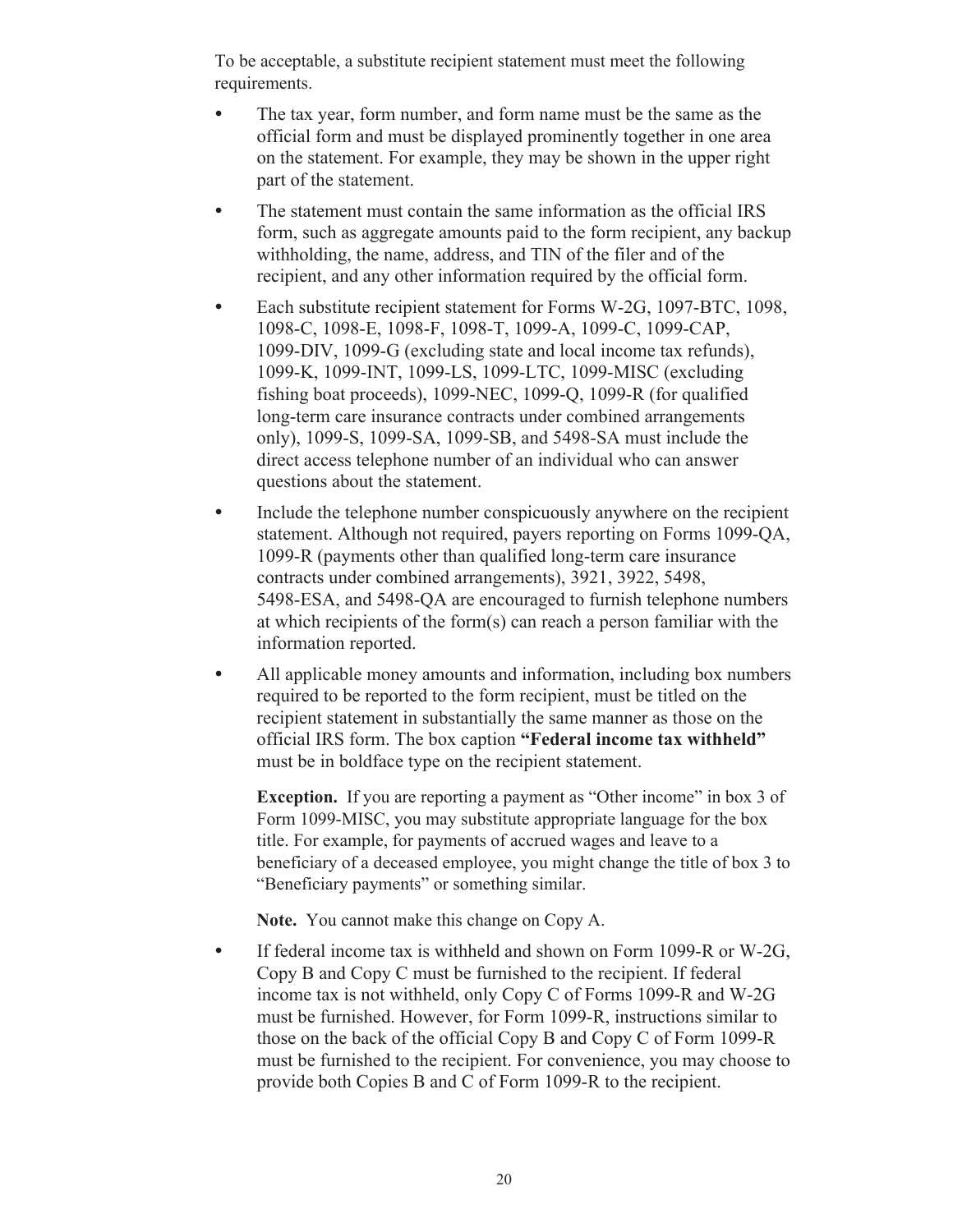To be acceptable, a substitute recipient statement must meet the following requirements.

- The tax year, form number, and form name must be the same as the official form and must be displayed prominently together in one area on the statement. For example, they may be shown in the upper right part of the statement.
- The statement must contain the same information as the official IRS form, such as aggregate amounts paid to the form recipient, any backup withholding, the name, address, and TIN of the filer and of the recipient, and any other information required by the official form.
- Each substitute recipient statement for Forms W-2G, 1097-BTC, 1098, 1098-C, 1098-E, 1098-F, 1098-T, 1099-A, 1099-C, 1099-CAP, 1099-DIV, 1099-G (excluding state and local income tax refunds), 1099-K, 1099-INT, 1099-LS, 1099-LTC, 1099-MISC (excluding fishing boat proceeds), 1099-NEC, 1099-Q, 1099-R (for qualified long-term care insurance contracts under combined arrangements only), 1099-S, 1099-SA, 1099-SB, and 5498-SA must include the direct access telephone number of an individual who can answer questions about the statement.
- Include the telephone number conspicuously anywhere on the recipient statement. Although not required, payers reporting on Forms 1099-QA, 1099-R (payments other than qualified long-term care insurance contracts under combined arrangements), 3921, 3922, 5498, 5498-ESA, and 5498-QA are encouraged to furnish telephone numbers at which recipients of the form(s) can reach a person familiar with the information reported.
- All applicable money amounts and information, including box numbers required to be reported to the form recipient, must be titled on the recipient statement in substantially the same manner as those on the official IRS form. The box caption **"Federal income tax withheld"**  must be in boldface type on the recipient statement.

**Exception.** If you are reporting a payment as "Other income" in box 3 of Form 1099-MISC, you may substitute appropriate language for the box title. For example, for payments of accrued wages and leave to a beneficiary of a deceased employee, you might change the title of box 3 to "Beneficiary payments" or something similar.

**Note.** You cannot make this change on Copy A.

• If federal income tax is withheld and shown on Form 1099-R or W-2G, Copy B and Copy C must be furnished to the recipient. If federal income tax is not withheld, only Copy C of Forms 1099-R and W-2G must be furnished. However, for Form 1099-R, instructions similar to those on the back of the official Copy B and Copy C of Form 1099-R must be furnished to the recipient. For convenience, you may choose to provide both Copies B and C of Form 1099-R to the recipient.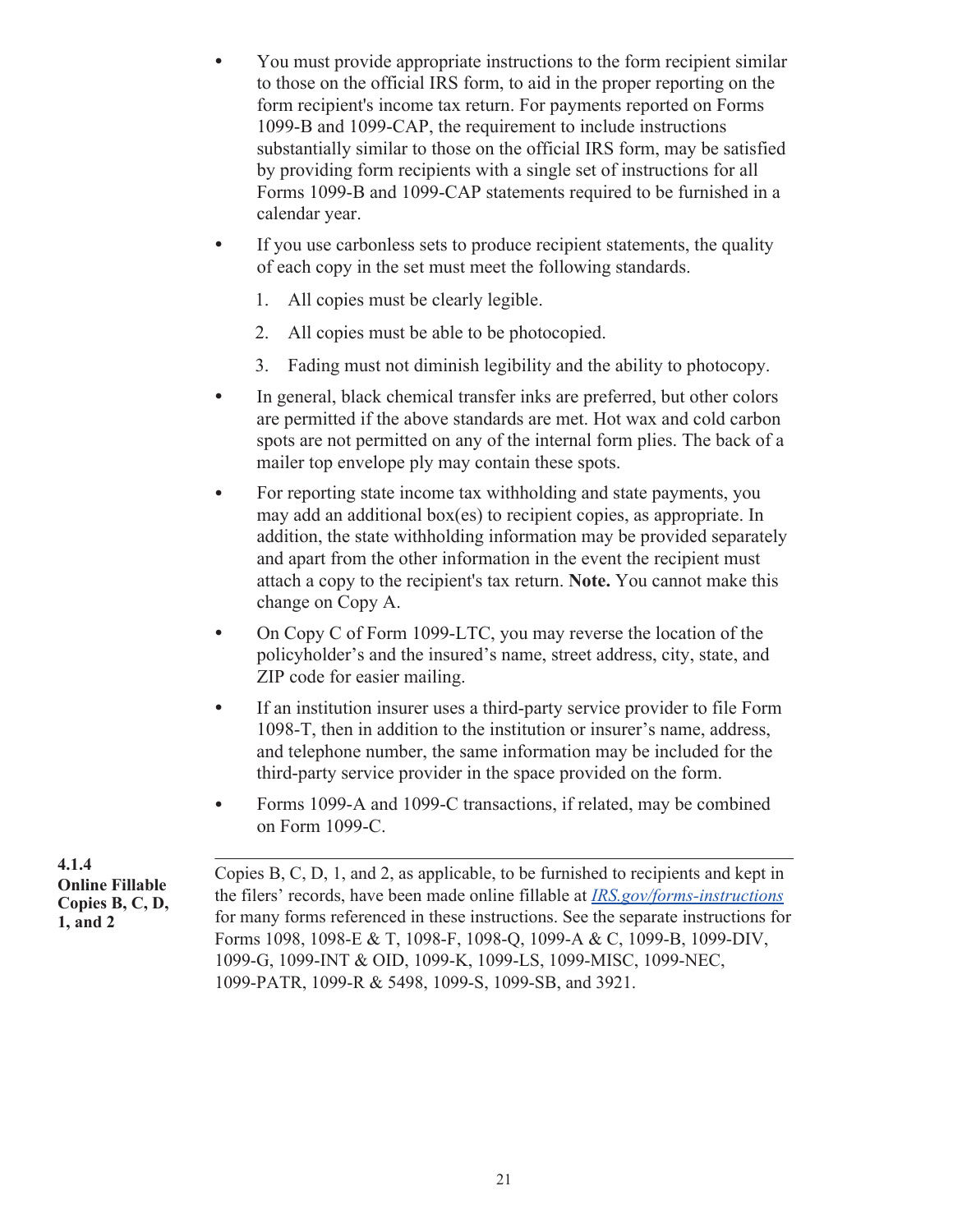- You must provide appropriate instructions to the form recipient similar to those on the official IRS form, to aid in the proper reporting on the form recipient's income tax return. For payments reported on Forms 1099-B and 1099-CAP, the requirement to include instructions substantially similar to those on the official IRS form, may be satisfied by providing form recipients with a single set of instructions for all Forms 1099-B and 1099-CAP statements required to be furnished in a calendar year.
- If you use carbonless sets to produce recipient statements, the quality of each copy in the set must meet the following standards.
	- 1. All copies must be clearly legible.
	- 2. All copies must be able to be photocopied.
	- 3. Fading must not diminish legibility and the ability to photocopy.
- In general, black chemical transfer inks are preferred, but other colors are permitted if the above standards are met. Hot wax and cold carbon spots are not permitted on any of the internal form plies. The back of a mailer top envelope ply may contain these spots.
- For reporting state income tax withholding and state payments, you may add an additional box(es) to recipient copies, as appropriate. In addition, the state withholding information may be provided separately and apart from the other information in the event the recipient must attach a copy to the recipient's tax return. **Note.** You cannot make this change on Copy A.
- On Copy C of Form 1099-LTC, you may reverse the location of the policyholder's and the insured's name, street address, city, state, and ZIP code for easier mailing.
- If an institution insurer uses a third-party service provider to file Form 1098-T, then in addition to the institution or insurer's name, address, and telephone number, the same information may be included for the third-party service provider in the space provided on the form.
- Forms 1099-A and 1099-C transactions, if related, may be combined on Form 1099-C.

. Copies B, C, D, 1, and 2, as applicable, to be furnished to recipients and kept in the filers' records, have been made online fillable at *[IRS.gov/forms-instructions](https://www.IRS.gov/forms-instructions)*  for many forms referenced in these instructions. See the separate instructions for Forms 1098, 1098-E & T, 1098-F, 1098-Q, 1099-A & C, 1099-B, 1099-DIV, 1099-G, 1099-INT & OID, 1099-K, 1099-LS, 1099-MISC, 1099-NEC, 1099-PATR, 1099-R & 5498, 1099-S, 1099-SB, and 3921. **4.1.4 Online Fillable Copies B, C, D, 1, and 2**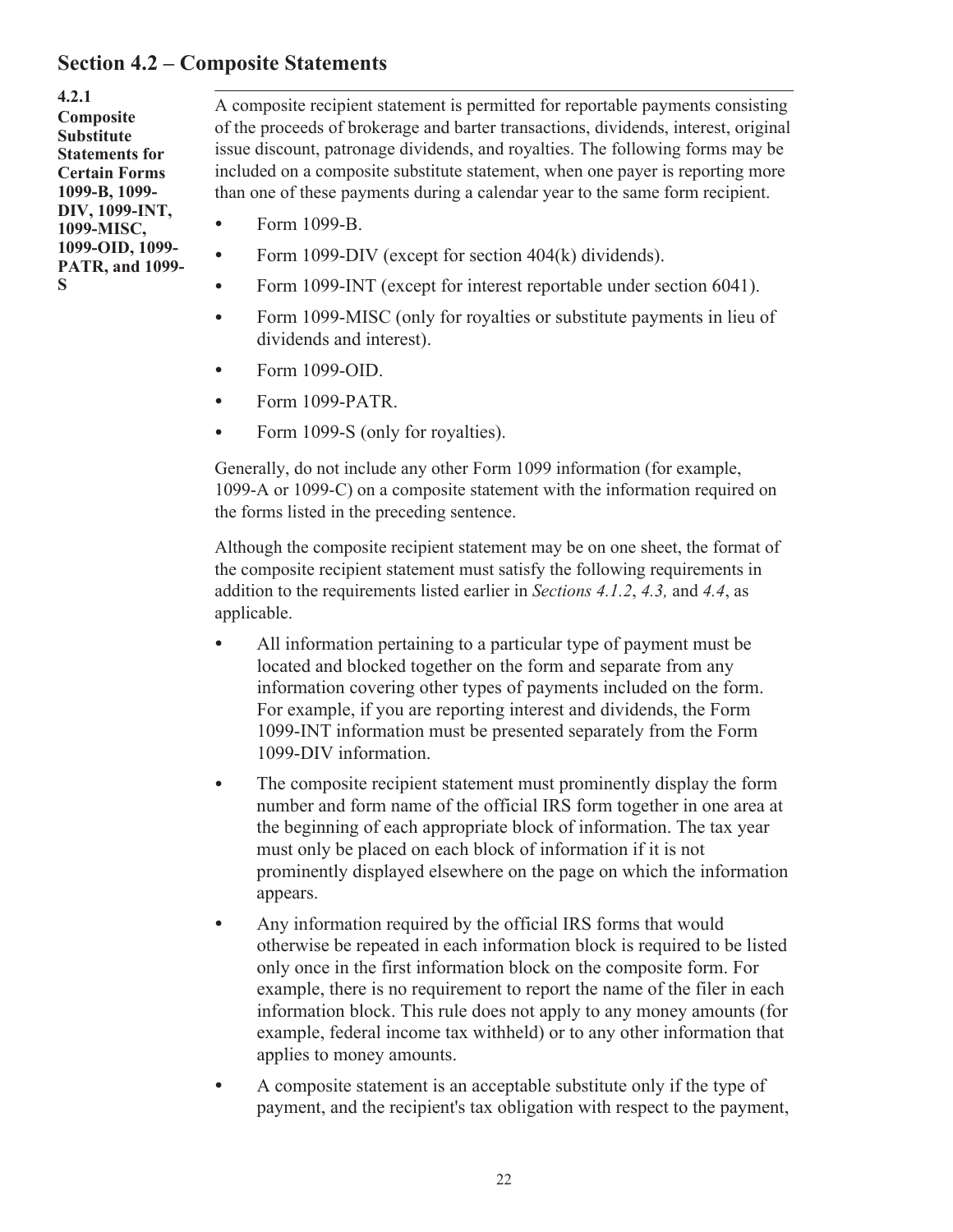### <span id="page-24-0"></span>**Section 4.2 – Composite Statements**

**4.2.1 Composite Substitute Statements for Certain Forms 1099-B, 1099- DIV, 1099-INT, 1099-MISC, 1099-OID, 1099- PATR, and 1099- S**

. A composite recipient statement is permitted for reportable payments consisting of the proceeds of brokerage and barter transactions, dividends, interest, original issue discount, patronage dividends, and royalties. The following forms may be included on a composite substitute statement, when one payer is reporting more than one of these payments during a calendar year to the same form recipient.

- Form 1099-B.
- Form 1099-DIV (except for section 404(k) dividends).
- Form 1099-INT (except for interest reportable under section 6041).
- Form 1099-MISC (only for royalties or substitute payments in lieu of dividends and interest).
- Form 1099-OID.
- Form 1099-PATR.
- Form 1099-S (only for royalties).

Generally, do not include any other Form 1099 information (for example, 1099-A or 1099-C) on a composite statement with the information required on the forms listed in the preceding sentence.

Although the composite recipient statement may be on one sheet, the format of the composite recipient statement must satisfy the following requirements in addition to the requirements listed earlier in *Sections 4.1.2*, *4.3,* and *4.4*, as applicable.

- All information pertaining to a particular type of payment must be located and blocked together on the form and separate from any information covering other types of payments included on the form. For example, if you are reporting interest and dividends, the Form 1099-INT information must be presented separately from the Form 1099-DIV information.
- The composite recipient statement must prominently display the form number and form name of the official IRS form together in one area at the beginning of each appropriate block of information. The tax year must only be placed on each block of information if it is not prominently displayed elsewhere on the page on which the information appears.
- Any information required by the official IRS forms that would otherwise be repeated in each information block is required to be listed only once in the first information block on the composite form. For example, there is no requirement to report the name of the filer in each information block. This rule does not apply to any money amounts (for example, federal income tax withheld) or to any other information that applies to money amounts.
- A composite statement is an acceptable substitute only if the type of payment, and the recipient's tax obligation with respect to the payment,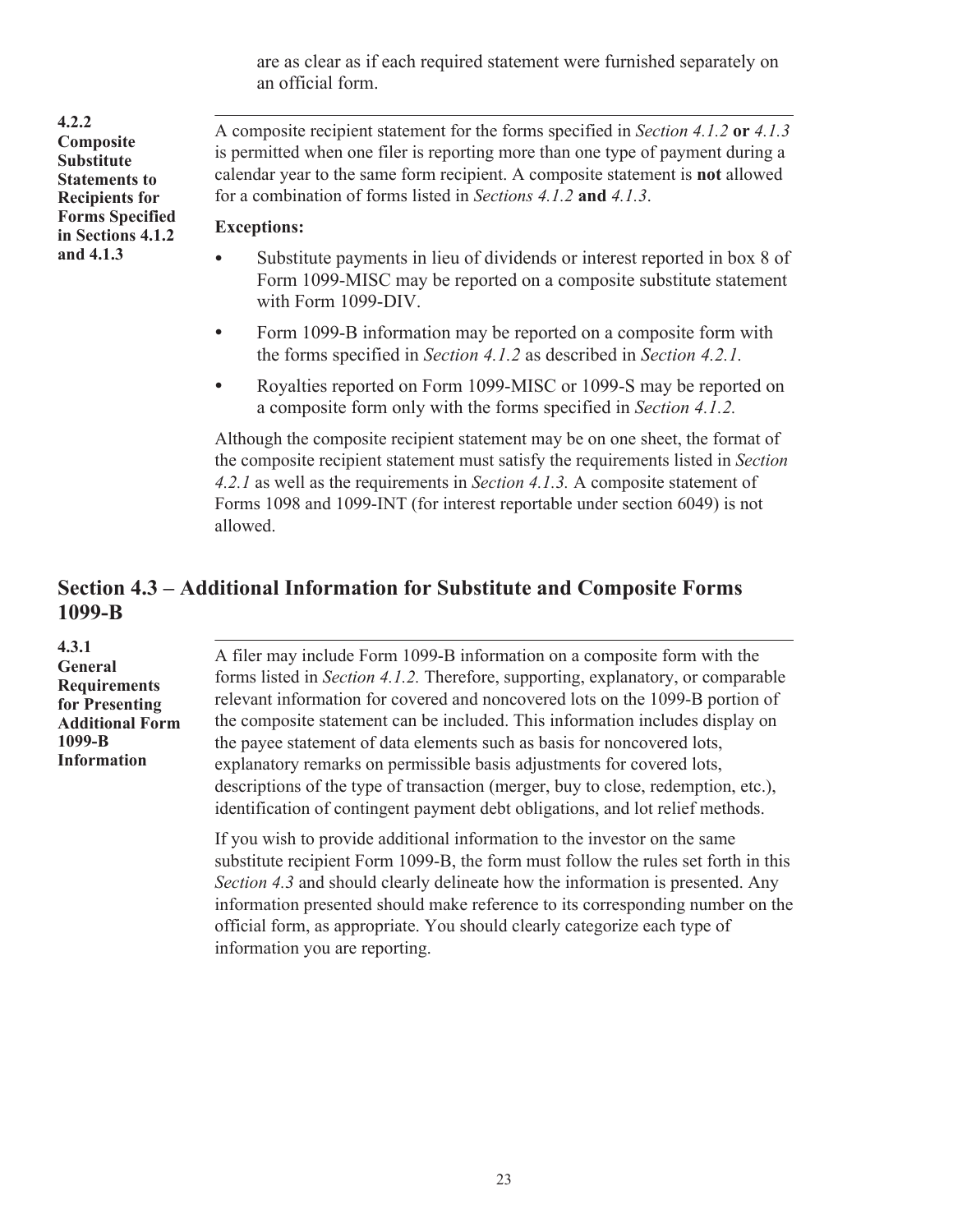are as clear as if each required statement were furnished separately on an official form.

<span id="page-25-0"></span>**4.2.2 Composite Substitute Statements to Recipients for Forms Specified in Sections 4.1.2 and 4.1.3**

. A composite recipient statement for the forms specified in *Section 4.1.2* **or** *4.1.3*  is permitted when one filer is reporting more than one type of payment during a calendar year to the same form recipient. A composite statement is **not** allowed for a combination of forms listed in *Sections 4.1.2* **and** *4.1.3*.

#### **Exceptions:**

- Substitute payments in lieu of dividends or interest reported in box 8 of Form 1099-MISC may be reported on a composite substitute statement with Form 1099-DIV.
- Form 1099-B information may be reported on a composite form with the forms specified in *Section 4.1.2* as described in *Section 4.2.1.*
- Royalties reported on Form 1099-MISC or 1099-S may be reported on a composite form only with the forms specified in *Section 4.1.2.*

Although the composite recipient statement may be on one sheet, the format of the composite recipient statement must satisfy the requirements listed in *Section 4.2.1* as well as the requirements in *Section 4.1.3.* A composite statement of Forms 1098 and 1099-INT (for interest reportable under section 6049) is not allowed.

### **Section 4.3 – Additional Information for Substitute and Composite Forms 1099-B**

**4.3.1 General Requirements for Presenting Additional Form 1099-B Information**

. A filer may include Form 1099-B information on a composite form with the forms listed in *Section 4.1.2.* Therefore, supporting, explanatory, or comparable relevant information for covered and noncovered lots on the 1099-B portion of the composite statement can be included. This information includes display on the payee statement of data elements such as basis for noncovered lots, explanatory remarks on permissible basis adjustments for covered lots, descriptions of the type of transaction (merger, buy to close, redemption, etc.), identification of contingent payment debt obligations, and lot relief methods.

If you wish to provide additional information to the investor on the same substitute recipient Form 1099-B, the form must follow the rules set forth in this *Section 4.3* and should clearly delineate how the information is presented. Any information presented should make reference to its corresponding number on the official form, as appropriate. You should clearly categorize each type of information you are reporting.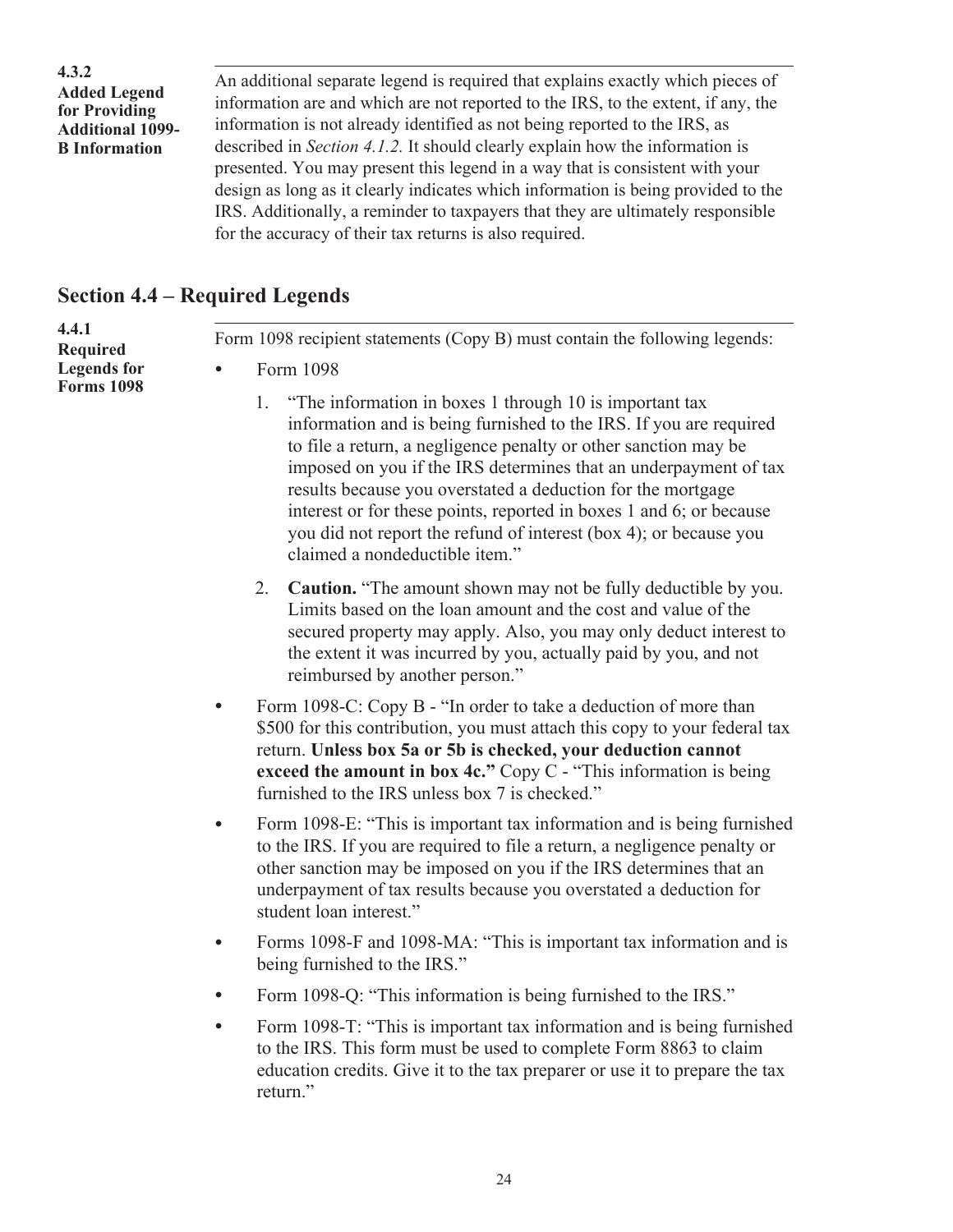<span id="page-26-0"></span>

| 4.3.2<br><b>Added Legend</b><br>for Providing | An additional separate legend is required that explains exactly which pieces of<br>information are and which are not reported to the IRS, to the extent, if any, the |
|-----------------------------------------------|----------------------------------------------------------------------------------------------------------------------------------------------------------------------|
| <b>Additional 1099-</b>                       | information is not already identified as not being reported to the IRS, as                                                                                           |
| <b>B</b> Information                          | described in <i>Section 4.1.2</i> . It should clearly explain how the information is                                                                                 |
|                                               | presented. You may present this legend in a way that is consistent with your                                                                                         |
|                                               | design as long as it clearly indicates which information is being provided to the                                                                                    |
|                                               | IRS. Additionally, a reminder to taxpayers that they are ultimately responsible                                                                                      |
|                                               | for the accuracy of their tax returns is also required.                                                                                                              |

### **Section 4.4 – Required Legends**

| 4.4.1<br>Required                       | Form 1098 recipient statements (Copy B) must contain the following legends:                                                   |
|-----------------------------------------|-------------------------------------------------------------------------------------------------------------------------------|
| <b>Legends</b> for<br><b>Forms 1098</b> | Form 1098                                                                                                                     |
|                                         | "The information in boxes 1 through 10 is important tax<br>information and is being furnished to the IRS. If you are required |

- information and is being furnished to the IRS. If you are required to file a return, a negligence penalty or other sanction may be imposed on you if the IRS determines that an underpayment of tax results because you overstated a deduction for the mortgage interest or for these points, reported in boxes 1 and 6; or because you did not report the refund of interest (box 4); or because you claimed a nondeductible item."
- 2. **Caution.** "The amount shown may not be fully deductible by you. Limits based on the loan amount and the cost and value of the secured property may apply. Also, you may only deduct interest to the extent it was incurred by you, actually paid by you, and not reimbursed by another person."
- Form 1098-C: Copy B "In order to take a deduction of more than \$500 for this contribution, you must attach this copy to your federal tax return. **Unless box 5a or 5b is checked, your deduction cannot exceed the amount in box 4c."** Copy C - "This information is being furnished to the IRS unless box 7 is checked."
- Form 1098-E: "This is important tax information and is being furnished to the IRS. If you are required to file a return, a negligence penalty or other sanction may be imposed on you if the IRS determines that an underpayment of tax results because you overstated a deduction for student loan interest."
- Forms 1098-F and 1098-MA: "This is important tax information and is being furnished to the IRS."
- Form 1098-O: "This information is being furnished to the IRS."
- Form 1098-T: "This is important tax information and is being furnished to the IRS. This form must be used to complete Form 8863 to claim education credits. Give it to the tax preparer or use it to prepare the tax return<sup>"</sup>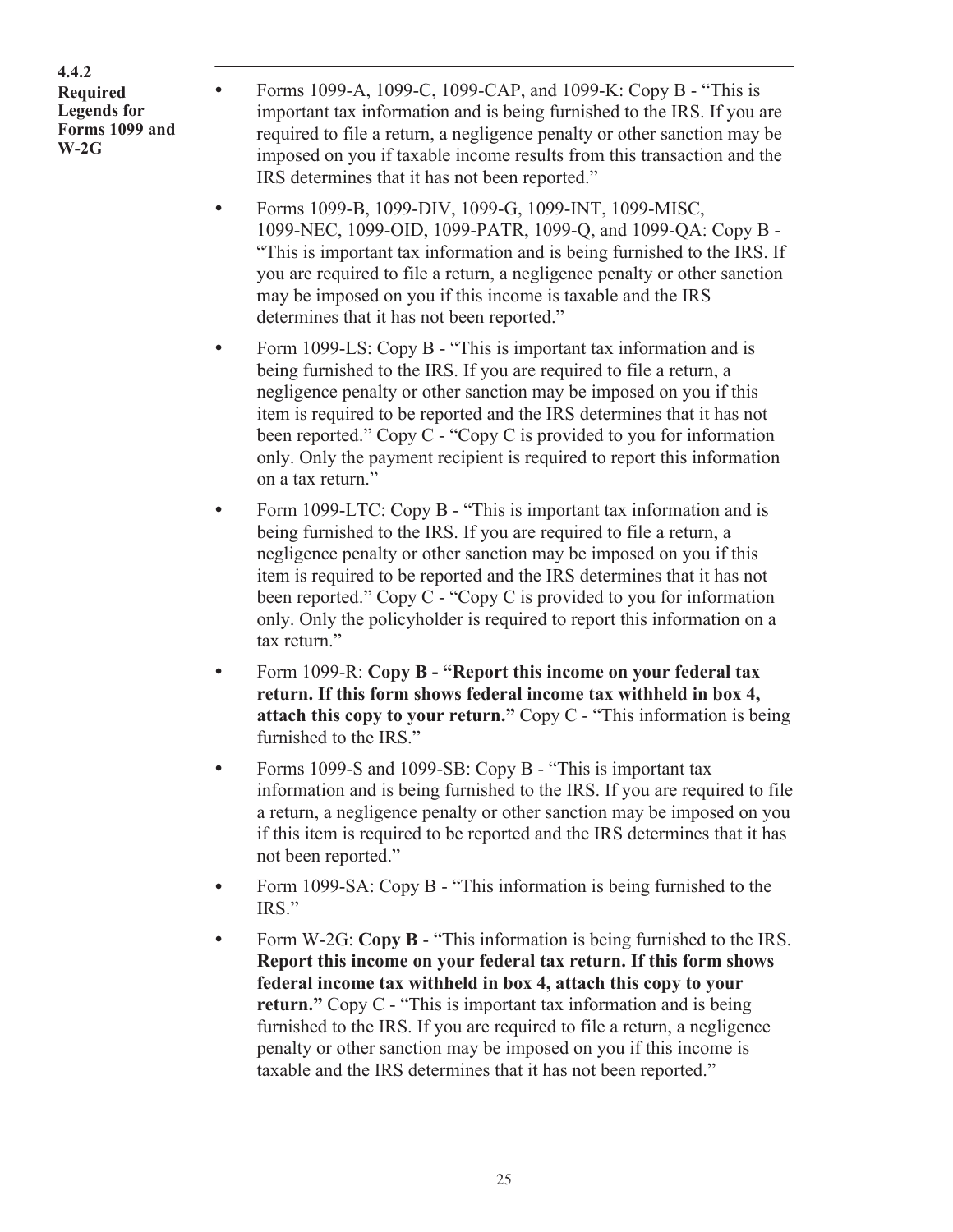**4.4.2 Required Legends for Forms 1099 and W-2G**

.

- Forms 1099-A, 1099-C, 1099-CAP, and 1099-K: Copy B "This is important tax information and is being furnished to the IRS. If you are required to file a return, a negligence penalty or other sanction may be imposed on you if taxable income results from this transaction and the IRS determines that it has not been reported."
- Forms 1099-B, 1099-DIV, 1099-G, 1099-INT, 1099-MISC, 1099-NEC, 1099-OID, 1099-PATR, 1099-Q, and 1099-QA: Copy B - "This is important tax information and is being furnished to the IRS. If you are required to file a return, a negligence penalty or other sanction may be imposed on you if this income is taxable and the IRS determines that it has not been reported."
- Form 1099-LS: Copy B "This is important tax information and is being furnished to the IRS. If you are required to file a return, a negligence penalty or other sanction may be imposed on you if this item is required to be reported and the IRS determines that it has not been reported." Copy C - "Copy C is provided to you for information only. Only the payment recipient is required to report this information on a tax return."
- Form 1099-LTC: Copy B "This is important tax information and is being furnished to the IRS. If you are required to file a return, a negligence penalty or other sanction may be imposed on you if this item is required to be reported and the IRS determines that it has not been reported." Copy C - "Copy C is provided to you for information only. Only the policyholder is required to report this information on a tax return."
- Form 1099-R: **Copy B "Report this income on your federal tax return. If this form shows federal income tax withheld in box 4, attach this copy to your return."** Copy C - "This information is being furnished to the IRS."
- Forms 1099-S and 1099-SB: Copy B "This is important tax information and is being furnished to the IRS. If you are required to file a return, a negligence penalty or other sanction may be imposed on you if this item is required to be reported and the IRS determines that it has not been reported."
- Form 1099-SA: Copy B "This information is being furnished to the IRS."
- Form W-2G: **Copy B** "This information is being furnished to the IRS. **Report this income on your federal tax return. If this form shows federal income tax withheld in box 4, attach this copy to your return."** Copy C - "This is important tax information and is being furnished to the IRS. If you are required to file a return, a negligence penalty or other sanction may be imposed on you if this income is taxable and the IRS determines that it has not been reported."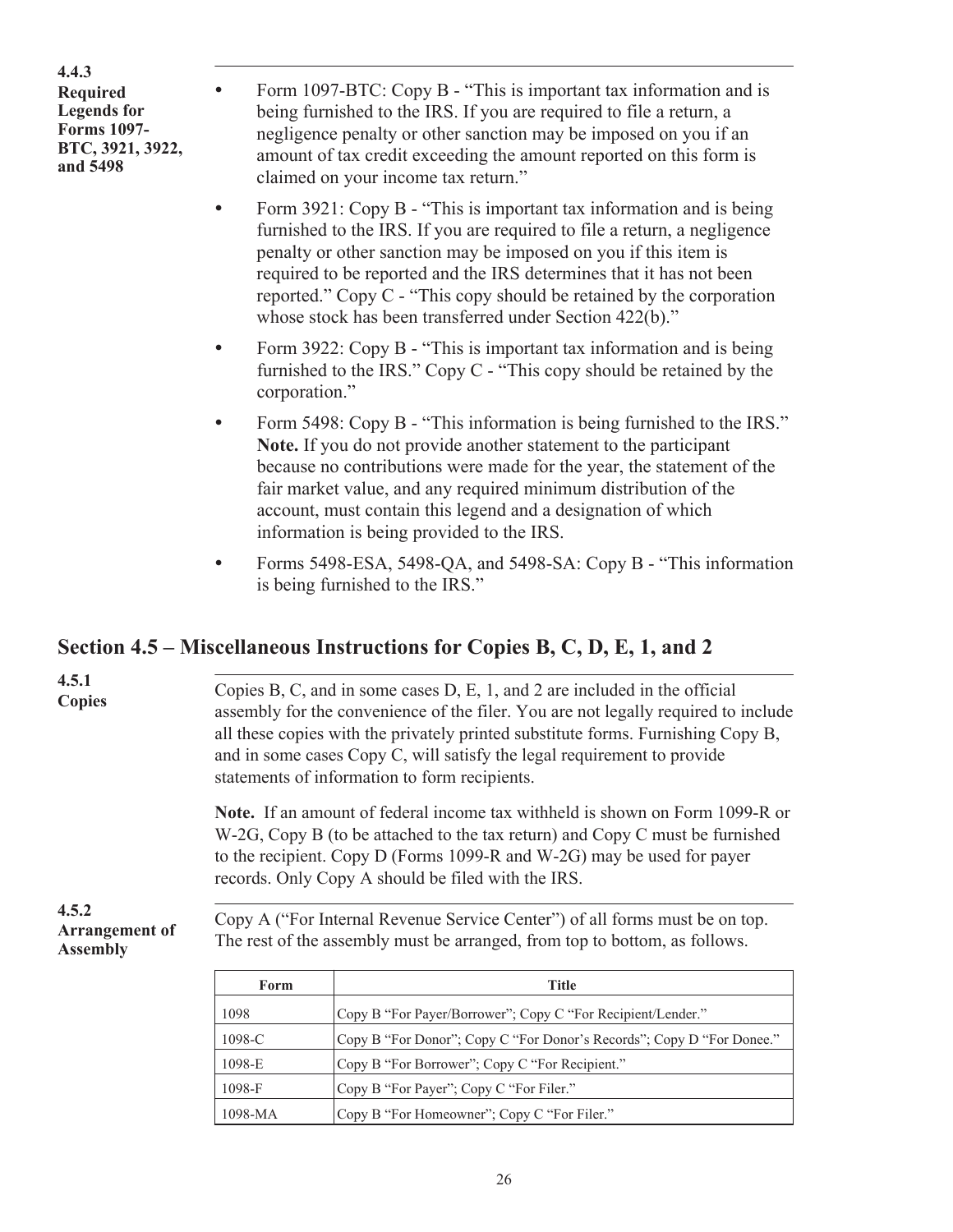<span id="page-28-0"></span>**4.4.3 Required Legends for Forms 1097- BTC, 3921, 3922, and 5498**

.

- Form 1097-BTC: Copy B "This is important tax information and is being furnished to the IRS. If you are required to file a return, a negligence penalty or other sanction may be imposed on you if an amount of tax credit exceeding the amount reported on this form is claimed on your income tax return."
- Form 3921: Copy B "This is important tax information and is being furnished to the IRS. If you are required to file a return, a negligence penalty or other sanction may be imposed on you if this item is required to be reported and the IRS determines that it has not been reported." Copy C - "This copy should be retained by the corporation whose stock has been transferred under Section 422(b)."
- Form 3922: Copy B "This is important tax information and is being furnished to the IRS." Copy C - "This copy should be retained by the corporation."
- Form 5498: Copy B "This information is being furnished to the IRS." **Note.** If you do not provide another statement to the participant because no contributions were made for the year, the statement of the fair market value, and any required minimum distribution of the account, must contain this legend and a designation of which information is being provided to the IRS.
- Forms 5498-ESA, 5498-QA, and 5498-SA: Copy B "This information is being furnished to the IRS."

### **Section 4.5 – Miscellaneous Instructions for Copies B, C, D, E, 1, and 2**

| 4.5.1<br><b>Copies</b>                            |                      | Copies B, C, and in some cases D, E, 1, and 2 are included in the official<br>assembly for the convenience of the filer. You are not legally required to include<br>all these copies with the privately printed substitute forms. Furnishing Copy B,<br>and in some cases Copy C, will satisfy the legal requirement to provide<br>statements of information to form recipients. |  |  |  |  |  |  |  |  |  |  |  |
|---------------------------------------------------|----------------------|----------------------------------------------------------------------------------------------------------------------------------------------------------------------------------------------------------------------------------------------------------------------------------------------------------------------------------------------------------------------------------|--|--|--|--|--|--|--|--|--|--|--|
|                                                   |                      | <b>Note.</b> If an amount of federal income tax withheld is shown on Form 1099-R or<br>W-2G, Copy B (to be attached to the tax return) and Copy C must be furnished<br>to the recipient. Copy D (Forms 1099-R and W-2G) may be used for payer<br>records. Only Copy A should be filed with the IRS.                                                                              |  |  |  |  |  |  |  |  |  |  |  |
| 4.5.2<br><b>Arrangement of</b><br><b>Assembly</b> |                      | Copy A ("For Internal Revenue Service Center") of all forms must be on top.<br>The rest of the assembly must be arranged, from top to bottom, as follows.                                                                                                                                                                                                                        |  |  |  |  |  |  |  |  |  |  |  |
|                                                   | Form<br><b>Title</b> |                                                                                                                                                                                                                                                                                                                                                                                  |  |  |  |  |  |  |  |  |  |  |  |
|                                                   | 1098                 | Copy B "For Payer/Borrower"; Copy C "For Recipient/Lender."                                                                                                                                                                                                                                                                                                                      |  |  |  |  |  |  |  |  |  |  |  |
|                                                   | 1098-C               | Copy B "For Donor"; Copy C "For Donor's Records"; Copy D "For Donee."                                                                                                                                                                                                                                                                                                            |  |  |  |  |  |  |  |  |  |  |  |
|                                                   | 1098-E               | Copy B "For Borrower": Copy C "For Recipient."                                                                                                                                                                                                                                                                                                                                   |  |  |  |  |  |  |  |  |  |  |  |

1098-F Copy B "For Payer"; Copy C "For Filer."

1098-MA Copy B "For Homeowner"; Copy C "For Filer."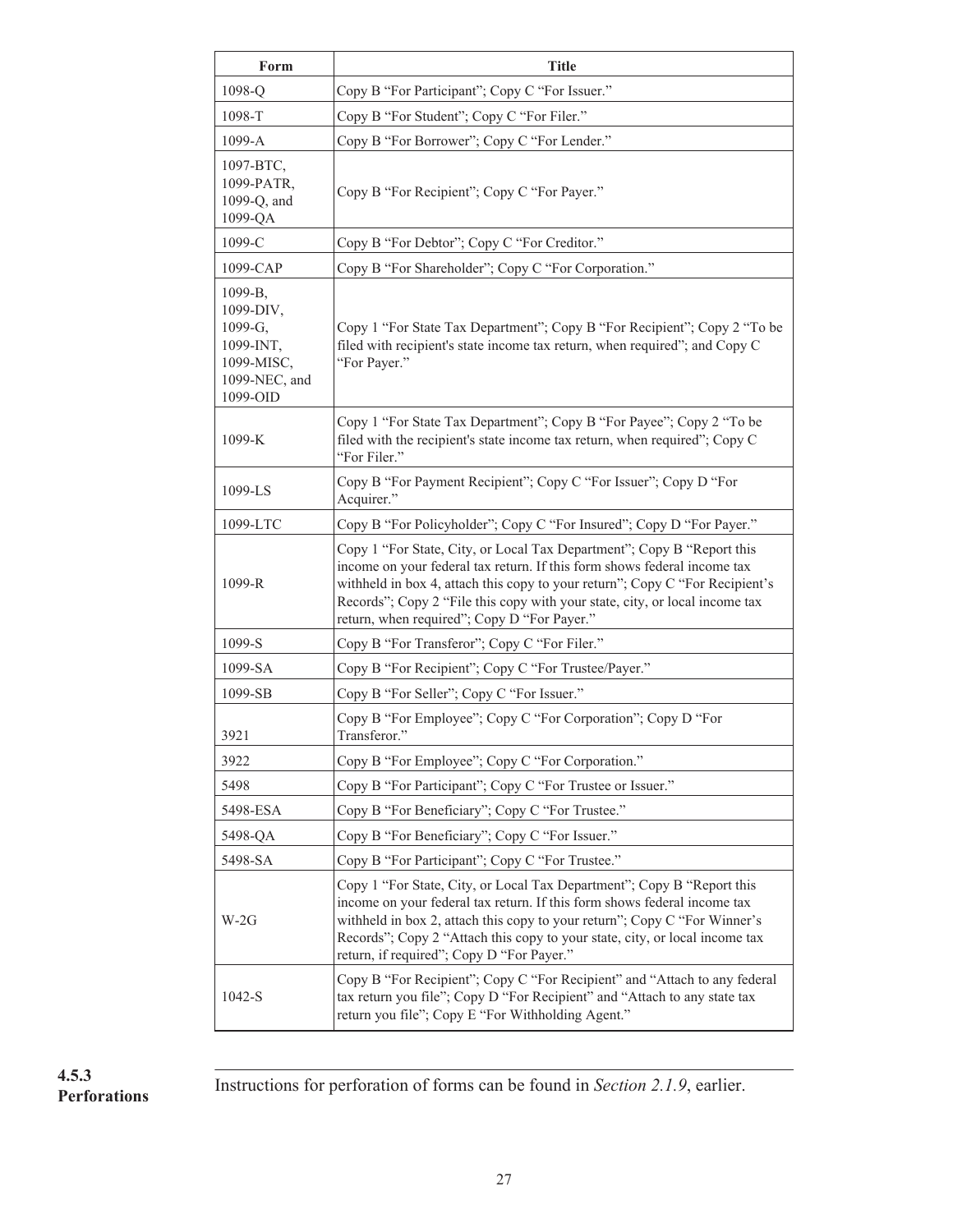| Form                                                                                    | <b>Title</b>                                                                                                                                                                                                                                                                                                                                                     |
|-----------------------------------------------------------------------------------------|------------------------------------------------------------------------------------------------------------------------------------------------------------------------------------------------------------------------------------------------------------------------------------------------------------------------------------------------------------------|
| 1098-Q                                                                                  | Copy B "For Participant"; Copy C "For Issuer."                                                                                                                                                                                                                                                                                                                   |
| 1098-T                                                                                  | Copy B "For Student"; Copy C "For Filer."                                                                                                                                                                                                                                                                                                                        |
| 1099-A                                                                                  | Copy B "For Borrower"; Copy C "For Lender."                                                                                                                                                                                                                                                                                                                      |
| 1097-BTC,<br>1099-PATR,<br>1099-Q, and<br>1099-QA                                       | Copy B "For Recipient"; Copy C "For Payer."                                                                                                                                                                                                                                                                                                                      |
| 1099-C                                                                                  | Copy B "For Debtor"; Copy C "For Creditor."                                                                                                                                                                                                                                                                                                                      |
| 1099-CAP                                                                                | Copy B "For Shareholder"; Copy C "For Corporation."                                                                                                                                                                                                                                                                                                              |
| 1099-B,<br>1099-DIV,<br>1099-G,<br>1099-INT,<br>1099-MISC,<br>1099-NEC, and<br>1099-OID | Copy 1 "For State Tax Department"; Copy B "For Recipient"; Copy 2 "To be<br>filed with recipient's state income tax return, when required"; and Copy C<br>"For Payer."                                                                                                                                                                                           |
| 1099-K                                                                                  | Copy 1 "For State Tax Department"; Copy B "For Payee"; Copy 2 "To be<br>filed with the recipient's state income tax return, when required"; Copy C<br>"For Filer."                                                                                                                                                                                               |
| 1099-LS                                                                                 | Copy B "For Payment Recipient"; Copy C "For Issuer"; Copy D "For<br>Acquirer."                                                                                                                                                                                                                                                                                   |
| 1099-LTC                                                                                | Copy B "For Policyholder"; Copy C "For Insured"; Copy D "For Payer."                                                                                                                                                                                                                                                                                             |
| 1099-R                                                                                  | Copy 1 "For State, City, or Local Tax Department"; Copy B "Report this<br>income on your federal tax return. If this form shows federal income tax<br>withheld in box 4, attach this copy to your return"; Copy C "For Recipient's<br>Records"; Copy 2 "File this copy with your state, city, or local income tax<br>return, when required"; Copy D "For Payer." |
| 1099-S                                                                                  | Copy B "For Transferor"; Copy C "For Filer."                                                                                                                                                                                                                                                                                                                     |
| 1099-SA                                                                                 | Copy B "For Recipient"; Copy C "For Trustee/Payer."                                                                                                                                                                                                                                                                                                              |
| 1099-SB                                                                                 | Copy B "For Seller"; Copy C "For Issuer."                                                                                                                                                                                                                                                                                                                        |
| 3921                                                                                    | Copy B "For Employee"; Copy C "For Corporation"; Copy D "For<br>Transferor."                                                                                                                                                                                                                                                                                     |
| 3922                                                                                    | Copy B "For Employee"; Copy C "For Corporation."                                                                                                                                                                                                                                                                                                                 |
| 5498                                                                                    | Copy B "For Participant"; Copy C "For Trustee or Issuer."                                                                                                                                                                                                                                                                                                        |
| 5498-ESA                                                                                | Copy B "For Beneficiary"; Copy C "For Trustee."                                                                                                                                                                                                                                                                                                                  |
| 5498-QA                                                                                 | Copy B "For Beneficiary"; Copy C "For Issuer."                                                                                                                                                                                                                                                                                                                   |
| 5498-SA                                                                                 | Copy B "For Participant"; Copy C "For Trustee."                                                                                                                                                                                                                                                                                                                  |
| $W-2G$                                                                                  | Copy 1 "For State, City, or Local Tax Department"; Copy B "Report this<br>income on your federal tax return. If this form shows federal income tax<br>withheld in box 2, attach this copy to your return"; Copy C "For Winner's<br>Records"; Copy 2 "Attach this copy to your state, city, or local income tax<br>return, if required"; Copy D "For Payer."      |
| 1042-S                                                                                  | Copy B "For Recipient"; Copy C "For Recipient" and "Attach to any federal<br>tax return you file"; Copy D "For Recipient" and "Attach to any state tax<br>return you file"; Copy E "For Withholding Agent."                                                                                                                                                      |

**Perforations**

. Instructions for perforation of forms can be found in *Section 2.1.9*, earlier. **4.5.3**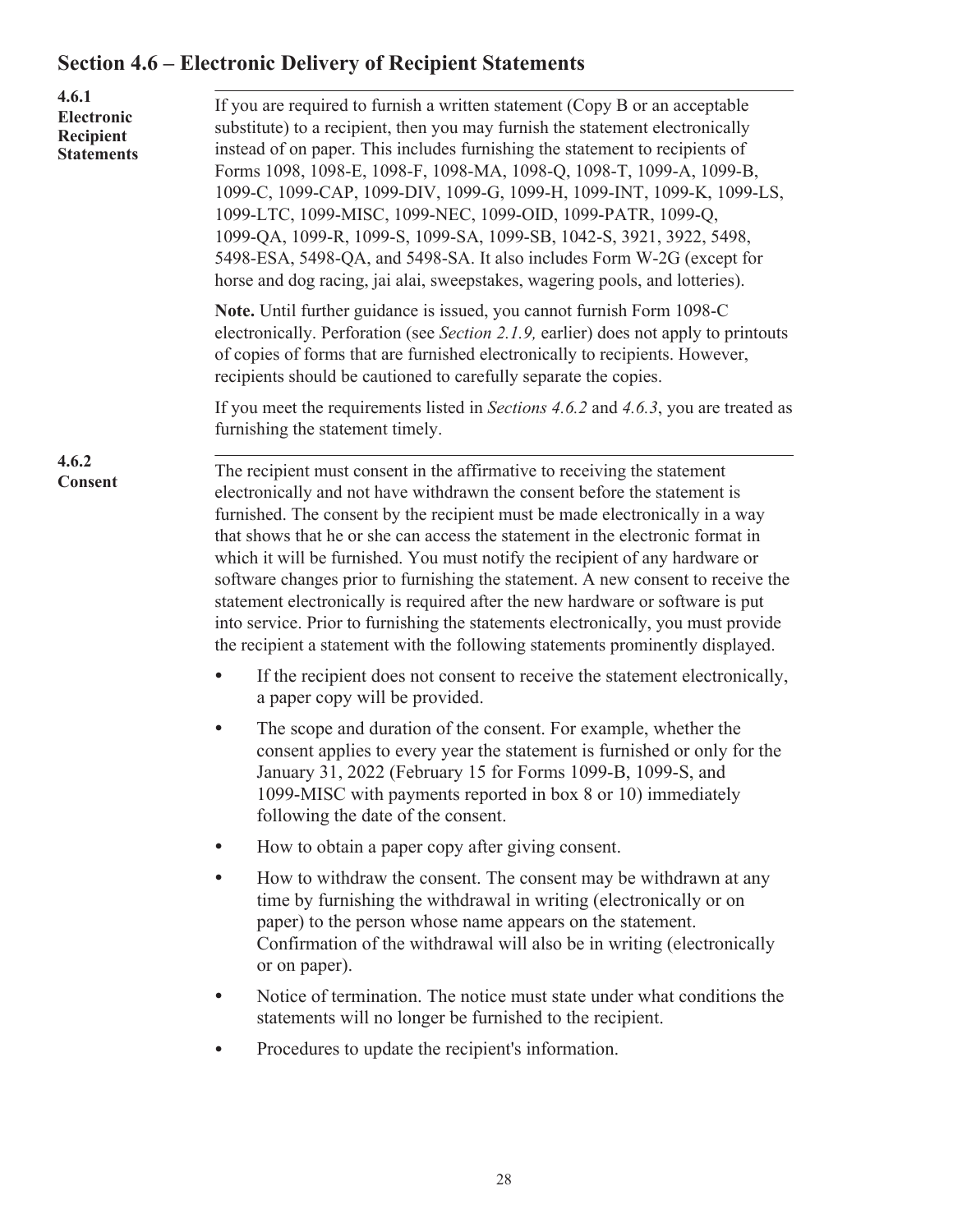## <span id="page-30-0"></span>**Section 4.6 – Electronic Delivery of Recipient Statements**

| 4.6.1<br>Electronic<br>Recipient<br><b>Statements</b> | If you are required to furnish a written statement (Copy B or an acceptable<br>substitute) to a recipient, then you may furnish the statement electronically<br>instead of on paper. This includes furnishing the statement to recipients of<br>Forms 1098, 1098-E, 1098-F, 1098-MA, 1098-Q, 1098-T, 1099-A, 1099-B,<br>1099-C, 1099-CAP, 1099-DIV, 1099-G, 1099-H, 1099-INT, 1099-K, 1099-LS,<br>1099-LTC, 1099-MISC, 1099-NEC, 1099-OID, 1099-PATR, 1099-Q,<br>1099-QA, 1099-R, 1099-S, 1099-SA, 1099-SB, 1042-S, 3921, 3922, 5498,<br>5498-ESA, 5498-QA, and 5498-SA. It also includes Form W-2G (except for<br>horse and dog racing, jai alai, sweepstakes, wagering pools, and lotteries).                                                      |  |  |  |  |  |  |  |  |  |
|-------------------------------------------------------|------------------------------------------------------------------------------------------------------------------------------------------------------------------------------------------------------------------------------------------------------------------------------------------------------------------------------------------------------------------------------------------------------------------------------------------------------------------------------------------------------------------------------------------------------------------------------------------------------------------------------------------------------------------------------------------------------------------------------------------------------|--|--|--|--|--|--|--|--|--|
|                                                       | Note. Until further guidance is issued, you cannot furnish Form 1098-C<br>electronically. Perforation (see Section 2.1.9, earlier) does not apply to printouts<br>of copies of forms that are furnished electronically to recipients. However,<br>recipients should be cautioned to carefully separate the copies.                                                                                                                                                                                                                                                                                                                                                                                                                                   |  |  |  |  |  |  |  |  |  |
|                                                       | If you meet the requirements listed in Sections 4.6.2 and 4.6.3, you are treated as<br>furnishing the statement timely.                                                                                                                                                                                                                                                                                                                                                                                                                                                                                                                                                                                                                              |  |  |  |  |  |  |  |  |  |
| 4.6.2<br>Consent                                      | The recipient must consent in the affirmative to receiving the statement<br>electronically and not have withdrawn the consent before the statement is<br>furnished. The consent by the recipient must be made electronically in a way<br>that shows that he or she can access the statement in the electronic format in<br>which it will be furnished. You must notify the recipient of any hardware or<br>software changes prior to furnishing the statement. A new consent to receive the<br>statement electronically is required after the new hardware or software is put<br>into service. Prior to furnishing the statements electronically, you must provide<br>the recipient a statement with the following statements prominently displayed. |  |  |  |  |  |  |  |  |  |
|                                                       | If the recipient does not consent to receive the statement electronically,<br>$\bullet$<br>a paper copy will be provided.                                                                                                                                                                                                                                                                                                                                                                                                                                                                                                                                                                                                                            |  |  |  |  |  |  |  |  |  |
|                                                       | The scope and duration of the consent. For example, whether the<br>$\bullet$<br>consent applies to every year the statement is furnished or only for the<br>January 31, 2022 (February 15 for Forms 1099-B, 1099-S, and<br>1099-MISC with payments reported in box 8 or 10) immediately<br>following the date of the consent.                                                                                                                                                                                                                                                                                                                                                                                                                        |  |  |  |  |  |  |  |  |  |
|                                                       | How to obtain a paper copy after giving consent.                                                                                                                                                                                                                                                                                                                                                                                                                                                                                                                                                                                                                                                                                                     |  |  |  |  |  |  |  |  |  |
|                                                       | How to withdraw the consent. The consent may be withdrawn at any<br>$\bullet$<br>time by furnishing the withdrawal in writing (electronically or on<br>paper) to the person whose name appears on the statement.<br>Confirmation of the withdrawal will also be in writing (electronically<br>or on paper).                                                                                                                                                                                                                                                                                                                                                                                                                                          |  |  |  |  |  |  |  |  |  |
|                                                       | Notice of termination. The notice must state under what conditions the<br>statements will no longer be furnished to the recipient.                                                                                                                                                                                                                                                                                                                                                                                                                                                                                                                                                                                                                   |  |  |  |  |  |  |  |  |  |
|                                                       | Procedures to update the recipient's information.                                                                                                                                                                                                                                                                                                                                                                                                                                                                                                                                                                                                                                                                                                    |  |  |  |  |  |  |  |  |  |
|                                                       |                                                                                                                                                                                                                                                                                                                                                                                                                                                                                                                                                                                                                                                                                                                                                      |  |  |  |  |  |  |  |  |  |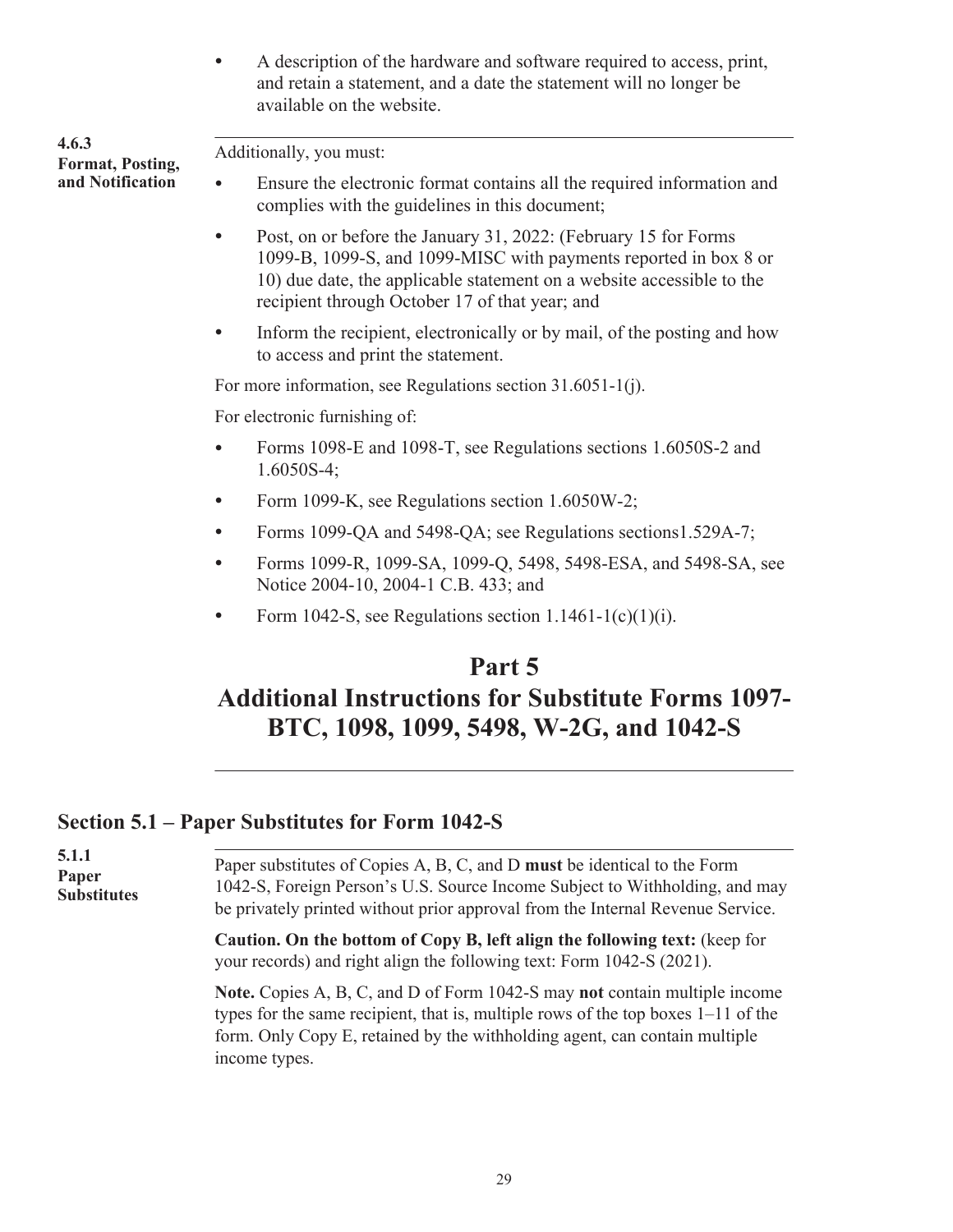• A description of the hardware and software required to access, print, and retain a statement, and a date the statement will no longer be available on the website.

<span id="page-31-0"></span>

| 4.6.3<br>Format, Posting, | Additionally, you must:                                                                                                                                                                                                                                                     |  |  |  |  |  |  |  |  |
|---------------------------|-----------------------------------------------------------------------------------------------------------------------------------------------------------------------------------------------------------------------------------------------------------------------------|--|--|--|--|--|--|--|--|
| and Notification          | Ensure the electronic format contains all the required information and<br>$\bullet$<br>complies with the guidelines in this document;                                                                                                                                       |  |  |  |  |  |  |  |  |
|                           | Post, on or before the January 31, 2022: (February 15 for Forms<br>$\bullet$<br>1099-B, 1099-S, and 1099-MISC with payments reported in box 8 or<br>10) due date, the applicable statement on a website accessible to the<br>recipient through October 17 of that year; and |  |  |  |  |  |  |  |  |
|                           | Inform the recipient, electronically or by mail, of the posting and how<br>to access and print the statement.                                                                                                                                                               |  |  |  |  |  |  |  |  |
|                           | For more information, see Regulations section 31.6051-1(j).                                                                                                                                                                                                                 |  |  |  |  |  |  |  |  |
|                           | For electronic furnishing of:                                                                                                                                                                                                                                               |  |  |  |  |  |  |  |  |
|                           | Forms 1098-E and 1098-T, see Regulations sections 1.6050S-2 and<br>$1.6050S-4$ ;                                                                                                                                                                                            |  |  |  |  |  |  |  |  |
|                           | Form 1099-K, see Regulations section 1.6050W-2;<br>$\bullet$                                                                                                                                                                                                                |  |  |  |  |  |  |  |  |
|                           | Forms 1099-QA and 5498-QA; see Regulations sections1.529A-7;                                                                                                                                                                                                                |  |  |  |  |  |  |  |  |
|                           | Forms 1099-R, 1099-SA, 1099-Q, 5498, 5498-ESA, and 5498-SA, see<br>$\bullet$<br>Notice 2004-10, 2004-1 C.B. 433; and                                                                                                                                                        |  |  |  |  |  |  |  |  |
|                           | Form 1042-S, see Regulations section $1.1461 - 1(c)(1)(i)$ .                                                                                                                                                                                                                |  |  |  |  |  |  |  |  |

## **Part 5 Additional Instructions for Substitute Forms 1097- BTC, 1098, 1099, 5498, W-2G, and 1042-S**

### **Section 5.1 – Paper Substitutes for Form 1042-S**

| 5.1.1<br>Paper<br><b>Substitutes</b> | Paper substitutes of Copies A, B, C, and D must be identical to the Form<br>1042-S, Foreign Person's U.S. Source Income Subject to Withholding, and may<br>be privately printed without prior approval from the Internal Revenue Service.                        |  |  |  |  |  |  |  |
|--------------------------------------|------------------------------------------------------------------------------------------------------------------------------------------------------------------------------------------------------------------------------------------------------------------|--|--|--|--|--|--|--|
|                                      | Caution. On the bottom of Copy B, left align the following text: (keep for<br>your records) and right align the following text: Form 1042-S (2021).                                                                                                              |  |  |  |  |  |  |  |
|                                      | Note. Copies A, B, C, and D of Form 1042-S may not contain multiple income<br>types for the same recipient, that is, multiple rows of the top boxes $1-11$ of the<br>form. Only Copy E, retained by the withholding agent, can contain multiple<br>income types. |  |  |  |  |  |  |  |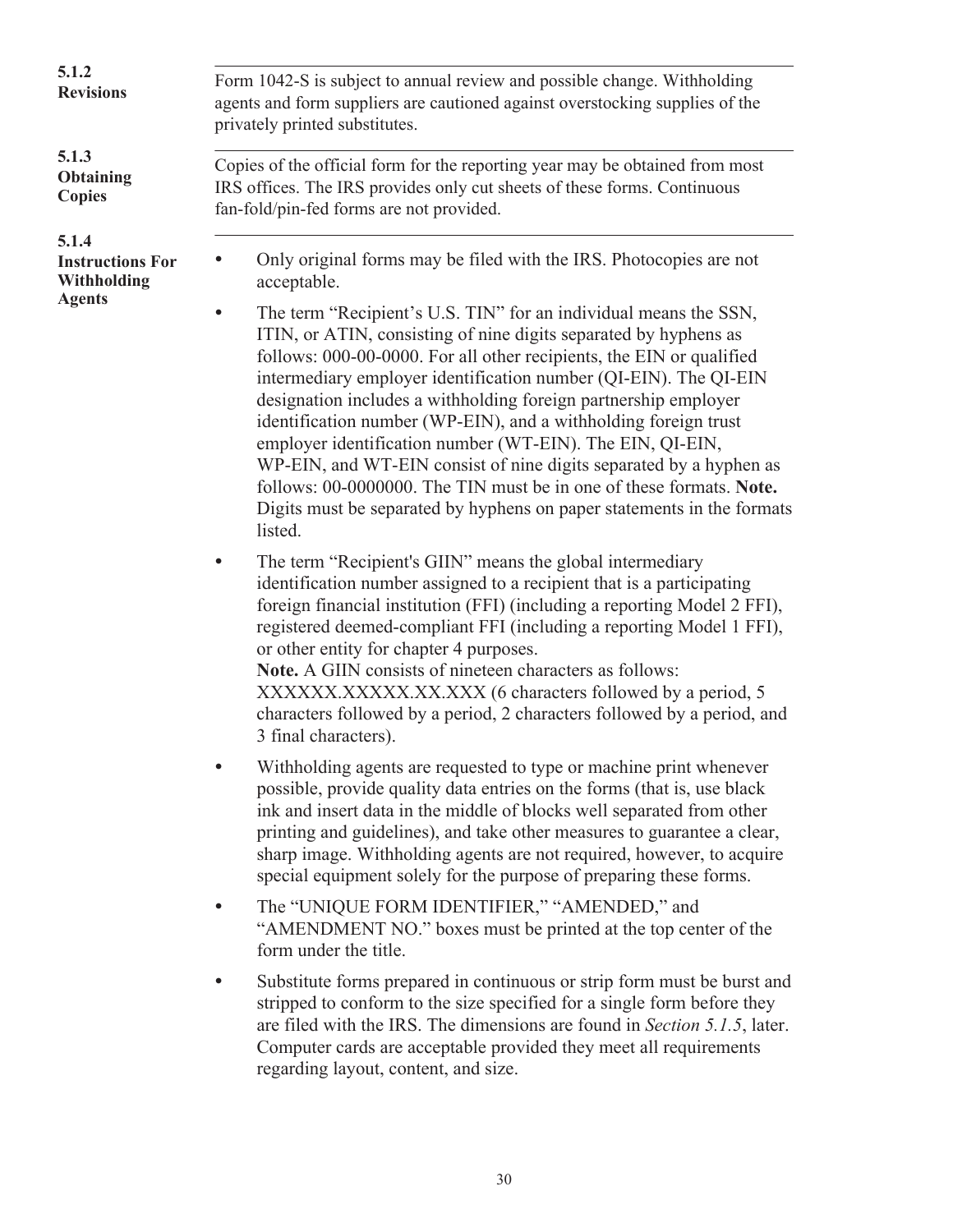| 5.1.2<br><b>Revisions</b>                       | Form 1042-S is subject to annual review and possible change. Withholding<br>agents and form suppliers are cautioned against overstocking supplies of the<br>privately printed substitutes.                                                                                                                                                                                                                                                                                                                                                                                                                                                                                                                            |  |  |  |  |  |  |  |  |
|-------------------------------------------------|-----------------------------------------------------------------------------------------------------------------------------------------------------------------------------------------------------------------------------------------------------------------------------------------------------------------------------------------------------------------------------------------------------------------------------------------------------------------------------------------------------------------------------------------------------------------------------------------------------------------------------------------------------------------------------------------------------------------------|--|--|--|--|--|--|--|--|
| 5.1.3<br><b>Obtaining</b><br><b>Copies</b>      | Copies of the official form for the reporting year may be obtained from most<br>IRS offices. The IRS provides only cut sheets of these forms. Continuous<br>fan-fold/pin-fed forms are not provided.                                                                                                                                                                                                                                                                                                                                                                                                                                                                                                                  |  |  |  |  |  |  |  |  |
| 5.1.4<br><b>Instructions For</b><br>Withholding | Only original forms may be filed with the IRS. Photocopies are not<br>acceptable.                                                                                                                                                                                                                                                                                                                                                                                                                                                                                                                                                                                                                                     |  |  |  |  |  |  |  |  |
| <b>Agents</b>                                   | The term "Recipient's U.S. TIN" for an individual means the SSN,<br>ITIN, or ATIN, consisting of nine digits separated by hyphens as<br>follows: 000-00-0000. For all other recipients, the EIN or qualified<br>intermediary employer identification number (QI-EIN). The QI-EIN<br>designation includes a withholding foreign partnership employer<br>identification number (WP-EIN), and a withholding foreign trust<br>employer identification number (WT-EIN). The EIN, QI-EIN,<br>WP-EIN, and WT-EIN consist of nine digits separated by a hyphen as<br>follows: 00-0000000. The TIN must be in one of these formats. Note.<br>Digits must be separated by hyphens on paper statements in the formats<br>listed. |  |  |  |  |  |  |  |  |
|                                                 | The term "Recipient's GIIN" means the global intermediary<br>identification number assigned to a recipient that is a participating<br>foreign financial institution (FFI) (including a reporting Model 2 FFI),<br>registered deemed-compliant FFI (including a reporting Model 1 FFI),<br>or other entity for chapter 4 purposes.<br>Note. A GIIN consists of nineteen characters as follows:<br>XXXXXX.XXXXX.XX.XXX (6 characters followed by a period, 5<br>characters followed by a period, 2 characters followed by a period, and<br>3 final characters).                                                                                                                                                         |  |  |  |  |  |  |  |  |
|                                                 | Withholding agents are requested to type or machine print whenever<br>possible, provide quality data entries on the forms (that is, use black<br>ink and insert data in the middle of blocks well separated from other<br>printing and guidelines), and take other measures to guarantee a clear,<br>sharp image. Withholding agents are not required, however, to acquire<br>special equipment solely for the purpose of preparing these forms.                                                                                                                                                                                                                                                                      |  |  |  |  |  |  |  |  |
|                                                 | The "UNIQUE FORM IDENTIFIER," "AMENDED," and<br>"AMENDMENT NO." boxes must be printed at the top center of the<br>form under the title.                                                                                                                                                                                                                                                                                                                                                                                                                                                                                                                                                                               |  |  |  |  |  |  |  |  |
|                                                 | Substitute forms prepared in continuous or strip form must be burst and                                                                                                                                                                                                                                                                                                                                                                                                                                                                                                                                                                                                                                               |  |  |  |  |  |  |  |  |

stripped to conform to the size specified for a single form before they are filed with the IRS. The dimensions are found in *Section 5.1.5*, later. Computer cards are acceptable provided they meet all requirements regarding layout, content, and size.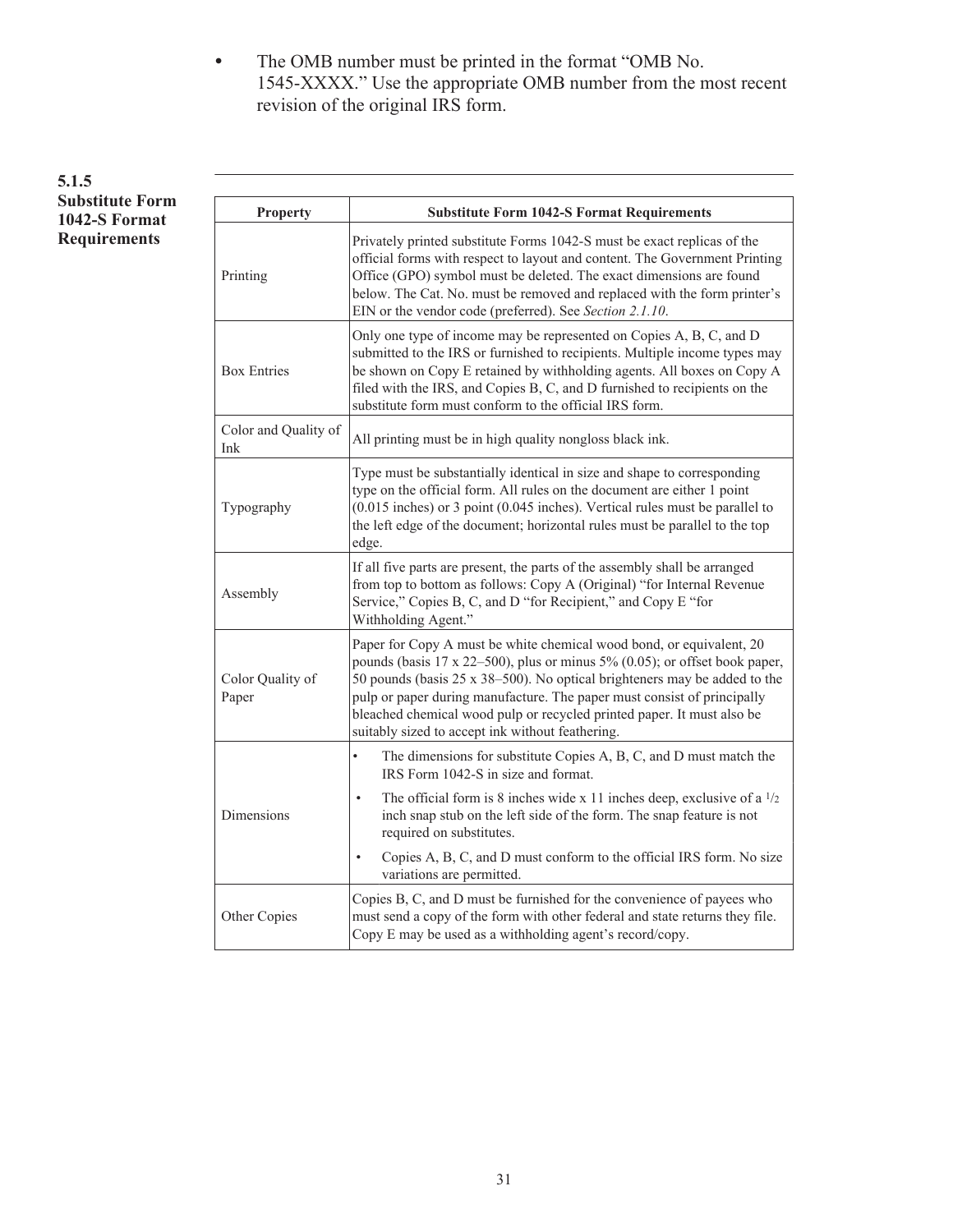• The OMB number must be printed in the format "OMB No. 1545-XXXX." Use the appropriate OMB number from the most recent revision of the original IRS form.

#### **5.1.5 Substitute Form 1042-S Format Requirements**

.

| <b>Property</b>             | <b>Substitute Form 1042-S Format Requirements</b>                                                                                                                                                                                                                                                                                                                                                                                                     |  |  |  |  |  |  |  |  |  |
|-----------------------------|-------------------------------------------------------------------------------------------------------------------------------------------------------------------------------------------------------------------------------------------------------------------------------------------------------------------------------------------------------------------------------------------------------------------------------------------------------|--|--|--|--|--|--|--|--|--|
| Printing                    | Privately printed substitute Forms 1042-S must be exact replicas of the<br>official forms with respect to layout and content. The Government Printing<br>Office (GPO) symbol must be deleted. The exact dimensions are found<br>below. The Cat. No. must be removed and replaced with the form printer's<br>EIN or the vendor code (preferred). See Section 2.1.10.                                                                                   |  |  |  |  |  |  |  |  |  |
| <b>Box Entries</b>          | Only one type of income may be represented on Copies A, B, C, and D<br>submitted to the IRS or furnished to recipients. Multiple income types may<br>be shown on Copy E retained by withholding agents. All boxes on Copy A<br>filed with the IRS, and Copies B, C, and D furnished to recipients on the<br>substitute form must conform to the official IRS form.                                                                                    |  |  |  |  |  |  |  |  |  |
| Color and Quality of<br>Ink | All printing must be in high quality nongloss black ink.                                                                                                                                                                                                                                                                                                                                                                                              |  |  |  |  |  |  |  |  |  |
| Typography                  | Type must be substantially identical in size and shape to corresponding<br>type on the official form. All rules on the document are either 1 point<br>$(0.015$ inches) or 3 point $(0.045$ inches). Vertical rules must be parallel to<br>the left edge of the document; horizontal rules must be parallel to the top<br>edge.                                                                                                                        |  |  |  |  |  |  |  |  |  |
| Assembly                    | If all five parts are present, the parts of the assembly shall be arranged<br>from top to bottom as follows: Copy A (Original) "for Internal Revenue<br>Service," Copies B, C, and D "for Recipient," and Copy E "for<br>Withholding Agent."                                                                                                                                                                                                          |  |  |  |  |  |  |  |  |  |
| Color Quality of<br>Paper   | Paper for Copy A must be white chemical wood bond, or equivalent, 20<br>pounds (basis $17 \times 22 - 500$ ), plus or minus $5\%$ (0.05); or offset book paper,<br>50 pounds (basis 25 x 38–500). No optical brighteners may be added to the<br>pulp or paper during manufacture. The paper must consist of principally<br>bleached chemical wood pulp or recycled printed paper. It must also be<br>suitably sized to accept ink without feathering. |  |  |  |  |  |  |  |  |  |
|                             | The dimensions for substitute Copies A, B, C, and D must match the<br>IRS Form 1042-S in size and format.                                                                                                                                                                                                                                                                                                                                             |  |  |  |  |  |  |  |  |  |
| Dimensions                  | The official form is 8 inches wide x 11 inches deep, exclusive of a $1/2$<br>$\bullet$<br>inch snap stub on the left side of the form. The snap feature is not<br>required on substitutes.                                                                                                                                                                                                                                                            |  |  |  |  |  |  |  |  |  |
|                             | Copies A, B, C, and D must conform to the official IRS form. No size<br>٠<br>variations are permitted.                                                                                                                                                                                                                                                                                                                                                |  |  |  |  |  |  |  |  |  |
| Other Copies                | Copies B, C, and D must be furnished for the convenience of payees who<br>must send a copy of the form with other federal and state returns they file.<br>Copy E may be used as a withholding agent's record/copy.                                                                                                                                                                                                                                    |  |  |  |  |  |  |  |  |  |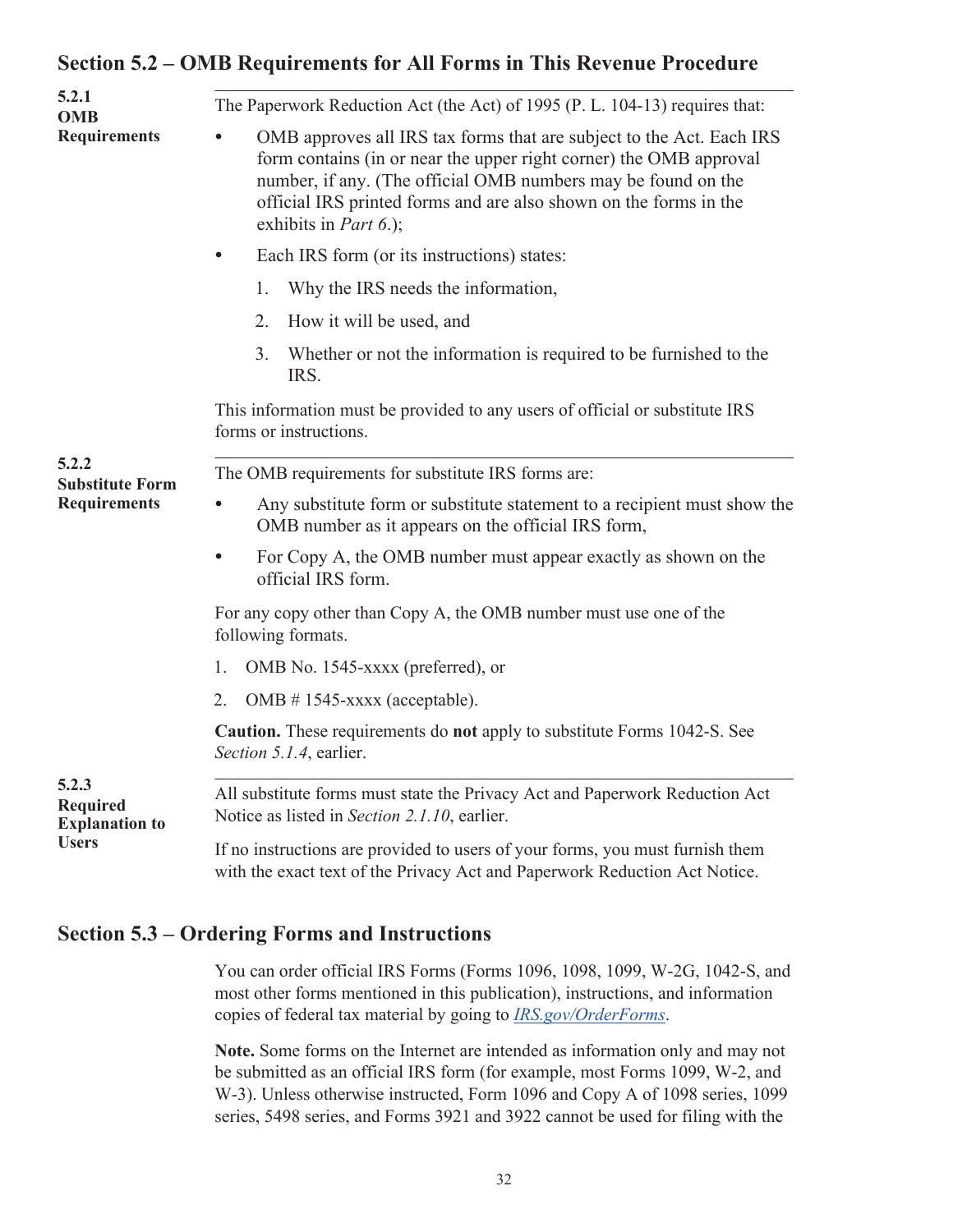### <span id="page-34-0"></span>**Section 5.2 – OMB Requirements for All Forms in This Revenue Procedure**

| 5.2.1<br><b>OMB</b>                               | The Paperwork Reduction Act (the Act) of 1995 (P. L. 104-13) requires that:                                                                                                                                                                                                                                       |  |  |  |  |  |  |  |  |
|---------------------------------------------------|-------------------------------------------------------------------------------------------------------------------------------------------------------------------------------------------------------------------------------------------------------------------------------------------------------------------|--|--|--|--|--|--|--|--|
| <b>Requirements</b>                               | OMB approves all IRS tax forms that are subject to the Act. Each IRS<br>form contains (in or near the upper right corner) the OMB approval<br>number, if any. (The official OMB numbers may be found on the<br>official IRS printed forms and are also shown on the forms in the<br>exhibits in <i>Part 6.</i> ); |  |  |  |  |  |  |  |  |
|                                                   | Each IRS form (or its instructions) states:                                                                                                                                                                                                                                                                       |  |  |  |  |  |  |  |  |
|                                                   | Why the IRS needs the information,<br>1.                                                                                                                                                                                                                                                                          |  |  |  |  |  |  |  |  |
|                                                   | 2.<br>How it will be used, and                                                                                                                                                                                                                                                                                    |  |  |  |  |  |  |  |  |
|                                                   | Whether or not the information is required to be furnished to the<br>3.<br>IRS.                                                                                                                                                                                                                                   |  |  |  |  |  |  |  |  |
|                                                   | This information must be provided to any users of official or substitute IRS<br>forms or instructions.                                                                                                                                                                                                            |  |  |  |  |  |  |  |  |
| 5.2.2<br><b>Substitute Form</b>                   | The OMB requirements for substitute IRS forms are:                                                                                                                                                                                                                                                                |  |  |  |  |  |  |  |  |
| <b>Requirements</b>                               | Any substitute form or substitute statement to a recipient must show the<br>OMB number as it appears on the official IRS form,                                                                                                                                                                                    |  |  |  |  |  |  |  |  |
|                                                   | For Copy A, the OMB number must appear exactly as shown on the<br>official IRS form.                                                                                                                                                                                                                              |  |  |  |  |  |  |  |  |
|                                                   | For any copy other than Copy A, the OMB number must use one of the<br>following formats.                                                                                                                                                                                                                          |  |  |  |  |  |  |  |  |
|                                                   | OMB No. 1545-xxxx (preferred), or<br>1.                                                                                                                                                                                                                                                                           |  |  |  |  |  |  |  |  |
|                                                   | $OMB # 1545-xxxxx$ (acceptable).<br>2.                                                                                                                                                                                                                                                                            |  |  |  |  |  |  |  |  |
|                                                   | Caution. These requirements do not apply to substitute Forms 1042-S. See<br>Section 5.1.4, earlier.                                                                                                                                                                                                               |  |  |  |  |  |  |  |  |
| 5.2.3<br><b>Required</b><br><b>Explanation to</b> | All substitute forms must state the Privacy Act and Paperwork Reduction Act<br>Notice as listed in Section 2.1.10, earlier.                                                                                                                                                                                       |  |  |  |  |  |  |  |  |
| <b>Users</b>                                      | If no instructions are provided to users of your forms, you must furnish them<br>with the exact text of the Privacy Act and Paperwork Reduction Act Notice.                                                                                                                                                       |  |  |  |  |  |  |  |  |

### **Section 5.3 – Ordering Forms and Instructions**

You can order official IRS Forms (Forms 1096, 1098, 1099, W-2G, 1042-S, and most other forms mentioned in this publication), instructions, and information copies of federal tax material by going to *[IRS.gov/OrderForms](https://www.irs.gov/orderforms)*.

**Note.** Some forms on the Internet are intended as information only and may not be submitted as an official IRS form (for example, most Forms 1099, W-2, and W-3). Unless otherwise instructed, Form 1096 and Copy A of 1098 series, 1099 series, 5498 series, and Forms 3921 and 3922 cannot be used for filing with the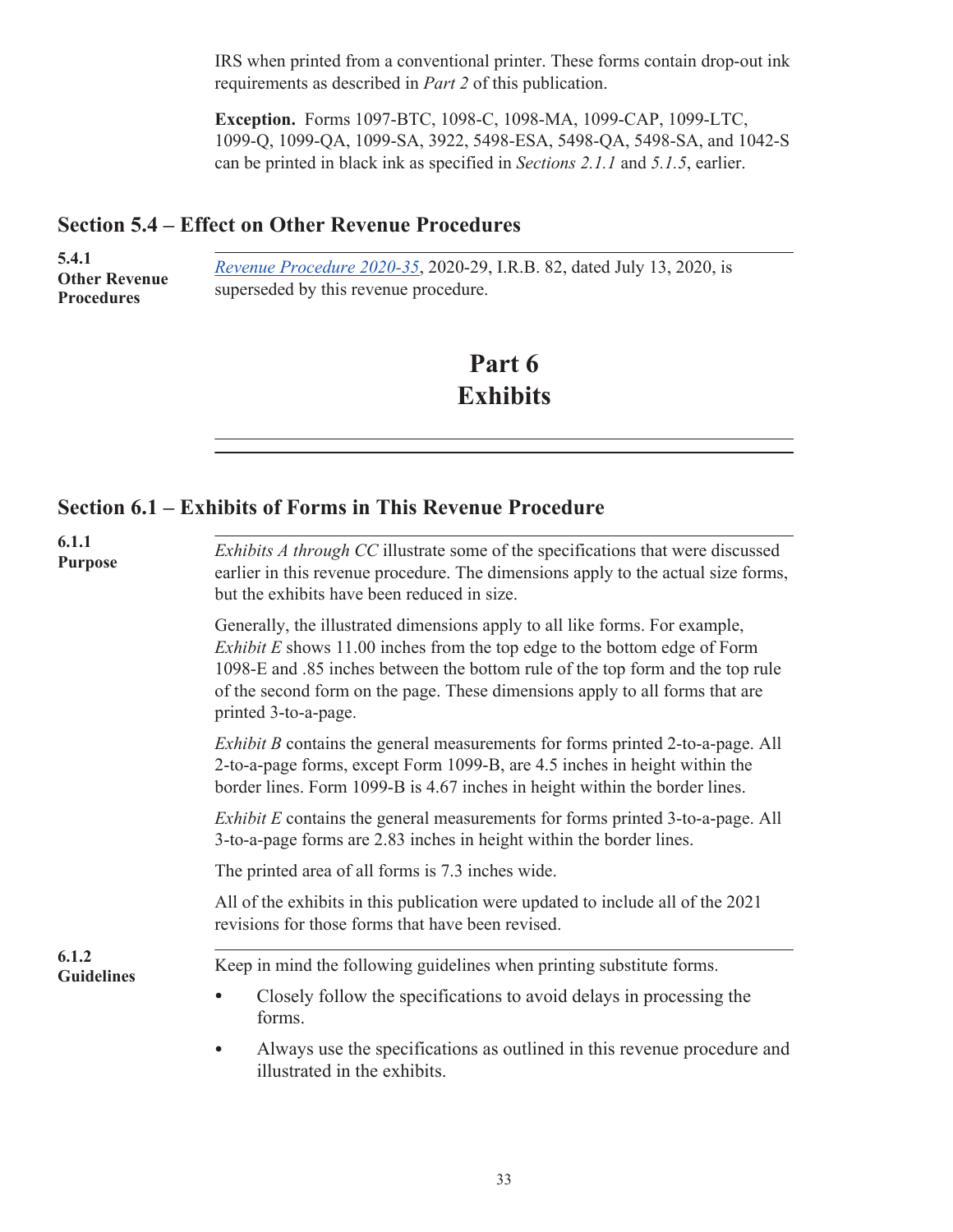<span id="page-35-0"></span>IRS when printed from a conventional printer. These forms contain drop-out ink requirements as described in *Part 2* of this publication.

**Exception.** Forms 1097-BTC, 1098-C, 1098-MA, 1099-CAP, 1099-LTC, 1099-Q, 1099-QA, 1099-SA, 3922, 5498-ESA, 5498-QA, 5498-SA, and 1042-S can be printed in black ink as specified in *Sections 2.1.1* and *5.1.5*, earlier.

### **Section 5.4 – Effect on Other Revenue Procedures**

| 5.4.1<br><b>Other Revenue</b><br><b>Procedures</b> | <i>Revenue Procedure 2020-35, 2020-29, I.R.B. 82, dated July 13, 2020, is</i><br>superseded by this revenue procedure. |
|----------------------------------------------------|------------------------------------------------------------------------------------------------------------------------|

## **Part 6 Exhibits**

### **Section 6.1 – Exhibits of Forms in This Revenue Procedure**

| 6.1.1<br><b>Purpose</b>    | <i>Exhibits A through CC</i> illustrate some of the specifications that were discussed<br>earlier in this revenue procedure. The dimensions apply to the actual size forms,<br>but the exhibits have been reduced in size.                                                                                                                                |  |  |  |  |  |  |  |  |
|----------------------------|-----------------------------------------------------------------------------------------------------------------------------------------------------------------------------------------------------------------------------------------------------------------------------------------------------------------------------------------------------------|--|--|--|--|--|--|--|--|
|                            | Generally, the illustrated dimensions apply to all like forms. For example,<br><i>Exhibit E</i> shows 11.00 inches from the top edge to the bottom edge of Form<br>1098-E and .85 inches between the bottom rule of the top form and the top rule<br>of the second form on the page. These dimensions apply to all forms that are<br>printed 3-to-a-page. |  |  |  |  |  |  |  |  |
|                            | <i>Exhibit B</i> contains the general measurements for forms printed 2-to-a-page. All<br>2-to-a-page forms, except Form 1099-B, are 4.5 inches in height within the<br>border lines. Form 1099-B is 4.67 inches in height within the border lines.                                                                                                        |  |  |  |  |  |  |  |  |
|                            | <i>Exhibit E</i> contains the general measurements for forms printed 3-to-a-page. All<br>3-to-a-page forms are 2.83 inches in height within the border lines.                                                                                                                                                                                             |  |  |  |  |  |  |  |  |
|                            | The printed area of all forms is 7.3 inches wide.                                                                                                                                                                                                                                                                                                         |  |  |  |  |  |  |  |  |
|                            | All of the exhibits in this publication were updated to include all of the 2021<br>revisions for those forms that have been revised.                                                                                                                                                                                                                      |  |  |  |  |  |  |  |  |
| 6.1.2<br><b>Guidelines</b> | Keep in mind the following guidelines when printing substitute forms.                                                                                                                                                                                                                                                                                     |  |  |  |  |  |  |  |  |
|                            | Closely follow the specifications to avoid delays in processing the<br>forms.                                                                                                                                                                                                                                                                             |  |  |  |  |  |  |  |  |
|                            | Always use the specifications as outlined in this revenue procedure and<br>illustrated in the exhibits.                                                                                                                                                                                                                                                   |  |  |  |  |  |  |  |  |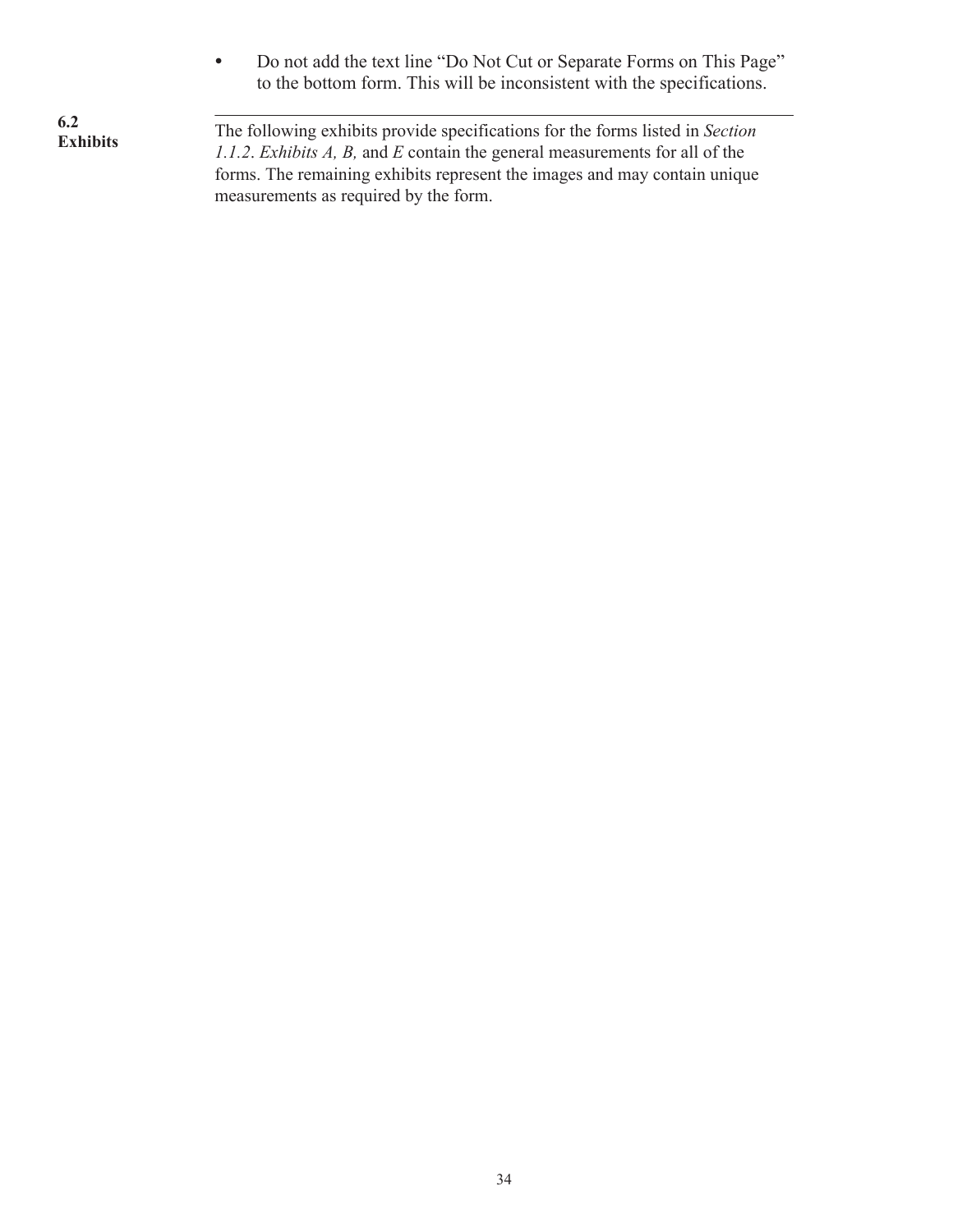• Do not add the text line "Do Not Cut or Separate Forms on This Page" to the bottom form. This will be inconsistent with the specifications.

**6.2 Exhibits**

. The following exhibits provide specifications for the forms listed in *Section 1.1.2*. *Exhibits A, B,* and *E* contain the general measurements for all of the forms. The remaining exhibits represent the images and may contain unique measurements as required by the form.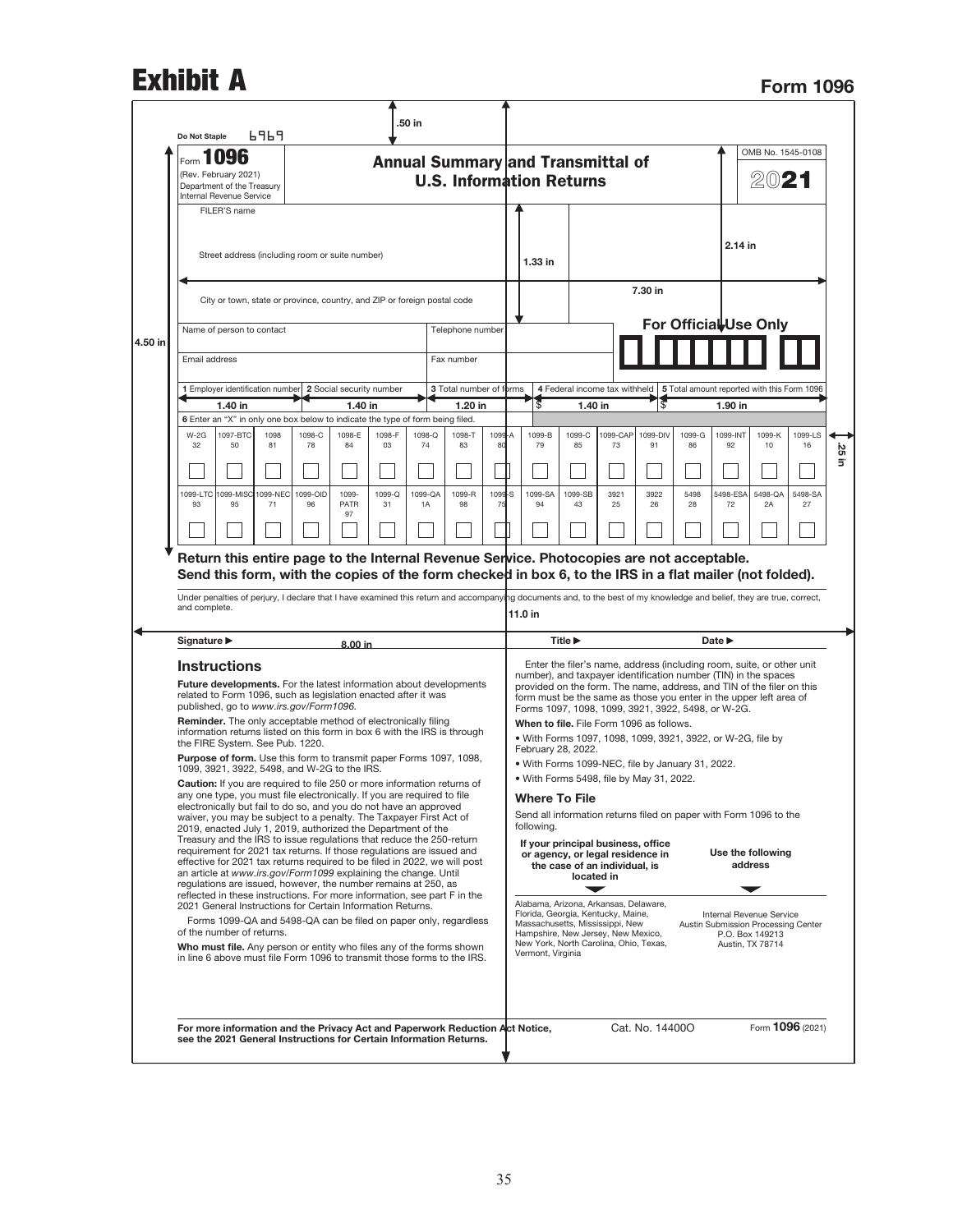## **Exhibit A** Form 1096

|         | Do Not Staple                                                                                                                                                                                                                                                                                                                                                                                                                                                                                                                                                                                                                                                                                                                                                                                                                                                                                                                                                                                                                                                                                                                                                                                                                                                                                                                                                                                                                                                                                                                                                                                                                                                                         |                                                                                 | 6969               |              |              |              | 50 in        |                                       |                |                                                                                                                                                                                                                                                                                                                                                                                          |                                                                                                                                                                                                                                                                                                                                                                                                                                                                                                       |                                             |                |                 |              |                                                                                                                                                                                                                                                                                                                                                                                                                                                                                                                                                                           |                                                |                   |          |
|---------|---------------------------------------------------------------------------------------------------------------------------------------------------------------------------------------------------------------------------------------------------------------------------------------------------------------------------------------------------------------------------------------------------------------------------------------------------------------------------------------------------------------------------------------------------------------------------------------------------------------------------------------------------------------------------------------------------------------------------------------------------------------------------------------------------------------------------------------------------------------------------------------------------------------------------------------------------------------------------------------------------------------------------------------------------------------------------------------------------------------------------------------------------------------------------------------------------------------------------------------------------------------------------------------------------------------------------------------------------------------------------------------------------------------------------------------------------------------------------------------------------------------------------------------------------------------------------------------------------------------------------------------------------------------------------------------|---------------------------------------------------------------------------------|--------------------|--------------|--------------|--------------|--------------|---------------------------------------|----------------|------------------------------------------------------------------------------------------------------------------------------------------------------------------------------------------------------------------------------------------------------------------------------------------------------------------------------------------------------------------------------------------|-------------------------------------------------------------------------------------------------------------------------------------------------------------------------------------------------------------------------------------------------------------------------------------------------------------------------------------------------------------------------------------------------------------------------------------------------------------------------------------------------------|---------------------------------------------|----------------|-----------------|--------------|---------------------------------------------------------------------------------------------------------------------------------------------------------------------------------------------------------------------------------------------------------------------------------------------------------------------------------------------------------------------------------------------------------------------------------------------------------------------------------------------------------------------------------------------------------------------------|------------------------------------------------|-------------------|----------|
|         | Form 1096<br>(Rev. February 2021)<br>Department of the Treasury                                                                                                                                                                                                                                                                                                                                                                                                                                                                                                                                                                                                                                                                                                                                                                                                                                                                                                                                                                                                                                                                                                                                                                                                                                                                                                                                                                                                                                                                                                                                                                                                                       |                                                                                 |                    |              |              |              |              |                                       |                |                                                                                                                                                                                                                                                                                                                                                                                          | OMB No. 1545-0108<br>Annual Summary and Transmittal of<br><b>U.S. Information Returns</b><br>2021                                                                                                                                                                                                                                                                                                                                                                                                     |                                             |                |                 |              |                                                                                                                                                                                                                                                                                                                                                                                                                                                                                                                                                                           |                                                |                   |          |
|         | Internal Revenue Service<br>FILER'S name<br>Street address (including room or suite number)                                                                                                                                                                                                                                                                                                                                                                                                                                                                                                                                                                                                                                                                                                                                                                                                                                                                                                                                                                                                                                                                                                                                                                                                                                                                                                                                                                                                                                                                                                                                                                                           |                                                                                 |                    |              |              |              |              |                                       |                |                                                                                                                                                                                                                                                                                                                                                                                          |                                                                                                                                                                                                                                                                                                                                                                                                                                                                                                       |                                             |                |                 |              | 2.14 in                                                                                                                                                                                                                                                                                                                                                                                                                                                                                                                                                                   |                                                |                   |          |
|         | City or town, state or province, country, and ZIP or foreign postal code                                                                                                                                                                                                                                                                                                                                                                                                                                                                                                                                                                                                                                                                                                                                                                                                                                                                                                                                                                                                                                                                                                                                                                                                                                                                                                                                                                                                                                                                                                                                                                                                              |                                                                                 |                    |              |              |              |              |                                       |                |                                                                                                                                                                                                                                                                                                                                                                                          |                                                                                                                                                                                                                                                                                                                                                                                                                                                                                                       |                                             |                | 7.30 in         |              |                                                                                                                                                                                                                                                                                                                                                                                                                                                                                                                                                                           |                                                |                   |          |
| 4.50 in |                                                                                                                                                                                                                                                                                                                                                                                                                                                                                                                                                                                                                                                                                                                                                                                                                                                                                                                                                                                                                                                                                                                                                                                                                                                                                                                                                                                                                                                                                                                                                                                                                                                                                       | Name of person to contact                                                       |                    |              |              |              |              | Telephone number                      |                |                                                                                                                                                                                                                                                                                                                                                                                          |                                                                                                                                                                                                                                                                                                                                                                                                                                                                                                       |                                             |                |                 |              | For Official Use Only                                                                                                                                                                                                                                                                                                                                                                                                                                                                                                                                                     |                                                |                   |          |
|         | Email address                                                                                                                                                                                                                                                                                                                                                                                                                                                                                                                                                                                                                                                                                                                                                                                                                                                                                                                                                                                                                                                                                                                                                                                                                                                                                                                                                                                                                                                                                                                                                                                                                                                                         |                                                                                 |                    |              |              |              |              | Fax number<br>3 Total number of forms |                |                                                                                                                                                                                                                                                                                                                                                                                          |                                                                                                                                                                                                                                                                                                                                                                                                                                                                                                       |                                             |                |                 |              | 4 Federal income tax withheld   5 Total amount reported with this Form 1096                                                                                                                                                                                                                                                                                                                                                                                                                                                                                               |                                                |                   |          |
|         |                                                                                                                                                                                                                                                                                                                                                                                                                                                                                                                                                                                                                                                                                                                                                                                                                                                                                                                                                                                                                                                                                                                                                                                                                                                                                                                                                                                                                                                                                                                                                                                                                                                                                       | 1 Employer identification number 2 Social security number<br>1.40 in<br>1.40 in |                    |              |              | 1.20 in      |              |                                       | 3              | 1.40 in                                                                                                                                                                                                                                                                                                                                                                                  |                                                                                                                                                                                                                                                                                                                                                                                                                                                                                                       |                                             |                | 1.90 in         |              |                                                                                                                                                                                                                                                                                                                                                                                                                                                                                                                                                                           |                                                |                   |          |
|         | 6 Enter an "X" in only one box below to indicate the type of form being filed.                                                                                                                                                                                                                                                                                                                                                                                                                                                                                                                                                                                                                                                                                                                                                                                                                                                                                                                                                                                                                                                                                                                                                                                                                                                                                                                                                                                                                                                                                                                                                                                                        |                                                                                 |                    |              |              |              |              |                                       |                |                                                                                                                                                                                                                                                                                                                                                                                          |                                                                                                                                                                                                                                                                                                                                                                                                                                                                                                       |                                             |                |                 |              |                                                                                                                                                                                                                                                                                                                                                                                                                                                                                                                                                                           |                                                |                   |          |
|         | $W-2G$<br>32                                                                                                                                                                                                                                                                                                                                                                                                                                                                                                                                                                                                                                                                                                                                                                                                                                                                                                                                                                                                                                                                                                                                                                                                                                                                                                                                                                                                                                                                                                                                                                                                                                                                          | 1097-BTC<br>50                                                                  | 1098<br>81         | 1098-C<br>78 | 1098-E<br>84 | 1098-F<br>03 | 1098-Q<br>74 | 1098-T<br>83                          | 1099-A<br>80   |                                                                                                                                                                                                                                                                                                                                                                                          | 1099-B<br>79                                                                                                                                                                                                                                                                                                                                                                                                                                                                                          | 1099-C<br>85                                | 1099-CAP<br>73 | 1099-DIV<br>91  | 1099-G<br>86 | 1099-INT<br>92                                                                                                                                                                                                                                                                                                                                                                                                                                                                                                                                                            | 1099-K<br>10                                   | $1099 - 1S$<br>16 | š.<br>E. |
|         | 1099-LTC                                                                                                                                                                                                                                                                                                                                                                                                                                                                                                                                                                                                                                                                                                                                                                                                                                                                                                                                                                                                                                                                                                                                                                                                                                                                                                                                                                                                                                                                                                                                                                                                                                                                              |                                                                                 | 1099-MISC 1099-NEC | 1099-OID     | 1099-        | 1099-Q       | 1099-QA      | 1099-R                                | 1099-S         |                                                                                                                                                                                                                                                                                                                                                                                          | 1099-SA                                                                                                                                                                                                                                                                                                                                                                                                                                                                                               | 1099-SB                                     | 3921           | 3922            | 5498         | 5498-ESA                                                                                                                                                                                                                                                                                                                                                                                                                                                                                                                                                                  | 5498-QA                                        | 5498-SA           |          |
|         | 93                                                                                                                                                                                                                                                                                                                                                                                                                                                                                                                                                                                                                                                                                                                                                                                                                                                                                                                                                                                                                                                                                                                                                                                                                                                                                                                                                                                                                                                                                                                                                                                                                                                                                    | 95                                                                              | 71                 | 96           | PATR<br>97   | 31           | 1A           | 98                                    | $\overline{7}$ |                                                                                                                                                                                                                                                                                                                                                                                          | 94                                                                                                                                                                                                                                                                                                                                                                                                                                                                                                    | 43                                          | 25             | 26              | 28           | 72                                                                                                                                                                                                                                                                                                                                                                                                                                                                                                                                                                        | 2A                                             | 27                |          |
|         |                                                                                                                                                                                                                                                                                                                                                                                                                                                                                                                                                                                                                                                                                                                                                                                                                                                                                                                                                                                                                                                                                                                                                                                                                                                                                                                                                                                                                                                                                                                                                                                                                                                                                       |                                                                                 |                    |              |              |              |              |                                       |                |                                                                                                                                                                                                                                                                                                                                                                                          |                                                                                                                                                                                                                                                                                                                                                                                                                                                                                                       |                                             |                |                 |              |                                                                                                                                                                                                                                                                                                                                                                                                                                                                                                                                                                           |                                                |                   |          |
|         | and complete.                                                                                                                                                                                                                                                                                                                                                                                                                                                                                                                                                                                                                                                                                                                                                                                                                                                                                                                                                                                                                                                                                                                                                                                                                                                                                                                                                                                                                                                                                                                                                                                                                                                                         |                                                                                 |                    |              |              |              |              |                                       |                | Return this entire page to the Internal Revenue Service. Photocopies are not acceptable.<br>Send this form, with the copies of the form checked in box 6, to the IRS in a flat mailer (not folded).<br>Under penalties of perjury, I declare that I have examined this return and accompanying documents and, to the best of my knowledge and belief, they are true, correct,<br>11.0 in |                                                                                                                                                                                                                                                                                                                                                                                                                                                                                                       |                                             |                |                 |              |                                                                                                                                                                                                                                                                                                                                                                                                                                                                                                                                                                           |                                                |                   |          |
|         |                                                                                                                                                                                                                                                                                                                                                                                                                                                                                                                                                                                                                                                                                                                                                                                                                                                                                                                                                                                                                                                                                                                                                                                                                                                                                                                                                                                                                                                                                                                                                                                                                                                                                       |                                                                                 |                    |              |              |              |              |                                       |                | <b>Title ▶</b><br>Date $\blacktriangleright$                                                                                                                                                                                                                                                                                                                                             |                                                                                                                                                                                                                                                                                                                                                                                                                                                                                                       |                                             |                |                 |              |                                                                                                                                                                                                                                                                                                                                                                                                                                                                                                                                                                           |                                                |                   |          |
|         | Signature ▶<br>8.00 in<br><b>Instructions</b><br><b>Future developments.</b> For the latest information about developments<br>related to Form 1096, such as legislation enacted after it was<br>published, go to www.irs.gov/Form1096.<br><b>Reminder.</b> The only acceptable method of electronically filing<br>information returns listed on this form in box 6 with the IRS is through<br>the FIRE System. See Pub. 1220.<br>Purpose of form. Use this form to transmit paper Forms 1097, 1098,<br>1099, 3921, 3922, 5498, and W-2G to the IRS.<br>Caution: If you are required to file 250 or more information returns of<br>any one type, you must file electronically. If you are required to file<br>electronically but fail to do so, and you do not have an approved<br>waiver, you may be subject to a penalty. The Taxpayer First Act of<br>2019, enacted July 1, 2019, authorized the Department of the<br>Treasury and the IRS to issue regulations that reduce the 250-return<br>requirement for 2021 tax returns. If those regulations are issued and<br>effective for 2021 tax returns required to be filed in 2022, we will post<br>an article at www.irs.gov/Form1099 explaining the change. Until<br>regulations are issued, however, the number remains at 250, as<br>reflected in these instructions. For more information, see part F in the<br>2021 General Instructions for Certain Information Returns.<br>Forms 1099-QA and 5498-QA can be filed on paper only, regardless<br>of the number of returns.<br>Who must file. Any person or entity who files any of the forms shown<br>in line 6 above must file Form 1096 to transmit those forms to the IRS. |                                                                                 |                    |              |              |              |              |                                       |                |                                                                                                                                                                                                                                                                                                                                                                                          | When to file. File Form 1096 as follows.<br>February 28, 2022.<br>. With Forms 1099-NEC, file by January 31, 2022.<br>. With Forms 5498, file by May 31, 2022.<br><b>Where To File</b><br>following.<br>If your principal business, office<br>or agency, or legal residence in<br>Alabama, Arizona, Arkansas, Delaware,<br>Florida, Georgia, Kentucky, Maine,<br>Massachusetts, Mississippi, New<br>Hampshire, New Jersey, New Mexico,<br>New York, North Carolina, Ohio, Texas,<br>Vermont, Virginia | the case of an individual, is<br>located in |                |                 |              | Enter the filer's name, address (including room, suite, or other unit<br>number), and taxpayer identification number (TIN) in the spaces<br>provided on the form. The name, address, and TIN of the filer on this<br>form must be the same as those you enter in the upper left area of<br>Forms 1097, 1098, 1099, 3921, 3922, 5498, or W-2G.<br>. With Forms 1097, 1098, 1099, 3921, 3922, or W-2G, file by<br>Send all information returns filed on paper with Form 1096 to the<br>Use the following<br>Internal Revenue Service<br>Austin Submission Processing Center | address<br>P.O. Box 149213<br>Austin, TX 78714 |                   |          |
|         | For more information and the Privacy Act and Paperwork Reduction Act Notice,<br>see the 2021 General Instructions for Certain Information Returns.                                                                                                                                                                                                                                                                                                                                                                                                                                                                                                                                                                                                                                                                                                                                                                                                                                                                                                                                                                                                                                                                                                                                                                                                                                                                                                                                                                                                                                                                                                                                    |                                                                                 |                    |              |              |              |              |                                       |                |                                                                                                                                                                                                                                                                                                                                                                                          |                                                                                                                                                                                                                                                                                                                                                                                                                                                                                                       |                                             |                | Cat. No. 14400O |              |                                                                                                                                                                                                                                                                                                                                                                                                                                                                                                                                                                           | Form 1096 (2021)                               |                   |          |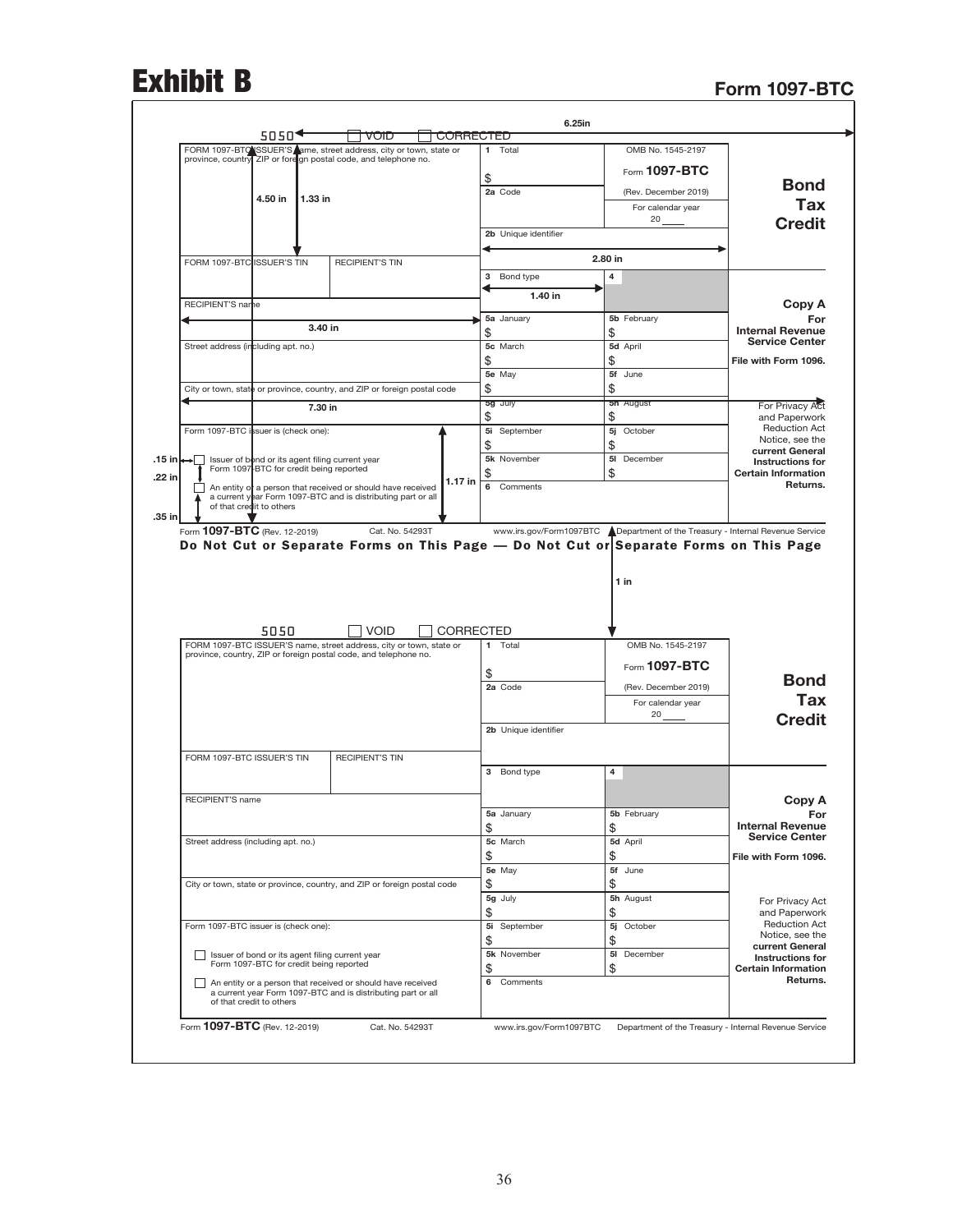# Exhibit B Form 1097-BTC

|                                                                   | OMB No. 1545-2197    | 1 Total              |                  | FORM 1097-BTC SSUER'S ame, street address, city or town, state or                                                                       |         |         |                                         |                                                     |
|-------------------------------------------------------------------|----------------------|----------------------|------------------|-----------------------------------------------------------------------------------------------------------------------------------------|---------|---------|-----------------------------------------|-----------------------------------------------------|
|                                                                   |                      |                      |                  | province, country ZIP or fore gn postal code, and telephone no.                                                                         |         |         |                                         |                                                     |
| Bond                                                              | Form $1097 - BTC$    | \$                   |                  |                                                                                                                                         |         |         |                                         |                                                     |
|                                                                   | (Rev. December 2019) | 2a Code              |                  |                                                                                                                                         |         | 1.33 in | 4.50 in                                 |                                                     |
| Tax                                                               | For calendar year    |                      |                  |                                                                                                                                         |         |         |                                         |                                                     |
| <b>Credit</b>                                                     | 20                   |                      |                  |                                                                                                                                         |         |         |                                         |                                                     |
|                                                                   |                      | 2b Unique identifier |                  |                                                                                                                                         |         |         |                                         |                                                     |
|                                                                   | 2.80 in              |                      |                  | <b>RECIPIENT'S TIN</b>                                                                                                                  |         |         |                                         | FORM 1097-BTC ISSUER'S TIN                          |
|                                                                   | 4                    | 3 Bond type          |                  |                                                                                                                                         |         |         |                                         |                                                     |
|                                                                   |                      | 1.40 in              |                  |                                                                                                                                         |         |         |                                         |                                                     |
| Copy A                                                            |                      |                      |                  |                                                                                                                                         |         |         |                                         | RECIPIENT'S name                                    |
| For<br><b>Internal Revenue</b>                                    | 5b February<br>\$    | 5a January<br>\$     |                  |                                                                                                                                         | 3.40 in |         |                                         |                                                     |
| <b>Service Center</b>                                             | 5d April             | 5c March             |                  |                                                                                                                                         |         |         |                                         | Street address (including apt. no.)                 |
| File with Form 1096.                                              | \$                   | \$                   |                  |                                                                                                                                         |         |         |                                         |                                                     |
|                                                                   | 5f June              | 5e May               |                  |                                                                                                                                         |         |         |                                         |                                                     |
|                                                                   | \$                   | \$                   |                  | City or town, state or province, country, and ZIP or foreign postal code                                                                |         |         |                                         |                                                     |
| For Privacy Act                                                   | <b>5n</b> August     | 5g July              |                  |                                                                                                                                         | 7.30 in |         |                                         |                                                     |
| and Paperwork                                                     | \$                   | \$                   |                  |                                                                                                                                         |         |         |                                         |                                                     |
| <b>Reduction Act</b><br>Notice, see the                           | 5j<br>October        | 5i September         |                  |                                                                                                                                         |         |         |                                         | Form 1097-BTC issuer is (check one):                |
| current General                                                   | \$                   | \$                   |                  |                                                                                                                                         |         |         |                                         |                                                     |
| Instructions for                                                  | 5I<br>December       | 5k November          |                  | Issuer of bond or its agent filing current year                                                                                         |         |         |                                         | .15 in ←<br>Form 1097 BTC for credit being reported |
| <b>Certain Information</b><br>Returns.                            | \$                   | \$<br>6<br>Comments  | 1.17 in          |                                                                                                                                         |         |         |                                         |                                                     |
|                                                                   |                      |                      |                  | An entity of a person that received or should have received<br>a current year Form 1097-BTC and is distributing part or all             |         |         |                                         |                                                     |
|                                                                   |                      |                      |                  |                                                                                                                                         |         |         | of that credit to others                |                                                     |
|                                                                   | $1$ in               |                      |                  | Do Not Cut or Separate Forms on This Page - Do Not Cut or Separate Forms on This Page                                                   |         |         | Form 1097-BTC (Rev. 12-2019)            |                                                     |
|                                                                   |                      |                      |                  |                                                                                                                                         |         |         |                                         |                                                     |
|                                                                   |                      |                      | <b>CORRECTED</b> | <b>VOID</b>                                                                                                                             |         |         | 5050                                    |                                                     |
|                                                                   | OMB No. 1545-2197    | 1 Total              |                  | FORM 1097-BTC ISSUER'S name, street address, city or town, state or<br>province, country, ZIP or foreign postal code, and telephone no. |         |         |                                         |                                                     |
|                                                                   | Form $1097 - BTC$    |                      |                  |                                                                                                                                         |         |         |                                         |                                                     |
| <b>Bond</b>                                                       | (Rev. December 2019) | \$<br>2a Code        |                  |                                                                                                                                         |         |         |                                         |                                                     |
| Tax                                                               | For calendar year    |                      |                  |                                                                                                                                         |         |         |                                         |                                                     |
| <b>Credit</b>                                                     | 20                   |                      |                  |                                                                                                                                         |         |         |                                         |                                                     |
|                                                                   |                      | 2b Unique identifier |                  |                                                                                                                                         |         |         |                                         |                                                     |
|                                                                   |                      |                      |                  |                                                                                                                                         |         |         |                                         |                                                     |
|                                                                   | 4                    | 3 Bond type          |                  | <b>RECIPIENT'S TIN</b>                                                                                                                  |         |         |                                         | FORM 1097-BTC ISSUER'S TIN                          |
|                                                                   |                      |                      |                  |                                                                                                                                         |         |         |                                         |                                                     |
| Copy A                                                            |                      |                      |                  |                                                                                                                                         |         |         |                                         | RECIPIENT'S name                                    |
| For                                                               | 5b February          | 5a January           |                  |                                                                                                                                         |         |         |                                         |                                                     |
| <b>Internal Revenue</b>                                           | \$                   | \$                   |                  |                                                                                                                                         |         |         |                                         |                                                     |
| <b>Service Center</b>                                             | 5d April             | 5c March             |                  |                                                                                                                                         |         |         |                                         | Street address (including apt. no.)                 |
| File with Form 1096.                                              | \$                   | \$                   |                  |                                                                                                                                         |         |         |                                         |                                                     |
|                                                                   | 5f June              | 5e May               |                  |                                                                                                                                         |         |         |                                         |                                                     |
|                                                                   | \$                   | \$                   |                  | City or town, state or province, country, and ZIP or foreign postal code                                                                |         |         |                                         |                                                     |
| For Privacy Act                                                   | 5h August            | 5g July              |                  |                                                                                                                                         |         |         |                                         |                                                     |
| and Paperwork<br><b>Reduction Act</b>                             | \$<br>5j<br>October  | \$<br>5i September   |                  |                                                                                                                                         |         |         |                                         | Form 1097-BTC issuer is (check one):                |
| Notice, see the                                                   | \$                   | \$                   |                  |                                                                                                                                         |         |         |                                         |                                                     |
| current General                                                   | 5I<br>December       | 5k November          |                  | Issuer of bond or its agent filing current year                                                                                         |         |         |                                         |                                                     |
| <b>Instructions for</b><br><b>Certain Information</b><br>Returns. | \$                   | \$                   |                  |                                                                                                                                         |         |         | Form 1097-BTC for credit being reported |                                                     |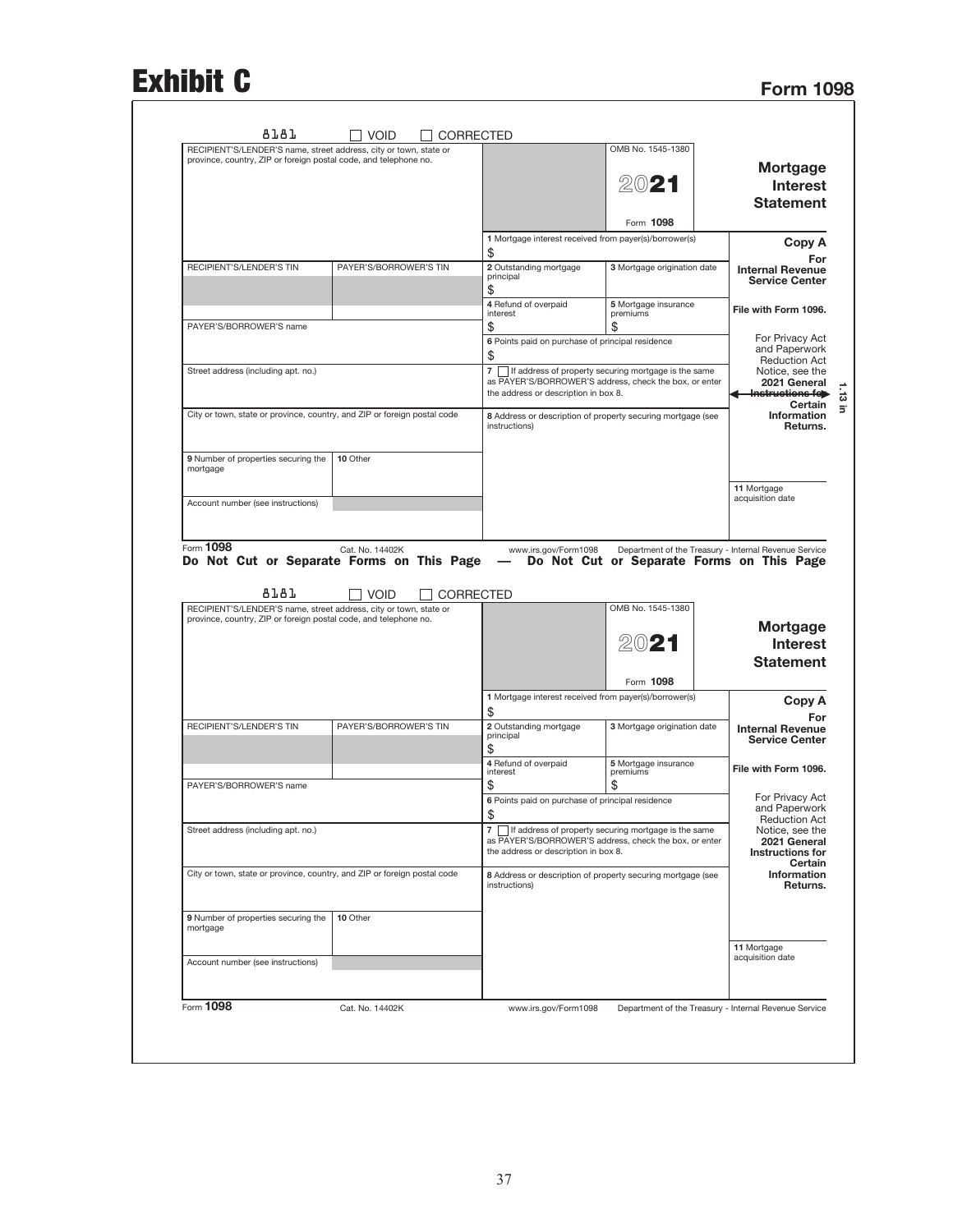## Exhibit C

| RECIPIENT'S/LENDER'S name, street address, city or town, state or                                                                     |                                |                                                                                                | OMB No. 1545-1380                         |                                                                                                                                                                                                                                                                                                                                                                              |
|---------------------------------------------------------------------------------------------------------------------------------------|--------------------------------|------------------------------------------------------------------------------------------------|-------------------------------------------|------------------------------------------------------------------------------------------------------------------------------------------------------------------------------------------------------------------------------------------------------------------------------------------------------------------------------------------------------------------------------|
| province, country, ZIP or foreign postal code, and telephone no.                                                                      |                                |                                                                                                |                                           | <b>Mortgage</b>                                                                                                                                                                                                                                                                                                                                                              |
|                                                                                                                                       |                                |                                                                                                | 2021                                      |                                                                                                                                                                                                                                                                                                                                                                              |
|                                                                                                                                       |                                |                                                                                                |                                           | <b>Interest</b>                                                                                                                                                                                                                                                                                                                                                              |
|                                                                                                                                       |                                |                                                                                                |                                           | <b>Statement</b>                                                                                                                                                                                                                                                                                                                                                             |
|                                                                                                                                       |                                |                                                                                                | Form 1098                                 |                                                                                                                                                                                                                                                                                                                                                                              |
|                                                                                                                                       |                                | 1 Mortgage interest received from payer(s)/borrower(s)                                         |                                           | Copy A                                                                                                                                                                                                                                                                                                                                                                       |
|                                                                                                                                       |                                | \$                                                                                             |                                           | For                                                                                                                                                                                                                                                                                                                                                                          |
| <b>RECIPIENT'S/LENDER'S TIN</b>                                                                                                       | PAYER'S/BORROWER'S TIN         | 2 Outstanding mortgage<br>principal                                                            | 3 Mortgage origination date               | <b>Internal Revenue</b>                                                                                                                                                                                                                                                                                                                                                      |
|                                                                                                                                       |                                | \$                                                                                             |                                           | <b>Service Center</b>                                                                                                                                                                                                                                                                                                                                                        |
|                                                                                                                                       |                                | 4 Refund of overpaid                                                                           | 5 Mortgage insurance                      | File with Form 1096.                                                                                                                                                                                                                                                                                                                                                         |
|                                                                                                                                       |                                | interest                                                                                       | premiums                                  |                                                                                                                                                                                                                                                                                                                                                                              |
| PAYER'S/BORROWER'S name                                                                                                               |                                | \$                                                                                             | \$                                        | For Privacy Act                                                                                                                                                                                                                                                                                                                                                              |
|                                                                                                                                       |                                | 6 Points paid on purchase of principal residence<br>\$                                         |                                           | and Paperwork                                                                                                                                                                                                                                                                                                                                                                |
| Street address (including apt. no.)                                                                                                   |                                | 7   If address of property securing mortgage is the same                                       |                                           | <b>Reduction Act</b>                                                                                                                                                                                                                                                                                                                                                         |
|                                                                                                                                       |                                | as PAYER'S/BORROWER'S address, check the box, or enter                                         |                                           | Notice, see the<br>2021 General                                                                                                                                                                                                                                                                                                                                              |
|                                                                                                                                       |                                | the address or description in box 8.                                                           |                                           | Instructions fe                                                                                                                                                                                                                                                                                                                                                              |
| City or town, state or province, country, and ZIP or foreign postal code                                                              |                                | 8 Address or description of property securing mortgage (see                                    |                                           | Certain<br>Information                                                                                                                                                                                                                                                                                                                                                       |
|                                                                                                                                       |                                | instructions)                                                                                  |                                           | Returns.                                                                                                                                                                                                                                                                                                                                                                     |
|                                                                                                                                       |                                |                                                                                                |                                           |                                                                                                                                                                                                                                                                                                                                                                              |
| 9 Number of properties securing the                                                                                                   | 10 Other                       |                                                                                                |                                           |                                                                                                                                                                                                                                                                                                                                                                              |
| mortgage                                                                                                                              |                                |                                                                                                |                                           |                                                                                                                                                                                                                                                                                                                                                                              |
|                                                                                                                                       |                                |                                                                                                |                                           | 11 Mortgage                                                                                                                                                                                                                                                                                                                                                                  |
| Account number (see instructions)                                                                                                     |                                |                                                                                                |                                           | acquisition date                                                                                                                                                                                                                                                                                                                                                             |
|                                                                                                                                       |                                |                                                                                                |                                           |                                                                                                                                                                                                                                                                                                                                                                              |
|                                                                                                                                       |                                |                                                                                                |                                           |                                                                                                                                                                                                                                                                                                                                                                              |
| Form 1098<br>Do Not Cut or Separate Forms on This Page<br>8181                                                                        | Cat. No. 14402K<br><b>VOID</b> | www.irs.gov/Form1098<br>CORRECTED                                                              | Do Not Cut or Separate Forms on This Page |                                                                                                                                                                                                                                                                                                                                                                              |
| RECIPIENT'S/LENDER'S name, street address, city or town, state or<br>province, country, ZIP or foreign postal code, and telephone no. |                                |                                                                                                | OMB No. 1545-1380                         |                                                                                                                                                                                                                                                                                                                                                                              |
|                                                                                                                                       |                                |                                                                                                |                                           |                                                                                                                                                                                                                                                                                                                                                                              |
|                                                                                                                                       |                                |                                                                                                | 2021                                      |                                                                                                                                                                                                                                                                                                                                                                              |
|                                                                                                                                       |                                |                                                                                                |                                           |                                                                                                                                                                                                                                                                                                                                                                              |
|                                                                                                                                       |                                |                                                                                                | Form 1098                                 |                                                                                                                                                                                                                                                                                                                                                                              |
|                                                                                                                                       |                                | 1 Mortgage interest received from payer(s)/borrower(s)                                         |                                           |                                                                                                                                                                                                                                                                                                                                                                              |
|                                                                                                                                       |                                | \$                                                                                             |                                           |                                                                                                                                                                                                                                                                                                                                                                              |
| RECIPIENT'S/LENDER'S TIN                                                                                                              | PAYER'S/BORROWER'S TIN         | 2 Outstanding mortgage<br>principal                                                            | 3 Mortgage origination date               |                                                                                                                                                                                                                                                                                                                                                                              |
|                                                                                                                                       |                                | \$                                                                                             |                                           |                                                                                                                                                                                                                                                                                                                                                                              |
|                                                                                                                                       |                                | 4 Refund of overpaid<br>interest                                                               | 5 Mortgage insurance<br>premiums          |                                                                                                                                                                                                                                                                                                                                                                              |
| PAYER'S/BORROWER'S name                                                                                                               |                                | \$                                                                                             | \$                                        |                                                                                                                                                                                                                                                                                                                                                                              |
|                                                                                                                                       |                                | 6 Points paid on purchase of principal residence                                               |                                           |                                                                                                                                                                                                                                                                                                                                                                              |
|                                                                                                                                       |                                | \$                                                                                             |                                           |                                                                                                                                                                                                                                                                                                                                                                              |
| Street address (including apt. no.)                                                                                                   |                                | 7   If address of property securing mortgage is the same                                       |                                           |                                                                                                                                                                                                                                                                                                                                                                              |
|                                                                                                                                       |                                | as PAYER'S/BORROWER'S address, check the box, or enter<br>the address or description in box 8. |                                           |                                                                                                                                                                                                                                                                                                                                                                              |
|                                                                                                                                       |                                |                                                                                                |                                           |                                                                                                                                                                                                                                                                                                                                                                              |
| City or town, state or province, country, and ZIP or foreign postal code                                                              |                                | 8 Address or description of property securing mortgage (see<br>instructions)                   |                                           |                                                                                                                                                                                                                                                                                                                                                                              |
|                                                                                                                                       |                                |                                                                                                |                                           |                                                                                                                                                                                                                                                                                                                                                                              |
|                                                                                                                                       |                                |                                                                                                |                                           |                                                                                                                                                                                                                                                                                                                                                                              |
| 9 Number of properties securing the<br>mortgage                                                                                       | 10 Other                       |                                                                                                |                                           |                                                                                                                                                                                                                                                                                                                                                                              |
|                                                                                                                                       |                                |                                                                                                |                                           | Department of the Treasury - Internal Revenue Service<br><b>Mortgage</b><br><b>Interest</b><br><b>Statement</b><br>Copy A<br>For<br><b>Internal Revenue</b><br><b>Service Center</b><br>File with Form 1096.<br>For Privacy Act<br>and Paperwork<br><b>Reduction Act</b><br>Notice, see the<br>2021 General<br><b>Instructions for</b><br>Certain<br>Information<br>Returns. |
| Account number (see instructions)                                                                                                     |                                |                                                                                                |                                           | 11 Mortgage<br>acquisition date                                                                                                                                                                                                                                                                                                                                              |
|                                                                                                                                       |                                |                                                                                                |                                           |                                                                                                                                                                                                                                                                                                                                                                              |
|                                                                                                                                       |                                |                                                                                                |                                           |                                                                                                                                                                                                                                                                                                                                                                              |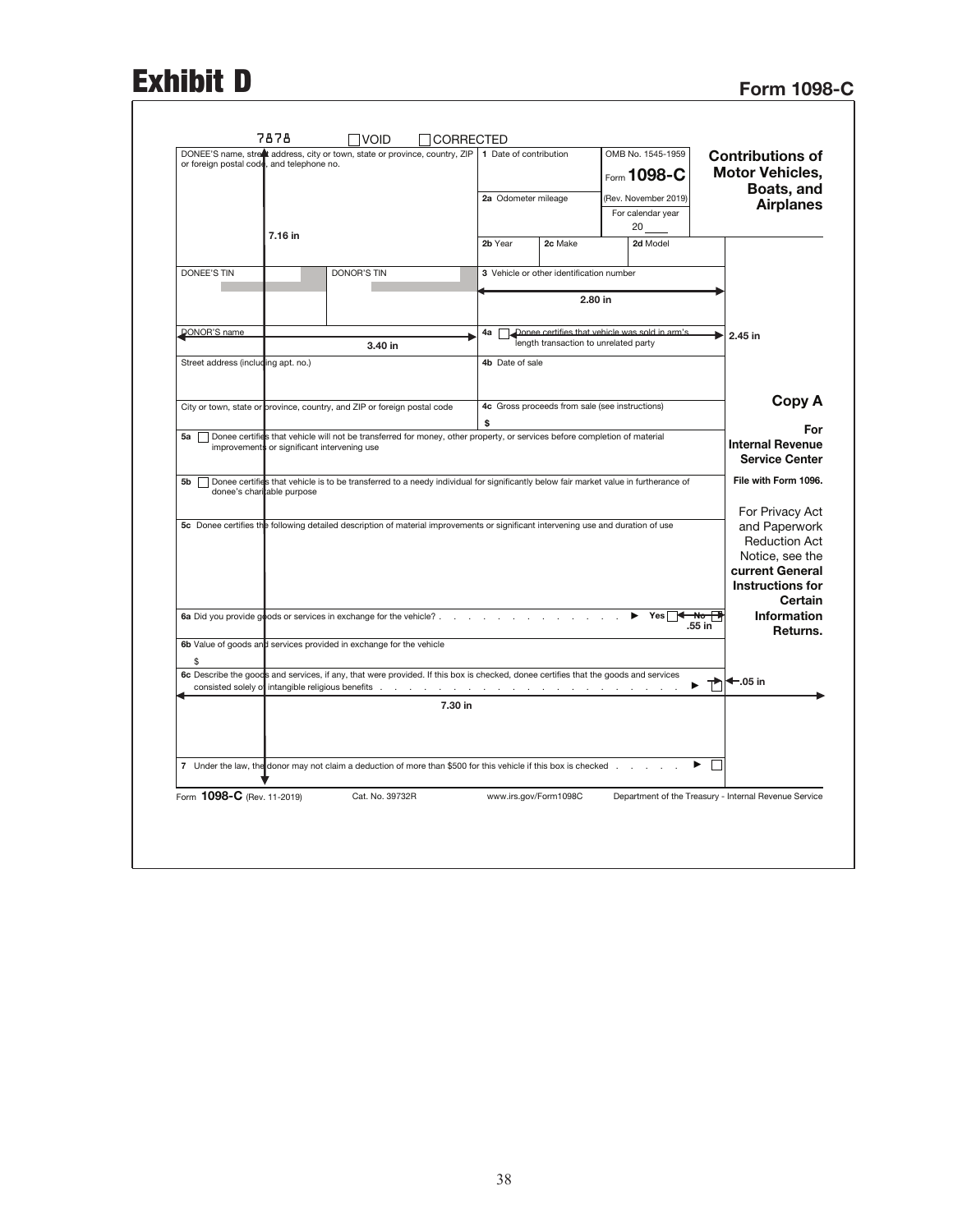# Exhibit D<br>Form 1098-C

| (Rev. November 2019)<br>2a Odometer mileage<br>For calendar year<br>20<br>7.16 in<br>2b Year<br>2c Make<br>2d Model<br>DONEE'S TIN<br><b>DONOR'S TIN</b><br>3 Vehicle or other identification number<br>2.80 in<br>Donee certifies that vehicle was sold in arm's<br><b>DONOR'S name</b><br>4a<br>ь<br>2.45 in<br>length transaction to unrelated party<br>3.40 in<br>Street address (including apt. no.)<br>4b Date of sale<br>City or town, state or province, country, and ZIP or foreign postal code<br>4c Gross proceeds from sale (see instructions)<br>\$<br>Donee certifies that vehicle will not be transferred for money, other property, or services before completion of material<br>5a<br>improvements or significant intervening use<br>Donee certifies that vehicle is to be transferred to a needy individual for significantly below fair market value in furtherance of<br>5b<br>donee's charitable purpose<br>5c Donee certifies the following detailed description of material improvements or significant intervening use and duration of use<br>6a Did you provide goods or services in exchange for the vehicle? $\ldots$<br>Yes<br>₩σ<br>.55 in<br>6b Value of goods and services provided in exchange for the vehicle<br>\$<br>6c Describe the goods and services, if any, that were provided. If this box is checked, donee certifies that the goods and services<br>$\leftarrow$ .05 in<br>7.30 in<br>7 Under the law, the donor may not claim a deduction of more than \$500 for this vehicle if this box is checked | DONEE'S name, street address, city or town, state or province, country, ZIP   1 Date of contribution<br>or foreign postal code, and telephone no. | OMB No. 1545-1959<br>Form 1098-C | <b>Contributions of</b><br><b>Motor Vehicles,</b><br>Boats, and                                                                                                                                |
|--------------------------------------------------------------------------------------------------------------------------------------------------------------------------------------------------------------------------------------------------------------------------------------------------------------------------------------------------------------------------------------------------------------------------------------------------------------------------------------------------------------------------------------------------------------------------------------------------------------------------------------------------------------------------------------------------------------------------------------------------------------------------------------------------------------------------------------------------------------------------------------------------------------------------------------------------------------------------------------------------------------------------------------------------------------------------------------------------------------------------------------------------------------------------------------------------------------------------------------------------------------------------------------------------------------------------------------------------------------------------------------------------------------------------------------------------------------------------------------------------------------------------------------------------|---------------------------------------------------------------------------------------------------------------------------------------------------|----------------------------------|------------------------------------------------------------------------------------------------------------------------------------------------------------------------------------------------|
|                                                                                                                                                                                                                                                                                                                                                                                                                                                                                                                                                                                                                                                                                                                                                                                                                                                                                                                                                                                                                                                                                                                                                                                                                                                                                                                                                                                                                                                                                                                                                  |                                                                                                                                                   |                                  | <b>Airplanes</b>                                                                                                                                                                               |
|                                                                                                                                                                                                                                                                                                                                                                                                                                                                                                                                                                                                                                                                                                                                                                                                                                                                                                                                                                                                                                                                                                                                                                                                                                                                                                                                                                                                                                                                                                                                                  |                                                                                                                                                   |                                  |                                                                                                                                                                                                |
|                                                                                                                                                                                                                                                                                                                                                                                                                                                                                                                                                                                                                                                                                                                                                                                                                                                                                                                                                                                                                                                                                                                                                                                                                                                                                                                                                                                                                                                                                                                                                  |                                                                                                                                                   |                                  |                                                                                                                                                                                                |
|                                                                                                                                                                                                                                                                                                                                                                                                                                                                                                                                                                                                                                                                                                                                                                                                                                                                                                                                                                                                                                                                                                                                                                                                                                                                                                                                                                                                                                                                                                                                                  |                                                                                                                                                   |                                  |                                                                                                                                                                                                |
|                                                                                                                                                                                                                                                                                                                                                                                                                                                                                                                                                                                                                                                                                                                                                                                                                                                                                                                                                                                                                                                                                                                                                                                                                                                                                                                                                                                                                                                                                                                                                  |                                                                                                                                                   |                                  |                                                                                                                                                                                                |
|                                                                                                                                                                                                                                                                                                                                                                                                                                                                                                                                                                                                                                                                                                                                                                                                                                                                                                                                                                                                                                                                                                                                                                                                                                                                                                                                                                                                                                                                                                                                                  |                                                                                                                                                   |                                  |                                                                                                                                                                                                |
|                                                                                                                                                                                                                                                                                                                                                                                                                                                                                                                                                                                                                                                                                                                                                                                                                                                                                                                                                                                                                                                                                                                                                                                                                                                                                                                                                                                                                                                                                                                                                  |                                                                                                                                                   |                                  |                                                                                                                                                                                                |
|                                                                                                                                                                                                                                                                                                                                                                                                                                                                                                                                                                                                                                                                                                                                                                                                                                                                                                                                                                                                                                                                                                                                                                                                                                                                                                                                                                                                                                                                                                                                                  |                                                                                                                                                   |                                  | Copy A                                                                                                                                                                                         |
|                                                                                                                                                                                                                                                                                                                                                                                                                                                                                                                                                                                                                                                                                                                                                                                                                                                                                                                                                                                                                                                                                                                                                                                                                                                                                                                                                                                                                                                                                                                                                  |                                                                                                                                                   |                                  | For<br><b>Internal Revenue</b><br><b>Service Center</b>                                                                                                                                        |
|                                                                                                                                                                                                                                                                                                                                                                                                                                                                                                                                                                                                                                                                                                                                                                                                                                                                                                                                                                                                                                                                                                                                                                                                                                                                                                                                                                                                                                                                                                                                                  |                                                                                                                                                   |                                  |                                                                                                                                                                                                |
|                                                                                                                                                                                                                                                                                                                                                                                                                                                                                                                                                                                                                                                                                                                                                                                                                                                                                                                                                                                                                                                                                                                                                                                                                                                                                                                                                                                                                                                                                                                                                  |                                                                                                                                                   |                                  |                                                                                                                                                                                                |
|                                                                                                                                                                                                                                                                                                                                                                                                                                                                                                                                                                                                                                                                                                                                                                                                                                                                                                                                                                                                                                                                                                                                                                                                                                                                                                                                                                                                                                                                                                                                                  |                                                                                                                                                   |                                  |                                                                                                                                                                                                |
|                                                                                                                                                                                                                                                                                                                                                                                                                                                                                                                                                                                                                                                                                                                                                                                                                                                                                                                                                                                                                                                                                                                                                                                                                                                                                                                                                                                                                                                                                                                                                  |                                                                                                                                                   |                                  |                                                                                                                                                                                                |
|                                                                                                                                                                                                                                                                                                                                                                                                                                                                                                                                                                                                                                                                                                                                                                                                                                                                                                                                                                                                                                                                                                                                                                                                                                                                                                                                                                                                                                                                                                                                                  |                                                                                                                                                   |                                  | File with Form 1096.<br>For Privacy Act<br>and Paperwork<br><b>Reduction Act</b><br>Notice, see the<br>current General<br><b>Instructions for</b><br>Certain<br><b>Information</b><br>Returns. |
|                                                                                                                                                                                                                                                                                                                                                                                                                                                                                                                                                                                                                                                                                                                                                                                                                                                                                                                                                                                                                                                                                                                                                                                                                                                                                                                                                                                                                                                                                                                                                  |                                                                                                                                                   |                                  |                                                                                                                                                                                                |
|                                                                                                                                                                                                                                                                                                                                                                                                                                                                                                                                                                                                                                                                                                                                                                                                                                                                                                                                                                                                                                                                                                                                                                                                                                                                                                                                                                                                                                                                                                                                                  |                                                                                                                                                   |                                  |                                                                                                                                                                                                |
|                                                                                                                                                                                                                                                                                                                                                                                                                                                                                                                                                                                                                                                                                                                                                                                                                                                                                                                                                                                                                                                                                                                                                                                                                                                                                                                                                                                                                                                                                                                                                  |                                                                                                                                                   |                                  |                                                                                                                                                                                                |
|                                                                                                                                                                                                                                                                                                                                                                                                                                                                                                                                                                                                                                                                                                                                                                                                                                                                                                                                                                                                                                                                                                                                                                                                                                                                                                                                                                                                                                                                                                                                                  |                                                                                                                                                   |                                  |                                                                                                                                                                                                |
| Form 1098-C (Rev. 11-2019)<br>Cat. No. 39732R<br>www.irs.gov/Form1098C<br>Department of the Treasury - Internal Revenue Service                                                                                                                                                                                                                                                                                                                                                                                                                                                                                                                                                                                                                                                                                                                                                                                                                                                                                                                                                                                                                                                                                                                                                                                                                                                                                                                                                                                                                  |                                                                                                                                                   |                                  |                                                                                                                                                                                                |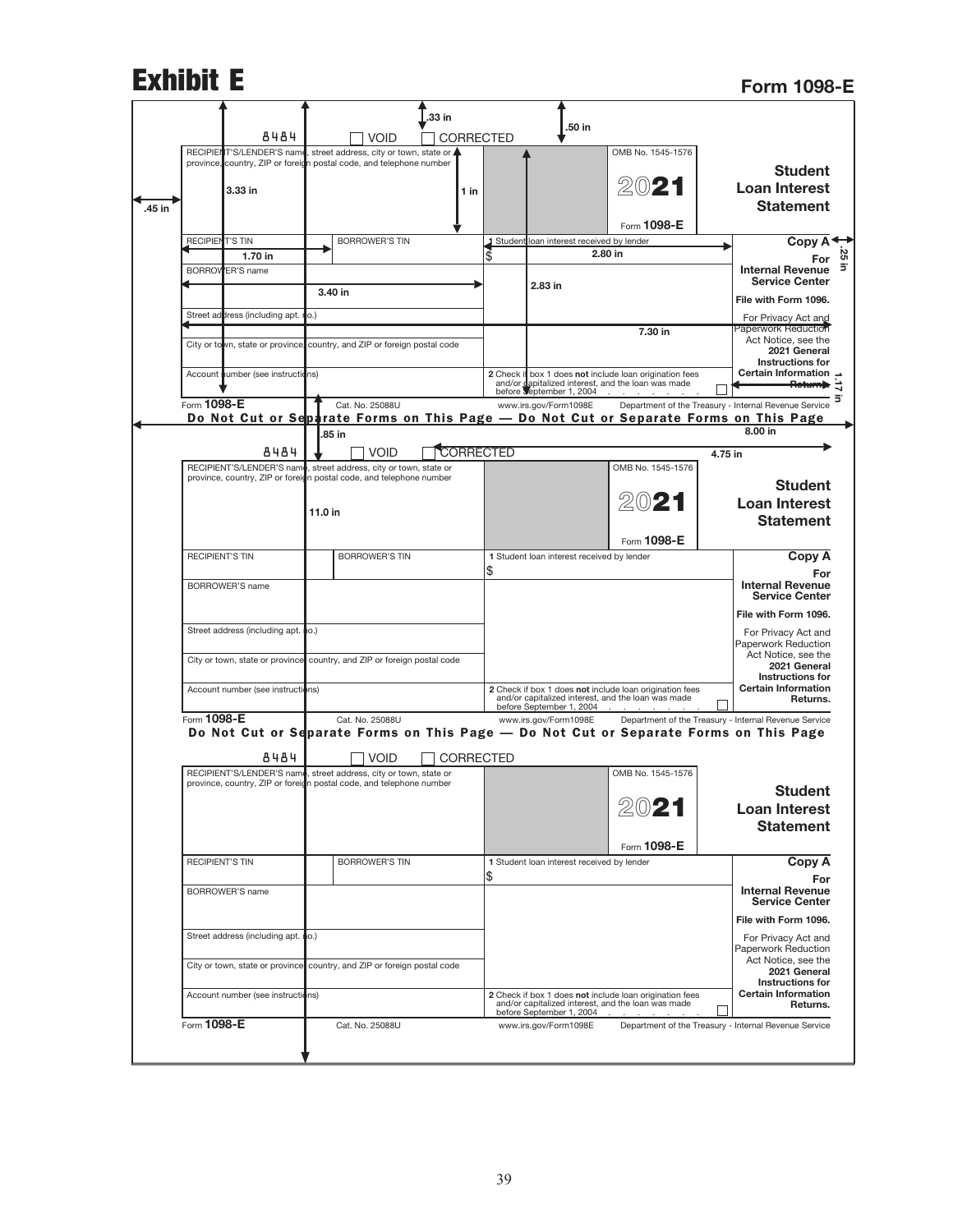|        | <b>Exhibit E</b>       |                                     |         |                                                                                                                                          |                  |                                                   |                                                                                                               |         | <b>Form 1098-E</b>                                                                    |
|--------|------------------------|-------------------------------------|---------|------------------------------------------------------------------------------------------------------------------------------------------|------------------|---------------------------------------------------|---------------------------------------------------------------------------------------------------------------|---------|---------------------------------------------------------------------------------------|
|        |                        |                                     |         |                                                                                                                                          | .33 in           |                                                   |                                                                                                               |         |                                                                                       |
|        |                        | 8484                                |         | <b>VOID</b>                                                                                                                              | <b>CORRECTED</b> | .50 in                                            |                                                                                                               |         |                                                                                       |
|        |                        |                                     |         | RECIPIENT'S/LENDER'S name, street address, city or town, state or<br>province, country, ZIP or foreign postal code, and telephone number |                  |                                                   | OMB No. 1545-1576                                                                                             |         |                                                                                       |
| .45 in |                        | 3.33 in                             |         |                                                                                                                                          | 1 in             |                                                   | 2021                                                                                                          |         | <b>Student</b><br><b>Loan Interest</b><br><b>Statement</b>                            |
|        |                        |                                     |         |                                                                                                                                          |                  |                                                   | Form 1098-E                                                                                                   |         |                                                                                       |
|        | <b>RECIPIENT'S TIN</b> | 1.70 in                             |         | <b>BORROWER'S TIN</b>                                                                                                                    |                  | 1 Student loan interest received by lender        | 2.80 in                                                                                                       |         | Copy A                                                                                |
|        |                        | <b>BORROWER'S name</b>              |         |                                                                                                                                          |                  | 2.83 in                                           |                                                                                                               |         | <b>Internal Revenue</b><br><b>Service Center</b>                                      |
|        |                        |                                     |         | 3.40 in                                                                                                                                  |                  |                                                   |                                                                                                               |         | File with Form 1096.                                                                  |
|        |                        | Street address (including apt. ro.) |         |                                                                                                                                          |                  |                                                   |                                                                                                               |         | For Privacy Act and                                                                   |
|        |                        |                                     |         | City or town, state or province, country, and ZIP or foreign postal code                                                                 |                  |                                                   | 7.30 in                                                                                                       |         | <b>Paperwork Reduction</b><br>Act Notice, see the<br>2021 General                     |
|        |                        | Account number (see instructions)   |         |                                                                                                                                          |                  |                                                   | 2 Check if box 1 does not include loan origination fees                                                       |         | Instructions for<br>Certain Information →<br><del>Return</del>                        |
|        | Form 1098-E            |                                     |         | Cat. No. 25088U                                                                                                                          |                  | www.irs.gov/Form1098E                             | and/or dapitalized interest, and the loan was made<br>before september 1, 2004                                |         | Department of the Treasury - Internal Revenue Service                                 |
|        |                        |                                     |         |                                                                                                                                          |                  |                                                   |                                                                                                               |         | Do Not Cut or Separate Forms on This Page — Do Not Cut or Separate Forms on This Page |
|        |                        |                                     |         | .85 in                                                                                                                                   |                  |                                                   |                                                                                                               |         | 8.00 in                                                                               |
|        |                        | 8484                                |         | <b>VOID</b>                                                                                                                              | <b>CORRECTED</b> |                                                   |                                                                                                               | 4.75 in |                                                                                       |
|        |                        |                                     |         | RECIPIENT'S/LENDER'S name, street address, city or town, state or<br>province, country, ZIP or foreign postal code, and telephone number |                  |                                                   | OMB No. 1545-1576                                                                                             |         |                                                                                       |
|        |                        |                                     |         |                                                                                                                                          |                  |                                                   | 2021                                                                                                          |         | <b>Student</b>                                                                        |
|        |                        |                                     | 11.0 in |                                                                                                                                          |                  |                                                   |                                                                                                               |         | <b>Loan Interest</b>                                                                  |
|        |                        |                                     |         |                                                                                                                                          |                  |                                                   |                                                                                                               |         | <b>Statement</b>                                                                      |
|        | <b>RECIPIENT'S TIN</b> |                                     |         | <b>BORROWER'S TIN</b>                                                                                                                    |                  | 1 Student loan interest received by lender        | Form 1098-E                                                                                                   |         | Copy A                                                                                |
|        |                        |                                     |         |                                                                                                                                          |                  | \$                                                |                                                                                                               |         | For                                                                                   |
|        |                        | <b>BORROWER'S name</b>              |         |                                                                                                                                          |                  |                                                   |                                                                                                               |         | <b>Internal Revenue</b><br><b>Service Center</b>                                      |
|        |                        |                                     |         |                                                                                                                                          |                  |                                                   |                                                                                                               |         | File with Form 1096.                                                                  |
|        |                        | Street address (including apt. no.) |         |                                                                                                                                          |                  |                                                   |                                                                                                               |         | For Privacy Act and<br>Paperwork Reduction                                            |
|        |                        |                                     |         | City or town, state or province country, and ZIP or foreign postal code                                                                  |                  |                                                   |                                                                                                               |         | Act Notice, see the<br>2021 General                                                   |
|        |                        | Account number (see instructions)   |         |                                                                                                                                          |                  |                                                   | 2 Check if box 1 does not include loan origination fees<br>and/or capitalized interest, and the loan was made |         | <b>Instructions for</b><br><b>Certain Information</b><br>Returns.                     |
|        | Form 1098-E            |                                     |         | Cat. No. 25088U                                                                                                                          |                  | before September 1, 2004<br>www.irs.gov/Form1098E |                                                                                                               |         | Department of the Treasury - Internal Revenue Service                                 |
|        |                        |                                     |         |                                                                                                                                          |                  |                                                   |                                                                                                               |         | Do Not Cut or Separate Forms on This Page - Do Not Cut or Separate Forms on This Page |
|        |                        | 8484                                |         | <b>VOID</b>                                                                                                                              | <b>CORRECTED</b> |                                                   |                                                                                                               |         |                                                                                       |
|        |                        |                                     |         | RECIPIENT'S/LENDER'S name, street address, city or town, state or                                                                        |                  |                                                   | OMB No. 1545-1576                                                                                             |         |                                                                                       |
|        |                        |                                     |         | province, country, ZIP or foreign postal code, and telephone number                                                                      |                  |                                                   |                                                                                                               |         | <b>Student</b>                                                                        |
|        |                        |                                     |         |                                                                                                                                          |                  |                                                   | 2021                                                                                                          |         | <b>Loan Interest</b>                                                                  |
|        |                        |                                     |         |                                                                                                                                          |                  |                                                   |                                                                                                               |         | <b>Statement</b>                                                                      |
|        |                        |                                     |         |                                                                                                                                          |                  |                                                   | Form 1098-E                                                                                                   |         |                                                                                       |
|        |                        |                                     |         |                                                                                                                                          |                  |                                                   |                                                                                                               |         |                                                                                       |
|        | <b>RECIPIENT'S TIN</b> |                                     |         | <b>BORROWER'S TIN</b>                                                                                                                    |                  | 1 Student loan interest received by lender        |                                                                                                               |         | Copy A                                                                                |
|        |                        | <b>BORROWER'S name</b>              |         |                                                                                                                                          |                  | \$                                                |                                                                                                               |         | For<br><b>Internal Revenue</b>                                                        |
|        |                        |                                     |         |                                                                                                                                          |                  |                                                   |                                                                                                               |         | <b>Service Center</b><br>File with Form 1096.                                         |
|        |                        | Street address (including apt. no.) |         |                                                                                                                                          |                  |                                                   |                                                                                                               |         | For Privacy Act and                                                                   |
|        |                        |                                     |         |                                                                                                                                          |                  |                                                   |                                                                                                               |         | Paperwork Reduction<br>Act Notice, see the                                            |
|        |                        | City or town, state or province     |         | country, and ZIP or foreign postal code                                                                                                  |                  |                                                   |                                                                                                               |         | 2021 General                                                                          |
|        |                        | Account number (see instructions)   |         |                                                                                                                                          |                  | before September 1, 2004                          | 2 Check if box 1 does not include loan origination fees<br>and/or capitalized interest, and the loan was made |         | Instructions for<br><b>Certain Information</b><br>Returns.                            |

J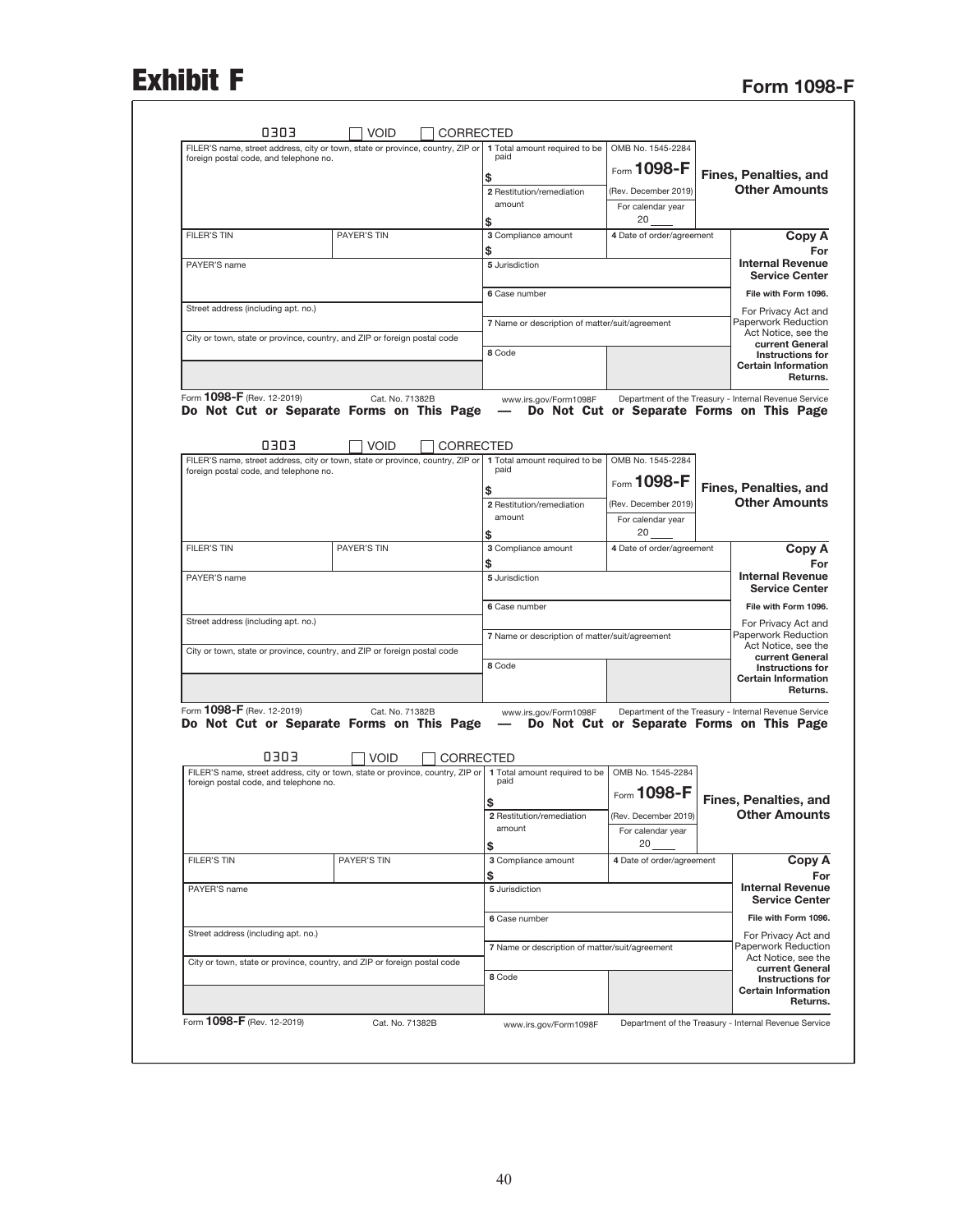## **Exhibit F** Form 1098-F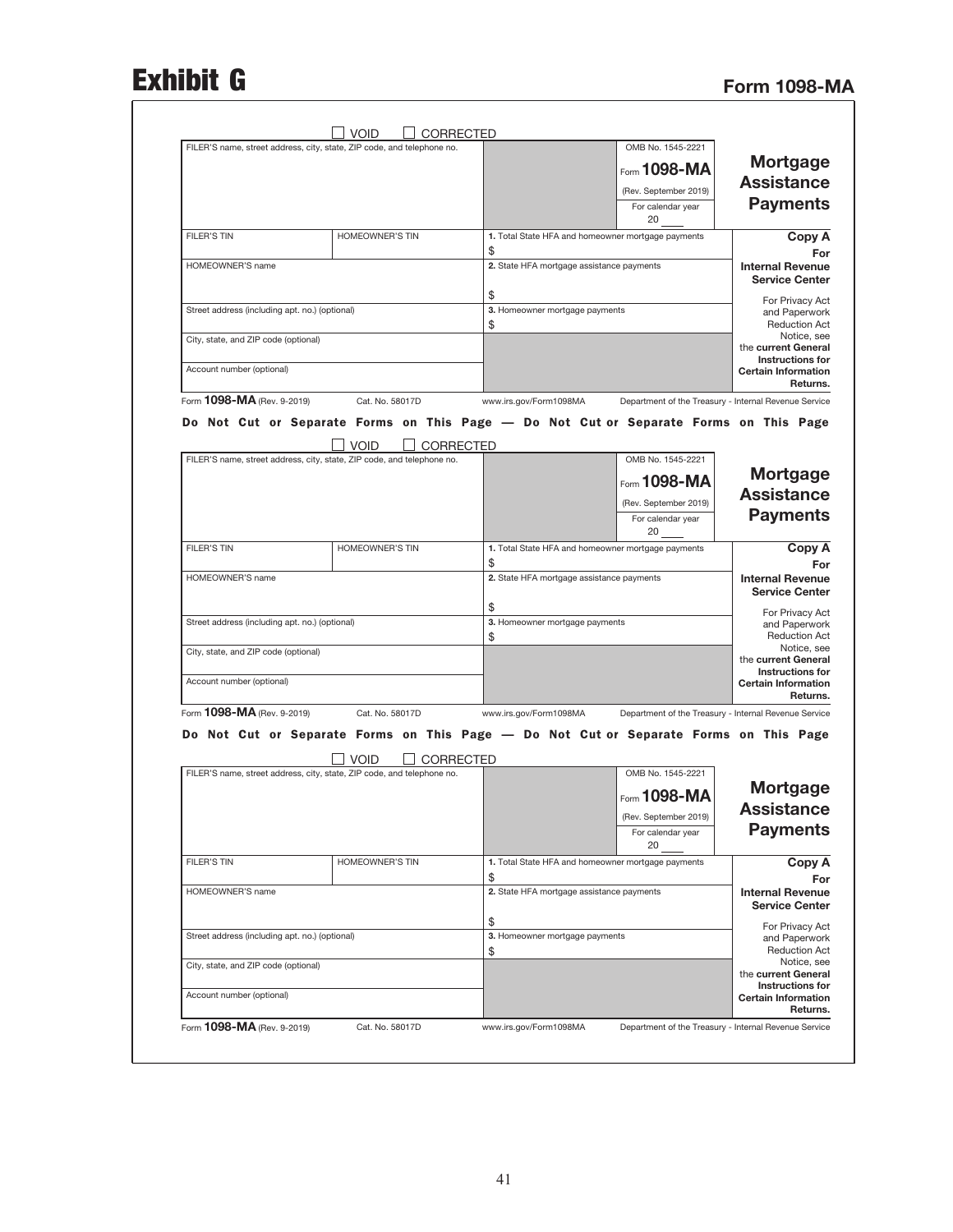## Exhibit G<br>Form 1098-MA

|                                                                                                                           | OMB No. 1545-2221                                     |                                                          | FILER'S name, street address, city, state, ZIP code, and telephone no.                                                                                                                      |                                                |
|---------------------------------------------------------------------------------------------------------------------------|-------------------------------------------------------|----------------------------------------------------------|---------------------------------------------------------------------------------------------------------------------------------------------------------------------------------------------|------------------------------------------------|
| <b>Mortgage</b>                                                                                                           | Form 1098-MA                                          |                                                          |                                                                                                                                                                                             |                                                |
| <b>Assistance</b>                                                                                                         | (Rev. September 2019)                                 |                                                          |                                                                                                                                                                                             |                                                |
| <b>Payments</b>                                                                                                           | For calendar year<br>20                               |                                                          |                                                                                                                                                                                             |                                                |
| Copy A<br>For                                                                                                             |                                                       | 1. Total State HFA and homeowner mortgage payments<br>\$ | <b>HOMEOWNER'S TIN</b>                                                                                                                                                                      | <b>FILER'S TIN</b>                             |
| <b>Internal Revenue</b><br><b>Service Center</b>                                                                          |                                                       | 2. State HFA mortgage assistance payments                |                                                                                                                                                                                             | <b>HOMEOWNER'S name</b>                        |
| For Privacy Act<br>and Paperwork<br><b>Reduction Act</b>                                                                  |                                                       | \$<br>3. Homeowner mortgage payments<br>\$               |                                                                                                                                                                                             | Street address (including apt. no.) (optional) |
| Notice, see<br>the current General                                                                                        |                                                       |                                                          |                                                                                                                                                                                             | City, state, and ZIP code (optional)           |
| <b>Instructions for</b><br><b>Certain Information</b><br>Returns.                                                         |                                                       |                                                          |                                                                                                                                                                                             | Account number (optional)                      |
|                                                                                                                           | Department of the Treasury - Internal Revenue Service | www.irs.gov/Form1098MA                                   | Cat. No. 58017D                                                                                                                                                                             | Form 1098-MA (Rev. 9-2019)                     |
|                                                                                                                           |                                                       |                                                          | Do Not Cut or Separate Forms on This Page - Do Not Cut or Separate Forms on This Page                                                                                                       |                                                |
|                                                                                                                           | OMB No. 1545-2221                                     |                                                          | <b>CORRECTED</b><br><b>VOID</b><br>FILER'S name, street address, city, state, ZIP code, and telephone no.                                                                                   |                                                |
| <b>Mortgage</b><br><b>Assistance</b>                                                                                      | Form 1098-MA                                          |                                                          |                                                                                                                                                                                             |                                                |
|                                                                                                                           | (Rev. September 2019)                                 |                                                          |                                                                                                                                                                                             |                                                |
| <b>Payments</b>                                                                                                           | For calendar year<br>20                               |                                                          |                                                                                                                                                                                             |                                                |
| Copy A<br>For                                                                                                             |                                                       | 1. Total State HFA and homeowner mortgage payments<br>\$ | <b>HOMEOWNER'S TIN</b>                                                                                                                                                                      | <b>FILER'S TIN</b>                             |
| <b>Internal Revenue</b><br><b>Service Center</b>                                                                          |                                                       | 2. State HFA mortgage assistance payments                |                                                                                                                                                                                             | HOMEOWNER'S name                               |
| For Privacy Act<br>and Paperwork                                                                                          |                                                       | \$<br>3. Homeowner mortgage payments                     |                                                                                                                                                                                             | Street address (including apt. no.) (optional) |
| <b>Reduction Act</b><br>Notice, see                                                                                       |                                                       | \$                                                       |                                                                                                                                                                                             | City, state, and ZIP code (optional)           |
| the current General<br><b>Instructions for</b><br><b>Certain Information</b>                                              |                                                       |                                                          |                                                                                                                                                                                             | Account number (optional)                      |
| Returns.                                                                                                                  | Department of the Treasury - Internal Revenue Service | www.irs.gov/Form1098MA                                   | Cat. No. 58017D                                                                                                                                                                             | Form 1098-MA (Rev. 9-2019)                     |
|                                                                                                                           |                                                       |                                                          | Do Not Cut or Separate Forms on This Page - Do Not Cut or Separate Forms on This Page<br><b>VOID</b><br>CORRECTED<br>FILER'S name, street address, city, state, ZIP code, and telephone no. |                                                |
|                                                                                                                           |                                                       |                                                          |                                                                                                                                                                                             |                                                |
| Mortgage                                                                                                                  | OMB No. 1545-2221                                     |                                                          |                                                                                                                                                                                             |                                                |
| <b>Assistance</b>                                                                                                         | Form 1098-MA                                          |                                                          |                                                                                                                                                                                             |                                                |
| <b>Payments</b>                                                                                                           | (Rev. September 2019)<br>For calendar year<br>20      |                                                          |                                                                                                                                                                                             |                                                |
| Copy A                                                                                                                    |                                                       | 1. Total State HFA and homeowner mortgage payments       | <b>HOMEOWNER'S TIN</b>                                                                                                                                                                      | <b>FILER'S TIN</b>                             |
| For<br><b>Internal Revenue</b><br><b>Service Center</b>                                                                   |                                                       | \$<br>2. State HFA mortgage assistance payments          |                                                                                                                                                                                             | HOMEOWNER'S name                               |
|                                                                                                                           |                                                       | \$<br>3. Homeowner mortgage payments<br>\$               |                                                                                                                                                                                             | Street address (including apt. no.) (optional) |
| For Privacy Act<br>and Paperwork<br><b>Reduction Act</b><br>Notice, see<br>the current General<br><b>Instructions for</b> |                                                       |                                                          |                                                                                                                                                                                             | City, state, and ZIP code (optional)           |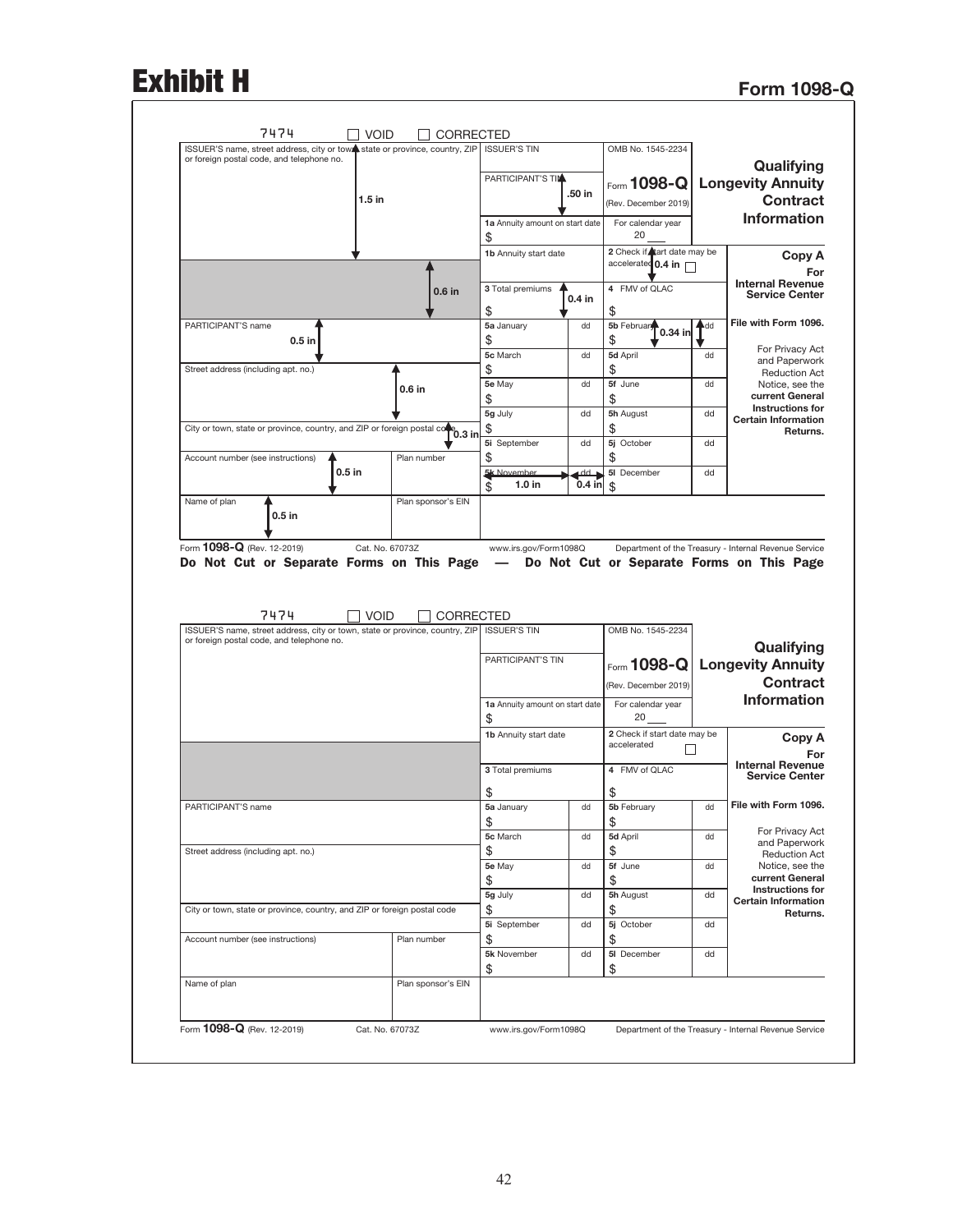## **Exhibit H**

|  | <b>Form 1098-Q</b> |
|--|--------------------|
|--|--------------------|

| Qualifying<br><b>Longevity Annuity</b><br><b>Contract</b><br><b>Information</b> | OMB No. 1545-2234<br>Form 1098-Q<br>(Rev. December 2019)<br>For calendar year<br>20                |          | <b>ISSUER'S TIN</b><br>PARTICIPANT'S TIM<br>.50 in<br>1a Annuity amount on start date<br>\$ |                    | ISSUER'S name, street address, city or town state or province, country, ZIP<br>or foreign postal code, and telephone no.<br>$1.5$ in |
|---------------------------------------------------------------------------------|----------------------------------------------------------------------------------------------------|----------|---------------------------------------------------------------------------------------------|--------------------|--------------------------------------------------------------------------------------------------------------------------------------|
| Copy A<br>For<br><b>Internal Revenue</b>                                        | 2 Check if tart date may be<br>accelerated 0.4 in                                                  |          | 1b Annuity start date                                                                       |                    |                                                                                                                                      |
| <b>Service Center</b>                                                           | 4 FMV of QLAC<br>\$                                                                                |          | 3 Total premiums<br>0.4 in<br>\$                                                            | $0.6$ in           |                                                                                                                                      |
| File with Form 1096.                                                            | 5b February<br>Ad<br>$0.34$ in<br>\$                                                               |          | 5a January<br>dd<br>\$                                                                      |                    | PARTICIPANT'S name<br>$0.5$ in                                                                                                       |
| For Privacy Act<br>and Paperwork                                                | 5d April<br>dd                                                                                     |          | 5c March<br>dd                                                                              |                    |                                                                                                                                      |
| <b>Reduction Act</b>                                                            | \$                                                                                                 |          | \$                                                                                          |                    | Street address (including apt. no.)                                                                                                  |
| Notice, see the<br>current General                                              | 5f June<br>dd                                                                                      |          | 5e May<br>dd                                                                                | $0.6$ in           |                                                                                                                                      |
| <b>Instructions for</b>                                                         | \$<br>5h August<br>dd                                                                              |          | \$<br>5g July<br>dd                                                                         |                    |                                                                                                                                      |
| <b>Certain Information</b>                                                      | \$                                                                                                 |          | \$                                                                                          |                    | City or town, state or province, country, and ZIP or foreign postal co                                                               |
| Returns.                                                                        | 5j October<br>dd                                                                                   |          | 5i September<br>dd                                                                          | $^{\circ}$ 0.3 in  |                                                                                                                                      |
|                                                                                 | \$                                                                                                 |          | \$                                                                                          | Plan number        | Account number (see instructions)                                                                                                    |
|                                                                                 | 5I December<br>dd                                                                                  |          | 5k November<br>dd                                                                           |                    | $0.5$ in                                                                                                                             |
|                                                                                 | \$                                                                                                 | $0.4$ in | 1.0 in<br>\$                                                                                |                    |                                                                                                                                      |
|                                                                                 | Department of the Treasury - Internal Revenue Service<br>Do Not Cut or Separate Forms on This Page |          | www.irs.gov/Form1098Q                                                                       | Cat. No. 67073Z    | Form 1098-Q (Rev. 12-2019)<br>Do Not Cut or Separate Forms on This Page -                                                            |
|                                                                                 |                                                                                                    |          |                                                                                             |                    | 7474<br><b>VOID</b>                                                                                                                  |
|                                                                                 | OMB No. 1545-2234                                                                                  |          | <b>ISSUER'S TIN</b>                                                                         | CORRECTED          | ISSUER'S name, street address, city or town, state or province, country, ZIP<br>or foreign postal code, and telephone no.            |
| Qualifying                                                                      |                                                                                                    |          | PARTICIPANT'S TIN                                                                           |                    |                                                                                                                                      |
|                                                                                 | Form 1098-Q Longevity Annuity                                                                      |          |                                                                                             |                    |                                                                                                                                      |
| <b>Contract</b>                                                                 | (Rev. December 2019)                                                                               |          |                                                                                             |                    |                                                                                                                                      |
| <b>Information</b>                                                              | For calendar year<br>20                                                                            |          | 1a Annuity amount on start date<br>\$                                                       |                    |                                                                                                                                      |
| Copy A                                                                          | 2 Check if start date may be<br>accelerated                                                        |          | 1b Annuity start date                                                                       |                    |                                                                                                                                      |
| For<br><b>Internal Revenue</b>                                                  | 4 FMV of QLAC                                                                                      |          | 3 Total premiums                                                                            |                    |                                                                                                                                      |
| <b>Service Center</b>                                                           | \$                                                                                                 |          | \$                                                                                          |                    |                                                                                                                                      |
| File with Form 1096.                                                            | 5b February<br>dd                                                                                  |          | 5a January<br>dd                                                                            |                    | PARTICIPANT'S name                                                                                                                   |
|                                                                                 | \$                                                                                                 |          | \$                                                                                          |                    |                                                                                                                                      |
| For Privacy Act<br>and Paperwork                                                | 5d April<br>dd                                                                                     | dd       | 5c March                                                                                    |                    |                                                                                                                                      |
| <b>Reduction Act</b>                                                            | \$                                                                                                 |          | \$                                                                                          |                    | Street address (including apt. no.)                                                                                                  |
| Notice, see the                                                                 | 5f June<br>dd                                                                                      | dd       | 5e May                                                                                      |                    |                                                                                                                                      |
| current General<br>Instructions for                                             | \$                                                                                                 |          | \$                                                                                          |                    |                                                                                                                                      |
| <b>Certain Information</b>                                                      | 5h August<br>dd                                                                                    |          | 5g July<br>dd                                                                               |                    |                                                                                                                                      |
| Returns.                                                                        | \$<br>5j October<br>dd                                                                             |          | \$<br>dd                                                                                    |                    | City or town, state or province, country, and ZIP or foreign postal code                                                             |
|                                                                                 |                                                                                                    |          | 5i September                                                                                | Plan number        | Account number (see instructions)                                                                                                    |
|                                                                                 | \$<br>5I December<br>dd                                                                            |          | \$<br>5k November<br>dd                                                                     |                    |                                                                                                                                      |
|                                                                                 | \$                                                                                                 |          | \$                                                                                          |                    |                                                                                                                                      |
|                                                                                 |                                                                                                    |          |                                                                                             | Plan sponsor's EIN | Name of plan                                                                                                                         |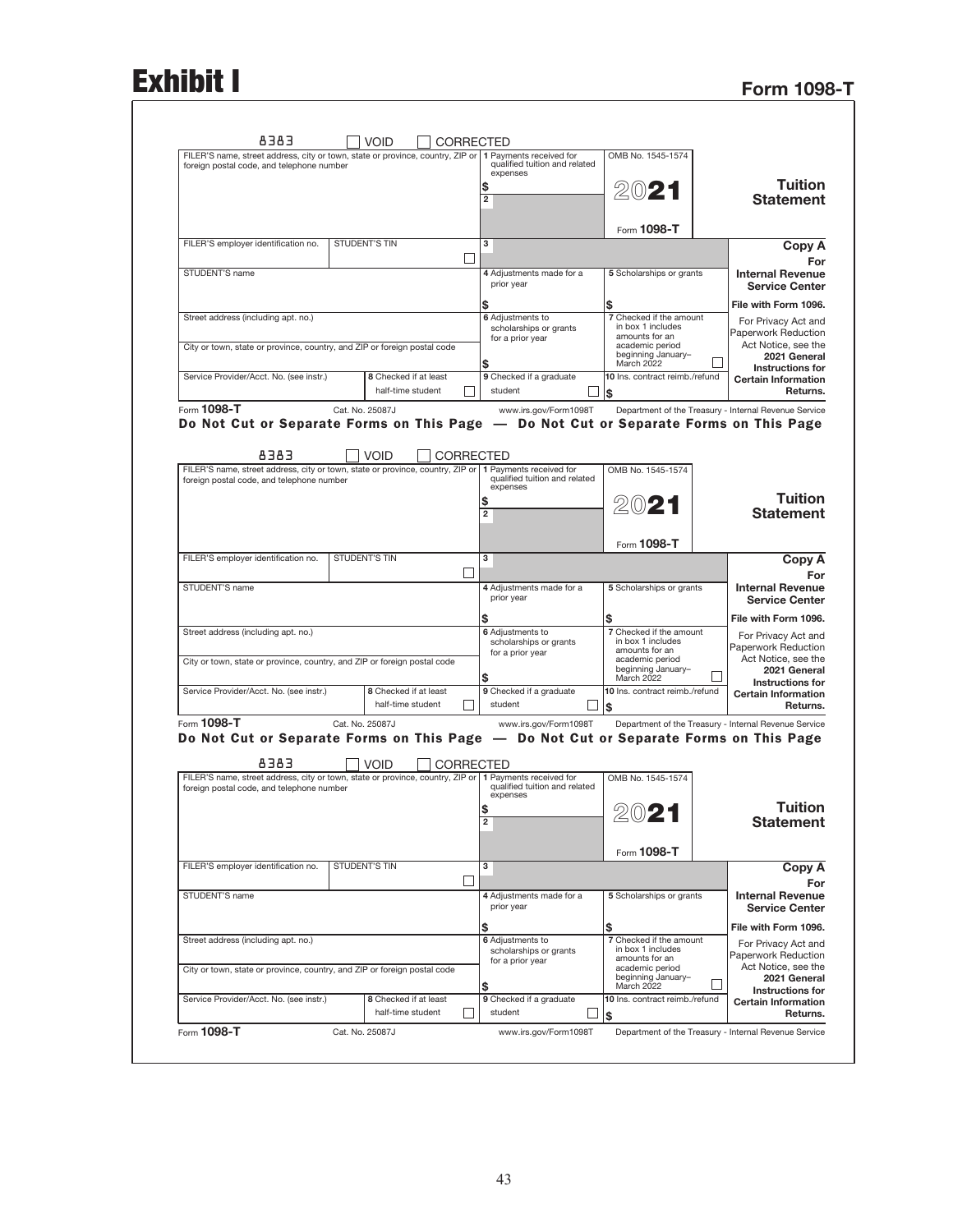## **Exhibit I**

| <b>Form 1098-T</b> |  |  |
|--------------------|--|--|
|                    |  |  |

|                                                                                                                                                                    |                                                                                       | CORRECTED                                                            |                                            |                                                                                                                             |
|--------------------------------------------------------------------------------------------------------------------------------------------------------------------|---------------------------------------------------------------------------------------|----------------------------------------------------------------------|--------------------------------------------|-----------------------------------------------------------------------------------------------------------------------------|
|                                                                                                                                                                    | OMB No. 1545-1574                                                                     | 1 Payments received for<br>qualified tuition and related<br>expenses |                                            | FILER'S name, street address, city or town, state or province, country, ZIP or<br>foreign postal code, and telephone number |
| Tuition                                                                                                                                                            |                                                                                       | \$                                                                   |                                            |                                                                                                                             |
| <b>Statement</b>                                                                                                                                                   | 2021                                                                                  | $\overline{\mathbf{2}}$                                              |                                            |                                                                                                                             |
|                                                                                                                                                                    |                                                                                       |                                                                      |                                            |                                                                                                                             |
| Copy A                                                                                                                                                             | Form 1098-T                                                                           | з                                                                    | <b>STUDENT'S TIN</b>                       | FILER'S employer identification no.                                                                                         |
| For                                                                                                                                                                |                                                                                       |                                                                      |                                            |                                                                                                                             |
| <b>Internal Revenue</b><br><b>Service Center</b>                                                                                                                   | 5 Scholarships or grants                                                              | 4 Adjustments made for a<br>prior year                               |                                            | STUDENT'S name                                                                                                              |
| File with Form 1096.                                                                                                                                               | \$                                                                                    | \$                                                                   |                                            |                                                                                                                             |
| For Privacy Act and<br>Paperwork Reduction                                                                                                                         | 7 Checked if the amount<br>in box 1 includes                                          | 6 Adjustments to<br>scholarships or grants                           |                                            | Street address (including apt. no.)                                                                                         |
| Act Notice, see the                                                                                                                                                | amounts for an<br>academic period                                                     | for a prior year                                                     |                                            | City or town, state or province, country, and ZIP or foreign postal code                                                    |
| 2021 General<br><b>Instructions for</b>                                                                                                                            | beginning January-<br>March 2022                                                      | \$                                                                   |                                            |                                                                                                                             |
| <b>Certain Information</b>                                                                                                                                         | 10 Ins. contract reimb./refund                                                        | 9 Checked if a graduate                                              | 8 Checked if at least                      | Service Provider/Acct. No. (see instr.)                                                                                     |
| Returns.                                                                                                                                                           | \$                                                                                    | student                                                              | half-time student                          |                                                                                                                             |
|                                                                                                                                                                    | Department of the Treasury - Internal Revenue Service                                 | www.irs.gov/Form1098T                                                | Cat. No. 25087J                            | Form 1098-T                                                                                                                 |
|                                                                                                                                                                    | Do Not Cut or Separate Forms on This Page - Do Not Cut or Separate Forms on This Page |                                                                      |                                            |                                                                                                                             |
|                                                                                                                                                                    |                                                                                       |                                                                      |                                            |                                                                                                                             |
|                                                                                                                                                                    | OMB No. 1545-1574                                                                     | 1 Payments received for                                              | <b>VOID</b><br>CORRECTED                   | 8383<br>FILER'S name, street address, city or town, state or province, country, ZIP or                                      |
|                                                                                                                                                                    |                                                                                       | qualified tuition and related<br>expenses                            |                                            | foreign postal code, and telephone number                                                                                   |
| <b>Tuition</b>                                                                                                                                                     | 2021                                                                                  | \$                                                                   |                                            |                                                                                                                             |
| <b>Statement</b>                                                                                                                                                   |                                                                                       | $\overline{\mathbf{2}}$                                              |                                            |                                                                                                                             |
|                                                                                                                                                                    |                                                                                       |                                                                      |                                            |                                                                                                                             |
|                                                                                                                                                                    | Form 1098-T                                                                           | з                                                                    | <b>STUDENT'S TIN</b>                       | FILER'S employer identification no.                                                                                         |
| Copy A<br>For                                                                                                                                                      |                                                                                       |                                                                      |                                            |                                                                                                                             |
| <b>Internal Revenue</b>                                                                                                                                            | 5 Scholarships or grants                                                              | 4 Adjustments made for a                                             |                                            | STUDENT'S name                                                                                                              |
| <b>Service Center</b>                                                                                                                                              |                                                                                       | prior year                                                           |                                            |                                                                                                                             |
| File with Form 1096.                                                                                                                                               | \$<br>7 Checked if the amount                                                         | \$                                                                   |                                            |                                                                                                                             |
| For Privacy Act and<br>Paperwork Reduction                                                                                                                         | in box 1 includes                                                                     | 6 Adjustments to<br>scholarships or grants                           |                                            | Street address (including apt. no.)                                                                                         |
| Act Notice, see the                                                                                                                                                | amounts for an<br>academic period                                                     | for a prior year                                                     |                                            | City or town, state or province, country, and ZIP or foreign postal code                                                    |
| 2021 General<br>Instructions for                                                                                                                                   | beginning January-<br>March 2022                                                      | \$                                                                   |                                            |                                                                                                                             |
|                                                                                                                                                                    | 10 Ins. contract reimb./refund                                                        | 9 Checked if a graduate                                              | 8 Checked if at least                      | Service Provider/Acct. No. (see instr.)                                                                                     |
|                                                                                                                                                                    | \$                                                                                    | student                                                              | half-time student                          |                                                                                                                             |
|                                                                                                                                                                    |                                                                                       |                                                                      |                                            | Form 1098-T                                                                                                                 |
|                                                                                                                                                                    | Department of the Treasury - Internal Revenue Service                                 | www.irs.gov/Form1098T                                                | Cat. No. 25087J                            |                                                                                                                             |
|                                                                                                                                                                    | Do Not Cut or Separate Forms on This Page - Do Not Cut or Separate Forms on This Page |                                                                      |                                            |                                                                                                                             |
|                                                                                                                                                                    |                                                                                       |                                                                      | <b>VOID</b>                                | 8383                                                                                                                        |
|                                                                                                                                                                    | OMB No. 1545-1574                                                                     |                                                                      | <b>CORRECTED</b>                           | FILER'S name, street address, city or town, state or province, country, ZIP or   1 Payments received for                    |
|                                                                                                                                                                    |                                                                                       | qualified tuition and related<br>expenses                            |                                            | foreign postal code, and telephone number                                                                                   |
|                                                                                                                                                                    |                                                                                       | \$                                                                   |                                            |                                                                                                                             |
|                                                                                                                                                                    | 2021                                                                                  | $\overline{\mathbf{2}}$                                              |                                            |                                                                                                                             |
| <b>Certain Information</b><br>Returns.<br><b>Tuition</b><br><b>Statement</b>                                                                                       |                                                                                       |                                                                      |                                            |                                                                                                                             |
| Copy A                                                                                                                                                             | Form 1098-T                                                                           | з                                                                    | <b>STUDENT'S TIN</b>                       | FILER'S employer identification no.                                                                                         |
|                                                                                                                                                                    |                                                                                       |                                                                      |                                            |                                                                                                                             |
|                                                                                                                                                                    | 5 Scholarships or grants                                                              | 4 Adjustments made for a                                             |                                            | STUDENT'S name                                                                                                              |
| For<br><b>Internal Revenue</b><br><b>Service Center</b>                                                                                                            |                                                                                       | prior year                                                           |                                            |                                                                                                                             |
|                                                                                                                                                                    | \$                                                                                    | \$                                                                   |                                            |                                                                                                                             |
|                                                                                                                                                                    | 7 Checked if the amount<br>in box 1 includes                                          | 6 Adjustments to<br>scholarships or grants                           |                                            | Street address (including apt. no.)                                                                                         |
|                                                                                                                                                                    | amounts for an<br>academic period                                                     | for a prior year                                                     |                                            | City or town, state or province, country, and ZIP or foreign postal code                                                    |
|                                                                                                                                                                    | beginning January-<br>March 2022                                                      | \$                                                                   |                                            |                                                                                                                             |
| File with Form 1096.<br>For Privacy Act and<br>Paperwork Reduction<br>Act Notice, see the<br>2021 General<br><b>Instructions for</b><br><b>Certain Information</b> | 10 Ins. contract reimb./refund                                                        | 9 Checked if a graduate                                              | 8 Checked if at least<br>half-time student | Service Provider/Acct. No. (see instr.)                                                                                     |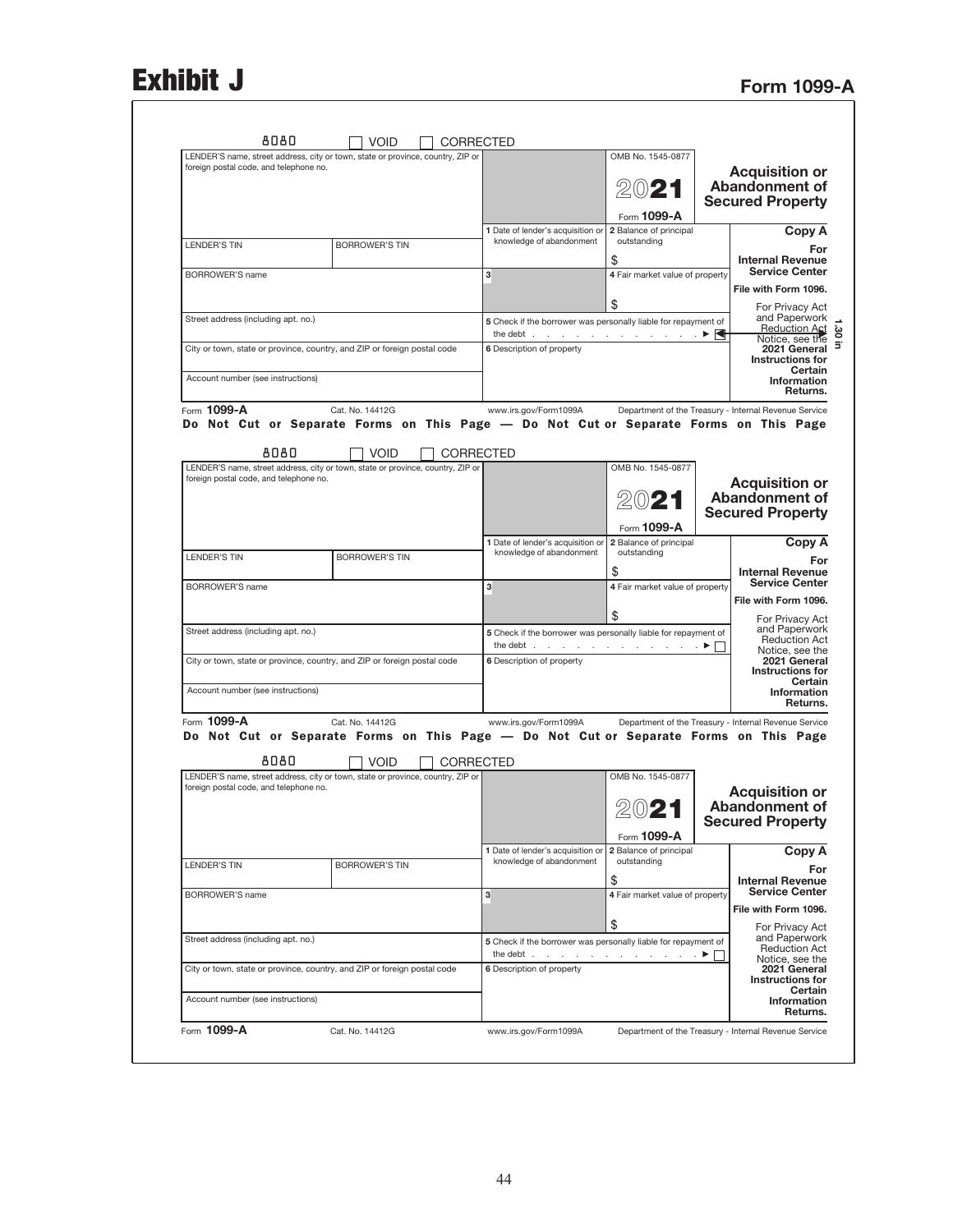## Exhibit J<br>Form 1099-A

| LENDER'S name, street address, city or town, state or province, country, ZIP or                                           |                       |             |                  |                                                                                                                                  | OMB No. 1545-0877                     |                                                                    |
|---------------------------------------------------------------------------------------------------------------------------|-----------------------|-------------|------------------|----------------------------------------------------------------------------------------------------------------------------------|---------------------------------------|--------------------------------------------------------------------|
| foreign postal code, and telephone no.                                                                                    |                       |             |                  |                                                                                                                                  | Form 1099-A                           | <b>Acquisition or</b><br>Abandonment of<br><b>Secured Property</b> |
|                                                                                                                           |                       |             |                  | 1 Date of lender's acquisition or<br>knowledge of abandonment                                                                    | 2 Balance of principal<br>outstanding | Copy A                                                             |
| <b>LENDER'S TIN</b>                                                                                                       | <b>BORROWER'S TIN</b> |             |                  |                                                                                                                                  | \$                                    | For<br><b>Internal Revenue</b>                                     |
| <b>BORROWER'S name</b>                                                                                                    |                       |             |                  | 3                                                                                                                                | 4 Fair market value of property       | <b>Service Center</b><br>File with Form 1096.                      |
|                                                                                                                           |                       |             |                  |                                                                                                                                  | \$                                    | For Privacy Act                                                    |
| Street address (including apt. no.)                                                                                       |                       |             |                  | 5 Check if the borrower was personally liable for repayment of<br>the debt $\cdots$ $\cdots$ $\cdots$ $\cdots$ $\cdots$ $\cdots$ |                                       | and Paperwork<br><b>Reduction Act</b><br>Notice, see the           |
| City or town, state or province, country, and ZIP or foreign postal code                                                  |                       |             |                  | 6 Description of property                                                                                                        |                                       | 2021 General<br><b>Instructions for</b><br>Certain                 |
| Account number (see instructions)                                                                                         |                       |             |                  |                                                                                                                                  |                                       | Information<br>Returns.                                            |
| Form 1099-A                                                                                                               | Cat. No. 14412G       |             |                  | www.irs.gov/Form1099A                                                                                                            |                                       | Department of the Treasury - Internal Revenue Service              |
| Do Not Cut or Separate Forms on This Page — Do Not Cut or Separate Forms on This Page                                     |                       |             |                  |                                                                                                                                  |                                       |                                                                    |
| 8080                                                                                                                      |                       | <b>VOID</b> | <b>CORRECTED</b> |                                                                                                                                  | OMB No. 1545-0877                     |                                                                    |
| LENDER'S name, street address, city or town, state or province, country, ZIP or<br>foreign postal code, and telephone no. |                       |             |                  |                                                                                                                                  |                                       | <b>Acquisition or</b>                                              |
|                                                                                                                           |                       |             |                  |                                                                                                                                  | 2021                                  | <b>Abandonment of</b><br><b>Secured Property</b>                   |
|                                                                                                                           |                       |             |                  | 1 Date of lender's acquisition or                                                                                                | Form 1099-A<br>2 Balance of principal | Copy A                                                             |
| <b>LENDER'S TIN</b>                                                                                                       | <b>BORROWER'S TIN</b> |             |                  | knowledge of abandonment                                                                                                         | outstanding<br>\$                     | For<br><b>Internal Revenue</b>                                     |
| <b>BORROWER'S name</b>                                                                                                    |                       |             |                  | 3                                                                                                                                | 4 Fair market value of property       | <b>Service Center</b>                                              |
|                                                                                                                           |                       |             |                  |                                                                                                                                  | \$                                    | File with Form 1096.<br>For Privacy Act                            |
| Street address (including apt. no.)                                                                                       |                       |             |                  | 5 Check if the borrower was personally liable for repayment of<br>the debt $\ldots$ $\ldots$ $\ldots$ $\ldots$ $\ldots$ $\ldots$ |                                       | and Paperwork<br><b>Reduction Act</b>                              |
| City or town, state or province, country, and ZIP or foreign postal code                                                  |                       |             |                  | 6 Description of property                                                                                                        |                                       | Notice, see the<br>2021 General<br><b>Instructions for</b>         |
| Account number (see instructions)                                                                                         |                       |             |                  |                                                                                                                                  |                                       | Certain<br>Information<br>Returns.                                 |
| Form 1099-A                                                                                                               | Cat. No. 14412G       |             |                  | www.irs.gov/Form1099A                                                                                                            |                                       | Department of the Treasury - Internal Revenue Service              |
| Do Not Cut or Separate Forms on This Page - Do Not Cut or Separate Forms on This Page                                     |                       |             |                  |                                                                                                                                  |                                       |                                                                    |
| 8080<br>LENDER'S name, street address, city or town, state or province, country, ZIP or                                   |                       | <b>VOID</b> | CORRECTED        |                                                                                                                                  | OMB No. 1545-0877                     |                                                                    |
| foreign postal code, and telephone no.                                                                                    |                       |             |                  |                                                                                                                                  |                                       | <b>Acquisition or</b>                                              |
|                                                                                                                           |                       |             |                  |                                                                                                                                  | 2021                                  | Abandonment of<br><b>Secured Property</b>                          |
|                                                                                                                           |                       |             |                  | 1 Date of lender's acquisition or                                                                                                | Form 1099-A<br>2 Balance of principal | Copy A                                                             |
| LENDER'S TIN                                                                                                              | <b>BORROWER'S TIN</b> |             |                  | knowledge of abandonment                                                                                                         | outstanding                           | For                                                                |
| <b>BORROWER'S name</b>                                                                                                    |                       |             |                  | 3                                                                                                                                | \$<br>4 Fair market value of property | <b>Internal Revenue</b><br><b>Service Center</b>                   |
|                                                                                                                           |                       |             |                  |                                                                                                                                  | \$                                    | File with Form 1096.                                               |
|                                                                                                                           |                       |             |                  | 5 Check if the borrower was personally liable for repayment of<br>the debt $\ldots$ $\ldots$ $\ldots$ $\ldots$ $\ldots$ $\ldots$ |                                       | For Privacy Act<br>and Paperwork<br><b>Reduction Act</b>           |
| Street address (including apt. no.)                                                                                       |                       |             |                  | 6 Description of property                                                                                                        |                                       | Notice, see the<br>2021 General                                    |
| City or town, state or province, country, and ZIP or foreign postal code                                                  |                       |             |                  |                                                                                                                                  |                                       | <b>Instructions for</b><br>Certain                                 |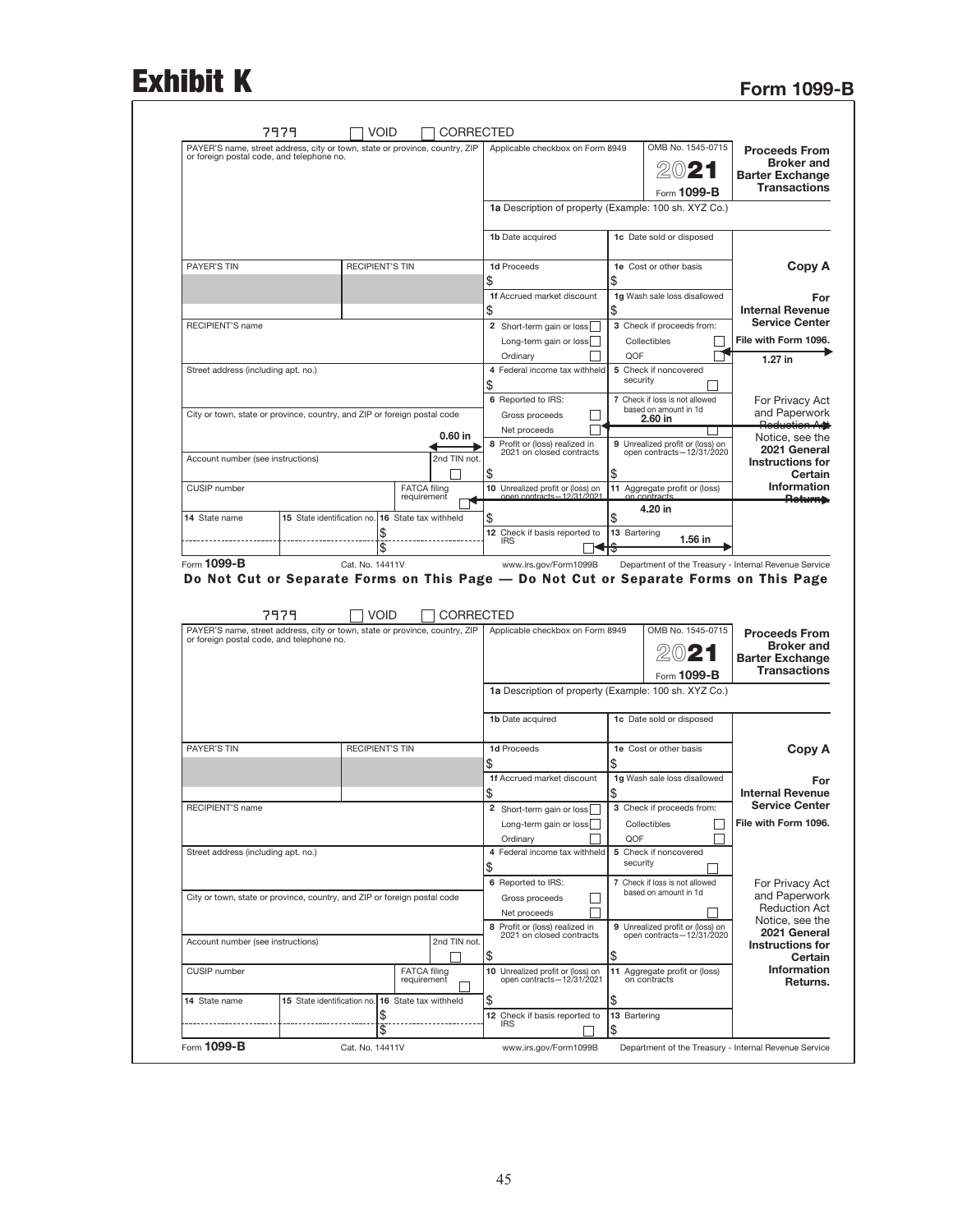# Exhibit K Form 1099-B

|                                                                     | OMB No. 1545-0715                                                                     | CORRECTED<br>Applicable checkbox on Form 8949                  |                                                          | 7979<br>PAYER'S name, street address, city or town, state or province, country, ZIP                                                                                                         |
|---------------------------------------------------------------------|---------------------------------------------------------------------------------------|----------------------------------------------------------------|----------------------------------------------------------|---------------------------------------------------------------------------------------------------------------------------------------------------------------------------------------------|
| <b>Proceeds From</b><br><b>Broker and</b><br><b>Barter Exchange</b> | $20$ 21                                                                               |                                                                |                                                          | or foreign postal code, and telephone no.                                                                                                                                                   |
| <b>Transactions</b>                                                 | Form 1099-B                                                                           |                                                                |                                                          |                                                                                                                                                                                             |
|                                                                     |                                                                                       | 1a Description of property (Example: 100 sh. XYZ Co.)          |                                                          |                                                                                                                                                                                             |
|                                                                     | 1c Date sold or disposed                                                              | 1b Date acquired                                               |                                                          |                                                                                                                                                                                             |
| Copy A                                                              | 1e Cost or other basis                                                                | 1d Proceeds                                                    | <b>RECIPIENT'S TIN</b>                                   | <b>PAYER'S TIN</b>                                                                                                                                                                          |
|                                                                     |                                                                                       | \$<br>\$<br>1f Accrued market discount                         |                                                          |                                                                                                                                                                                             |
| For<br><b>Internal Revenue</b>                                      | 1g Wash sale loss disallowed                                                          | \$<br>\$                                                       |                                                          |                                                                                                                                                                                             |
| <b>Service Center</b>                                               | 3 Check if proceeds from:                                                             | 2 Short-term gain or loss                                      |                                                          | RECIPIENT'S name                                                                                                                                                                            |
| File with Form 1096.                                                | Collectibles                                                                          | Long-term gain or loss                                         |                                                          |                                                                                                                                                                                             |
| $1.27$ in                                                           | QOF<br>5 Check if noncovered                                                          | Ordinary<br>4 Federal income tax withheld                      |                                                          | Street address (including apt. no.)                                                                                                                                                         |
|                                                                     | security                                                                              | \$                                                             |                                                          |                                                                                                                                                                                             |
| For Privacy Act                                                     | 7 Check if loss is not allowed                                                        | 6 Reported to IRS:                                             |                                                          |                                                                                                                                                                                             |
| and Paperwork<br>Reduction Ad                                       | based on amount in 1d<br>2.60 in                                                      | Gross proceeds                                                 |                                                          | City or town, state or province, country, and ZIP or foreign postal code                                                                                                                    |
| Notice, see the                                                     | 9 Unrealized profit or (loss) on                                                      | Net proceeds<br>8 Profit or (loss) realized in                 | 0.60 in                                                  |                                                                                                                                                                                             |
| 2021 General<br><b>Instructions for</b>                             | open contracts-12/31/2020                                                             | 2021 on closed contracts                                       | 2nd TIN not.                                             | Account number (see instructions)                                                                                                                                                           |
| Certain                                                             |                                                                                       | \$<br>\$                                                       |                                                          |                                                                                                                                                                                             |
| <b>Information</b><br><del>Return).</del>                           | 11 Aggregate profit or (loss)<br>on contracts                                         | 10 Unrealized profit or (loss) on<br>onen contracts.           | <b>FATCA filing</b><br>requirement                       | CUSIP number                                                                                                                                                                                |
|                                                                     | 4.20 in                                                                               | \$<br>\$                                                       | 15 State identification no. 16 State tax withheld        | 14 State name                                                                                                                                                                               |
|                                                                     | 13 Bartering                                                                          | 12 Check if basis reported to                                  |                                                          |                                                                                                                                                                                             |
|                                                                     |                                                                                       |                                                                |                                                          |                                                                                                                                                                                             |
|                                                                     | 1.56 in<br>Department of the Treasury - Internal Revenue Service<br>OMB No. 1545-0715 | www.irs.gov/Form1099B<br>Applicable checkbox on Form 8949      | \$<br>Cat. No. 14411V<br><b>VOID</b><br><b>CORRECTED</b> | Form 1099-B<br>Do Not Cut or Separate Forms on This Page - Do Not Cut or Separate Forms on This Page<br>7979<br>PAYER'S name, street address, city or town, state or province, country, ZIP |
| <b>Proceeds From</b><br><b>Broker and</b><br><b>Barter Exchange</b> | 2021                                                                                  |                                                                |                                                          | or foreign postal code, and telephone no.                                                                                                                                                   |
| <b>Transactions</b>                                                 | Form 1099-B                                                                           |                                                                |                                                          |                                                                                                                                                                                             |
|                                                                     |                                                                                       | 1a Description of property (Example: 100 sh. XYZ Co.)          |                                                          |                                                                                                                                                                                             |
|                                                                     | 1c Date sold or disposed                                                              | 1b Date acquired                                               |                                                          |                                                                                                                                                                                             |
| Copy A                                                              | 1e Cost or other basis                                                                | 1d Proceeds                                                    | <b>RECIPIENT'S TIN</b>                                   | <b>PAYER'S TIN</b>                                                                                                                                                                          |
|                                                                     |                                                                                       | \$<br>\$                                                       |                                                          |                                                                                                                                                                                             |
| For                                                                 | 1g Wash sale loss disallowed                                                          | 1f Accrued market discount                                     |                                                          |                                                                                                                                                                                             |
| <b>Internal Revenue</b>                                             |                                                                                       | \$<br>\$                                                       |                                                          |                                                                                                                                                                                             |
| <b>Service Center</b><br>File with Form 1096.                       | 3 Check if proceeds from:                                                             | 2 Short-term gain or loss                                      |                                                          | RECIPIENT'S name                                                                                                                                                                            |
|                                                                     | Collectibles<br>QOF                                                                   | Long-term gain or loss<br>Ordinary                             |                                                          |                                                                                                                                                                                             |
|                                                                     | 5 Check if noncovered                                                                 | 4 Federal income tax withheld                                  |                                                          | Street address (including apt. no.)                                                                                                                                                         |
|                                                                     | security                                                                              | \$                                                             |                                                          |                                                                                                                                                                                             |
| For Privacy Act                                                     | 7 Check if loss is not allowed<br>based on amount in 1d                               | 6 Reported to IRS:                                             |                                                          |                                                                                                                                                                                             |
| and Paperwork<br><b>Reduction Act</b>                               |                                                                                       | Gross proceeds<br>Net proceeds                                 |                                                          | City or town, state or province, country, and ZIP or foreign postal code                                                                                                                    |
| Notice, see the                                                     | 9 Unrealized profit or (loss) on                                                      | 8 Profit or (loss) realized in                                 |                                                          |                                                                                                                                                                                             |
| 2021 General<br>Instructions for                                    | open contracts-12/31/2020                                                             | 2021 on closed contracts                                       | 2nd TIN not.                                             | Account number (see instructions)                                                                                                                                                           |
| Certain                                                             |                                                                                       | \$<br>\$                                                       |                                                          |                                                                                                                                                                                             |
| <b>Information</b><br>Returns.                                      | 11 Aggregate profit or (loss)<br>on contracts                                         | 10 Unrealized profit or (loss) on<br>open contracts-12/31/2021 | <b>FATCA filing</b><br>requirement                       | CUSIP number                                                                                                                                                                                |
|                                                                     |                                                                                       | \$<br>\$                                                       | 16 State tax withheld                                    | 15 State identification no.<br>14 State name                                                                                                                                                |
|                                                                     | 13 Bartering                                                                          | 12 Check if basis reported to<br><b>IRS</b><br>\$              | \$<br>\$                                                 |                                                                                                                                                                                             |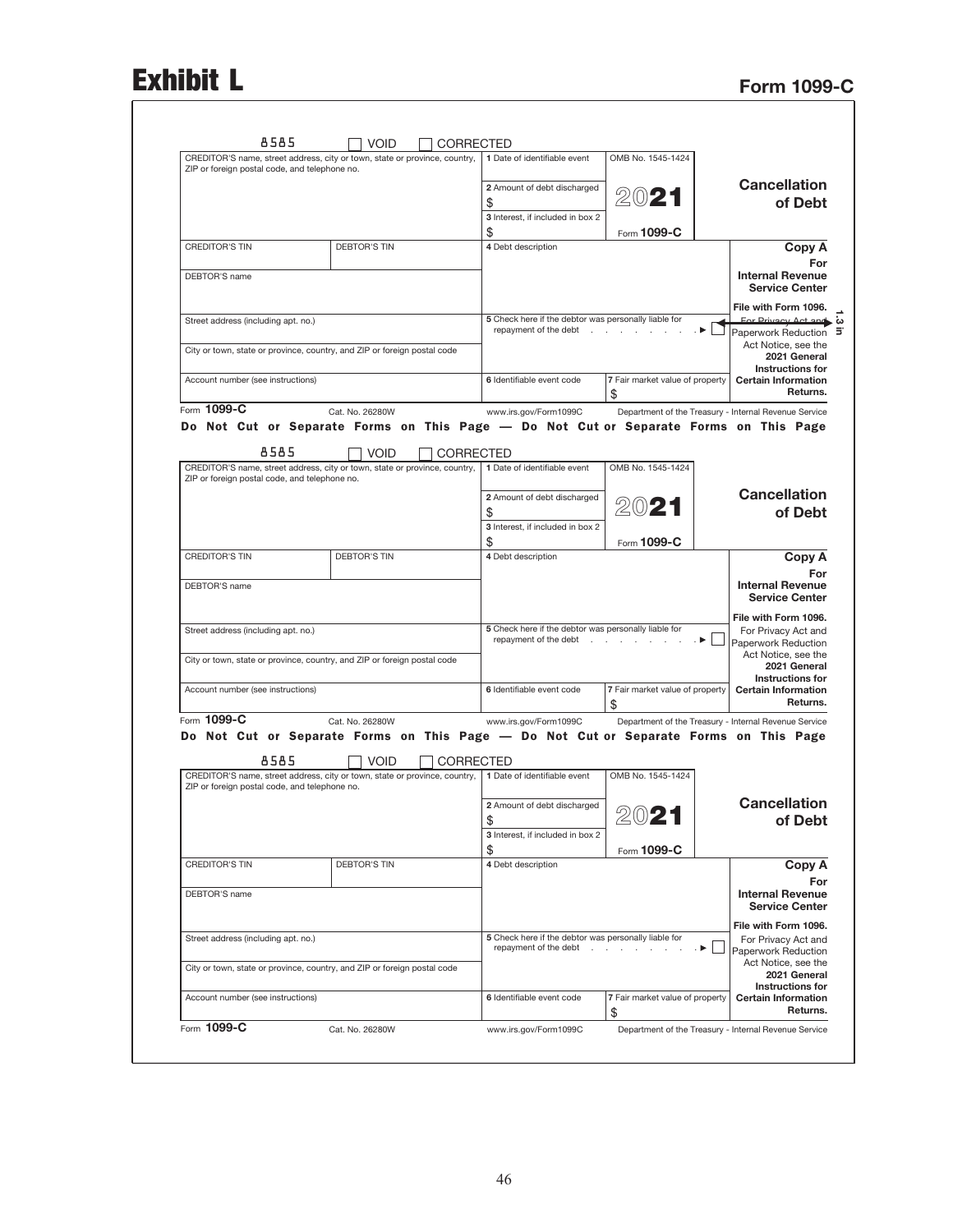## Exhibit L<br>Form 1099-C

|                                               | CREDITOR'S name, street address, city or town, state or province, country,                                             | 1 Date of identifiable event                                                  | OMB No. 1545-1424                                     |                                                       |
|-----------------------------------------------|------------------------------------------------------------------------------------------------------------------------|-------------------------------------------------------------------------------|-------------------------------------------------------|-------------------------------------------------------|
| ZIP or foreign postal code, and telephone no. |                                                                                                                        |                                                                               |                                                       | <b>Cancellation</b>                                   |
|                                               |                                                                                                                        | 2 Amount of debt discharged<br>\$                                             | $20$ 21                                               | of Debt                                               |
|                                               |                                                                                                                        | 3 Interest, if included in box 2                                              |                                                       |                                                       |
|                                               |                                                                                                                        | \$                                                                            | Form 1099-C                                           |                                                       |
| <b>CREDITOR'S TIN</b>                         | <b>DEBTOR'S TIN</b>                                                                                                    | 4 Debt description                                                            |                                                       | Copy A                                                |
|                                               |                                                                                                                        |                                                                               |                                                       |                                                       |
| DEBTOR'S name                                 |                                                                                                                        |                                                                               |                                                       | <b>Internal Revenue</b><br><b>Service Center</b>      |
|                                               |                                                                                                                        |                                                                               |                                                       | File with Form 1096.                                  |
| Street address (including apt. no.)           |                                                                                                                        | 5 Check here if the debtor was personally liable for<br>repayment of the debt |                                                       | For Privacy Act and w<br>Paperwork Reduction          |
|                                               | City or town, state or province, country, and ZIP or foreign postal code                                               |                                                                               |                                                       | Act Notice, see the<br>2021 General                   |
| Account number (see instructions)             |                                                                                                                        | 6 Identifiable event code                                                     | 7 Fair market value of property                       | <b>Instructions for</b><br><b>Certain Information</b> |
|                                               |                                                                                                                        |                                                                               | \$                                                    | Returns.                                              |
| Form 1099-C                                   | Cat. No. 26280W                                                                                                        | www.irs.gov/Form1099C                                                         | Department of the Treasury - Internal Revenue Service |                                                       |
|                                               | Do Not Cut or Separate Forms on This Page - Do Not Cut or Separate Forms on This Page                                  |                                                                               |                                                       |                                                       |
|                                               |                                                                                                                        |                                                                               |                                                       |                                                       |
| 8585                                          | <b>VOID</b>                                                                                                            | CORRECTED                                                                     |                                                       |                                                       |
| ZIP or foreign postal code, and telephone no. | CREDITOR'S name, street address, city or town, state or province, country,                                             | 1 Date of identifiable event                                                  | OMB No. 1545-1424                                     |                                                       |
|                                               |                                                                                                                        | 2 Amount of debt discharged                                                   |                                                       | <b>Cancellation</b>                                   |
|                                               |                                                                                                                        | \$                                                                            | 2021                                                  | of Debt                                               |
|                                               |                                                                                                                        | 3 Interest, if included in box 2                                              |                                                       |                                                       |
| <b>CREDITOR'S TIN</b>                         | <b>DEBTOR'S TIN</b>                                                                                                    | \$<br>4 Debt description                                                      | Form 1099-C                                           | Copy A                                                |
|                                               |                                                                                                                        |                                                                               |                                                       |                                                       |
| DEBTOR'S name                                 |                                                                                                                        |                                                                               |                                                       | <b>Internal Revenue</b><br><b>Service Center</b>      |
|                                               |                                                                                                                        |                                                                               |                                                       | File with Form 1096.                                  |
| Street address (including apt. no.)           |                                                                                                                        | 5 Check here if the debtor was personally liable for<br>repayment of the debt |                                                       | For Privacy Act and                                   |
|                                               |                                                                                                                        |                                                                               |                                                       | Paperwork Reduction<br>Act Notice, see the            |
|                                               | City or town, state or province, country, and ZIP or foreign postal code                                               |                                                                               |                                                       | 2021 General                                          |
| Account number (see instructions)             |                                                                                                                        | 6 Identifiable event code                                                     | 7 Fair market value of property                       | <b>Instructions for</b><br><b>Certain Information</b> |
|                                               |                                                                                                                        |                                                                               | \$                                                    | Returns.                                              |
| Form 1099-C                                   | Cat. No. 26280W                                                                                                        | www.irs.gov/Form1099C                                                         | Department of the Treasury - Internal Revenue Service |                                                       |
|                                               | Do Not Cut or Separate Forms on This Page — Do Not Cut or Separate Forms on This Page                                  |                                                                               |                                                       |                                                       |
| 8585                                          | <b>VOID</b><br>CREDITOR'S name, street address, city or town, state or province, country, 1 Date of identifiable event | <b>CORRECTED</b>                                                              | OMB No. 1545-1424                                     |                                                       |
| ZIP or foreign postal code, and telephone no. |                                                                                                                        |                                                                               |                                                       |                                                       |
|                                               |                                                                                                                        | 2 Amount of debt discharged                                                   |                                                       | <b>Cancellation</b>                                   |
|                                               |                                                                                                                        |                                                                               | 2021                                                  | of Debt                                               |
|                                               |                                                                                                                        | \$                                                                            |                                                       |                                                       |
|                                               |                                                                                                                        | 3 Interest, if included in box 2                                              |                                                       |                                                       |
|                                               |                                                                                                                        | \$                                                                            | Form 1099-C                                           |                                                       |
| <b>CREDITOR'S TIN</b>                         | <b>DEBTOR'S TIN</b>                                                                                                    | 4 Debt description                                                            |                                                       | Copy A                                                |
|                                               |                                                                                                                        |                                                                               |                                                       |                                                       |
| DEBTOR'S name                                 |                                                                                                                        |                                                                               |                                                       | <b>Internal Revenue</b><br><b>Service Center</b>      |
|                                               |                                                                                                                        |                                                                               |                                                       | File with Form 1096.                                  |
| Street address (including apt. no.)           |                                                                                                                        | 5 Check here if the debtor was personally liable for<br>repayment of the debt | $\rightarrow$                                         | For Privacy Act and                                   |
|                                               |                                                                                                                        |                                                                               |                                                       | Paperwork Reduction<br>Act Notice, see the            |
|                                               | City or town, state or province, country, and ZIP or foreign postal code                                               |                                                                               |                                                       | 2021 General<br><b>Instructions for</b>               |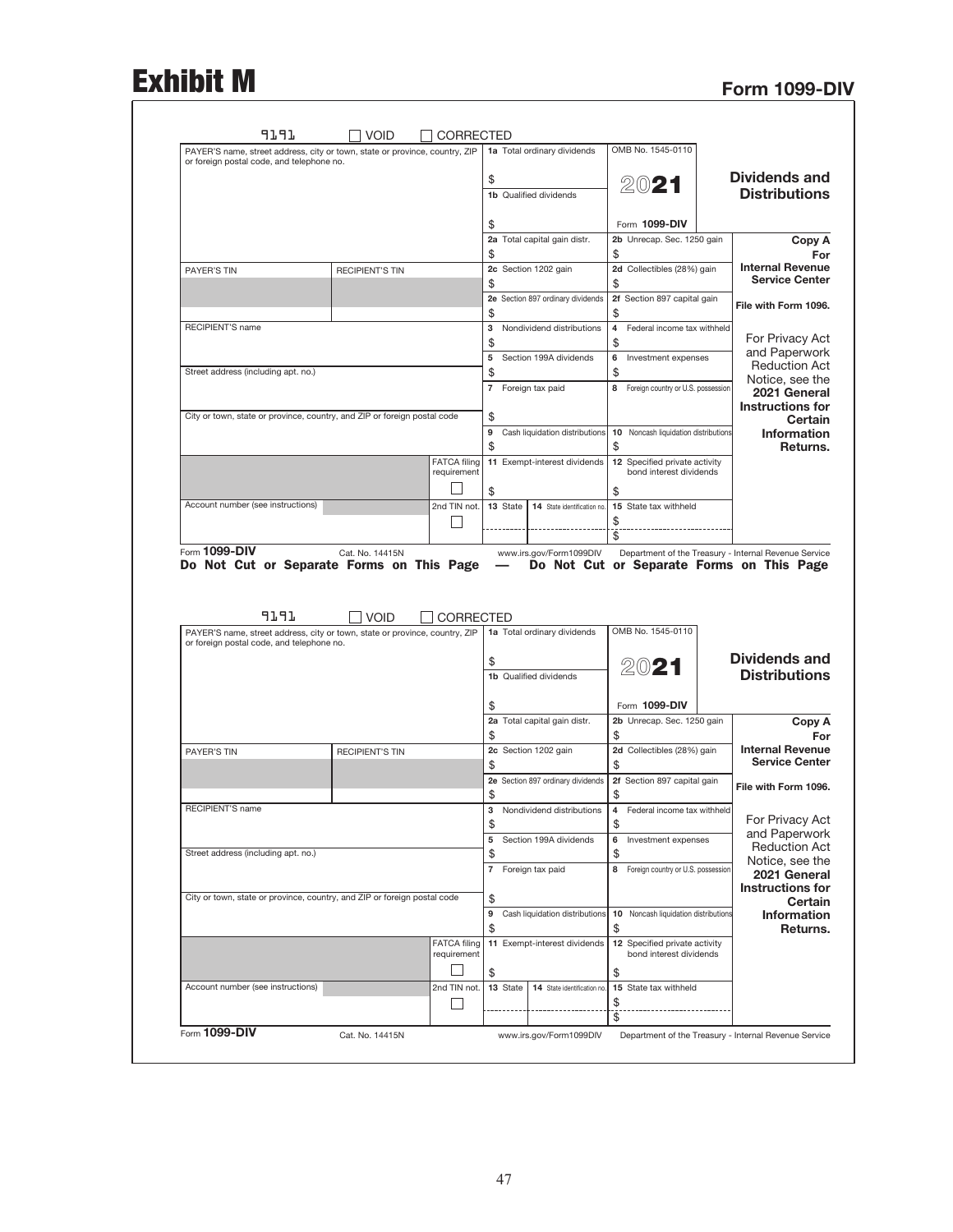## Exhibit M Form 1099-DIV

|                                                  | OMB No. 1545-0110                                                                                        | 1a Total ordinary dividends               |                                    |                        | PAYER'S name, street address, city or town, state or province, country, ZIP         |
|--------------------------------------------------|----------------------------------------------------------------------------------------------------------|-------------------------------------------|------------------------------------|------------------------|-------------------------------------------------------------------------------------|
| <b>Dividends and</b>                             |                                                                                                          |                                           |                                    |                        | or foreign postal code, and telephone no.                                           |
| <b>Distributions</b>                             | 2021                                                                                                     | \$<br><b>1b</b> Qualified dividends       |                                    |                        |                                                                                     |
|                                                  |                                                                                                          |                                           |                                    |                        |                                                                                     |
|                                                  | Form 1099-DIV                                                                                            |                                           |                                    |                        |                                                                                     |
| Copy A                                           | 2b Unrecap. Sec. 1250 gain                                                                               | 2a Total capital gain distr.              |                                    |                        |                                                                                     |
| For<br><b>Internal Revenue</b>                   | \$<br>2d Collectibles (28%) gain                                                                         | \$<br>2c Section 1202 gain                |                                    | <b>RECIPIENT'S TIN</b> | PAYER'S TIN                                                                         |
| <b>Service Center</b>                            | \$                                                                                                       | \$                                        |                                    |                        |                                                                                     |
| File with Form 1096.                             | 2f Section 897 capital gain                                                                              | 2e Section 897 ordinary dividends         |                                    |                        |                                                                                     |
|                                                  | \$<br>Federal income tax withheld                                                                        | \$<br>Nondividend distributions           |                                    |                        | <b>RECIPIENT'S name</b>                                                             |
| For Privacy Act                                  | 4<br>\$                                                                                                  | з<br>\$                                   |                                    |                        |                                                                                     |
| and Paperwork                                    | 6<br>Investment expenses                                                                                 | 5<br>Section 199A dividends               |                                    |                        |                                                                                     |
| <b>Reduction Act</b><br>Notice, see the          | \$                                                                                                       | \$                                        |                                    |                        | Street address (including apt. no.)                                                 |
| 2021 General                                     | 8<br>Foreign country or U.S. possession                                                                  | $\overline{7}$<br>Foreign tax paid        |                                    |                        |                                                                                     |
| <b>Instructions for</b><br>Certain               |                                                                                                          | \$                                        |                                    |                        | City or town, state or province, country, and ZIP or foreign postal code            |
| <b>Information</b>                               | 10 Noncash liquidation distributions                                                                     | 9<br>Cash liquidation distributions       |                                    |                        |                                                                                     |
| Returns.                                         | \$                                                                                                       | \$                                        |                                    |                        |                                                                                     |
|                                                  | 12 Specified private activity<br>bond interest dividends                                                 | 11 Exempt-interest dividends              | <b>FATCA filing</b><br>requirement |                        |                                                                                     |
|                                                  | \$                                                                                                       | \$                                        |                                    |                        |                                                                                     |
|                                                  | 15 State tax withheld                                                                                    | 13 State<br>14 State identification no.   | 2nd TIN not.                       |                        | Account number (see instructions)                                                   |
|                                                  |                                                                                                          |                                           |                                    |                        |                                                                                     |
|                                                  | \$                                                                                                       |                                           |                                    |                        |                                                                                     |
|                                                  | Ŝ.<br>Department of the Treasury - Internal Revenue Service<br>Do Not Cut or Separate Forms on This Page | www.irs.gov/Form1099DIV                   |                                    | Cat. No. 14415N        | Form 1099-DIV<br>Do Not Cut or Separate Forms on This Page                          |
|                                                  | OMB No. 1545-0110                                                                                        | 1a Total ordinary dividends               | CORRECTED                          | <b>NOID</b>            | 9191<br>PAYER'S name, street address, city or town, state or province, country, ZIP |
|                                                  |                                                                                                          |                                           |                                    |                        | or foreign postal code, and telephone no.                                           |
| <b>Dividends and</b>                             | 2021                                                                                                     | \$                                        |                                    |                        |                                                                                     |
| <b>Distributions</b>                             |                                                                                                          | 1b Qualified dividends                    |                                    |                        |                                                                                     |
|                                                  | Form 1099-DIV                                                                                            | \$                                        |                                    |                        |                                                                                     |
| Copy A                                           | 2b Unrecap. Sec. 1250 gain                                                                               | 2a Total capital gain distr.              |                                    |                        |                                                                                     |
| For                                              | \$                                                                                                       | \$                                        |                                    |                        |                                                                                     |
| <b>Internal Revenue</b><br><b>Service Center</b> | 2d Collectibles (28%) gain<br>\$                                                                         | 2c Section 1202 gain<br>\$                |                                    | <b>RECIPIENT'S TIN</b> | <b>PAYER'S TIN</b>                                                                  |
|                                                  | 2f Section 897 capital gain                                                                              | 2e Section 897 ordinary dividends         |                                    |                        |                                                                                     |
| File with Form 1096.                             | \$                                                                                                       | \$                                        |                                    |                        |                                                                                     |
|                                                  | 4 Federal income tax withheld                                                                            | 3<br>Nondividend distributions            |                                    |                        | RECIPIENT'S name                                                                    |
| For Privacy Act<br>and Paperwork                 | \$<br>6                                                                                                  | \$<br>5<br>Section 199A dividends         |                                    |                        |                                                                                     |
| <b>Reduction Act</b>                             | Investment expenses<br>\$                                                                                | \$                                        |                                    |                        | Street address (including apt. no.)                                                 |
| Notice, see the<br>2021 General                  | 8 Foreign country or U.S. possession                                                                     | Foreign tax paid<br>$\overline{7}$        |                                    |                        |                                                                                     |
| <b>Instructions for</b>                          |                                                                                                          |                                           |                                    |                        |                                                                                     |
| Certain                                          | 10<br>Noncash liquidation distributions                                                                  | \$<br>Cash liquidation distributions<br>9 |                                    |                        | City or town, state or province, country, and ZIP or foreign postal code            |
| <b>Information</b><br>Returns.                   | \$                                                                                                       | \$                                        |                                    |                        |                                                                                     |
|                                                  | 12 Specified private activity                                                                            | 11 Exempt-interest dividends              | <b>FATCA filing</b>                |                        |                                                                                     |
|                                                  | bond interest dividends                                                                                  |                                           | requirement                        |                        |                                                                                     |
|                                                  | \$                                                                                                       | \$<br>13 State                            |                                    |                        | Account number (see instructions)                                                   |
|                                                  | 15 State tax withheld<br>\$                                                                              | 14 State identification no.               | 2nd TIN not.                       |                        |                                                                                     |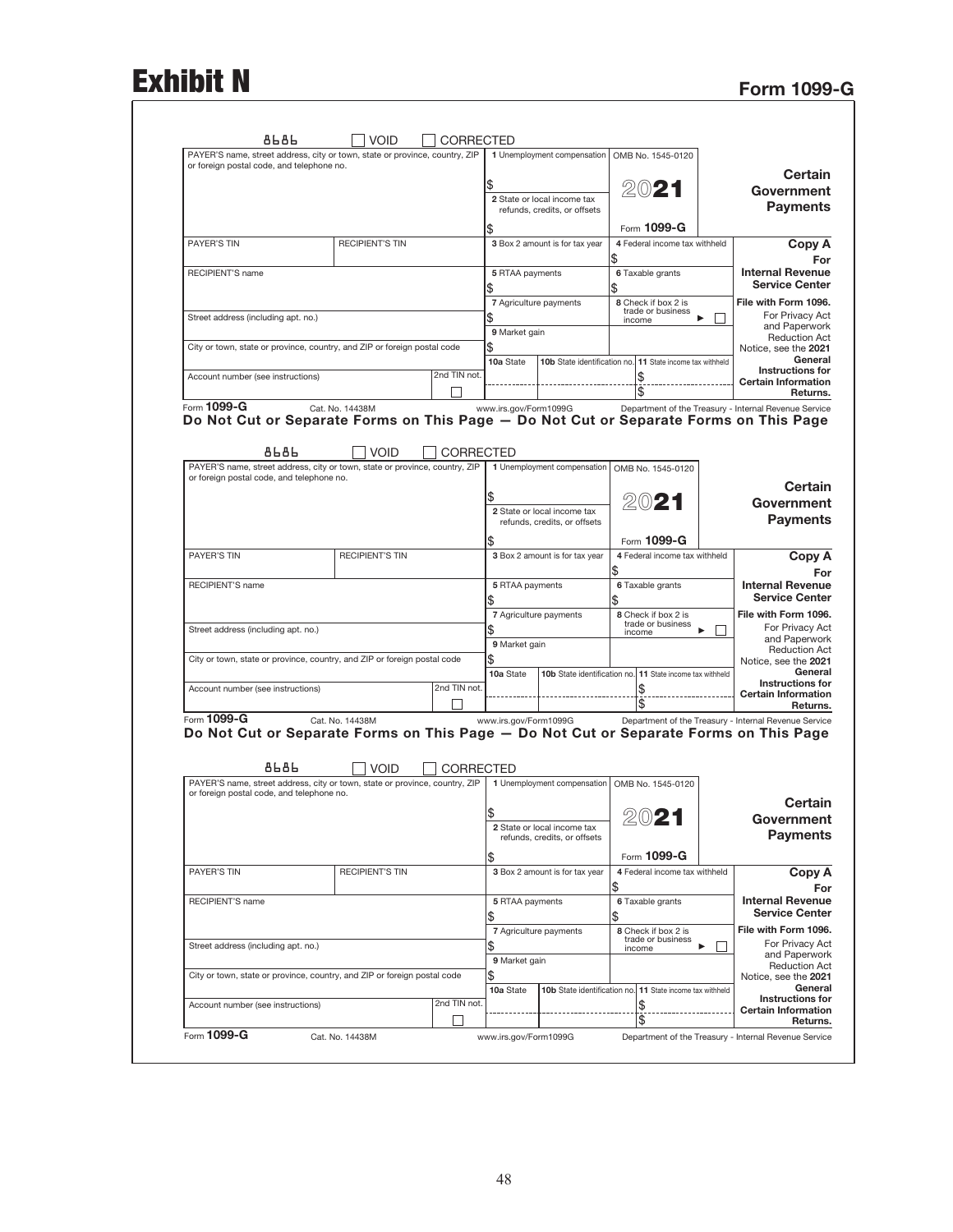# Exhibit N<br>Form 1099-G

|                                                                                                                                                              |                                                                                       |                                                             | CORRECTED             |                  | VOID                   |                 |                                                                                                                          |
|--------------------------------------------------------------------------------------------------------------------------------------------------------------|---------------------------------------------------------------------------------------|-------------------------------------------------------------|-----------------------|------------------|------------------------|-----------------|--------------------------------------------------------------------------------------------------------------------------|
|                                                                                                                                                              | OMB No. 1545-0120                                                                     | 1 Unemployment compensation                                 |                       |                  |                        |                 | PAYER'S name, street address, city or town, state or province, country, ZIP<br>or foreign postal code, and telephone no. |
| Certain                                                                                                                                                      |                                                                                       |                                                             |                       |                  |                        |                 |                                                                                                                          |
| Government                                                                                                                                                   | 2021                                                                                  | 2 State or local income tax                                 |                       |                  |                        |                 |                                                                                                                          |
| <b>Payments</b>                                                                                                                                              |                                                                                       | refunds, credits, or offsets                                |                       |                  |                        |                 |                                                                                                                          |
|                                                                                                                                                              | Form 1099-G                                                                           |                                                             |                       |                  |                        |                 |                                                                                                                          |
| Copy A                                                                                                                                                       | 4 Federal income tax withheld                                                         | 3 Box 2 amount is for tax year                              |                       |                  | <b>RECIPIENT'S TIN</b> |                 | <b>PAYER'S TIN</b>                                                                                                       |
| For                                                                                                                                                          | \$                                                                                    |                                                             |                       |                  |                        |                 |                                                                                                                          |
| <b>Internal Revenue</b><br><b>Service Center</b>                                                                                                             | 6 Taxable grants<br>\$                                                                |                                                             | 5 RTAA payments<br>\$ |                  |                        |                 | RECIPIENT'S name                                                                                                         |
| File with Form 1096.<br>For Privacy Act                                                                                                                      | 8 Check if box 2 is<br>trade or business                                              | 7 Agriculture payments                                      |                       |                  |                        |                 |                                                                                                                          |
| and Paperwork                                                                                                                                                | ь<br>income                                                                           |                                                             | \$<br>9 Market gain   |                  |                        |                 | Street address (including apt. no.)                                                                                      |
| <b>Reduction Act</b><br>Notice, see the 2021                                                                                                                 |                                                                                       |                                                             | \$                    |                  |                        |                 | City or town, state or province, country, and ZIP or foreign postal code                                                 |
| General                                                                                                                                                      | 11 State income tax withheld                                                          | 10b State identification no.                                | 10a State             |                  |                        |                 |                                                                                                                          |
| <b>Instructions for</b><br><b>Certain Information</b>                                                                                                        |                                                                                       |                                                             |                       | 2nd TIN not.     |                        |                 | Account number (see instructions)                                                                                        |
| Returns.                                                                                                                                                     |                                                                                       |                                                             |                       |                  |                        |                 |                                                                                                                          |
|                                                                                                                                                              | Department of the Treasury - Internal Revenue Service                                 |                                                             | www.irs.gov/Form1099G |                  |                        | Cat. No. 14438M | Form 1099-G                                                                                                              |
|                                                                                                                                                              | Do Not Cut or Separate Forms on This Page - Do Not Cut or Separate Forms on This Page |                                                             |                       |                  |                        |                 |                                                                                                                          |
|                                                                                                                                                              |                                                                                       |                                                             |                       |                  |                        | 8686            |                                                                                                                          |
|                                                                                                                                                              | OMB No. 1545-0120                                                                     | 1 Unemployment compensation                                 |                       | <b>CORRECTED</b> | <b>VOID</b>            |                 | PAYER'S name, street address, city or town, state or province, country, ZIP                                              |
|                                                                                                                                                              |                                                                                       |                                                             |                       |                  |                        |                 | or foreign postal code, and telephone no.                                                                                |
| Certain                                                                                                                                                      |                                                                                       |                                                             |                       |                  |                        |                 |                                                                                                                          |
| Government                                                                                                                                                   | 2021                                                                                  | 2 State or local income tax                                 |                       |                  |                        |                 |                                                                                                                          |
| <b>Payments</b>                                                                                                                                              |                                                                                       | refunds, credits, or offsets                                |                       |                  |                        |                 |                                                                                                                          |
|                                                                                                                                                              | Form 1099-G                                                                           |                                                             |                       |                  |                        |                 |                                                                                                                          |
| Copy A                                                                                                                                                       | 4 Federal income tax withheld                                                         | 3 Box 2 amount is for tax year                              |                       |                  | <b>RECIPIENT'S TIN</b> |                 | <b>PAYER'S TIN</b>                                                                                                       |
| For<br><b>Internal Revenue</b>                                                                                                                               | \$                                                                                    |                                                             |                       |                  |                        |                 |                                                                                                                          |
| <b>Service Center</b>                                                                                                                                        | 6 Taxable grants<br>\$                                                                |                                                             | 5 RTAA payments<br>\$ |                  |                        |                 | RECIPIENT'S name                                                                                                         |
| File with Form 1096.                                                                                                                                         | 8 Check if box 2 is                                                                   | 7 Agriculture payments                                      |                       |                  |                        |                 |                                                                                                                          |
| For Privacy Act                                                                                                                                              | trade or business<br>income                                                           |                                                             |                       |                  |                        |                 | Street address (including apt. no.)                                                                                      |
| and Paperwork<br><b>Reduction Act</b>                                                                                                                        |                                                                                       |                                                             | 9 Market gain         |                  |                        |                 |                                                                                                                          |
| Notice, see the 2021                                                                                                                                         |                                                                                       |                                                             | \$                    |                  |                        |                 | City or town, state or province, country, and ZIP or foreign postal code                                                 |
| General<br><b>Instructions for</b>                                                                                                                           | 10b State identification no. 11 State income tax withheld                             |                                                             | 10a State             |                  |                        |                 |                                                                                                                          |
| <b>Certain Information</b>                                                                                                                                   |                                                                                       |                                                             |                       | 2nd TIN not.     |                        |                 | Account number (see instructions)                                                                                        |
| Returns.                                                                                                                                                     | Department of the Treasury - Internal Revenue Service                                 |                                                             | www.irs.gov/Form1099G |                  |                        | Cat. No. 14438M | Form 1099-G                                                                                                              |
|                                                                                                                                                              | Do Not Cut or Separate Forms on This Page - Do Not Cut or Separate Forms on This Page |                                                             |                       | CORRECTED        | <b>VOID</b>            | 8686            |                                                                                                                          |
|                                                                                                                                                              |                                                                                       | 1 Unemployment compensation                                 |                       |                  |                        |                 | PAYER'S name, street address, city or town, state or province, country, ZIP                                              |
|                                                                                                                                                              | OMB No. 1545-0120                                                                     |                                                             |                       |                  |                        |                 | or foreign postal code, and telephone no.                                                                                |
|                                                                                                                                                              |                                                                                       |                                                             |                       |                  |                        |                 |                                                                                                                          |
| Certain<br>Government                                                                                                                                        |                                                                                       |                                                             | ა                     |                  |                        |                 |                                                                                                                          |
|                                                                                                                                                              | 2021                                                                                  | 2 State or local income tax<br>refunds, credits, or offsets |                       |                  |                        |                 |                                                                                                                          |
|                                                                                                                                                              |                                                                                       |                                                             |                       |                  |                        |                 |                                                                                                                          |
| <b>Payments</b>                                                                                                                                              | Form 1099-G<br>4 Federal income tax withheld                                          | 3 Box 2 amount is for tax year                              | \$                    |                  | <b>RECIPIENT'S TIN</b> |                 | PAYER'S TIN                                                                                                              |
| Copy A<br>For                                                                                                                                                | \$                                                                                    |                                                             |                       |                  |                        |                 |                                                                                                                          |
|                                                                                                                                                              | 6 Taxable grants<br>\$                                                                |                                                             | 5 RTAA payments<br>\$ |                  |                        |                 | RECIPIENT'S name                                                                                                         |
|                                                                                                                                                              | 8 Check if box 2 is                                                                   | 7 Agriculture payments                                      |                       |                  |                        |                 |                                                                                                                          |
|                                                                                                                                                              | trade or business<br>ь<br>income                                                      |                                                             | \$                    |                  |                        |                 | Street address (including apt. no.)                                                                                      |
|                                                                                                                                                              |                                                                                       |                                                             | 9 Market gain         |                  |                        |                 |                                                                                                                          |
| <b>Internal Revenue</b><br><b>Service Center</b><br>File with Form 1096.<br>For Privacy Act<br>and Paperwork<br><b>Reduction Act</b><br>Notice, see the 2021 |                                                                                       |                                                             | \$                    |                  |                        |                 | City or town, state or province, country, and ZIP or foreign postal code                                                 |
| General<br><b>Instructions for</b>                                                                                                                           | 10b State identification no. 11 State income tax withheld                             |                                                             | 10a State             |                  |                        |                 |                                                                                                                          |
| <b>Certain Information</b><br>Returns.                                                                                                                       |                                                                                       |                                                             |                       | 2nd TIN not.     |                        |                 | Account number (see instructions)                                                                                        |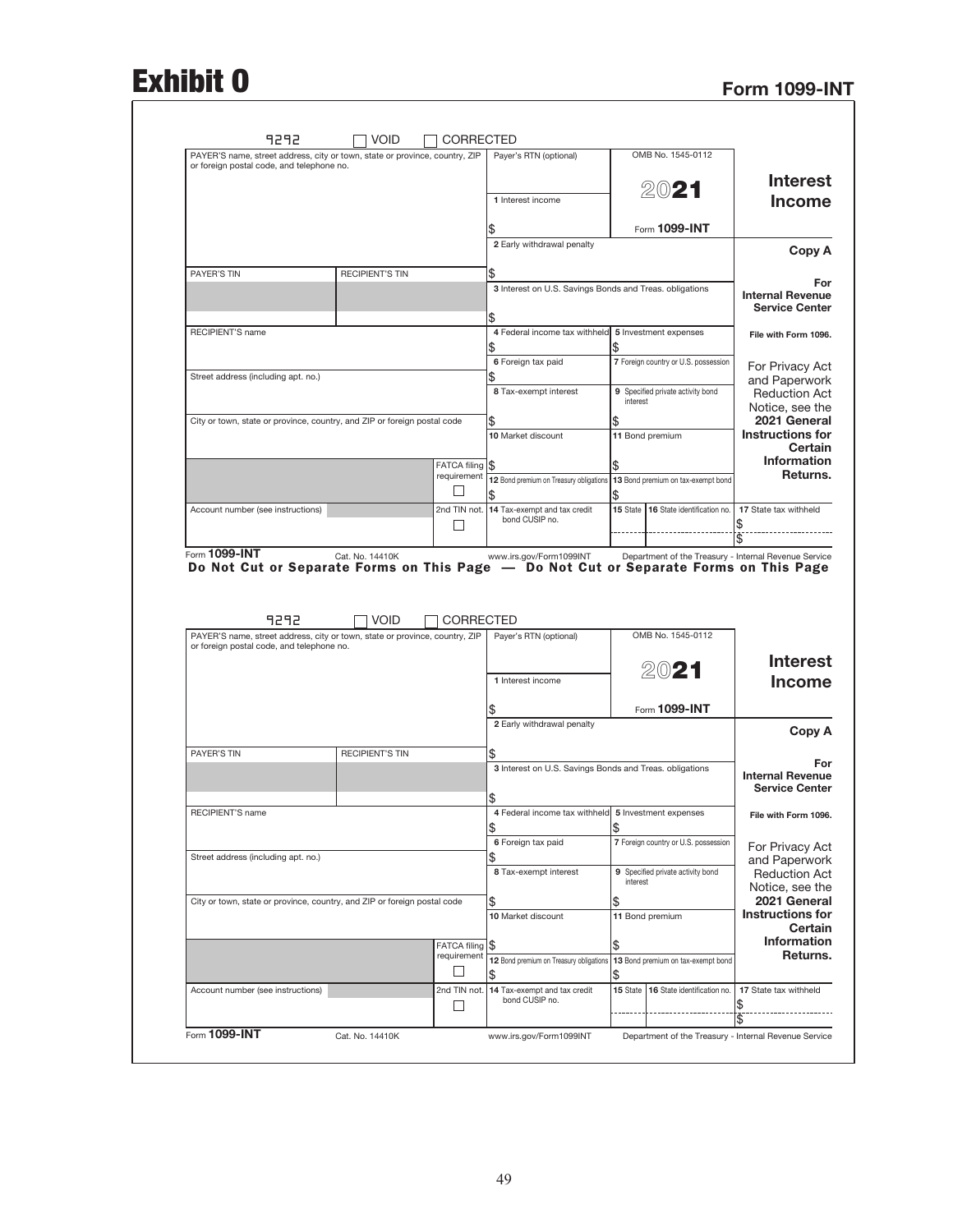## Exhibit 0 Form 1099-INT

| PAYER'S name, street address, city or town, state or province, country, ZIP                                               |                               | Payer's RTN (optional)                                      |          | OMB No. 1545-0112                    |                                                                                                                                      |
|---------------------------------------------------------------------------------------------------------------------------|-------------------------------|-------------------------------------------------------------|----------|--------------------------------------|--------------------------------------------------------------------------------------------------------------------------------------|
| or foreign postal code, and telephone no.                                                                                 |                               |                                                             |          |                                      | <b>Interest</b>                                                                                                                      |
|                                                                                                                           |                               |                                                             |          | 2021                                 |                                                                                                                                      |
|                                                                                                                           |                               | 1 Interest income                                           |          |                                      | <b>Income</b>                                                                                                                        |
|                                                                                                                           |                               |                                                             |          | Form 1099-INT                        |                                                                                                                                      |
|                                                                                                                           |                               | 2 Early withdrawal penalty                                  |          |                                      |                                                                                                                                      |
|                                                                                                                           |                               |                                                             |          |                                      | Copy A                                                                                                                               |
| PAYER'S TIN<br><b>RECIPIENT'S TIN</b>                                                                                     |                               | \$                                                          |          |                                      | For                                                                                                                                  |
|                                                                                                                           |                               | 3 Interest on U.S. Savings Bonds and Treas. obligations     |          |                                      | <b>Internal Revenue</b>                                                                                                              |
|                                                                                                                           |                               | \$                                                          |          |                                      | <b>Service Center</b>                                                                                                                |
| RECIPIENT'S name                                                                                                          |                               | 4 Federal income tax withheld                               |          | 5 Investment expenses                | File with Form 1096.                                                                                                                 |
|                                                                                                                           |                               |                                                             | \$       |                                      |                                                                                                                                      |
|                                                                                                                           |                               | 6 Foreign tax paid                                          |          | 7 Foreign country or U.S. possession | For Privacy Act                                                                                                                      |
| Street address (including apt. no.)                                                                                       |                               |                                                             |          |                                      | and Paperwork                                                                                                                        |
|                                                                                                                           |                               | 8 Tax-exempt interest                                       | interest | 9 Specified private activity bond    | <b>Reduction Act</b>                                                                                                                 |
| City or town, state or province, country, and ZIP or foreign postal code                                                  |                               | \$                                                          | \$       |                                      | Notice, see the<br>2021 General                                                                                                      |
|                                                                                                                           |                               | 10 Market discount                                          |          | 11 Bond premium                      | Instructions for                                                                                                                     |
|                                                                                                                           |                               |                                                             |          |                                      | Certain                                                                                                                              |
|                                                                                                                           | FATCA filing S                |                                                             | \$       |                                      | <b>Information</b>                                                                                                                   |
|                                                                                                                           |                               | requirement 12 Bond premium on Treasury obligations         |          | 13 Bond premium on tax-exempt bond   | Returns.                                                                                                                             |
|                                                                                                                           |                               | \$                                                          | \$       |                                      |                                                                                                                                      |
| Account number (see instructions)                                                                                         |                               | 2nd TIN not. 14 Tax-exempt and tax credit<br>bond CUSIP no. |          | 15 State 16 State identification no. | 17 State tax withheld<br>\$                                                                                                          |
|                                                                                                                           |                               |                                                             |          |                                      | \$                                                                                                                                   |
| Form 1099-INT<br>Cat. No. 14410K<br>Do Not Cut or Separate Forms on This Page - Do Not Cut or Separate Forms on This Page |                               | www.irs.gov/Form1099INT                                     |          |                                      |                                                                                                                                      |
| 9292<br><b>VOID</b>                                                                                                       | CORRECTED                     |                                                             |          |                                      | Department of the Treasury - Internal Revenue Service                                                                                |
| PAYER'S name, street address, city or town, state or province, country, ZIP<br>or foreign postal code, and telephone no.  |                               | Payer's RTN (optional)                                      |          | OMB No. 1545-0112                    |                                                                                                                                      |
|                                                                                                                           |                               |                                                             |          |                                      |                                                                                                                                      |
|                                                                                                                           |                               | 1 Interest income                                           |          | 2021                                 |                                                                                                                                      |
|                                                                                                                           |                               |                                                             |          |                                      | <b>Interest</b><br><b>Income</b>                                                                                                     |
|                                                                                                                           |                               |                                                             |          | Form 1099-INT                        |                                                                                                                                      |
|                                                                                                                           |                               | 2 Early withdrawal penalty                                  |          |                                      | Copy A                                                                                                                               |
| PAYER'S TIN<br><b>RECIPIENT'S TIN</b>                                                                                     |                               | \$                                                          |          |                                      |                                                                                                                                      |
|                                                                                                                           |                               | 3 Interest on U.S. Savings Bonds and Treas. obligations     |          |                                      | For                                                                                                                                  |
|                                                                                                                           |                               |                                                             |          |                                      | <b>Internal Revenue</b><br><b>Service Center</b>                                                                                     |
|                                                                                                                           |                               | \$                                                          |          |                                      |                                                                                                                                      |
| RECIPIENT'S name                                                                                                          |                               | 4 Federal income tax withheld 5 Investment expenses         |          |                                      | File with Form 1096.                                                                                                                 |
|                                                                                                                           |                               | \$                                                          | \$       |                                      |                                                                                                                                      |
| Street address (including apt. no.)                                                                                       |                               | 6 Foreign tax paid<br>\$                                    |          | 7 Foreign country or U.S. possession | For Privacy Act                                                                                                                      |
|                                                                                                                           |                               | 8 Tax-exempt interest                                       |          | 9 Specified private activity bond    |                                                                                                                                      |
|                                                                                                                           |                               |                                                             | interest |                                      |                                                                                                                                      |
| City or town, state or province, country, and ZIP or foreign postal code                                                  |                               | \$                                                          | \$       |                                      |                                                                                                                                      |
|                                                                                                                           |                               | 10 Market discount                                          |          | 11 Bond premium                      |                                                                                                                                      |
|                                                                                                                           |                               |                                                             |          |                                      | and Paperwork<br><b>Reduction Act</b><br>Notice, see the<br>2021 General<br><b>Instructions for</b><br>Certain<br><b>Information</b> |
|                                                                                                                           | FATCA filing S<br>requirement | 12 Bond premium on Treasury obligations                     | \$       | 13 Bond premium on tax-exempt bond   |                                                                                                                                      |
|                                                                                                                           |                               | \$                                                          | \$       |                                      | Returns.                                                                                                                             |
| Account number (see instructions)                                                                                         | 2nd TIN not.                  | 14 Tax-exempt and tax credit                                |          | 15 State 16 State identification no. | 17 State tax withheld                                                                                                                |
|                                                                                                                           | ⊔                             | bond CUSIP no.                                              |          |                                      | \$<br>\$                                                                                                                             |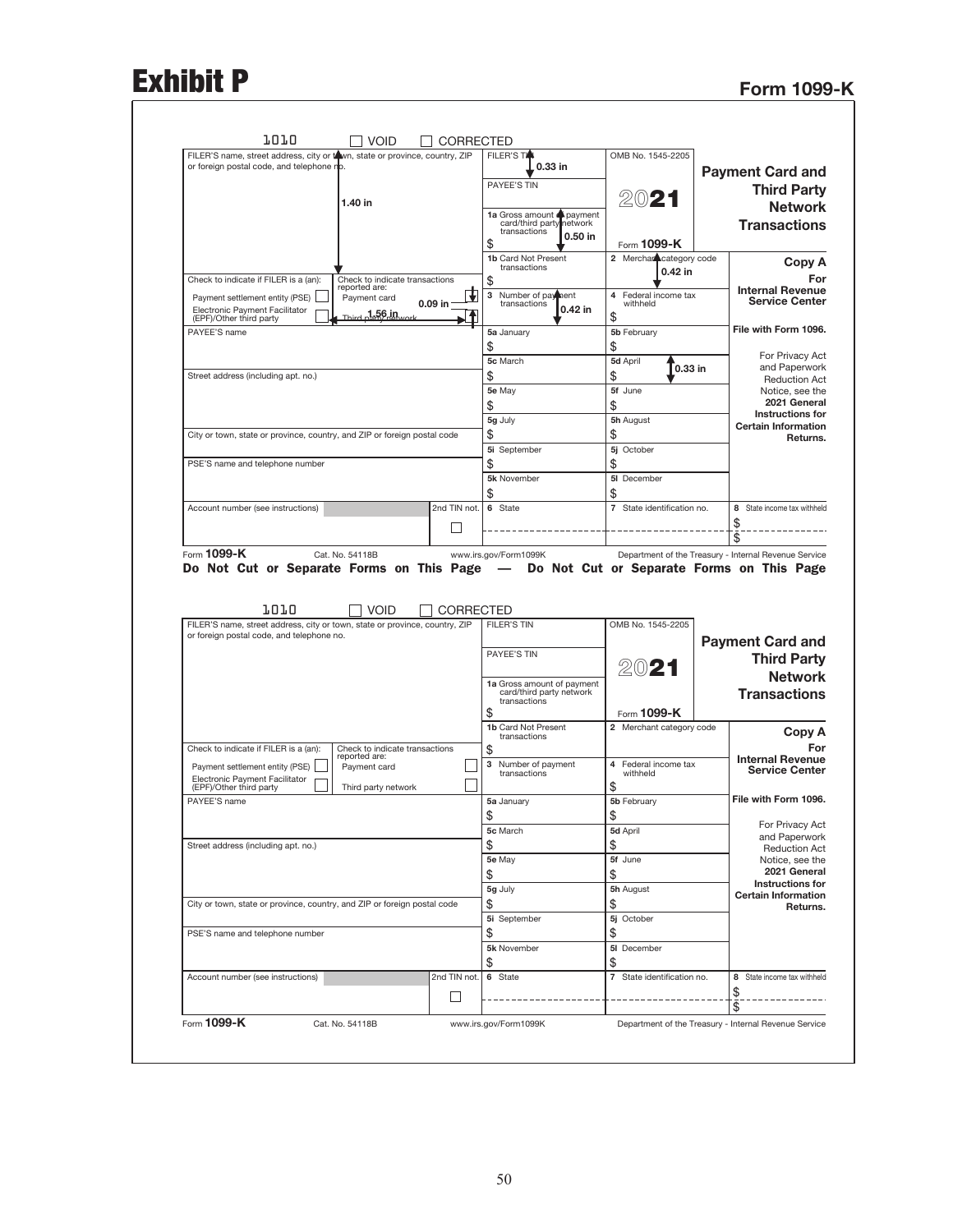# Exhibit P<br>Form 1099-K

| FILER'S name, street address, city or town, state or province, country, ZIP<br>or foreign postal code, and telephone no. |                                                 |                   | <b>FILER'S TA</b><br>$0.33$ in                                                   | OMB No. 1545-2205                      | <b>Payment Card and</b>                                                                                                                                                                                                                                                                  |
|--------------------------------------------------------------------------------------------------------------------------|-------------------------------------------------|-------------------|----------------------------------------------------------------------------------|----------------------------------------|------------------------------------------------------------------------------------------------------------------------------------------------------------------------------------------------------------------------------------------------------------------------------------------|
|                                                                                                                          |                                                 |                   | PAYEE'S TIN                                                                      |                                        | <b>Third Party</b>                                                                                                                                                                                                                                                                       |
|                                                                                                                          | 1.40 in                                         |                   |                                                                                  | 2021                                   | <b>Network</b>                                                                                                                                                                                                                                                                           |
|                                                                                                                          |                                                 |                   | 1a Gross amount payment<br>card/third party network<br>transactions<br>$0.50$ in |                                        | <b>Transactions</b>                                                                                                                                                                                                                                                                      |
|                                                                                                                          |                                                 |                   | \$<br>1b Card Not Present                                                        | Form 1099-K<br>2 Merchan category code |                                                                                                                                                                                                                                                                                          |
| Check to indicate if FILER is a (an):                                                                                    | Check to indicate transactions                  |                   | transactions<br>\$                                                               | $0.42$ in                              | Copy A<br>For                                                                                                                                                                                                                                                                            |
| Payment settlement entity (PSE)<br>Electronic Payment Facilitator                                                        | reported are:<br>Payment card<br>.1.56.in       | 0.09 in $-$       | 3<br>Number of payment<br>transactions<br>0.42 in                                | 4<br>Federal income tax<br>withheld    | <b>Internal Revenue</b><br><b>Service Center</b>                                                                                                                                                                                                                                         |
| (EPF)/Other third party<br>PAYEE'S name                                                                                  |                                                 |                   | 5a January                                                                       | \$<br>5b February                      | File with Form 1096.                                                                                                                                                                                                                                                                     |
|                                                                                                                          |                                                 |                   | \$                                                                               | \$                                     |                                                                                                                                                                                                                                                                                          |
|                                                                                                                          |                                                 |                   | 5c March                                                                         | 5d April<br>0.33 in                    | For Privacy Act<br>and Paperwork                                                                                                                                                                                                                                                         |
| Street address (including apt. no.)                                                                                      |                                                 |                   | \$<br>5e May                                                                     | \$<br>5f June                          | <b>Reduction Act</b>                                                                                                                                                                                                                                                                     |
|                                                                                                                          |                                                 |                   | \$                                                                               | \$                                     | Notice, see the<br>2021 General                                                                                                                                                                                                                                                          |
|                                                                                                                          |                                                 |                   | 5g July                                                                          | 5h August                              | Instructions for                                                                                                                                                                                                                                                                         |
| City or town, state or province, country, and ZIP or foreign postal code                                                 |                                                 |                   | \$                                                                               | \$                                     | <b>Certain Information</b><br>Returns.                                                                                                                                                                                                                                                   |
|                                                                                                                          |                                                 |                   | 5i September                                                                     | 5j October                             |                                                                                                                                                                                                                                                                                          |
| PSE'S name and telephone number                                                                                          |                                                 |                   | \$<br>5k November                                                                | \$<br>5I December                      |                                                                                                                                                                                                                                                                                          |
|                                                                                                                          |                                                 |                   | \$                                                                               | \$                                     |                                                                                                                                                                                                                                                                                          |
| Account number (see instructions)                                                                                        |                                                 | 2nd TIN not.      | 6 State                                                                          | 7 State identification no.             | 8 State income tax withheld                                                                                                                                                                                                                                                              |
|                                                                                                                          |                                                 |                   |                                                                                  |                                        | \$                                                                                                                                                                                                                                                                                       |
|                                                                                                                          |                                                 | - 1               |                                                                                  |                                        |                                                                                                                                                                                                                                                                                          |
| Form 1099-K<br>Do Not Cut or Separate Forms on This Page - Do Not Cut or Separate Forms on This Page<br>1010             | Cat. No. 54118B<br><b>VOID</b>                  |                   | www.irs.gov/Form1099K                                                            |                                        | \$                                                                                                                                                                                                                                                                                       |
| FILER'S name, street address, city or town, state or province, country, ZIP                                              |                                                 | <b>CORRECTED</b>  | FILER'S TIN                                                                      | OMB No. 1545-2205                      |                                                                                                                                                                                                                                                                                          |
| or foreign postal code, and telephone no.                                                                                |                                                 |                   |                                                                                  |                                        |                                                                                                                                                                                                                                                                                          |
|                                                                                                                          |                                                 |                   | PAYEE'S TIN                                                                      |                                        |                                                                                                                                                                                                                                                                                          |
|                                                                                                                          |                                                 |                   | 1a Gross amount of payment                                                       | 2021                                   |                                                                                                                                                                                                                                                                                          |
|                                                                                                                          |                                                 |                   | card/third party network<br>transactions                                         |                                        |                                                                                                                                                                                                                                                                                          |
|                                                                                                                          |                                                 |                   | \$                                                                               | Form 1099-K                            |                                                                                                                                                                                                                                                                                          |
|                                                                                                                          |                                                 |                   | <b>1b Card Not Present</b><br>transactions                                       | 2 Merchant category code               | Department of the Treasury - Internal Revenue Service<br><b>Payment Card and</b><br><b>Third Party</b><br><b>Network</b><br><b>Transactions</b><br>Copy A                                                                                                                                |
| Check to indicate if FILER is a (an):                                                                                    | Check to indicate transactions<br>reported are: |                   | \$                                                                               |                                        |                                                                                                                                                                                                                                                                                          |
| Payment settlement entity (PSE)<br>Electronic Payment Facilitator                                                        | Payment card                                    |                   | 3<br>Number of payment<br>transactions                                           | Federal income tax<br>4<br>withheld    |                                                                                                                                                                                                                                                                                          |
| (EPF)/Other third party<br>PAYEE'S name                                                                                  | Third party network                             |                   | 5a January                                                                       | \$<br>5b February                      |                                                                                                                                                                                                                                                                                          |
|                                                                                                                          |                                                 |                   | \$                                                                               | \$                                     |                                                                                                                                                                                                                                                                                          |
|                                                                                                                          |                                                 |                   | 5c March                                                                         | 5d April                               |                                                                                                                                                                                                                                                                                          |
| Street address (including apt. no.)                                                                                      |                                                 |                   | \$                                                                               | \$                                     |                                                                                                                                                                                                                                                                                          |
|                                                                                                                          |                                                 |                   | 5e May                                                                           | 5f June                                |                                                                                                                                                                                                                                                                                          |
|                                                                                                                          |                                                 |                   | \$<br>5g July                                                                    | \$<br>5h August                        |                                                                                                                                                                                                                                                                                          |
| City or town, state or province, country, and ZIP or foreign postal code                                                 |                                                 |                   | \$                                                                               | \$                                     |                                                                                                                                                                                                                                                                                          |
|                                                                                                                          |                                                 |                   | 5i September                                                                     | 5j October                             |                                                                                                                                                                                                                                                                                          |
| PSE'S name and telephone number                                                                                          |                                                 |                   | \$                                                                               | \$                                     |                                                                                                                                                                                                                                                                                          |
|                                                                                                                          |                                                 |                   | 5k November                                                                      | 5I December                            |                                                                                                                                                                                                                                                                                          |
| Account number (see instructions)                                                                                        |                                                 | 2nd TIN not.      | \$<br>6 State                                                                    | \$<br>7 State identification no.       |                                                                                                                                                                                                                                                                                          |
|                                                                                                                          |                                                 | $\vert \ \ \vert$ |                                                                                  |                                        | For<br><b>Internal Revenue</b><br><b>Service Center</b><br>File with Form 1096.<br>For Privacy Act<br>and Paperwork<br><b>Reduction Act</b><br>Notice, see the<br>2021 General<br><b>Instructions for</b><br><b>Certain Information</b><br>Returns.<br>8 State income tax withheld<br>\$ |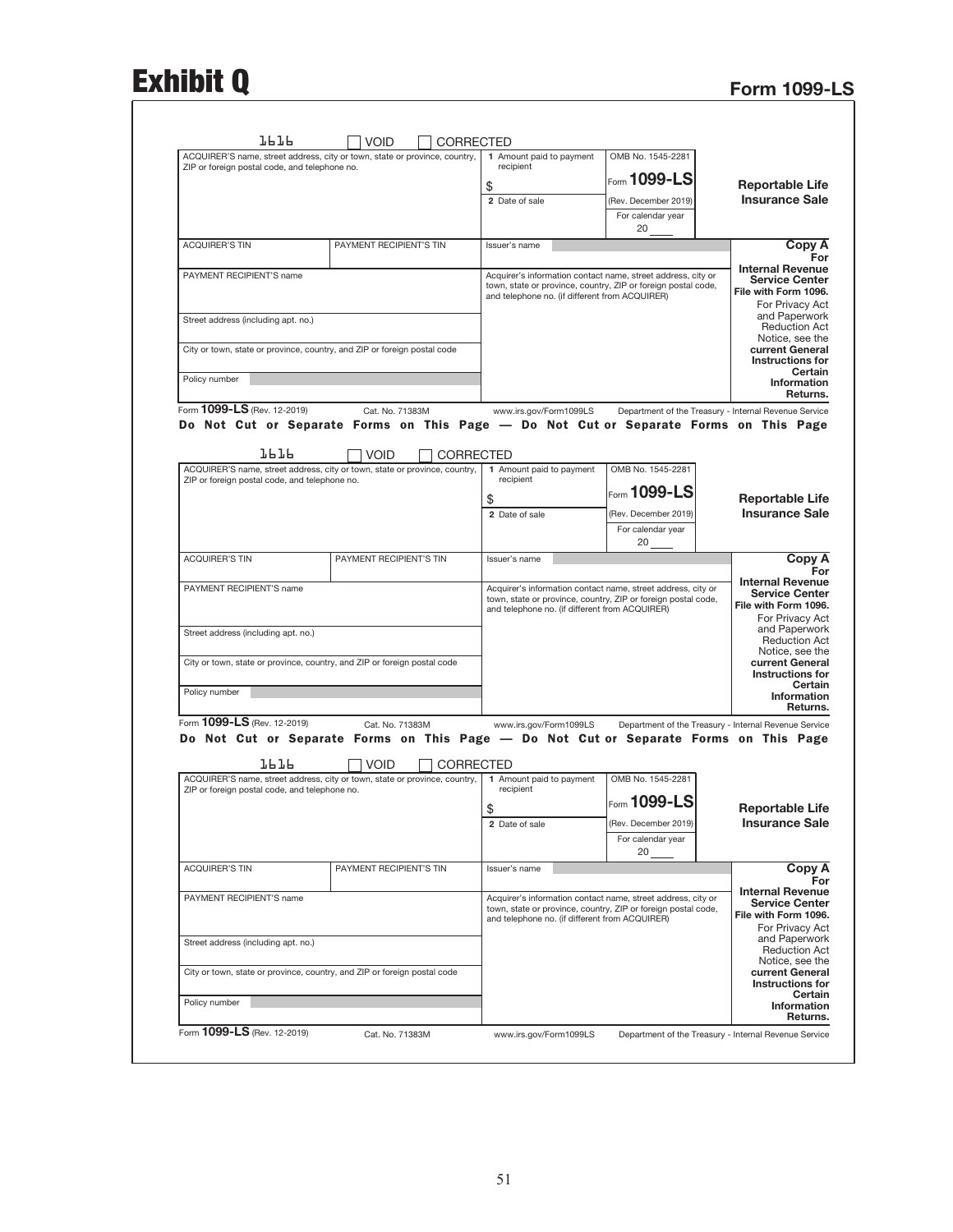# Exhibit Q Form 1099-LS

|                                                                                                                                                                                    | VOID                    | CORRECTED        |                                                |                                                                                                                                                |                                                                                                                                      |
|------------------------------------------------------------------------------------------------------------------------------------------------------------------------------------|-------------------------|------------------|------------------------------------------------|------------------------------------------------------------------------------------------------------------------------------------------------|--------------------------------------------------------------------------------------------------------------------------------------|
| ACQUIRER'S name, street address, city or town, state or province, country,<br>ZIP or foreign postal code, and telephone no.                                                        |                         |                  | 1 Amount paid to payment<br>recipient          | OMB No. 1545-2281                                                                                                                              |                                                                                                                                      |
|                                                                                                                                                                                    |                         |                  |                                                | Form 1099-LS                                                                                                                                   |                                                                                                                                      |
|                                                                                                                                                                                    |                         |                  | \$                                             |                                                                                                                                                | <b>Reportable Life</b><br><b>Insurance Sale</b>                                                                                      |
|                                                                                                                                                                                    |                         |                  | 2 Date of sale                                 | (Rev. December 2019)                                                                                                                           |                                                                                                                                      |
|                                                                                                                                                                                    |                         |                  |                                                | For calendar year<br>20                                                                                                                        |                                                                                                                                      |
| <b>ACQUIRER'S TIN</b>                                                                                                                                                              | PAYMENT RECIPIENT'S TIN |                  | Issuer's name                                  |                                                                                                                                                | Copy A                                                                                                                               |
| PAYMENT RECIPIENT'S name                                                                                                                                                           |                         |                  | and telephone no. (if different from ACQUIRER) | Acquirer's information contact name, street address, city or<br>town, state or province, country, ZIP or foreign postal code,                  | For<br><b>Internal Revenue</b><br><b>Service Center</b><br>File with Form 1096.<br>For Privacy Act                                   |
| Street address (including apt. no.)<br>City or town, state or province, country, and ZIP or foreign postal code                                                                    |                         |                  |                                                |                                                                                                                                                | and Paperwork<br><b>Reduction Act</b><br>Notice, see the<br>current General                                                          |
|                                                                                                                                                                                    |                         |                  |                                                |                                                                                                                                                | <b>Instructions for</b><br>Certain                                                                                                   |
| Policy number                                                                                                                                                                      |                         |                  |                                                |                                                                                                                                                | <b>Information</b><br>Returns.                                                                                                       |
| Form 1099-LS (Rev. 12-2019)                                                                                                                                                        | Cat. No. 71383M         |                  | www.irs.gov/Form1099LS                         | Department of the Treasury - Internal Revenue Service                                                                                          |                                                                                                                                      |
| Do Not Cut or Separate Forms on This Page — Do Not Cut or Separate Forms on This Page<br><b>JPJP</b><br>ACQUIRER'S name, street address, city or town, state or province, country, | <b>VOID</b>             | CORRECTED        | 1 Amount paid to payment                       | OMB No. 1545-2281                                                                                                                              |                                                                                                                                      |
| ZIP or foreign postal code, and telephone no.                                                                                                                                      |                         |                  | recipient                                      | Form $1099$ -LS                                                                                                                                |                                                                                                                                      |
|                                                                                                                                                                                    |                         |                  | \$                                             |                                                                                                                                                | <b>Reportable Life</b><br><b>Insurance Sale</b>                                                                                      |
|                                                                                                                                                                                    |                         |                  | 2 Date of sale                                 | (Rev. December 2019)<br>For calendar year<br>20                                                                                                |                                                                                                                                      |
| <b>ACQUIRER'S TIN</b>                                                                                                                                                              | PAYMENT RECIPIENT'S TIN |                  | Issuer's name                                  |                                                                                                                                                | Copy A<br>For                                                                                                                        |
| PAYMENT RECIPIENT'S name<br>Street address (including apt. no.)                                                                                                                    |                         |                  | and telephone no. (if different from ACQUIRER) | Acquirer's information contact name, street address, city or<br>town, state or province, country, ZIP or foreign postal code,                  | <b>Internal Revenue</b><br><b>Service Center</b><br>File with Form 1096.<br>For Privacy Act<br>and Paperwork<br><b>Reduction Act</b> |
| City or town, state or province, country, and ZIP or foreign postal code                                                                                                           |                         |                  |                                                |                                                                                                                                                | Notice, see the<br>current General<br><b>Instructions for</b>                                                                        |
| Policy number                                                                                                                                                                      |                         |                  |                                                |                                                                                                                                                | Certain<br>Information                                                                                                               |
| Form 1099-LS (Rev. 12-2019)                                                                                                                                                        |                         |                  |                                                |                                                                                                                                                | Returns.                                                                                                                             |
|                                                                                                                                                                                    | Cat. No. 71383M         |                  | www.irs.gov/Form1099LS                         | Department of the Treasury - Internal Revenue Service<br>Do Not Cut or Separate Forms on This Page — Do Not Cut or Separate Forms on This Page |                                                                                                                                      |
| 7P 7P<br>ACQUIRER'S name, street address, city or town, state or province, country,                                                                                                | <b>VOID</b>             | <b>CORRECTED</b> | 1 Amount paid to payment                       | OMB No. 1545-2281                                                                                                                              |                                                                                                                                      |
| ZIP or foreign postal code, and telephone no.                                                                                                                                      |                         |                  | recipient                                      |                                                                                                                                                |                                                                                                                                      |
|                                                                                                                                                                                    |                         |                  | \$                                             | $ _{\color{red}\mathsf{Form}}$ 1099-LS                                                                                                         | <b>Reportable Life</b>                                                                                                               |
|                                                                                                                                                                                    |                         |                  | 2 Date of sale                                 | (Rev. December 2019)<br>For calendar year                                                                                                      | <b>Insurance Sale</b>                                                                                                                |
| <b>ACQUIRER'S TIN</b>                                                                                                                                                              | PAYMENT RECIPIENT'S TIN |                  | Issuer's name                                  | 20                                                                                                                                             |                                                                                                                                      |
|                                                                                                                                                                                    |                         |                  |                                                |                                                                                                                                                | Copy A<br>For                                                                                                                        |
| PAYMENT RECIPIENT'S name                                                                                                                                                           |                         |                  | and telephone no. (if different from ACQUIRER) | Acquirer's information contact name, street address, city or<br>town, state or province, country, ZIP or foreign postal code,                  | <b>Internal Revenue</b><br><b>Service Center</b><br>File with Form 1096.<br>For Privacy Act                                          |
| Street address (including apt. no.)                                                                                                                                                |                         |                  |                                                |                                                                                                                                                |                                                                                                                                      |
| City or town, state or province, country, and ZIP or foreign postal code                                                                                                           |                         |                  |                                                |                                                                                                                                                | and Paperwork<br><b>Reduction Act</b><br>Notice, see the<br>current General<br>Instructions for<br>Certain                           |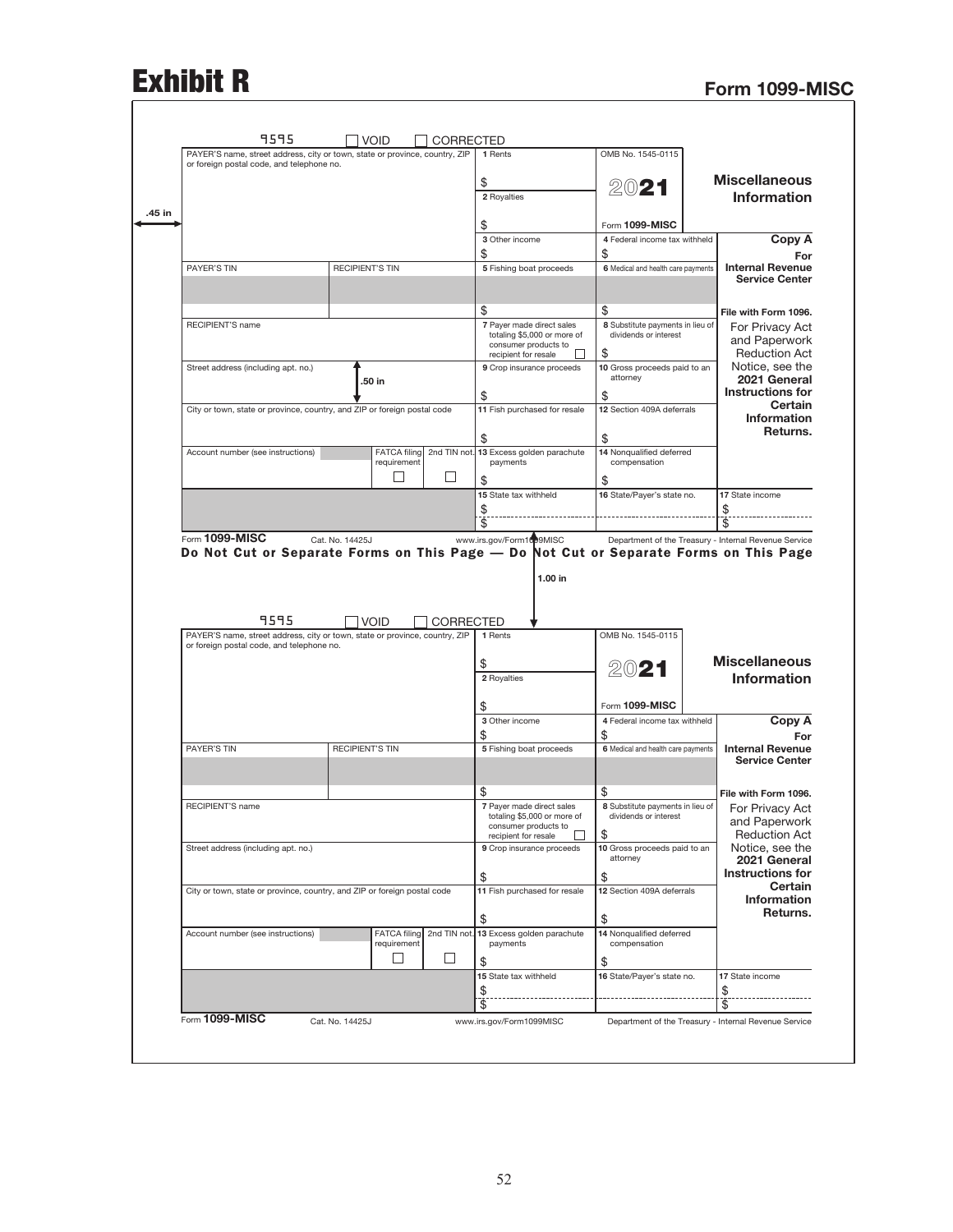# Exhibit R<br>Form 1099-MISC

ſ

|                                                                                               | OMB No. 1545-0115                                                                                                                              | 1 Rents                                             |                  |                             |                        | PAYER'S name, street address, city or town, state or province, country, ZIP<br>or foreign postal code, and telephone no. |
|-----------------------------------------------------------------------------------------------|------------------------------------------------------------------------------------------------------------------------------------------------|-----------------------------------------------------|------------------|-----------------------------|------------------------|--------------------------------------------------------------------------------------------------------------------------|
| <b>Miscellaneous</b>                                                                          | 2021                                                                                                                                           | \$                                                  |                  |                             |                        |                                                                                                                          |
| <b>Information</b>                                                                            |                                                                                                                                                | 2 Royalties                                         |                  |                             |                        |                                                                                                                          |
|                                                                                               | Form 1099-MISC                                                                                                                                 | \$                                                  |                  |                             |                        |                                                                                                                          |
| Copy A                                                                                        | 4 Federal income tax withheld                                                                                                                  | 3 Other income                                      |                  |                             |                        |                                                                                                                          |
| For                                                                                           | \$                                                                                                                                             | \$                                                  |                  |                             |                        |                                                                                                                          |
| <b>Internal Revenue</b><br><b>Service Center</b>                                              | 6 Medical and health care payments                                                                                                             | 5 Fishing boat proceeds                             |                  |                             | <b>RECIPIENT'S TIN</b> |                                                                                                                          |
|                                                                                               |                                                                                                                                                |                                                     |                  |                             |                        |                                                                                                                          |
| File with Form 1096.                                                                          | \$<br>8 Substitute payments in lieu of                                                                                                         | \$<br>7 Payer made direct sales                     |                  |                             |                        | RECIPIENT'S name                                                                                                         |
| For Privacy Act<br>and Paperwork                                                              | dividends or interest<br>\$                                                                                                                    | totaling \$5,000 or more of<br>consumer products to |                  |                             |                        |                                                                                                                          |
| <b>Reduction Act</b><br>Notice, see the                                                       | 10 Gross proceeds paid to an                                                                                                                   | recipient for resale<br>9 Crop insurance proceeds   |                  |                             |                        | Street address (including apt. no.)                                                                                      |
| 2021 General                                                                                  | attorney                                                                                                                                       |                                                     |                  | 50 in                       |                        |                                                                                                                          |
| <b>Instructions for</b><br>Certain                                                            | \$                                                                                                                                             | \$                                                  |                  |                             |                        |                                                                                                                          |
| Information<br>Returns.                                                                       | 12 Section 409A deferrals                                                                                                                      | 11 Fish purchased for resale                        |                  |                             |                        | City or town, state or province, country, and ZIP or foreign postal code                                                 |
|                                                                                               | \$                                                                                                                                             | \$                                                  |                  |                             |                        |                                                                                                                          |
|                                                                                               | 14 Nonqualified deferred<br>compensation                                                                                                       | 2nd TIN not. 13 Excess golden parachute<br>payments |                  | FATCA filing<br>requirement |                        | Account number (see instructions)                                                                                        |
|                                                                                               | \$                                                                                                                                             | \$                                                  | H                |                             |                        |                                                                                                                          |
| 17 State income                                                                               | 16 State/Payer's state no.                                                                                                                     | 15 State tax withheld<br>\$                         |                  |                             |                        |                                                                                                                          |
| \$                                                                                            |                                                                                                                                                |                                                     |                  |                             |                        |                                                                                                                          |
| $\overline{\$}$                                                                               | Department of the Treasury - Internal Revenue Service<br>Do Not Cut or Separate Forms on This Page - Do Not Cut or Separate Forms on This Page | \$<br>www.irs.gov/Form1099MISC<br>1.00 in           |                  |                             | Cat. No. 14425J        | Form 1099-MISC                                                                                                           |
|                                                                                               | OMB No. 1545-0115                                                                                                                              | 1 Rents                                             | <b>CORRECTED</b> | <b>VOID</b>                 |                        | 9595                                                                                                                     |
|                                                                                               |                                                                                                                                                |                                                     |                  |                             |                        | PAYER'S name, street address, city or town, state or province, country, ZIP<br>or foreign postal code, and telephone no. |
| <b>Miscellaneous</b>                                                                          | 2021                                                                                                                                           | \$                                                  |                  |                             |                        |                                                                                                                          |
| <b>Information</b>                                                                            |                                                                                                                                                | 2 Royalties                                         |                  |                             |                        |                                                                                                                          |
|                                                                                               | Form 1099-MISC                                                                                                                                 | \$                                                  |                  |                             |                        |                                                                                                                          |
| Copy A                                                                                        | 4 Federal income tax withheld                                                                                                                  | 3 Other income                                      |                  |                             |                        |                                                                                                                          |
| For<br><b>Internal Revenue</b>                                                                | \$<br>6 Medical and health care payments                                                                                                       | \$<br>5 Fishing boat proceeds                       |                  |                             | <b>RECIPIENT'S TIN</b> |                                                                                                                          |
| <b>Service Center</b>                                                                         |                                                                                                                                                |                                                     |                  |                             |                        |                                                                                                                          |
| File with Form 1096.                                                                          | \$                                                                                                                                             | \$                                                  |                  |                             |                        |                                                                                                                          |
| For Privacy Act                                                                               | 8 Substitute payments in lieu of                                                                                                               | 7 Payer made direct sales                           |                  |                             |                        | RECIPIENT'S name                                                                                                         |
| and Paperwork                                                                                 | dividends or interest                                                                                                                          | totaling \$5,000 or more of<br>consumer products to |                  |                             |                        |                                                                                                                          |
|                                                                                               | \$<br>10 Gross proceeds paid to an                                                                                                             | recipient for resale<br>9 Crop insurance proceeds   |                  |                             |                        | Street address (including apt. no.)                                                                                      |
|                                                                                               | attorney                                                                                                                                       |                                                     |                  |                             |                        |                                                                                                                          |
| <b>Reduction Act</b><br>Notice, see the<br>2021 General<br><b>Instructions for</b><br>Certain | \$<br>12 Section 409A deferrals                                                                                                                | \$<br>11 Fish purchased for resale                  |                  |                             |                        | City or town, state or province, country, and ZIP or foreign postal code                                                 |
| Information<br>Returns.                                                                       |                                                                                                                                                |                                                     |                  |                             |                        |                                                                                                                          |
|                                                                                               | \$<br>14 Nonqualified deferred                                                                                                                 | \$<br>13 Excess golden parachute                    | 2nd TIN not.     | <b>FATCA filing</b>         |                        | Account number (see instructions)                                                                                        |
|                                                                                               | compensation                                                                                                                                   | payments                                            | $\Box$           | requirement<br>Ш            |                        |                                                                                                                          |
| 17 State income                                                                               | \$                                                                                                                                             | \$<br>15 State tax withheld                         |                  |                             |                        |                                                                                                                          |
| \$                                                                                            | 16 State/Payer's state no.                                                                                                                     | \$                                                  |                  |                             |                        |                                                                                                                          |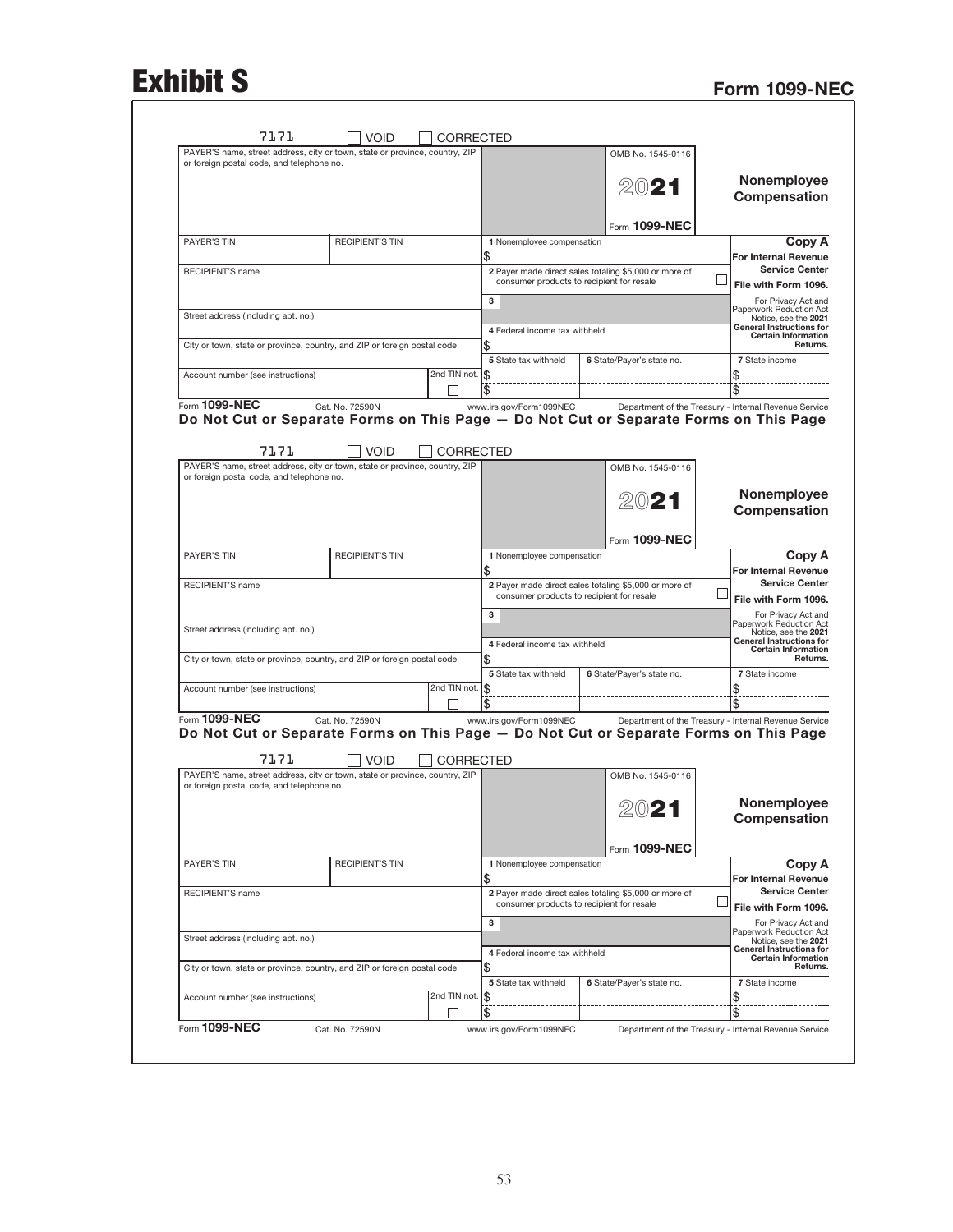# Exhibit S<br>Form 1099-NEC

| PAYER'S name, street address, city or town, state or province, country, ZIP                                              |                        |                  |                               | OMB No. 1545-0116                                                                                  |                                                                                                                                                                                                                                                                                  |
|--------------------------------------------------------------------------------------------------------------------------|------------------------|------------------|-------------------------------|----------------------------------------------------------------------------------------------------|----------------------------------------------------------------------------------------------------------------------------------------------------------------------------------------------------------------------------------------------------------------------------------|
| or foreign postal code, and telephone no.                                                                                |                        |                  |                               |                                                                                                    |                                                                                                                                                                                                                                                                                  |
|                                                                                                                          |                        |                  |                               |                                                                                                    | Nonemployee                                                                                                                                                                                                                                                                      |
|                                                                                                                          |                        |                  |                               | 2021                                                                                               | Compensation                                                                                                                                                                                                                                                                     |
|                                                                                                                          |                        |                  |                               |                                                                                                    |                                                                                                                                                                                                                                                                                  |
|                                                                                                                          |                        |                  |                               | Form 1099-NEC                                                                                      |                                                                                                                                                                                                                                                                                  |
| <b>PAYER'S TIN</b>                                                                                                       | <b>RECIPIENT'S TIN</b> |                  | 1 Nonemployee compensation    |                                                                                                    | Copy A                                                                                                                                                                                                                                                                           |
|                                                                                                                          |                        |                  | \$                            |                                                                                                    | <b>For Internal Revenue</b>                                                                                                                                                                                                                                                      |
| <b>RECIPIENT'S name</b>                                                                                                  |                        |                  |                               | 2 Payer made direct sales totaling \$5,000 or more of                                              | <b>Service Center</b>                                                                                                                                                                                                                                                            |
|                                                                                                                          |                        |                  |                               | consumer products to recipient for resale                                                          | File with Form 1096.                                                                                                                                                                                                                                                             |
|                                                                                                                          |                        |                  | 3                             |                                                                                                    | For Privacy Act and                                                                                                                                                                                                                                                              |
| Street address (including apt. no.)                                                                                      |                        |                  |                               |                                                                                                    | Paperwork Reduction Act<br>Notice, see the 2021                                                                                                                                                                                                                                  |
|                                                                                                                          |                        |                  | 4 Federal income tax withheld |                                                                                                    | <b>General Instructions for</b><br><b>Certain Information</b>                                                                                                                                                                                                                    |
| City or town, state or province, country, and ZIP or foreign postal code                                                 |                        |                  | \$                            |                                                                                                    | Returns.                                                                                                                                                                                                                                                                         |
|                                                                                                                          |                        |                  | 5 State tax withheld          | 6 State/Payer's state no.                                                                          | 7 State income                                                                                                                                                                                                                                                                   |
| Account number (see instructions)                                                                                        |                        | 2nd TIN not. S   |                               |                                                                                                    | \$                                                                                                                                                                                                                                                                               |
|                                                                                                                          |                        |                  | \$                            |                                                                                                    |                                                                                                                                                                                                                                                                                  |
| Form 1099-NEC                                                                                                            | Cat. No. 72590N        |                  | www.irs.gov/Form1099NEC       |                                                                                                    | Department of the Treasury - Internal Revenue Service                                                                                                                                                                                                                            |
| Do Not Cut or Separate Forms on This Page - Do Not Cut or Separate Forms on This Page<br>7171                            | <b>VOID</b>            | <b>CORRECTED</b> |                               |                                                                                                    |                                                                                                                                                                                                                                                                                  |
| PAYER'S name, street address, city or town, state or province, country, ZIP<br>or foreign postal code, and telephone no. |                        |                  |                               | OMB No. 1545-0116                                                                                  |                                                                                                                                                                                                                                                                                  |
|                                                                                                                          |                        |                  |                               |                                                                                                    | Nonemployee                                                                                                                                                                                                                                                                      |
|                                                                                                                          |                        |                  |                               | 2021                                                                                               | Compensation                                                                                                                                                                                                                                                                     |
|                                                                                                                          |                        |                  |                               |                                                                                                    |                                                                                                                                                                                                                                                                                  |
|                                                                                                                          |                        |                  |                               | Form 1099-NEC                                                                                      |                                                                                                                                                                                                                                                                                  |
| PAYER'S TIN                                                                                                              | <b>RECIPIENT'S TIN</b> |                  | 1 Nonemployee compensation    |                                                                                                    | Copy A                                                                                                                                                                                                                                                                           |
|                                                                                                                          |                        |                  | \$                            |                                                                                                    | For Internal Revenue                                                                                                                                                                                                                                                             |
| RECIPIENT'S name                                                                                                         |                        |                  |                               | 2 Payer made direct sales totaling \$5,000 or more of                                              | <b>Service Center</b>                                                                                                                                                                                                                                                            |
|                                                                                                                          |                        |                  |                               | consumer products to recipient for resale                                                          | File with Form 1096.                                                                                                                                                                                                                                                             |
|                                                                                                                          |                        |                  | з                             |                                                                                                    | For Privacy Act and                                                                                                                                                                                                                                                              |
| Street address (including apt. no.)                                                                                      |                        |                  |                               |                                                                                                    | Paperwork Reduction Act<br>Notice, see the 2021                                                                                                                                                                                                                                  |
|                                                                                                                          |                        |                  | 4 Federal income tax withheld |                                                                                                    | <b>General Instructions for</b><br><b>Certain Information</b>                                                                                                                                                                                                                    |
| City or town, state or province, country, and ZIP or foreign postal code                                                 |                        |                  | \$                            |                                                                                                    | Returns.                                                                                                                                                                                                                                                                         |
|                                                                                                                          |                        |                  | 5 State tax withheld          | 6 State/Payer's state no.                                                                          | 7 State income                                                                                                                                                                                                                                                                   |
|                                                                                                                          |                        | 2nd TIN not.     | \$                            |                                                                                                    | \$                                                                                                                                                                                                                                                                               |
| Account number (see instructions)                                                                                        |                        |                  | $\overline{\$}$               |                                                                                                    | \$                                                                                                                                                                                                                                                                               |
|                                                                                                                          |                        |                  | www.irs.gov/Form1099NEC       |                                                                                                    | Department of the Treasury - Internal Revenue Service                                                                                                                                                                                                                            |
| Form 1099-NEC                                                                                                            | Cat. No. 72590N        |                  |                               |                                                                                                    |                                                                                                                                                                                                                                                                                  |
| Do Not Cut or Separate Forms on This Page - Do Not Cut or Separate Forms on This Page<br>7171                            | <b>VOID</b>            | CORRECTED        |                               |                                                                                                    |                                                                                                                                                                                                                                                                                  |
| PAYER'S name, street address, city or town, state or province, country, ZIP<br>or foreign postal code, and telephone no. |                        |                  |                               | OMB No. 1545-0116                                                                                  |                                                                                                                                                                                                                                                                                  |
|                                                                                                                          |                        |                  |                               |                                                                                                    |                                                                                                                                                                                                                                                                                  |
|                                                                                                                          |                        |                  |                               | 49 J                                                                                               |                                                                                                                                                                                                                                                                                  |
|                                                                                                                          |                        |                  |                               |                                                                                                    |                                                                                                                                                                                                                                                                                  |
|                                                                                                                          |                        |                  |                               |                                                                                                    |                                                                                                                                                                                                                                                                                  |
|                                                                                                                          |                        |                  |                               | Form 1099-NEC                                                                                      |                                                                                                                                                                                                                                                                                  |
| <b>PAYER'S TIN</b>                                                                                                       | <b>RECIPIENT'S TIN</b> |                  | 1 Nonemployee compensation    |                                                                                                    |                                                                                                                                                                                                                                                                                  |
|                                                                                                                          |                        |                  | \$                            |                                                                                                    |                                                                                                                                                                                                                                                                                  |
| RECIPIENT'S name                                                                                                         |                        |                  |                               | 2 Payer made direct sales totaling \$5,000 or more of<br>consumer products to recipient for resale |                                                                                                                                                                                                                                                                                  |
|                                                                                                                          |                        |                  |                               |                                                                                                    |                                                                                                                                                                                                                                                                                  |
|                                                                                                                          |                        |                  | з                             |                                                                                                    |                                                                                                                                                                                                                                                                                  |
| Street address (including apt. no.)                                                                                      |                        |                  |                               |                                                                                                    |                                                                                                                                                                                                                                                                                  |
|                                                                                                                          |                        |                  | 4 Federal income tax withheld |                                                                                                    |                                                                                                                                                                                                                                                                                  |
| City or town, state or province, country, and ZIP or foreign postal code                                                 |                        |                  | \$                            |                                                                                                    |                                                                                                                                                                                                                                                                                  |
|                                                                                                                          |                        |                  | 5 State tax withheld          | 6 State/Payer's state no.                                                                          | Nonemployee<br>Compensation<br>Copy A<br>For Internal Revenue<br><b>Service Center</b><br>File with Form 1096.<br>For Privacy Act and<br>Paperwork Reduction Act<br>Notice, see the 2021<br>General Instructions for<br><b>Certain Information</b><br>Returns.<br>7 State income |
| Account number (see instructions)                                                                                        |                        | 2nd TIN not.     | \$<br>\$                      |                                                                                                    | \$<br>\$                                                                                                                                                                                                                                                                         |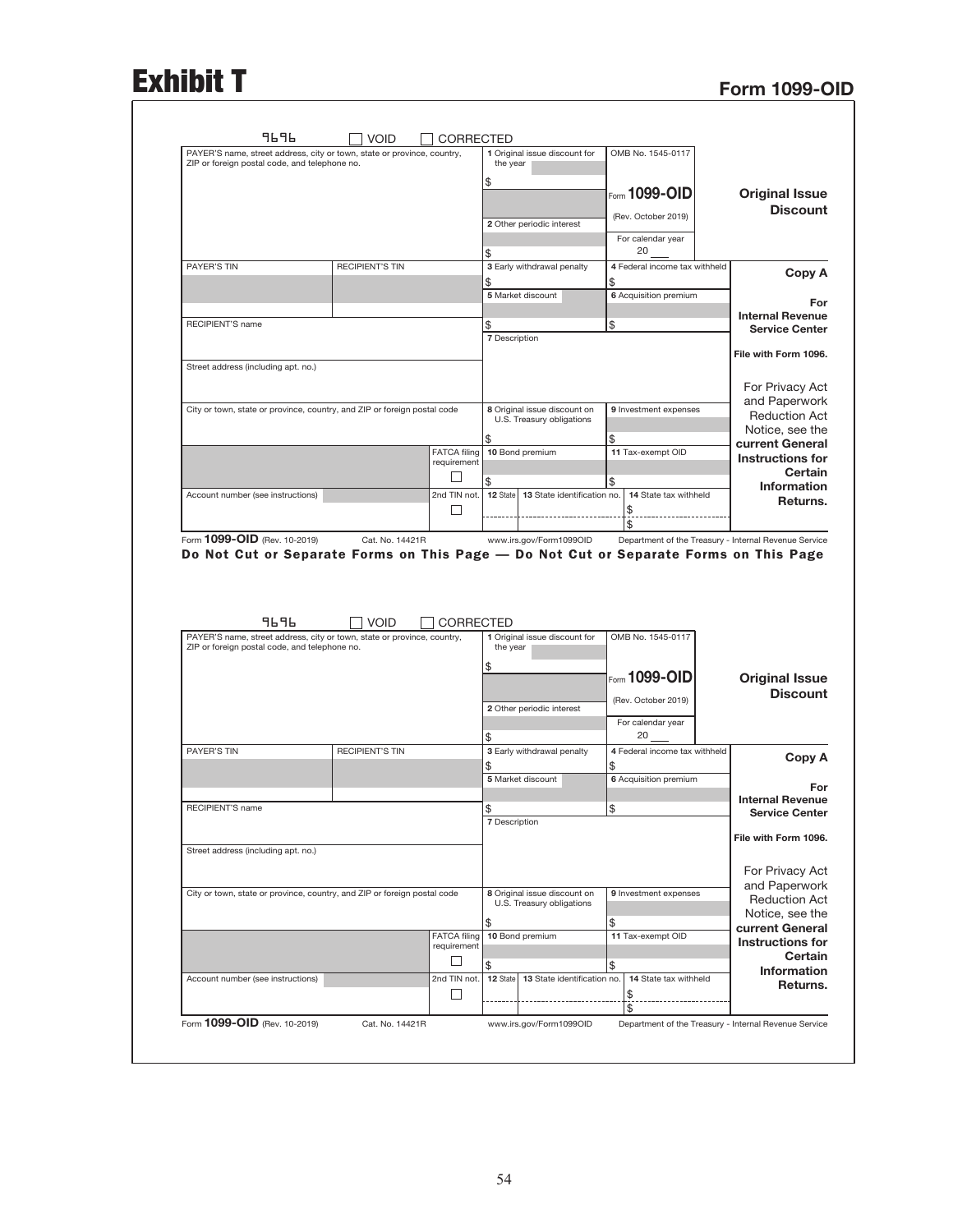## Exhibit T<br>Form 1099-OID

| 9696                                                                                                                     | <b>VOID</b>            | <b>CORRECTED</b>                   |                      |                                                           |                                                |                                                                                                                                                                            |
|--------------------------------------------------------------------------------------------------------------------------|------------------------|------------------------------------|----------------------|-----------------------------------------------------------|------------------------------------------------|----------------------------------------------------------------------------------------------------------------------------------------------------------------------------|
| PAYER'S name, street address, city or town, state or province, country,<br>ZIP or foreign postal code, and telephone no. |                        |                                    | the year             | 1 Original issue discount for                             | OMB No. 1545-0117                              |                                                                                                                                                                            |
|                                                                                                                          |                        |                                    |                      |                                                           |                                                |                                                                                                                                                                            |
|                                                                                                                          |                        |                                    | \$                   |                                                           | $_{\text{\tiny{F}\space o\space cm}}$ 1099-OID | <b>Original Issue</b>                                                                                                                                                      |
|                                                                                                                          |                        |                                    |                      |                                                           |                                                | <b>Discount</b>                                                                                                                                                            |
|                                                                                                                          |                        |                                    |                      | 2 Other periodic interest                                 | (Rev. October 2019)                            |                                                                                                                                                                            |
|                                                                                                                          |                        |                                    |                      |                                                           | For calendar year                              |                                                                                                                                                                            |
|                                                                                                                          |                        |                                    | \$                   |                                                           | 20                                             |                                                                                                                                                                            |
| PAYER'S TIN                                                                                                              | <b>RECIPIENT'S TIN</b> |                                    |                      | 3 Early withdrawal penalty                                | 4 Federal income tax withheld                  |                                                                                                                                                                            |
|                                                                                                                          |                        |                                    | \$                   |                                                           | \$                                             | Copy A                                                                                                                                                                     |
|                                                                                                                          |                        |                                    |                      | 5 Market discount                                         | 6 Acquisition premium                          |                                                                                                                                                                            |
|                                                                                                                          |                        |                                    |                      |                                                           |                                                | For                                                                                                                                                                        |
| RECIPIENT'S name                                                                                                         |                        |                                    | \$                   |                                                           | \$                                             | <b>Internal Revenue</b><br><b>Service Center</b>                                                                                                                           |
|                                                                                                                          |                        |                                    | <b>7</b> Description |                                                           |                                                |                                                                                                                                                                            |
|                                                                                                                          |                        |                                    |                      |                                                           |                                                | File with Form 1096.                                                                                                                                                       |
| Street address (including apt. no.)                                                                                      |                        |                                    |                      |                                                           |                                                |                                                                                                                                                                            |
|                                                                                                                          |                        |                                    |                      |                                                           |                                                | For Privacy Act                                                                                                                                                            |
|                                                                                                                          |                        |                                    |                      |                                                           |                                                | and Paperwork                                                                                                                                                              |
| City or town, state or province, country, and ZIP or foreign postal code                                                 |                        |                                    |                      | 8 Original issue discount on                              | 9 Investment expenses                          | <b>Reduction Act</b>                                                                                                                                                       |
|                                                                                                                          |                        |                                    |                      | U.S. Treasury obligations                                 |                                                | Notice, see the                                                                                                                                                            |
|                                                                                                                          |                        |                                    | \$                   |                                                           | \$                                             | current General                                                                                                                                                            |
|                                                                                                                          |                        | <b>FATCA filing</b><br>requirement |                      | 10 Bond premium                                           | 11 Tax-exempt OID                              | <b>Instructions for</b>                                                                                                                                                    |
|                                                                                                                          |                        | Ш                                  |                      |                                                           |                                                | Certain                                                                                                                                                                    |
|                                                                                                                          |                        |                                    | \$                   |                                                           | \$                                             | <b>Information</b>                                                                                                                                                         |
| Account number (see instructions)                                                                                        |                        | 2nd TIN not.                       | 12 State             | 13 State identification no.                               | 14 State tax withheld                          | Returns.                                                                                                                                                                   |
|                                                                                                                          |                        | □                                  |                      |                                                           | \$<br>\$                                       |                                                                                                                                                                            |
| Form 1099-OID (Rev. 10-2019)<br>Do Not Cut or Separate Forms on This Page - Do Not Cut or Separate Forms on This Page    | Cat. No. 14421R        |                                    |                      | www.irs.gov/Form1099OID                                   |                                                |                                                                                                                                                                            |
| 9696<br>PAYER'S name, street address, city or town, state or province, country,                                          | <b>VOID</b>            | CORRECTED                          |                      | 1 Original issue discount for                             | OMB No. 1545-0117                              |                                                                                                                                                                            |
| ZIP or foreign postal code, and telephone no.                                                                            |                        |                                    | the year             |                                                           |                                                |                                                                                                                                                                            |
|                                                                                                                          |                        |                                    | \$                   |                                                           |                                                |                                                                                                                                                                            |
|                                                                                                                          |                        |                                    |                      |                                                           | Form 1099-OID                                  |                                                                                                                                                                            |
|                                                                                                                          |                        |                                    |                      |                                                           | (Rev. October 2019)                            |                                                                                                                                                                            |
|                                                                                                                          |                        |                                    |                      | 2 Other periodic interest                                 |                                                |                                                                                                                                                                            |
|                                                                                                                          |                        |                                    |                      |                                                           | For calendar year<br>20                        |                                                                                                                                                                            |
| PAYER'S TIN                                                                                                              | <b>RECIPIENT'S TIN</b> |                                    | \$                   | 3 Early withdrawal penalty                                | 4 Federal income tax withheld                  |                                                                                                                                                                            |
|                                                                                                                          |                        |                                    | \$                   |                                                           | \$                                             |                                                                                                                                                                            |
|                                                                                                                          |                        |                                    |                      | 5 Market discount                                         | 6 Acquisition premium                          |                                                                                                                                                                            |
|                                                                                                                          |                        |                                    |                      |                                                           |                                                | Department of the Treasury - Internal Revenue Service<br><b>Original Issue</b><br><b>Discount</b><br>Copy A<br>For                                                         |
| <b>RECIPIENT'S name</b>                                                                                                  |                        |                                    | \$                   |                                                           | \$                                             | <b>Internal Revenue</b>                                                                                                                                                    |
|                                                                                                                          |                        |                                    | <b>7 Description</b> |                                                           |                                                |                                                                                                                                                                            |
|                                                                                                                          |                        |                                    |                      |                                                           |                                                |                                                                                                                                                                            |
| Street address (including apt. no.)                                                                                      |                        |                                    |                      |                                                           |                                                |                                                                                                                                                                            |
|                                                                                                                          |                        |                                    |                      |                                                           |                                                |                                                                                                                                                                            |
|                                                                                                                          |                        |                                    |                      |                                                           |                                                |                                                                                                                                                                            |
| City or town, state or province, country, and ZIP or foreign postal code                                                 |                        |                                    |                      | 8 Original issue discount on<br>U.S. Treasury obligations | 9 Investment expenses                          |                                                                                                                                                                            |
|                                                                                                                          |                        |                                    |                      |                                                           |                                                |                                                                                                                                                                            |
|                                                                                                                          |                        |                                    | \$                   |                                                           | \$                                             |                                                                                                                                                                            |
|                                                                                                                          |                        | <b>FATCA filing</b><br>requirement |                      | 10 Bond premium                                           | 11 Tax-exempt OID                              | <b>Service Center</b><br>File with Form 1096.<br>For Privacy Act<br>and Paperwork<br><b>Reduction Act</b><br>Notice, see the<br>current General<br><b>Instructions for</b> |
|                                                                                                                          |                        | ப                                  |                      |                                                           |                                                |                                                                                                                                                                            |
|                                                                                                                          |                        |                                    | \$                   |                                                           | \$                                             |                                                                                                                                                                            |
| Account number (see instructions)                                                                                        |                        | 2nd TIN not.                       | 12 State             | 13 State identification no.                               | 14 State tax withheld                          | <b>Certain</b><br><b>Information</b><br>Returns.                                                                                                                           |
|                                                                                                                          |                        | ப                                  |                      |                                                           | \$<br>\$                                       |                                                                                                                                                                            |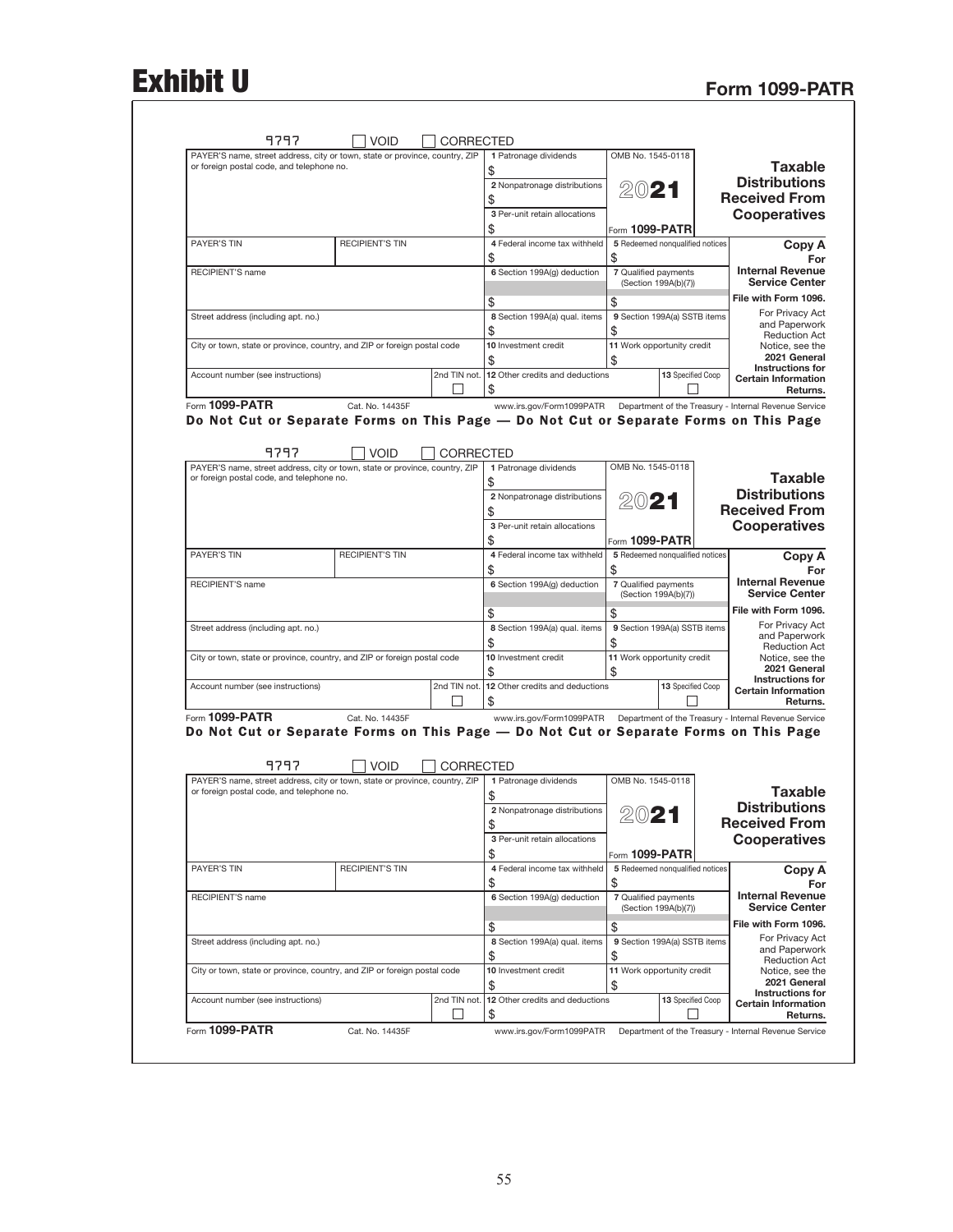# Exhibit U Form 1099-PATR

|                                                                                                                                                                                                                                              |                   | OMB No. 1545-0118                            | 1 Patronage dividends                                                                 | <b>CORRECTED</b>  |                        | PAYER'S name, street address, city or town, state or province, country, ZIP                                              |
|----------------------------------------------------------------------------------------------------------------------------------------------------------------------------------------------------------------------------------------------|-------------------|----------------------------------------------|---------------------------------------------------------------------------------------|-------------------|------------------------|--------------------------------------------------------------------------------------------------------------------------|
| <b>Taxable</b>                                                                                                                                                                                                                               |                   |                                              |                                                                                       |                   |                        | or foreign postal code, and telephone no.                                                                                |
| <b>Distributions</b>                                                                                                                                                                                                                         |                   | 2021                                         | 2 Nonpatronage distributions                                                          |                   |                        |                                                                                                                          |
| <b>Received From</b>                                                                                                                                                                                                                         |                   |                                              | \$                                                                                    |                   |                        |                                                                                                                          |
| <b>Cooperatives</b>                                                                                                                                                                                                                          |                   |                                              | 3 Per-unit retain allocations                                                         |                   |                        |                                                                                                                          |
|                                                                                                                                                                                                                                              |                   | Form 1099-PATR                               | \$                                                                                    |                   |                        |                                                                                                                          |
| Copy A                                                                                                                                                                                                                                       |                   | 5 Redeemed nonqualified notices              | 4 Federal income tax withheld                                                         |                   | <b>RECIPIENT'S TIN</b> | PAYER'S TIN                                                                                                              |
|                                                                                                                                                                                                                                              |                   | \$                                           | \$                                                                                    |                   |                        |                                                                                                                          |
| <b>Internal Revenue</b><br><b>Service Center</b>                                                                                                                                                                                             |                   | 7 Qualified payments<br>(Section 199A(b)(7)) | 6 Section 199A(q) deduction                                                           |                   |                        | <b>RECIPIENT'S name</b>                                                                                                  |
| File with Form 1096.                                                                                                                                                                                                                         |                   | \$                                           | \$                                                                                    |                   |                        |                                                                                                                          |
| For Privacy Act                                                                                                                                                                                                                              |                   | 9 Section 199A(a) SSTB items                 | 8 Section 199A(a) qual. items                                                         |                   |                        | Street address (including apt. no.)                                                                                      |
| and Paperwork                                                                                                                                                                                                                                |                   | \$                                           | \$                                                                                    |                   |                        |                                                                                                                          |
| <b>Reduction Act</b><br>Notice, see the                                                                                                                                                                                                      |                   | 11 Work opportunity credit                   | 10 Investment credit                                                                  |                   |                        | City or town, state or province, country, and ZIP or foreign postal code                                                 |
| 2021 General                                                                                                                                                                                                                                 |                   | \$                                           | \$                                                                                    |                   |                        |                                                                                                                          |
| <b>Instructions for</b><br><b>Certain Information</b>                                                                                                                                                                                        | 13 Specified Coop |                                              | 2nd TIN not. 12 Other credits and deductions                                          |                   |                        | Account number (see instructions)                                                                                        |
| Returns.                                                                                                                                                                                                                                     |                   |                                              | \$                                                                                    | $\mathsf{L}$      |                        |                                                                                                                          |
|                                                                                                                                                                                                                                              |                   |                                              | www.irs.gov/Form1099PATR  Department of the Treasury - Internal Revenue Service       |                   | Cat. No. 14435F        | Form 1099-PATR                                                                                                           |
|                                                                                                                                                                                                                                              |                   |                                              | Do Not Cut or Separate Forms on This Page - Do Not Cut or Separate Forms on This Page |                   |                        |                                                                                                                          |
|                                                                                                                                                                                                                                              |                   |                                              |                                                                                       |                   |                        |                                                                                                                          |
|                                                                                                                                                                                                                                              |                   |                                              |                                                                                       | CORRECTED         | <b>VOID</b>            | 9797                                                                                                                     |
| <b>Taxable</b>                                                                                                                                                                                                                               |                   | OMB No. 1545-0118                            | 1 Patronage dividends                                                                 |                   |                        | PAYER'S name, street address, city or town, state or province, country, ZIP<br>or foreign postal code, and telephone no. |
| <b>Distributions</b>                                                                                                                                                                                                                         |                   |                                              | 2 Nonpatronage distributions                                                          |                   |                        |                                                                                                                          |
| <b>Received From</b>                                                                                                                                                                                                                         |                   | 2021                                         | \$                                                                                    |                   |                        |                                                                                                                          |
| <b>Cooperatives</b>                                                                                                                                                                                                                          |                   |                                              | 3 Per-unit retain allocations                                                         |                   |                        |                                                                                                                          |
|                                                                                                                                                                                                                                              |                   | Form 1099-PATR                               | \$                                                                                    |                   |                        |                                                                                                                          |
| Copy A                                                                                                                                                                                                                                       |                   | 5 Redeemed nonqualified notices              | 4 Federal income tax withheld                                                         |                   | <b>RECIPIENT'S TIN</b> | <b>PAYER'S TIN</b>                                                                                                       |
| For                                                                                                                                                                                                                                          |                   | \$                                           | \$                                                                                    |                   |                        |                                                                                                                          |
| <b>Internal Revenue</b><br><b>Service Center</b>                                                                                                                                                                                             |                   | 7 Qualified payments<br>(Section 199A(b)(7)) | 6 Section 199A(g) deduction                                                           |                   |                        | RECIPIENT'S name                                                                                                         |
| File with Form 1096.                                                                                                                                                                                                                         |                   |                                              |                                                                                       |                   |                        |                                                                                                                          |
| For Privacy Act                                                                                                                                                                                                                              |                   | \$<br>9 Section 199A(a) SSTB items           | \$<br>8 Section 199A(a) qual. items                                                   |                   |                        |                                                                                                                          |
| and Paperwork                                                                                                                                                                                                                                |                   | \$                                           | \$                                                                                    |                   |                        | Street address (including apt. no.)                                                                                      |
| <b>Reduction Act</b><br>Notice, see the                                                                                                                                                                                                      |                   | 11 Work opportunity credit                   | 10 Investment credit                                                                  |                   |                        | City or town, state or province, country, and ZIP or foreign postal code                                                 |
| 2021 General                                                                                                                                                                                                                                 |                   | \$                                           |                                                                                       |                   |                        |                                                                                                                          |
| <b>Instructions for</b><br><b>Certain Information</b>                                                                                                                                                                                        | 13 Specified Coop |                                              | 2nd TIN not.   12 Other credits and deductions                                        |                   |                        | Account number (see instructions)                                                                                        |
| Returns.                                                                                                                                                                                                                                     |                   |                                              | \$                                                                                    | $\mathbf{L}$      |                        |                                                                                                                          |
|                                                                                                                                                                                                                                              |                   |                                              | www.irs.gov/Form1099PATR  Department of the Treasury - Internal Revenue Service       |                   | Cat. No. 14435F        | Form 1099-PATR                                                                                                           |
|                                                                                                                                                                                                                                              |                   |                                              | Do Not Cut or Separate Forms on This Page - Do Not Cut or Separate Forms on This Page |                   |                        |                                                                                                                          |
|                                                                                                                                                                                                                                              |                   |                                              |                                                                                       |                   |                        |                                                                                                                          |
|                                                                                                                                                                                                                                              |                   |                                              |                                                                                       | <b>CORRECTED</b>  | <b>VOID</b>            | 9797                                                                                                                     |
|                                                                                                                                                                                                                                              |                   | OMB No. 1545-0118                            | 1 Patronage dividends                                                                 |                   |                        | PAYER'S name, street address, city or town, state or province, country, ZIP                                              |
|                                                                                                                                                                                                                                              |                   |                                              |                                                                                       |                   |                        | or foreign postal code, and telephone no.                                                                                |
|                                                                                                                                                                                                                                              |                   | 2021                                         | 2 Nonpatronage distributions                                                          |                   |                        |                                                                                                                          |
|                                                                                                                                                                                                                                              |                   |                                              |                                                                                       |                   |                        |                                                                                                                          |
|                                                                                                                                                                                                                                              |                   |                                              | \$                                                                                    |                   |                        |                                                                                                                          |
|                                                                                                                                                                                                                                              |                   |                                              | 3 Per-unit retain allocations                                                         |                   |                        |                                                                                                                          |
|                                                                                                                                                                                                                                              |                   | Form $1099-PATR$                             | \$                                                                                    |                   |                        |                                                                                                                          |
| <b>Taxable</b><br><b>Distributions</b><br><b>Received From</b><br><b>Cooperatives</b><br>Copy A<br>For                                                                                                                                       |                   | 5 Redeemed nonqualified notices              | 4 Federal income tax withheld                                                         |                   | <b>RECIPIENT'S TIN</b> | PAYER'S TIN                                                                                                              |
|                                                                                                                                                                                                                                              |                   | \$                                           | \$                                                                                    |                   |                        |                                                                                                                          |
|                                                                                                                                                                                                                                              |                   | 7 Qualified payments<br>(Section 199A(b)(7)) | 6 Section 199A(g) deduction                                                           |                   |                        | RECIPIENT'S name                                                                                                         |
|                                                                                                                                                                                                                                              |                   | \$                                           |                                                                                       |                   |                        |                                                                                                                          |
|                                                                                                                                                                                                                                              |                   | 9 Section 199A(a) SSTB items                 | \$<br>8 Section 199A(a) qual. items                                                   |                   |                        | Street address (including apt. no.)                                                                                      |
|                                                                                                                                                                                                                                              |                   | \$                                           | \$                                                                                    |                   |                        |                                                                                                                          |
|                                                                                                                                                                                                                                              |                   | 11 Work opportunity credit                   | 10 Investment credit                                                                  |                   |                        | City or town, state or province, country, and ZIP or foreign postal code                                                 |
|                                                                                                                                                                                                                                              |                   | \$                                           | \$                                                                                    |                   |                        |                                                                                                                          |
| <b>Internal Revenue</b><br><b>Service Center</b><br>File with Form 1096.<br>For Privacy Act<br>and Paperwork<br><b>Reduction Act</b><br>Notice, see the<br>2021 General<br><b>Instructions for</b><br><b>Certain Information</b><br>Returns. | 13 Specified Coop |                                              | 12 Other credits and deductions<br>\$                                                 | 2nd TIN not.<br>H |                        | Account number (see instructions)                                                                                        |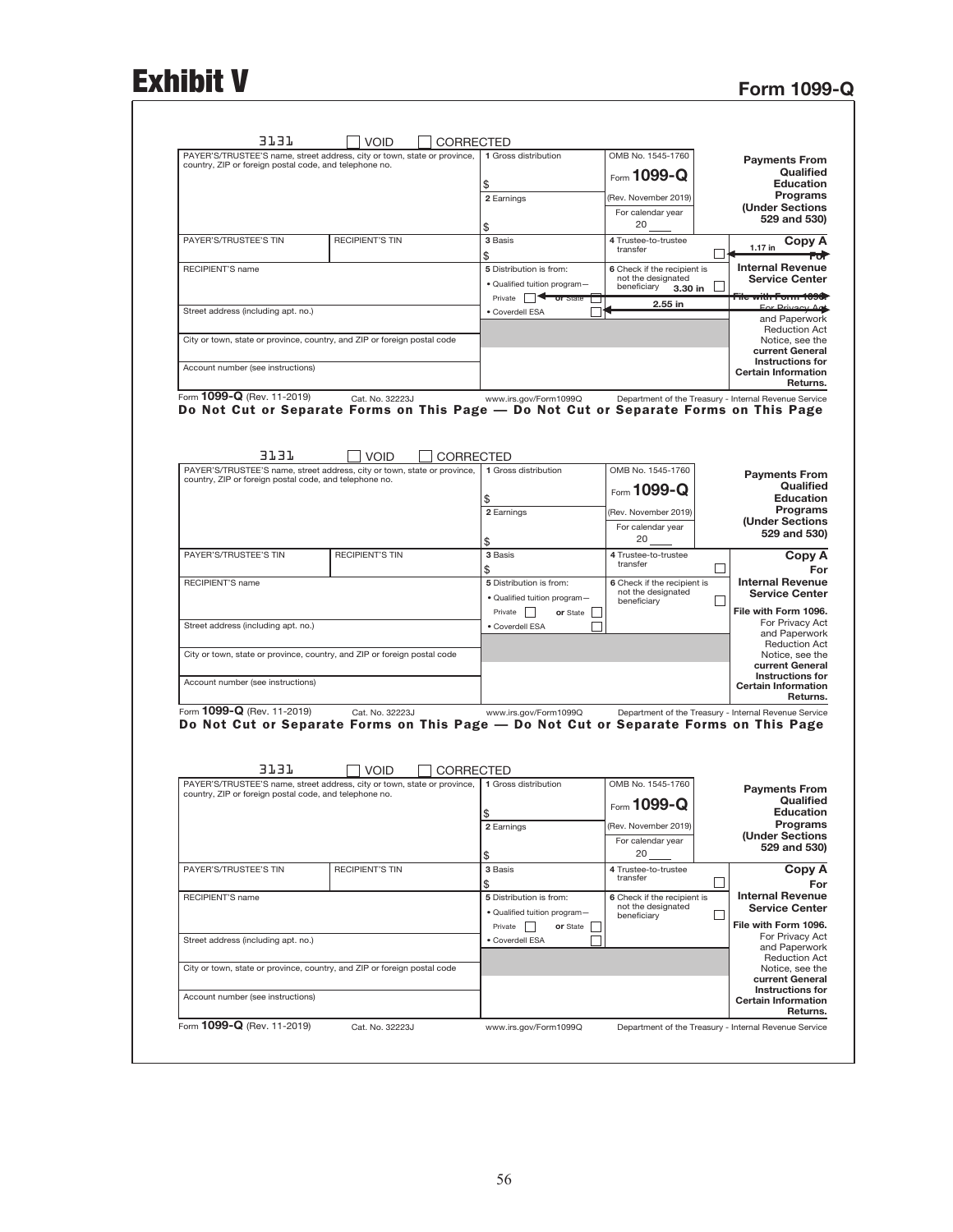## Exhibit V Form 1099-Q

| PAYER'S/TRUSTEE'S name, street address, city or town, state or province,<br>country, ZIP or foreign postal code, and telephone no. |                                |           | 1 Gross distribution          | OMB No. 1545-1760                                     | <b>Payments From</b><br>Qualified                                                                                      |
|------------------------------------------------------------------------------------------------------------------------------------|--------------------------------|-----------|-------------------------------|-------------------------------------------------------|------------------------------------------------------------------------------------------------------------------------|
|                                                                                                                                    |                                |           | \$                            | Form 1099-Q                                           | <b>Education</b>                                                                                                       |
|                                                                                                                                    |                                |           | 2 Earnings                    | (Rev. November 2019)                                  | Programs                                                                                                               |
|                                                                                                                                    |                                |           |                               | For calendar year                                     | (Under Sections<br>529 and 530)                                                                                        |
|                                                                                                                                    |                                |           | \$                            | 20                                                    |                                                                                                                        |
| PAYER'S/TRUSTEE'S TIN                                                                                                              | <b>RECIPIENT'S TIN</b>         |           | 3 Basis<br>\$                 | 4 Trustee-to-trustee<br>transfer                      | Copy A<br>$1.17$ in                                                                                                    |
| RECIPIENT'S name                                                                                                                   |                                |           | 5 Distribution is from:       | 6 Check if the recipient is                           | <b>Internal Revenue</b>                                                                                                |
|                                                                                                                                    |                                |           | · Qualified tuition program-  | not the designated<br>beneficiary<br>3.30 in          | <b>Service Center</b>                                                                                                  |
|                                                                                                                                    |                                |           | Private <b>or</b> State       | 2.55 in                                               | <del>"ile with Form 1090</del><br>For Privacy Ad                                                                       |
| Street address (including apt. no.)                                                                                                |                                |           | · Coverdell ESA               |                                                       | and Paperwork                                                                                                          |
| City or town, state or province, country, and ZIP or foreign postal code                                                           |                                |           |                               |                                                       | <b>Reduction Act</b><br>Notice, see the                                                                                |
|                                                                                                                                    |                                |           |                               |                                                       | current General<br><b>Instructions for</b>                                                                             |
| Account number (see instructions)                                                                                                  |                                |           |                               |                                                       | <b>Certain Information</b>                                                                                             |
| Form 1099-Q (Rev. 11-2019)                                                                                                         | Cat. No. 32223J                |           | www.irs.gov/Form1099Q         | Department of the Treasury - Internal Revenue Service | Returns.                                                                                                               |
| Do Not Cut or Separate Forms on This Page — Do Not Cut or Separate Forms on This Page<br>3131                                      | <b>VOID</b>                    | CORRECTED |                               |                                                       |                                                                                                                        |
| PAYER'S/TRUSTEE'S name, street address, city or town, state or province,                                                           |                                |           | 1 Gross distribution          | OMB No. 1545-1760                                     | <b>Payments From</b>                                                                                                   |
| country, ZIP or foreign postal code, and telephone no.                                                                             |                                |           |                               | Form $1099 - Q$                                       | Qualified                                                                                                              |
|                                                                                                                                    |                                |           | \$                            | (Rev. November 2019)                                  | <b>Education</b><br>Programs                                                                                           |
|                                                                                                                                    |                                |           | 2 Earnings                    | For calendar year                                     | <b>(Under Sections</b>                                                                                                 |
|                                                                                                                                    |                                |           | \$                            | 20                                                    | 529 and 530)                                                                                                           |
| PAYER'S/TRUSTEE'S TIN                                                                                                              | <b>RECIPIENT'S TIN</b>         |           | 3 Basis                       | 4 Trustee-to-trustee<br>transfer                      | Copy A                                                                                                                 |
| <b>RECIPIENT'S name</b>                                                                                                            |                                |           | \$<br>5 Distribution is from: |                                                       | $\mathsf{L}$<br>For<br><b>Internal Revenue</b>                                                                         |
|                                                                                                                                    |                                |           | · Qualified tuition program-  | 6 Check if the recipient is<br>not the designated     | <b>Service Center</b>                                                                                                  |
|                                                                                                                                    |                                |           | Private  <br>or State         | beneficiary                                           | File with Form 1096.                                                                                                   |
| Street address (including apt. no.)                                                                                                |                                |           | · Coverdell ESA               |                                                       | For Privacy Act<br>and Paperwork                                                                                       |
|                                                                                                                                    |                                |           |                               |                                                       | <b>Reduction Act</b>                                                                                                   |
| City or town, state or province, country, and ZIP or foreign postal code                                                           |                                |           |                               |                                                       | Notice, see the<br>current General                                                                                     |
| Account number (see instructions)                                                                                                  |                                |           |                               |                                                       | <b>Instructions for</b>                                                                                                |
|                                                                                                                                    |                                |           |                               |                                                       | <b>Certain Information</b><br>Returns.                                                                                 |
| Form 1099-Q (Rev. 11-2019)<br>Do Not Cut or Separate Forms on This Page - Do Not Cut or Separate Forms on This Page<br>3737        | Cat. No. 32223J<br><b>VOID</b> | CORRECTED | www.irs.gov/Form1099Q         | Department of the Treasury - Internal Revenue Service |                                                                                                                        |
| PAYER'S/TRUSTEE'S name, street address, city or town, state or province,<br>country, ZIP or foreign postal code, and telephone no. |                                |           | 1 Gross distribution          | OMB No. 1545-1760                                     | <b>Payments From</b>                                                                                                   |
|                                                                                                                                    |                                |           | \$                            | Form 1099-Q                                           | Qualified<br><b>Education</b>                                                                                          |
|                                                                                                                                    |                                |           | 2 Earnings                    | (Rev. November 2019)                                  | Programs                                                                                                               |
|                                                                                                                                    |                                |           |                               | For calendar year                                     | (Under Sections<br>529 and 530)                                                                                        |
|                                                                                                                                    |                                |           | \$                            | 20                                                    |                                                                                                                        |
|                                                                                                                                    | <b>RECIPIENT'S TIN</b>         |           | 3 Basis<br>\$                 | 4 Trustee-to-trustee<br>transfer                      | Copy A<br>$\mathsf{L}$                                                                                                 |
| PAYER'S/TRUSTEE'S TIN                                                                                                              |                                |           | 5 Distribution is from:       | 6 Check if the recipient is                           | <b>Internal Revenue</b>                                                                                                |
| RECIPIENT'S name                                                                                                                   |                                |           |                               | not the designated                                    | <b>Service Center</b>                                                                                                  |
|                                                                                                                                    |                                |           | · Qualified tuition program-  | beneficiary                                           | L                                                                                                                      |
|                                                                                                                                    |                                |           | Private    <br>or State       |                                                       |                                                                                                                        |
| Street address (including apt. no.)                                                                                                |                                |           | · Coverdell ESA               |                                                       |                                                                                                                        |
|                                                                                                                                    |                                |           |                               |                                                       |                                                                                                                        |
| City or town, state or province, country, and ZIP or foreign postal code                                                           |                                |           |                               |                                                       | File with Form 1096.<br>For Privacy Act<br>and Paperwork<br><b>Reduction Act</b><br>Notice, see the<br>current General |
| Account number (see instructions)                                                                                                  |                                |           |                               |                                                       | <b>Instructions for</b><br><b>Certain Information</b><br>Returns.                                                      |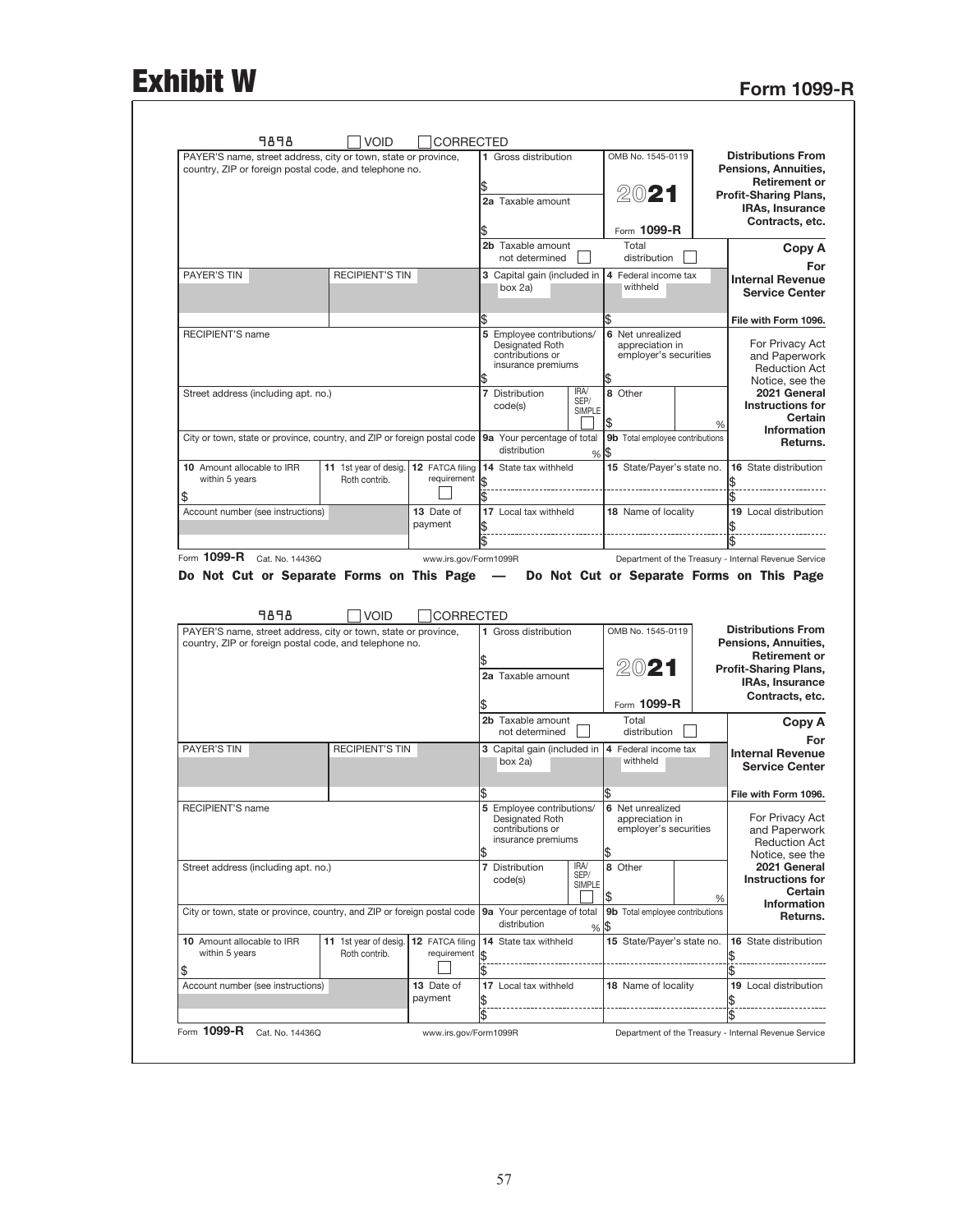## Exhibit W Form 1099-R

| PAYER'S name, street address, city or town, state or province,<br>country, ZIP or foreign postal code, and telephone no. |                        |                       | 1 Gross distribution                        |               | OMB No. 1545-0119                        |   | <b>Distributions From</b><br>Pensions, Annuities,                                                                                                                                                                                                                                                                  |
|--------------------------------------------------------------------------------------------------------------------------|------------------------|-----------------------|---------------------------------------------|---------------|------------------------------------------|---|--------------------------------------------------------------------------------------------------------------------------------------------------------------------------------------------------------------------------------------------------------------------------------------------------------------------|
|                                                                                                                          |                        |                       |                                             |               |                                          |   | <b>Retirement or</b>                                                                                                                                                                                                                                                                                               |
|                                                                                                                          |                        |                       |                                             |               | 2021                                     |   | <b>Profit-Sharing Plans,</b>                                                                                                                                                                                                                                                                                       |
|                                                                                                                          |                        |                       | 2a Taxable amount                           |               |                                          |   | <b>IRAs, Insurance</b>                                                                                                                                                                                                                                                                                             |
|                                                                                                                          |                        |                       |                                             |               | Form 1099-R                              |   | Contracts, etc.                                                                                                                                                                                                                                                                                                    |
|                                                                                                                          |                        |                       | 2b Taxable amount<br>not determined         |               | Total<br>distribution                    |   | Copy A<br>For                                                                                                                                                                                                                                                                                                      |
| PAYER'S TIN                                                                                                              | <b>RECIPIENT'S TIN</b> |                       | 3 Capital gain (included in                 |               | 4 Federal income tax                     |   | <b>Internal Revenue</b>                                                                                                                                                                                                                                                                                            |
|                                                                                                                          |                        |                       | box 2a)                                     |               | withheld                                 |   | <b>Service Center</b>                                                                                                                                                                                                                                                                                              |
|                                                                                                                          |                        |                       | Ŝ.                                          |               | \$                                       |   | File with Form 1096.                                                                                                                                                                                                                                                                                               |
| <b>RECIPIENT'S name</b>                                                                                                  |                        |                       | 5 Employee contributions/                   |               | 6 Net unrealized                         |   |                                                                                                                                                                                                                                                                                                                    |
|                                                                                                                          |                        |                       | Designated Roth<br>contributions or         |               | appreciation in<br>employer's securities |   | For Privacy Act<br>and Paperwork                                                                                                                                                                                                                                                                                   |
|                                                                                                                          |                        |                       | insurance premiums                          |               |                                          |   | <b>Reduction Act</b>                                                                                                                                                                                                                                                                                               |
|                                                                                                                          |                        |                       |                                             |               |                                          |   | Notice, see the                                                                                                                                                                                                                                                                                                    |
| Street address (including apt. no.)                                                                                      |                        |                       | 7 Distribution                              | IRA/          | 8 Other                                  |   | 2021 General                                                                                                                                                                                                                                                                                                       |
|                                                                                                                          |                        |                       | code(s)                                     | SEP/          |                                          |   | <b>Instructions for</b>                                                                                                                                                                                                                                                                                            |
|                                                                                                                          |                        |                       |                                             | <b>SIMPLE</b> |                                          |   | Certain                                                                                                                                                                                                                                                                                                            |
|                                                                                                                          |                        |                       |                                             |               | \$                                       | % | <b>Information</b>                                                                                                                                                                                                                                                                                                 |
| City or town, state or province, country, and ZIP or foreign postal code                                                 |                        |                       | 9a Your percentage of total                 |               | 9b Total employee contributions          |   | Returns.                                                                                                                                                                                                                                                                                                           |
|                                                                                                                          |                        |                       | distribution                                | %             | 1\$                                      |   |                                                                                                                                                                                                                                                                                                                    |
| 10 Amount allocable to IRR                                                                                               | 11 1st year of desig.  | 12 FATCA filing       | 14 State tax withheld                       |               | 15 State/Payer's state no.               |   | 16 State distribution                                                                                                                                                                                                                                                                                              |
| within 5 years                                                                                                           | Roth contrib.          | requirement           | 1\$                                         |               |                                          |   |                                                                                                                                                                                                                                                                                                                    |
|                                                                                                                          |                        |                       |                                             |               |                                          |   |                                                                                                                                                                                                                                                                                                                    |
| \$                                                                                                                       |                        |                       |                                             |               |                                          |   |                                                                                                                                                                                                                                                                                                                    |
| Account number (see instructions)                                                                                        |                        | 13 Date of            | 17 Local tax withheld                       |               | 18 Name of locality                      |   | 19 Local distribution                                                                                                                                                                                                                                                                                              |
|                                                                                                                          |                        | payment               |                                             |               |                                          |   |                                                                                                                                                                                                                                                                                                                    |
|                                                                                                                          |                        |                       |                                             |               |                                          |   |                                                                                                                                                                                                                                                                                                                    |
| Form 1099-R Cat. No. 144360                                                                                              |                        | www.irs.gov/Form1099R |                                             |               |                                          |   |                                                                                                                                                                                                                                                                                                                    |
| Do Not Cut or Separate Forms on This Page -                                                                              |                        |                       |                                             |               |                                          |   |                                                                                                                                                                                                                                                                                                                    |
| 9898                                                                                                                     | <b>VOID</b>            | <b>CORRECTED</b>      |                                             |               |                                          |   |                                                                                                                                                                                                                                                                                                                    |
| PAYER'S name, street address, city or town, state or province,                                                           |                        |                       | 1 Gross distribution                        |               | OMB No. 1545-0119                        |   |                                                                                                                                                                                                                                                                                                                    |
| country, ZIP or foreign postal code, and telephone no.                                                                   |                        |                       |                                             |               |                                          |   |                                                                                                                                                                                                                                                                                                                    |
|                                                                                                                          |                        |                       |                                             |               |                                          |   |                                                                                                                                                                                                                                                                                                                    |
|                                                                                                                          |                        |                       | 2a Taxable amount                           |               | 2021                                     |   |                                                                                                                                                                                                                                                                                                                    |
|                                                                                                                          |                        |                       |                                             |               |                                          |   |                                                                                                                                                                                                                                                                                                                    |
|                                                                                                                          |                        |                       |                                             |               |                                          |   |                                                                                                                                                                                                                                                                                                                    |
|                                                                                                                          |                        |                       |                                             |               | Form 1099-R                              |   | Department of the Treasury - Internal Revenue Service<br>Do Not Cut or Separate Forms on This Page<br><b>Distributions From</b><br>Pensions, Annuities,<br><b>Retirement or</b><br><b>Profit-Sharing Plans,</b><br><b>IRAs, Insurance</b><br>Contracts, etc.                                                       |
|                                                                                                                          |                        |                       | 2b Taxable amount<br>not determined         |               | Total<br>distribution                    |   |                                                                                                                                                                                                                                                                                                                    |
| PAYER'S TIN                                                                                                              | <b>RECIPIENT'S TIN</b> |                       | 3 Capital gain (included in                 |               | 4 Federal income tax                     |   |                                                                                                                                                                                                                                                                                                                    |
|                                                                                                                          |                        |                       | box 2a)                                     |               | withheld                                 |   |                                                                                                                                                                                                                                                                                                                    |
|                                                                                                                          |                        |                       |                                             |               |                                          |   |                                                                                                                                                                                                                                                                                                                    |
|                                                                                                                          |                        |                       |                                             |               | \$                                       |   |                                                                                                                                                                                                                                                                                                                    |
|                                                                                                                          |                        |                       |                                             |               |                                          |   |                                                                                                                                                                                                                                                                                                                    |
| <b>RECIPIENT'S name</b>                                                                                                  |                        |                       | 5 Employee contributions/                   |               | 6 Net unrealized<br>appreciation in      |   |                                                                                                                                                                                                                                                                                                                    |
|                                                                                                                          |                        |                       | Designated Roth<br>contributions or         |               | employer's securities                    |   |                                                                                                                                                                                                                                                                                                                    |
|                                                                                                                          |                        |                       | insurance premiums                          |               |                                          |   |                                                                                                                                                                                                                                                                                                                    |
|                                                                                                                          |                        |                       |                                             |               |                                          |   |                                                                                                                                                                                                                                                                                                                    |
| Street address (including apt. no.)                                                                                      |                        |                       | 7 Distribution                              | IRA/          | 8 Other                                  |   |                                                                                                                                                                                                                                                                                                                    |
|                                                                                                                          |                        |                       | code(s)                                     | SEP/          |                                          |   |                                                                                                                                                                                                                                                                                                                    |
|                                                                                                                          |                        |                       |                                             | SIMPLE        |                                          |   |                                                                                                                                                                                                                                                                                                                    |
|                                                                                                                          |                        |                       |                                             |               | \$                                       | % |                                                                                                                                                                                                                                                                                                                    |
| City or town, state or province, country, and ZIP or foreign postal code                                                 |                        |                       | 9a Your percentage of total<br>distribution | %             | 9b Total employee contributions<br>\$    |   |                                                                                                                                                                                                                                                                                                                    |
| 10 Amount allocable to IRR                                                                                               | 11 1st year of desig.  | 12 FATCA filing       | 14 State tax withheld                       |               | 15 State/Payer's state no.               |   |                                                                                                                                                                                                                                                                                                                    |
| within 5 years                                                                                                           | Roth contrib.          | requirement           |                                             |               |                                          |   |                                                                                                                                                                                                                                                                                                                    |
|                                                                                                                          |                        |                       |                                             |               |                                          |   |                                                                                                                                                                                                                                                                                                                    |
| \$                                                                                                                       |                        |                       |                                             |               |                                          |   |                                                                                                                                                                                                                                                                                                                    |
| Account number (see instructions)                                                                                        |                        | 13 Date of            | 17 Local tax withheld                       |               | 18 Name of locality                      |   | Copy A<br>For<br><b>Internal Revenue</b><br><b>Service Center</b><br>File with Form 1096.<br>For Privacy Act<br>and Paperwork<br><b>Reduction Act</b><br>Notice, see the<br>2021 General<br><b>Instructions for</b><br>Certain<br><b>Information</b><br>Returns.<br>16 State distribution<br>19 Local distribution |
|                                                                                                                          |                        | payment               |                                             |               |                                          |   |                                                                                                                                                                                                                                                                                                                    |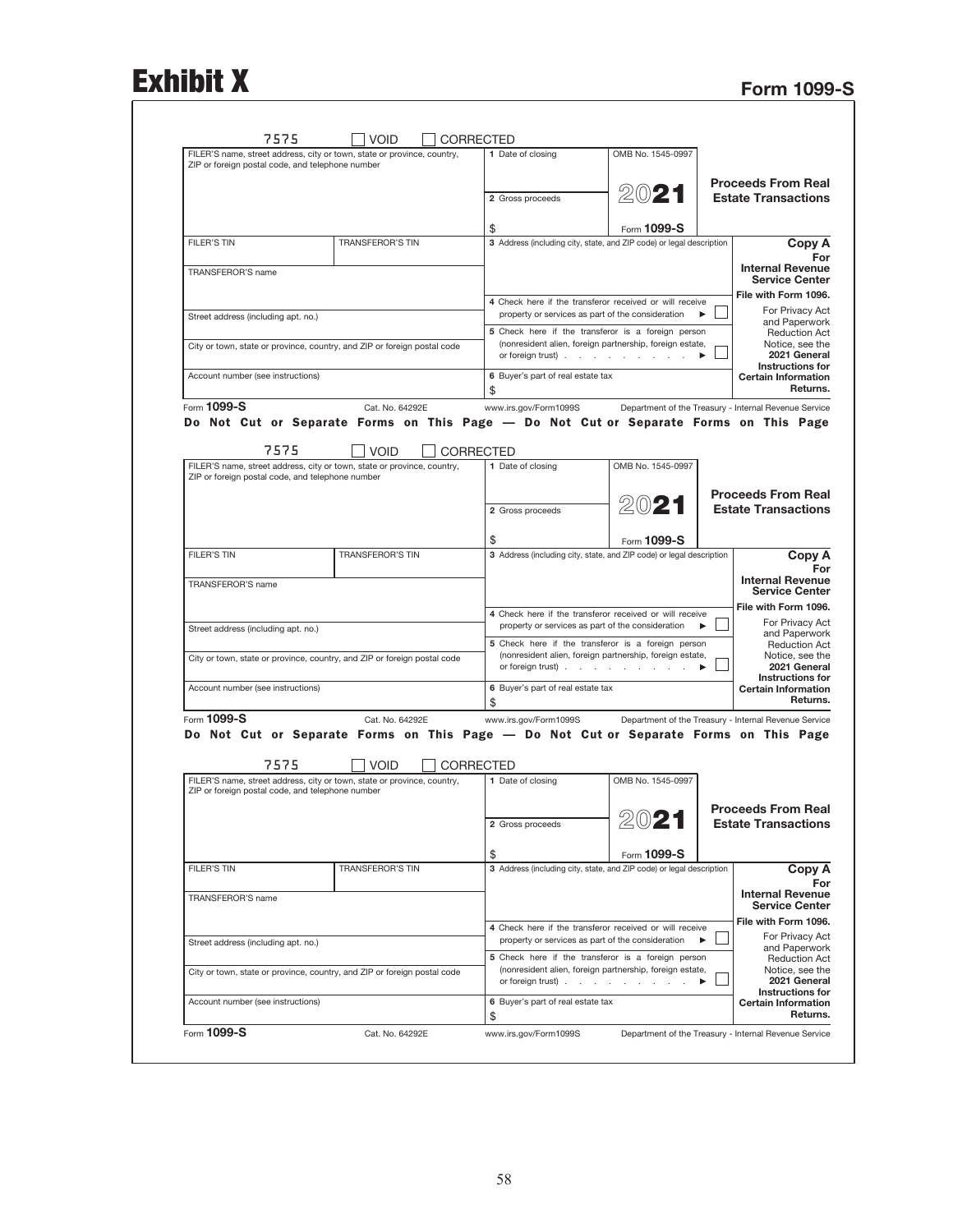## Exhibit X Form 1099-S

| ZIP or foreign postal code, and telephone number | FILER'S name, street address, city or town, state or province, country,                                  | 1 Date of closing                       | OMB No. 1545-0997                                                                                            |                                                            |
|--------------------------------------------------|----------------------------------------------------------------------------------------------------------|-----------------------------------------|--------------------------------------------------------------------------------------------------------------|------------------------------------------------------------|
|                                                  |                                                                                                          |                                         |                                                                                                              | <b>Proceeds From Real</b>                                  |
|                                                  |                                                                                                          | 2 Gross proceeds                        | 2021                                                                                                         | <b>Estate Transactions</b>                                 |
|                                                  |                                                                                                          |                                         |                                                                                                              |                                                            |
|                                                  | TRANSFEROR'S TIN                                                                                         | \$                                      | Form 1099-S<br>3 Address (including city, state, and ZIP code) or legal description                          |                                                            |
|                                                  |                                                                                                          |                                         |                                                                                                              | Copy A                                                     |
| TRANSFEROR'S name                                |                                                                                                          |                                         |                                                                                                              | <b>Internal Revenue</b><br><b>Service Center</b>           |
|                                                  |                                                                                                          |                                         |                                                                                                              | File with Form 1096.                                       |
| Street address (including apt. no.)              |                                                                                                          |                                         | 4 Check here if the transferor received or will receive<br>property or services as part of the consideration | For Privacy Act                                            |
|                                                  |                                                                                                          |                                         | 5 Check here if the transferor is a foreign person                                                           | and Paperwork<br><b>Reduction Act</b>                      |
|                                                  | City or town, state or province, country, and ZIP or foreign postal code                                 |                                         | (nonresident alien, foreign partnership, foreign estate,<br>or foreign trust)                                | Notice, see the<br>2021 General<br>Instructions for        |
| Account number (see instructions)                |                                                                                                          | 6 Buyer's part of real estate tax       |                                                                                                              | <b>Certain Information</b><br>Returns.                     |
| Form 1099-S                                      | Cat. No. 64292E                                                                                          | www.irs.gov/Form1099S                   | Department of the Treasury - Internal Revenue Service                                                        |                                                            |
|                                                  | Do Not Cut or Separate Forms on This Page — Do Not Cut or Separate Forms on This Page                    |                                         |                                                                                                              |                                                            |
| 7575                                             | <b>VOID</b>                                                                                              | CORRECTED                               |                                                                                                              |                                                            |
|                                                  | FILER'S name, street address, city or town, state or province, country,                                  | 1 Date of closing                       | OMB No. 1545-0997                                                                                            |                                                            |
| ZIP or foreign postal code, and telephone number |                                                                                                          |                                         |                                                                                                              |                                                            |
|                                                  |                                                                                                          | 2 Gross proceeds                        | 2021                                                                                                         | <b>Proceeds From Real</b><br><b>Estate Transactions</b>    |
|                                                  |                                                                                                          |                                         |                                                                                                              |                                                            |
|                                                  |                                                                                                          | \$                                      | Form 1099-S                                                                                                  |                                                            |
|                                                  | <b>TRANSFEROR'S TIN</b>                                                                                  |                                         | 3 Address (including city, state, and ZIP code) or legal description                                         | Copy A                                                     |
| TRANSFEROR'S name                                |                                                                                                          |                                         |                                                                                                              | <b>Internal Revenue</b>                                    |
|                                                  |                                                                                                          |                                         |                                                                                                              | <b>Service Center</b>                                      |
|                                                  |                                                                                                          |                                         | 4 Check here if the transferor received or will receive                                                      | File with Form 1096.<br>For Privacy Act                    |
| Street address (including apt. no.)              |                                                                                                          |                                         | property or services as part of the consideration<br>5 Check here if the transferor is a foreign person      | and Paperwork                                              |
|                                                  | City or town, state or province, country, and ZIP or foreign postal code                                 |                                         | (nonresident alien, foreign partnership, foreign estate,                                                     | <b>Reduction Act</b><br>Notice, see the                    |
|                                                  |                                                                                                          |                                         | or foreign trust)                                                                                            | 2021 General<br><b>Instructions for</b>                    |
| Account number (see instructions)                |                                                                                                          | 6 Buyer's part of real estate tax       |                                                                                                              | <b>Certain Information</b><br>Returns.                     |
| Form 1099-S                                      |                                                                                                          | \$                                      |                                                                                                              |                                                            |
|                                                  | Cat. No. 64292E<br>Do Not Cut or Separate Forms on This Page - Do Not Cut or Separate Forms on This Page | www.irs.gov/Form1099S                   | Department of the Treasury - Internal Revenue Service                                                        |                                                            |
|                                                  |                                                                                                          |                                         |                                                                                                              |                                                            |
| 7575                                             | <b>VOID</b>                                                                                              | <b>CORRECTED</b>                        |                                                                                                              |                                                            |
| ZIP or foreign postal code, and telephone number | FILER'S name, street address, city or town, state or province, country,                                  | 1 Date of closing                       | OMB No. 1545-0997                                                                                            |                                                            |
|                                                  |                                                                                                          |                                         |                                                                                                              | <b>Proceeds From Real</b>                                  |
|                                                  |                                                                                                          | 2 Gross proceeds                        | 2021                                                                                                         | <b>Estate Transactions</b>                                 |
|                                                  |                                                                                                          |                                         |                                                                                                              |                                                            |
|                                                  | <b>TRANSFEROR'S TIN</b>                                                                                  | \$                                      | Form 1099-S<br>3 Address (including city, state, and ZIP code) or legal description                          | Copy A                                                     |
|                                                  |                                                                                                          |                                         |                                                                                                              |                                                            |
| TRANSFEROR'S name                                |                                                                                                          |                                         |                                                                                                              | <b>Internal Revenue</b><br><b>Service Center</b>           |
|                                                  |                                                                                                          |                                         |                                                                                                              | File with Form 1096.                                       |
|                                                  |                                                                                                          |                                         | 4 Check here if the transferor received or will receive<br>property or services as part of the consideration | For Privacy Act                                            |
|                                                  |                                                                                                          |                                         | 5 Check here if the transferor is a foreign person                                                           | and Paperwork<br><b>Reduction Act</b>                      |
| Street address (including apt. no.)              |                                                                                                          |                                         | (nonresident alien, foreign partnership, foreign estate,                                                     | Notice, see the<br>2021 General                            |
|                                                  | City or town, state or province, country, and ZIP or foreign postal code                                 | or foreign trust).                      |                                                                                                              |                                                            |
| Account number (see instructions)                |                                                                                                          | 6 Buyer's part of real estate tax<br>\$ |                                                                                                              | Instructions for<br><b>Certain Information</b><br>Returns. |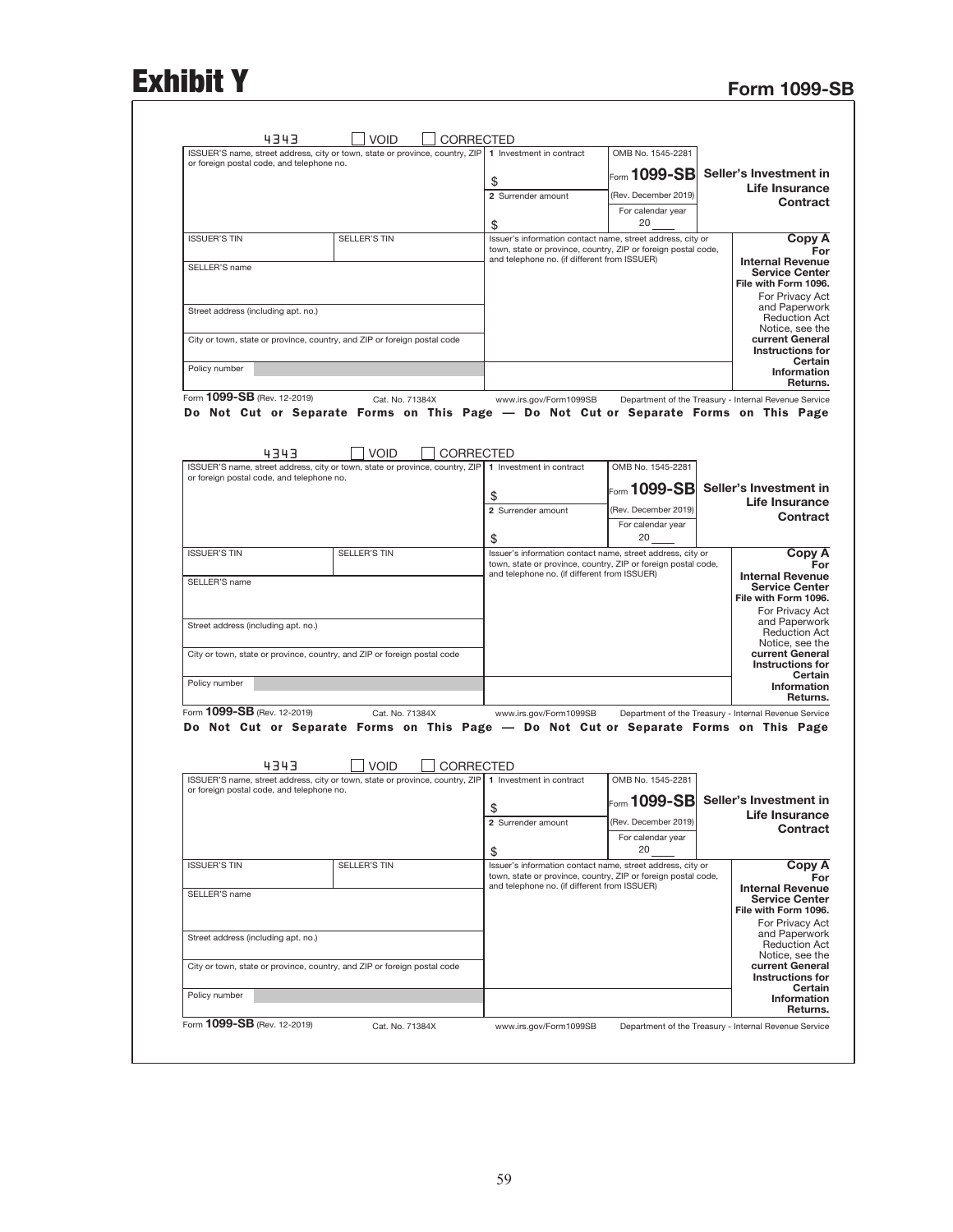## Exhibit Y Form 1099-SB

| or foreign postal code, and telephone no. | ISSUER'S name, street address, city or town, state or province, country, ZIP 1 Investment in contract                  |                                                                                                                                                                             | OMB No. 1545-2281                         |                                                                                                                                                                            |
|-------------------------------------------|------------------------------------------------------------------------------------------------------------------------|-----------------------------------------------------------------------------------------------------------------------------------------------------------------------------|-------------------------------------------|----------------------------------------------------------------------------------------------------------------------------------------------------------------------------|
|                                           |                                                                                                                        | \$                                                                                                                                                                          | Form $1099\text{-}SB$                     | Seller's Investment in                                                                                                                                                     |
|                                           |                                                                                                                        | 2 Surrender amount                                                                                                                                                          | (Rev. December 2019)                      | <b>Life Insurance</b>                                                                                                                                                      |
|                                           |                                                                                                                        |                                                                                                                                                                             | For calendar year                         | <b>Contract</b>                                                                                                                                                            |
|                                           |                                                                                                                        | \$                                                                                                                                                                          | 20                                        |                                                                                                                                                                            |
| <b>ISSUER'S TIN</b>                       | <b>SELLER'S TIN</b>                                                                                                    | Issuer's information contact name, street address, city or<br>town, state or province, country, ZIP or foreign postal code,                                                 |                                           | Copy A                                                                                                                                                                     |
|                                           |                                                                                                                        | and telephone no. (if different from ISSUER)                                                                                                                                |                                           | <b>Internal Revenue</b>                                                                                                                                                    |
| SELLER'S name                             |                                                                                                                        |                                                                                                                                                                             |                                           | <b>Service Center</b>                                                                                                                                                      |
|                                           |                                                                                                                        |                                                                                                                                                                             |                                           | File with Form 1096.<br>For Privacy Act                                                                                                                                    |
| Street address (including apt. no.)       |                                                                                                                        |                                                                                                                                                                             |                                           | and Paperwork                                                                                                                                                              |
|                                           |                                                                                                                        |                                                                                                                                                                             |                                           | <b>Reduction Act</b><br>Notice, see the                                                                                                                                    |
|                                           | City or town, state or province, country, and ZIP or foreign postal code                                               |                                                                                                                                                                             |                                           | current General                                                                                                                                                            |
|                                           |                                                                                                                        |                                                                                                                                                                             |                                           | <b>Instructions for</b><br>Certain                                                                                                                                         |
| Policy number                             |                                                                                                                        |                                                                                                                                                                             |                                           | Information                                                                                                                                                                |
| Form 1099-SB (Rev. 12-2019)               | Cat. No. 71384X                                                                                                        | www.irs.gov/Form1099SB                                                                                                                                                      |                                           | Returns.<br>Department of the Treasury - Internal Revenue Service                                                                                                          |
| 4343                                      | <b>VOID</b><br>ISSUER'S name, street address, city or town, state or province, country, ZIP   1 Investment in contract | CORRECTED                                                                                                                                                                   | OMB No. 1545-2281                         |                                                                                                                                                                            |
| or foreign postal code, and telephone no. |                                                                                                                        |                                                                                                                                                                             |                                           |                                                                                                                                                                            |
|                                           |                                                                                                                        | \$                                                                                                                                                                          | $\rm{F}$ orm 1099-SB                      | Seller's Investment in                                                                                                                                                     |
|                                           |                                                                                                                        | 2 Surrender amount                                                                                                                                                          | (Rev. December 2019)                      | <b>Life Insurance</b><br><b>Contract</b>                                                                                                                                   |
|                                           |                                                                                                                        |                                                                                                                                                                             | For calendar year                         |                                                                                                                                                                            |
|                                           |                                                                                                                        | \$                                                                                                                                                                          | 20                                        |                                                                                                                                                                            |
| <b>ISSUER'S TIN</b>                       | <b>SELLER'S TIN</b>                                                                                                    | Issuer's information contact name, street address, city or<br>town, state or province, country, ZIP or foreign postal code,<br>and telephone no. (if different from ISSUER) |                                           | Copy A                                                                                                                                                                     |
| Street address (including apt. no.)       | City or town, state or province, country, and ZIP or foreign postal code                                               |                                                                                                                                                                             |                                           | <b>Service Center</b><br>File with Form 1096.<br>For Privacy Act<br>and Paperwork<br><b>Reduction Act</b><br>Notice, see the<br>current General<br><b>Instructions for</b> |
| Policy number                             |                                                                                                                        |                                                                                                                                                                             |                                           | Certain<br><b>Information</b>                                                                                                                                              |
|                                           |                                                                                                                        |                                                                                                                                                                             |                                           | Returns.                                                                                                                                                                   |
|                                           | Cat. No. 71384X<br>Do Not Cut or Separate Forms on This Page — Do Not Cut or Separate Forms on This Page               | www.irs.gov/Form1099SB                                                                                                                                                      |                                           | Department of the Treasury - Internal Revenue Service                                                                                                                      |
| Form 1099-SB (Rev. 12-2019)<br>4343       | <b>VOID</b>                                                                                                            | <b>CORRECTED</b>                                                                                                                                                            |                                           |                                                                                                                                                                            |
|                                           | ISSUER'S name, street address, city or town, state or province, country, ZIP 1 Investment in contract                  |                                                                                                                                                                             | OMB No. 1545-2281                         |                                                                                                                                                                            |
| or foreign postal code, and telephone no. |                                                                                                                        |                                                                                                                                                                             | $\rm{F}$ orm 1099-SB                      | Seller's Investment in                                                                                                                                                     |
|                                           |                                                                                                                        | \$                                                                                                                                                                          |                                           | Life Insurance                                                                                                                                                             |
|                                           |                                                                                                                        | 2 Surrender amount                                                                                                                                                          | (Rev. December 2019)<br>For calendar year | Contract                                                                                                                                                                   |
|                                           |                                                                                                                        | \$                                                                                                                                                                          | 20                                        |                                                                                                                                                                            |
| <b>ISSUER'S TIN</b>                       | SELLER'S TIN                                                                                                           | Issuer's information contact name, street address, city or                                                                                                                  |                                           | Copy A                                                                                                                                                                     |
|                                           |                                                                                                                        | town, state or province, country, ZIP or foreign postal code,<br>and telephone no. (if different from ISSUER)                                                               |                                           | <b>Internal Revenue</b>                                                                                                                                                    |
| SELLER'S name                             |                                                                                                                        |                                                                                                                                                                             |                                           | <b>Service Center</b><br>File with Form 1096.                                                                                                                              |
| Street address (including apt. no.)       |                                                                                                                        |                                                                                                                                                                             |                                           | For Privacy Act<br>and Paperwork<br><b>Reduction Act</b><br>Notice, see the                                                                                                |
| Policy number                             | City or town, state or province, country, and ZIP or foreign postal code                                               |                                                                                                                                                                             |                                           | current General<br>Instructions for<br>Certain                                                                                                                             |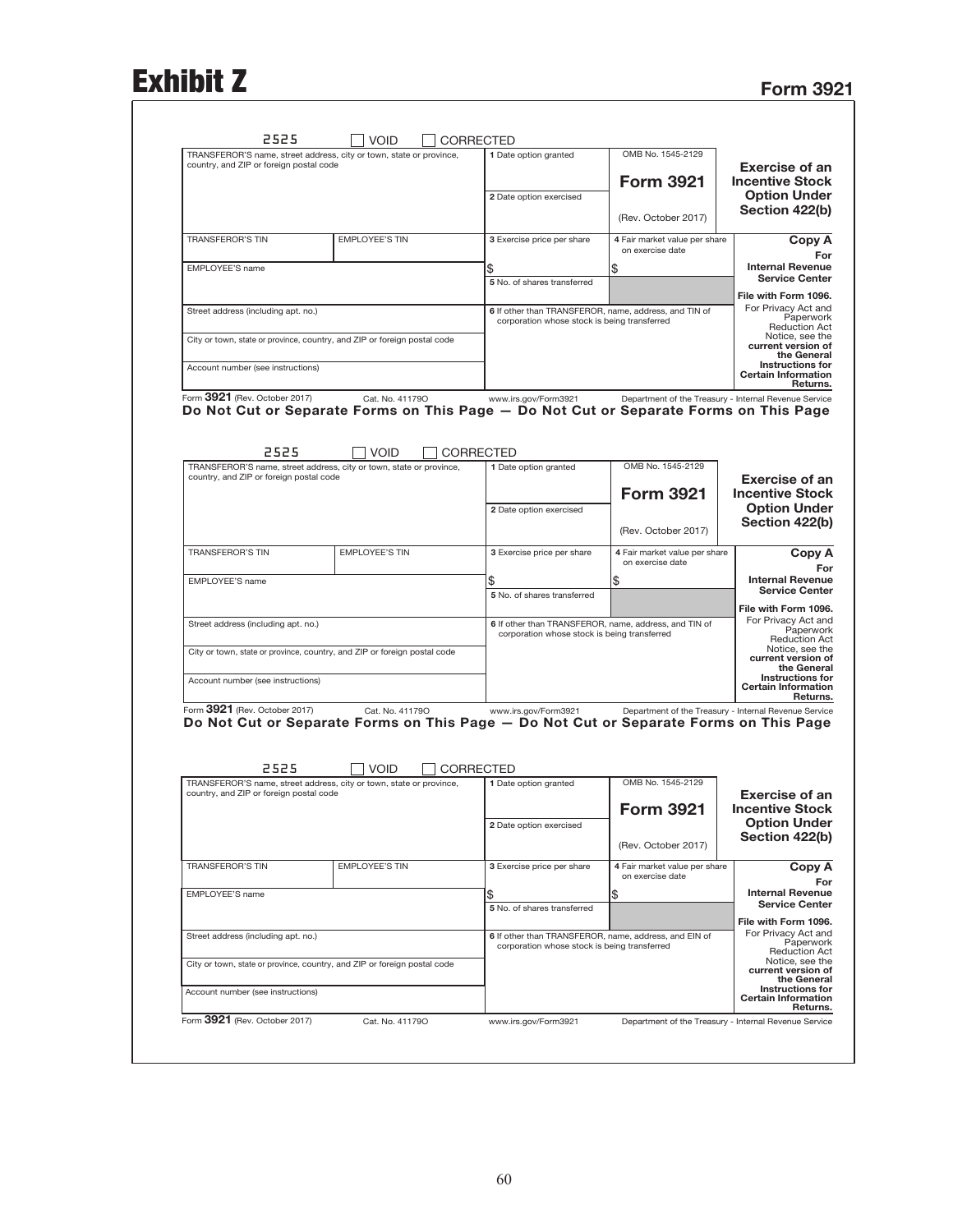## Exhibit Z<br>Form 3921

|                                                                                                                        | TRANSFEROR'S name, street address, city or town, state or province, |           | 1 Date option granted                                                                                 | OMB No. 1545-2129                                     |                                                                                                                                                                                                                                                                   |
|------------------------------------------------------------------------------------------------------------------------|---------------------------------------------------------------------|-----------|-------------------------------------------------------------------------------------------------------|-------------------------------------------------------|-------------------------------------------------------------------------------------------------------------------------------------------------------------------------------------------------------------------------------------------------------------------|
| country, and ZIP or foreign postal code                                                                                |                                                                     |           |                                                                                                       |                                                       | <b>Exercise of an</b>                                                                                                                                                                                                                                             |
|                                                                                                                        |                                                                     |           |                                                                                                       | <b>Form 3921</b>                                      | <b>Incentive Stock</b>                                                                                                                                                                                                                                            |
|                                                                                                                        |                                                                     |           | 2 Date option exercised                                                                               |                                                       | <b>Option Under</b>                                                                                                                                                                                                                                               |
|                                                                                                                        |                                                                     |           |                                                                                                       | (Rev. October 2017)                                   | Section 422(b)                                                                                                                                                                                                                                                    |
| <b>TRANSFEROR'S TIN</b>                                                                                                | <b>EMPLOYEE'S TIN</b>                                               |           | 3 Exercise price per share                                                                            | 4 Fair market value per share                         | Copy A                                                                                                                                                                                                                                                            |
|                                                                                                                        |                                                                     |           |                                                                                                       | on exercise date                                      |                                                                                                                                                                                                                                                                   |
| EMPLOYEE'S name                                                                                                        |                                                                     |           | \$                                                                                                    | \$                                                    | <b>Internal Revenue</b><br><b>Service Center</b>                                                                                                                                                                                                                  |
|                                                                                                                        |                                                                     |           | 5 No. of shares transferred                                                                           |                                                       | File with Form 1096.                                                                                                                                                                                                                                              |
| Street address (including apt. no.)                                                                                    |                                                                     |           | 6 If other than TRANSFEROR, name, address, and TIN of                                                 |                                                       | For Privacy Act and                                                                                                                                                                                                                                               |
|                                                                                                                        |                                                                     |           | corporation whose stock is being transferred                                                          |                                                       | Paperwork<br><b>Reduction Act</b>                                                                                                                                                                                                                                 |
| City or town, state or province, country, and ZIP or foreign postal code                                               |                                                                     |           |                                                                                                       |                                                       | Notice, see the<br>current version of                                                                                                                                                                                                                             |
|                                                                                                                        |                                                                     |           |                                                                                                       |                                                       | the General<br><b>Instructions for</b>                                                                                                                                                                                                                            |
| Account number (see instructions)                                                                                      |                                                                     |           |                                                                                                       |                                                       | <b>Certain Information</b><br>Returns.                                                                                                                                                                                                                            |
| Form 3921 (Rev. October 2017)                                                                                          | Cat. No. 411790                                                     |           | www.irs.gov/Form3921                                                                                  | Department of the Treasury - Internal Revenue Service |                                                                                                                                                                                                                                                                   |
| Do Not Cut or Separate Forms on This Page - Do Not Cut or Separate Forms on This Page                                  |                                                                     |           |                                                                                                       |                                                       |                                                                                                                                                                                                                                                                   |
|                                                                                                                        |                                                                     |           |                                                                                                       |                                                       |                                                                                                                                                                                                                                                                   |
| 2525                                                                                                                   | <b>VOID</b>                                                         |           |                                                                                                       |                                                       |                                                                                                                                                                                                                                                                   |
| TRANSFEROR'S name, street address, city or town, state or province,                                                    |                                                                     |           | <b>CORRECTED</b><br>1 Date option granted                                                             | OMB No. 1545-2129                                     |                                                                                                                                                                                                                                                                   |
| country, and ZIP or foreign postal code                                                                                |                                                                     |           |                                                                                                       |                                                       | <b>Exercise of an</b>                                                                                                                                                                                                                                             |
|                                                                                                                        |                                                                     |           |                                                                                                       | <b>Form 3921</b>                                      | <b>Incentive Stock</b>                                                                                                                                                                                                                                            |
|                                                                                                                        |                                                                     |           | 2 Date option exercised                                                                               |                                                       | <b>Option Under</b><br>Section 422(b)                                                                                                                                                                                                                             |
|                                                                                                                        |                                                                     |           |                                                                                                       | (Rev. October 2017)                                   |                                                                                                                                                                                                                                                                   |
| <b>TRANSFEROR'S TIN</b>                                                                                                | <b>EMPLOYEE'S TIN</b>                                               |           | 3 Exercise price per share                                                                            | 4 Fair market value per share                         | Copy A                                                                                                                                                                                                                                                            |
|                                                                                                                        |                                                                     |           |                                                                                                       | on exercise date                                      |                                                                                                                                                                                                                                                                   |
| EMPLOYEE'S name                                                                                                        |                                                                     |           | \$                                                                                                    | \$                                                    | <b>Internal Revenue</b><br><b>Service Center</b>                                                                                                                                                                                                                  |
|                                                                                                                        |                                                                     |           | 5 No. of shares transferred                                                                           |                                                       | File with Form 1096.                                                                                                                                                                                                                                              |
| Street address (including apt. no.)                                                                                    |                                                                     |           | 6 If other than TRANSFEROR, name, address, and TIN of                                                 |                                                       | For Privacy Act and                                                                                                                                                                                                                                               |
|                                                                                                                        |                                                                     |           | corporation whose stock is being transferred                                                          |                                                       | Paperwork<br><b>Reduction Act</b>                                                                                                                                                                                                                                 |
| City or town, state or province, country, and ZIP or foreign postal code                                               |                                                                     |           |                                                                                                       |                                                       | Notice, see the<br>current version of                                                                                                                                                                                                                             |
|                                                                                                                        |                                                                     |           |                                                                                                       |                                                       | the General<br>Instructions for                                                                                                                                                                                                                                   |
| Account number (see instructions)                                                                                      |                                                                     |           |                                                                                                       |                                                       | <b>Certain Information</b><br>Returns.                                                                                                                                                                                                                            |
|                                                                                                                        | Cat. No. 411790                                                     |           | www.irs.gov/Form3921                                                                                  | Department of the Treasury - Internal Revenue Service |                                                                                                                                                                                                                                                                   |
|                                                                                                                        |                                                                     |           |                                                                                                       |                                                       |                                                                                                                                                                                                                                                                   |
| Form 3921 (Rev. October 2017)<br>Do Not Cut or Separate Forms on This Page - Do Not Cut or Separate Forms on This Page |                                                                     |           |                                                                                                       |                                                       |                                                                                                                                                                                                                                                                   |
|                                                                                                                        |                                                                     |           |                                                                                                       |                                                       |                                                                                                                                                                                                                                                                   |
|                                                                                                                        |                                                                     |           |                                                                                                       |                                                       |                                                                                                                                                                                                                                                                   |
| 2525                                                                                                                   | <b>VOID</b>                                                         | CORRECTED |                                                                                                       |                                                       |                                                                                                                                                                                                                                                                   |
| TRANSFEROR'S name, street address, city or town, state or province,<br>country, and ZIP or foreign postal code         |                                                                     |           | 1 Date option granted                                                                                 | OMB No. 1545-2129                                     | <b>Exercise of an</b>                                                                                                                                                                                                                                             |
|                                                                                                                        |                                                                     |           |                                                                                                       | <b>Form 3921</b>                                      |                                                                                                                                                                                                                                                                   |
|                                                                                                                        |                                                                     |           | 2 Date option exercised                                                                               |                                                       |                                                                                                                                                                                                                                                                   |
|                                                                                                                        |                                                                     |           |                                                                                                       | (Rev. October 2017)                                   |                                                                                                                                                                                                                                                                   |
| <b>TRANSFEROR'S TIN</b>                                                                                                | <b>EMPLOYEE'S TIN</b>                                               |           | 3 Exercise price per share                                                                            | 4 Fair market value per share                         |                                                                                                                                                                                                                                                                   |
|                                                                                                                        |                                                                     |           |                                                                                                       | on exercise date                                      | <b>Incentive Stock</b><br><b>Option Under</b><br>Section 422(b)<br>Copy A                                                                                                                                                                                         |
| EMPLOYEE'S name                                                                                                        |                                                                     |           | \$                                                                                                    | \$                                                    |                                                                                                                                                                                                                                                                   |
|                                                                                                                        |                                                                     |           | 5 No. of shares transferred                                                                           |                                                       |                                                                                                                                                                                                                                                                   |
|                                                                                                                        |                                                                     |           |                                                                                                       |                                                       |                                                                                                                                                                                                                                                                   |
| Street address (including apt. no.)                                                                                    |                                                                     |           | 6 If other than TRANSFEROR, name, address, and EIN of<br>corporation whose stock is being transferred |                                                       |                                                                                                                                                                                                                                                                   |
| City or town, state or province, country, and ZIP or foreign postal code                                               |                                                                     |           |                                                                                                       |                                                       |                                                                                                                                                                                                                                                                   |
|                                                                                                                        |                                                                     |           |                                                                                                       |                                                       |                                                                                                                                                                                                                                                                   |
| Account number (see instructions)                                                                                      |                                                                     |           |                                                                                                       |                                                       | <b>Internal Revenue</b><br><b>Service Center</b><br>File with Form 1096.<br>For Privacy Act and<br>Paperwork<br><b>Reduction Act</b><br>Notice, see the<br>current version of<br>the General<br><b>Instructions for</b><br><b>Certain Information</b><br>Returns. |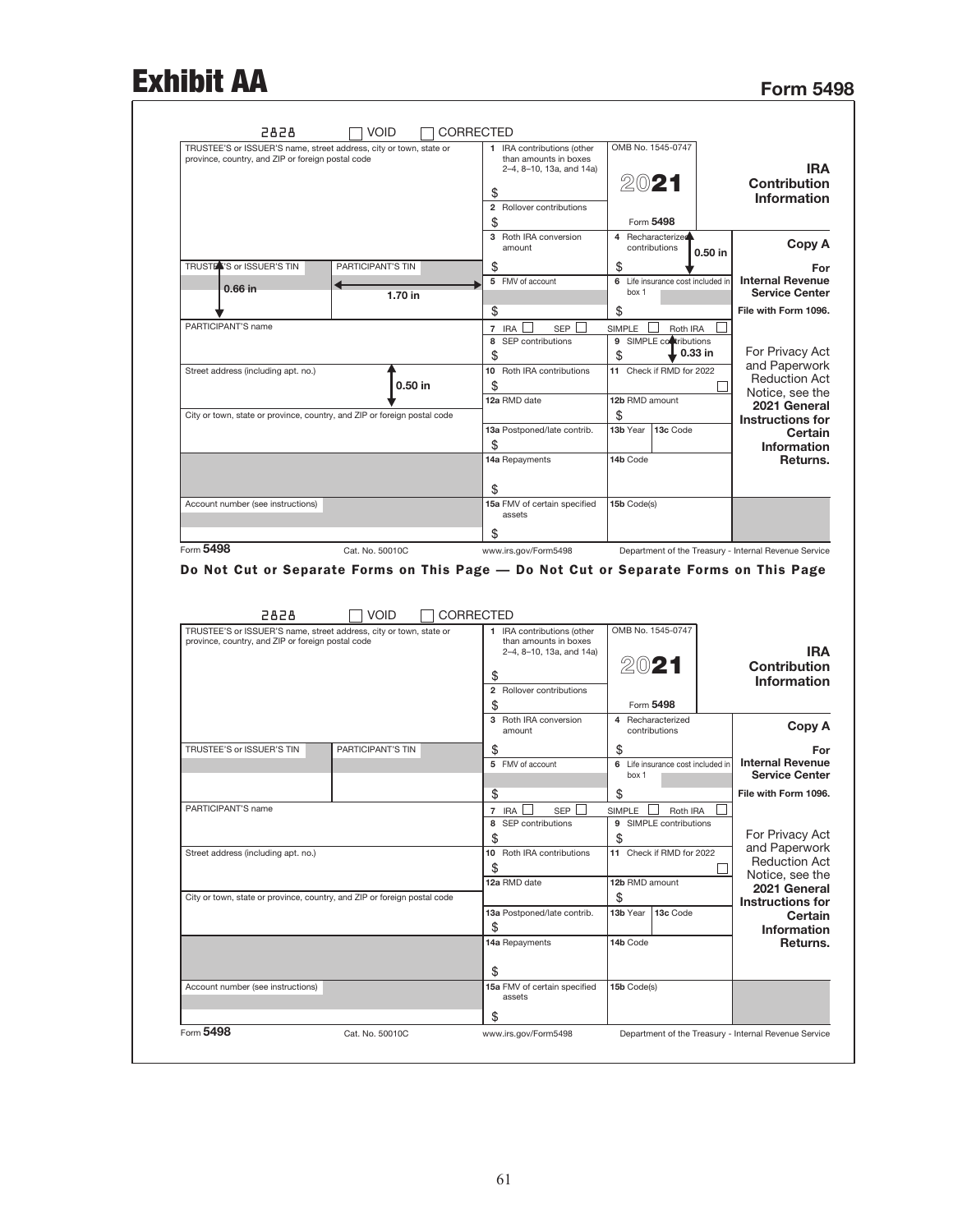## Exhibit AA Form 5498

| <b>IRA</b><br><b>Contribution</b><br><b>Information</b>                                                                                                                                                                                                                   |                                    | OMB No. 1545-0747<br>2021<br>Form 5498          | CORRECTED<br>1 IRA contributions (other<br>than amounts in boxes<br>2-4, 8-10, 13a, and 14a)<br>\$<br>$\overline{\mathbf{2}}$<br>Rollover contributions<br>\$ |                                             | <b>VOID</b> | 2828<br>TRUSTEE'S or ISSUER'S name, street address, city or town, state or<br>province, country, and ZIP or foreign postal code |
|---------------------------------------------------------------------------------------------------------------------------------------------------------------------------------------------------------------------------------------------------------------------------|------------------------------------|-------------------------------------------------|---------------------------------------------------------------------------------------------------------------------------------------------------------------|---------------------------------------------|-------------|---------------------------------------------------------------------------------------------------------------------------------|
| Copy A                                                                                                                                                                                                                                                                    | 0.50 in                            | 4 Recharacterized<br>contributions              | 3 Roth IRA conversion<br>amount                                                                                                                               |                                             |             |                                                                                                                                 |
| For                                                                                                                                                                                                                                                                       |                                    | \$                                              | \$                                                                                                                                                            | PARTICIPANT'S TIN                           |             | TRUSTER'S or ISSUER'S TIN                                                                                                       |
| <b>Internal Revenue</b><br><b>Service Center</b>                                                                                                                                                                                                                          | Life insurance cost included in    | 6<br>box 1                                      | 5<br>FMV of account                                                                                                                                           | 1.70 in                                     |             | 0.66 in                                                                                                                         |
| File with Form 1096.                                                                                                                                                                                                                                                      |                                    | \$                                              | \$                                                                                                                                                            |                                             |             |                                                                                                                                 |
|                                                                                                                                                                                                                                                                           | Roth IRA<br>9 SIMPLE contributions | <b>SIMPLE</b>                                   | 7 IRA<br><b>SEP</b><br>SEP contributions<br>8                                                                                                                 |                                             |             | PARTICIPANT'S name                                                                                                              |
| For Privacy Act                                                                                                                                                                                                                                                           | 0.33 in                            | \$                                              | \$                                                                                                                                                            |                                             |             |                                                                                                                                 |
| and Paperwork                                                                                                                                                                                                                                                             | 11 Check if RMD for 2022           |                                                 | 10 Roth IRA contributions                                                                                                                                     |                                             |             | Street address (including apt. no.)                                                                                             |
| <b>Reduction Act</b>                                                                                                                                                                                                                                                      |                                    |                                                 | \$                                                                                                                                                            | $0.50$ in                                   |             |                                                                                                                                 |
| Notice, see the<br>2021 General                                                                                                                                                                                                                                           |                                    | 12b RMD amount                                  | 12a RMD date                                                                                                                                                  |                                             |             |                                                                                                                                 |
| <b>Instructions for</b>                                                                                                                                                                                                                                                   |                                    | \$                                              |                                                                                                                                                               |                                             |             | City or town, state or province, country, and ZIP or foreign postal code                                                        |
| Certain                                                                                                                                                                                                                                                                   | 13c Code                           | 13b Year                                        | 13a Postponed/late contrib.                                                                                                                                   |                                             |             |                                                                                                                                 |
| <b>Information</b>                                                                                                                                                                                                                                                        |                                    |                                                 | \$<br>14a Repayments                                                                                                                                          |                                             |             |                                                                                                                                 |
| Returns.                                                                                                                                                                                                                                                                  |                                    | 14b Code                                        |                                                                                                                                                               |                                             |             |                                                                                                                                 |
|                                                                                                                                                                                                                                                                           |                                    |                                                 | \$                                                                                                                                                            |                                             |             |                                                                                                                                 |
|                                                                                                                                                                                                                                                                           |                                    | 15b Code(s)                                     | 15a FMV of certain specified                                                                                                                                  |                                             |             | Account number (see instructions)                                                                                               |
|                                                                                                                                                                                                                                                                           |                                    |                                                 | assets                                                                                                                                                        |                                             |             |                                                                                                                                 |
|                                                                                                                                                                                                                                                                           |                                    |                                                 |                                                                                                                                                               |                                             |             |                                                                                                                                 |
|                                                                                                                                                                                                                                                                           |                                    |                                                 | \$<br>www.irs.gov/Form5498<br>Do Not Cut or Separate Forms on This Page - Do Not Cut or Separate Forms on This Page                                           | Cat. No. 50010C<br><b>VOID</b><br>CORRECTED |             | Form 5498<br>2828                                                                                                               |
|                                                                                                                                                                                                                                                                           |                                    | OMB No. 1545-0747                               | 1 IRA contributions (other<br>than amounts in boxes                                                                                                           |                                             |             | TRUSTEE'S or ISSUER'S name, street address, city or town, state or<br>province, country, and ZIP or foreign postal code         |
|                                                                                                                                                                                                                                                                           |                                    |                                                 | 2-4, 8-10, 13a, and 14a)                                                                                                                                      |                                             |             |                                                                                                                                 |
|                                                                                                                                                                                                                                                                           |                                    | 2021                                            | S                                                                                                                                                             |                                             |             |                                                                                                                                 |
|                                                                                                                                                                                                                                                                           |                                    |                                                 | 2 Rollover contributions                                                                                                                                      |                                             |             |                                                                                                                                 |
|                                                                                                                                                                                                                                                                           |                                    | Form 5498<br>4 Recharacterized<br>contributions | \$<br>3 Roth IRA conversion<br>amount                                                                                                                         |                                             |             |                                                                                                                                 |
|                                                                                                                                                                                                                                                                           |                                    | \$                                              | \$                                                                                                                                                            | PARTICIPANT'S TIN                           |             | TRUSTEE'S or ISSUER'S TIN                                                                                                       |
|                                                                                                                                                                                                                                                                           | 6 Life insurance cost included in  | box 1                                           | 5 FMV of account                                                                                                                                              |                                             |             |                                                                                                                                 |
|                                                                                                                                                                                                                                                                           |                                    | \$                                              | \$                                                                                                                                                            |                                             |             |                                                                                                                                 |
|                                                                                                                                                                                                                                                                           | Roth IRA                           | SIMPLE                                          | 7 IRA<br><b>SEP</b>                                                                                                                                           |                                             |             | PARTICIPANT'S name                                                                                                              |
|                                                                                                                                                                                                                                                                           | 9 SIMPLE contributions             |                                                 | 8 SEP contributions                                                                                                                                           |                                             |             |                                                                                                                                 |
|                                                                                                                                                                                                                                                                           |                                    | \$                                              | \$                                                                                                                                                            |                                             |             |                                                                                                                                 |
| Department of the Treasury - Internal Revenue Service<br><b>IRA</b><br><b>Contribution</b><br><b>Information</b><br>Copy A<br>For<br><b>Internal Revenue</b><br><b>Service Center</b><br>File with Form 1096.<br>For Privacy Act<br>and Paperwork<br><b>Reduction Act</b> | 11 Check if RMD for 2022           |                                                 | 10 Roth IRA contributions                                                                                                                                     |                                             |             | Street address (including apt. no.)                                                                                             |
|                                                                                                                                                                                                                                                                           |                                    |                                                 | \$                                                                                                                                                            |                                             |             |                                                                                                                                 |
|                                                                                                                                                                                                                                                                           |                                    | 12b RMD amount<br>\$                            | 12a RMD date                                                                                                                                                  |                                             |             | City or town, state or province, country, and ZIP or foreign postal code                                                        |
|                                                                                                                                                                                                                                                                           | 13c Code                           | 13b Year                                        | 13a Postponed/late contrib.                                                                                                                                   |                                             |             |                                                                                                                                 |
|                                                                                                                                                                                                                                                                           |                                    |                                                 | \$                                                                                                                                                            |                                             |             |                                                                                                                                 |
|                                                                                                                                                                                                                                                                           |                                    | 14b Code                                        | 14a Repayments                                                                                                                                                |                                             |             |                                                                                                                                 |
|                                                                                                                                                                                                                                                                           |                                    |                                                 | \$                                                                                                                                                            |                                             |             |                                                                                                                                 |
| Notice, see the<br>2021 General<br><b>Instructions for</b><br>Certain<br>Information<br>Returns.                                                                                                                                                                          |                                    | 15b Code(s)                                     | 15a FMV of certain specified<br>assets<br>\$                                                                                                                  |                                             |             | Account number (see instructions)                                                                                               |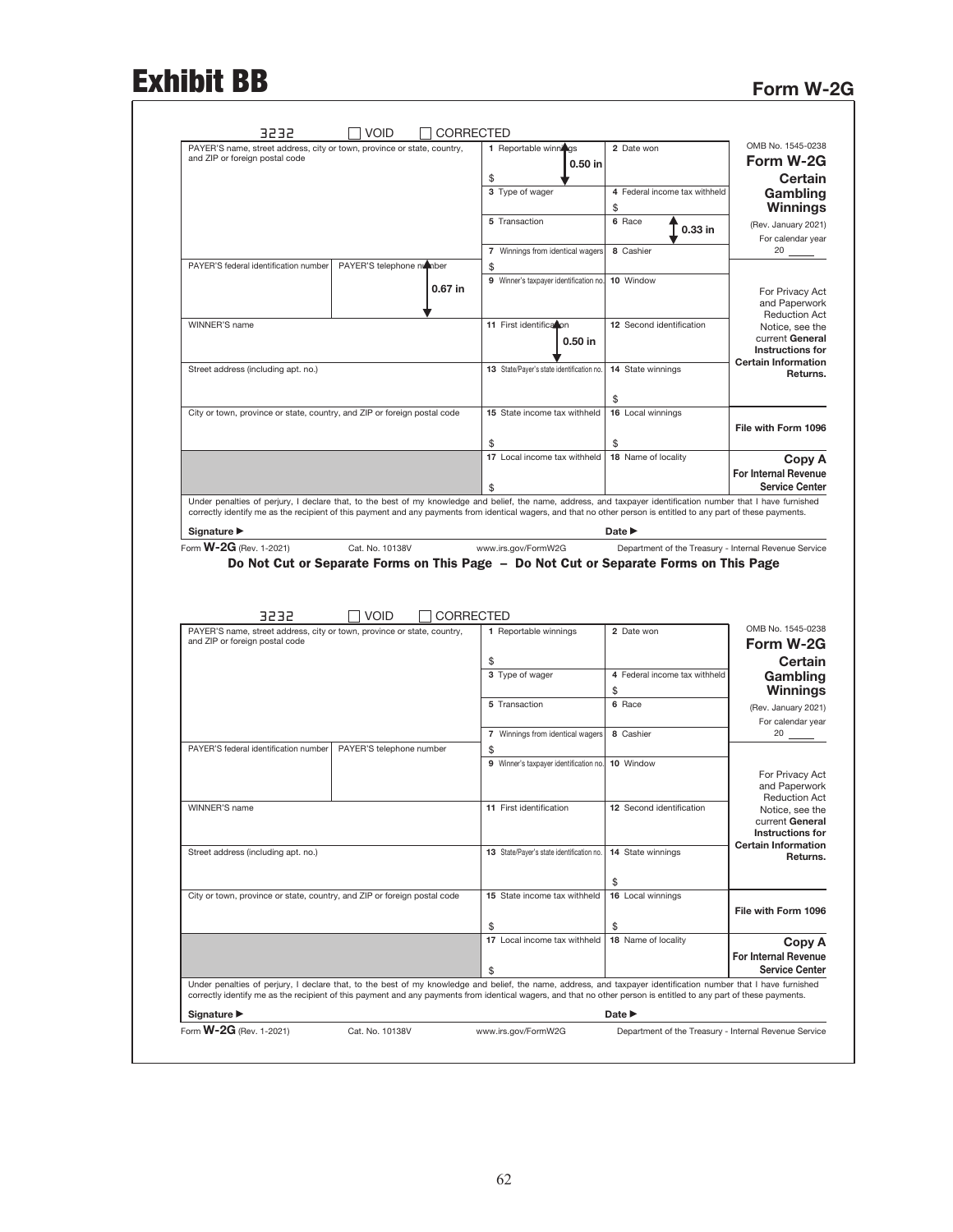# Exhibit BB Form W-2G

| PAYER'S name, street address, city or town, province or state, country,                                                                                                           | 1 Reportable winnings                     | 2 Date won                                            | OMB No. 1545-0238                                                                                                                                                                                                                                        |
|-----------------------------------------------------------------------------------------------------------------------------------------------------------------------------------|-------------------------------------------|-------------------------------------------------------|----------------------------------------------------------------------------------------------------------------------------------------------------------------------------------------------------------------------------------------------------------|
| and ZIP or foreign postal code                                                                                                                                                    | $0.50$ in                                 |                                                       | Form W-2G                                                                                                                                                                                                                                                |
|                                                                                                                                                                                   | \$                                        |                                                       | <b>Certain</b>                                                                                                                                                                                                                                           |
|                                                                                                                                                                                   | 3 Type of wager                           | 4 Federal income tax withheld                         | Gambling                                                                                                                                                                                                                                                 |
|                                                                                                                                                                                   |                                           | \$                                                    | Winnings                                                                                                                                                                                                                                                 |
|                                                                                                                                                                                   | 5 Transaction                             | 6 Race<br>0.33 in                                     | (Rev. January 2021)                                                                                                                                                                                                                                      |
|                                                                                                                                                                                   |                                           |                                                       | For calendar year                                                                                                                                                                                                                                        |
|                                                                                                                                                                                   | 7 Winnings from identical wagers          | 8 Cashier                                             | 20                                                                                                                                                                                                                                                       |
| PAYER'S telephone number<br>PAYER'S federal identification number                                                                                                                 | \$                                        | 10 Window                                             |                                                                                                                                                                                                                                                          |
| 0.67 in                                                                                                                                                                           | 9 Winner's taxpayer identification no.    |                                                       | For Privacy Act                                                                                                                                                                                                                                          |
|                                                                                                                                                                                   |                                           |                                                       | and Paperwork                                                                                                                                                                                                                                            |
| WINNER'S name                                                                                                                                                                     | 11 First identification                   | 12 Second identification                              | <b>Reduction Act</b><br>Notice, see the                                                                                                                                                                                                                  |
|                                                                                                                                                                                   | $0.50$ in                                 |                                                       | current General                                                                                                                                                                                                                                          |
|                                                                                                                                                                                   |                                           |                                                       | <b>Instructions for</b>                                                                                                                                                                                                                                  |
| Street address (including apt. no.)                                                                                                                                               | 13 State/Payer's state identification no. | 14 State winnings                                     | <b>Certain Information</b><br>Returns.                                                                                                                                                                                                                   |
|                                                                                                                                                                                   |                                           |                                                       |                                                                                                                                                                                                                                                          |
|                                                                                                                                                                                   |                                           | \$                                                    |                                                                                                                                                                                                                                                          |
| City or town, province or state, country, and ZIP or foreign postal code                                                                                                          | 15 State income tax withheld              | 16 Local winnings                                     |                                                                                                                                                                                                                                                          |
|                                                                                                                                                                                   |                                           |                                                       | File with Form 1096                                                                                                                                                                                                                                      |
|                                                                                                                                                                                   | \$                                        | \$                                                    |                                                                                                                                                                                                                                                          |
|                                                                                                                                                                                   | 17 Local income tax withheld              | 18 Name of locality                                   | Copy A                                                                                                                                                                                                                                                   |
|                                                                                                                                                                                   |                                           |                                                       | <b>For Internal Revenue</b>                                                                                                                                                                                                                              |
| Under penalties of perjury, I declare that, to the best of my knowledge and belief, the name, address, and taxpayer identification number that I have furnished                   | \$                                        |                                                       | <b>Service Center</b>                                                                                                                                                                                                                                    |
| correctly identify me as the recipient of this payment and any payments from identical wagers, and that no other person is entitled to any part of these payments.                |                                           |                                                       |                                                                                                                                                                                                                                                          |
| Signature ▶                                                                                                                                                                       |                                           | Date $\blacktriangleright$                            |                                                                                                                                                                                                                                                          |
|                                                                                                                                                                                   |                                           |                                                       |                                                                                                                                                                                                                                                          |
| Form <b>W-2G</b> (Rev. 1-2021)<br>Cat. No. 10138V<br>Do Not Cut or Separate Forms on This Page - Do Not Cut or Separate Forms on This Page<br><b>VOID</b><br><b>CORRECTED</b>     | www.irs.gov/FormW2G                       | Department of the Treasury - Internal Revenue Service |                                                                                                                                                                                                                                                          |
| 3232<br>PAYER'S name, street address, city or town, province or state, country,                                                                                                   | 1 Reportable winnings                     | 2 Date won                                            |                                                                                                                                                                                                                                                          |
| and ZIP or foreign postal code                                                                                                                                                    |                                           |                                                       |                                                                                                                                                                                                                                                          |
|                                                                                                                                                                                   | \$                                        |                                                       |                                                                                                                                                                                                                                                          |
|                                                                                                                                                                                   | 3 Type of wager                           | 4 Federal income tax withheld                         |                                                                                                                                                                                                                                                          |
|                                                                                                                                                                                   |                                           | \$                                                    |                                                                                                                                                                                                                                                          |
|                                                                                                                                                                                   | 5 Transaction                             | 6 Race                                                |                                                                                                                                                                                                                                                          |
|                                                                                                                                                                                   |                                           |                                                       |                                                                                                                                                                                                                                                          |
|                                                                                                                                                                                   | 7 Winnings from identical wagers          | 8 Cashier                                             | $20 \ \_$                                                                                                                                                                                                                                                |
| PAYER'S federal identification number<br>PAYER'S telephone number                                                                                                                 | \$                                        |                                                       |                                                                                                                                                                                                                                                          |
|                                                                                                                                                                                   | 9 Winner's taxpayer identification no.    | 10 Window                                             |                                                                                                                                                                                                                                                          |
|                                                                                                                                                                                   |                                           |                                                       |                                                                                                                                                                                                                                                          |
| WINNER'S name                                                                                                                                                                     | 11 First identification                   | 12 Second identification                              |                                                                                                                                                                                                                                                          |
|                                                                                                                                                                                   |                                           |                                                       |                                                                                                                                                                                                                                                          |
|                                                                                                                                                                                   |                                           |                                                       | OMB No. 1545-0238<br>Form W-2G<br><b>Certain</b><br>Gambling<br><b>Winnings</b><br>(Rev. January 2021)<br>For calendar year<br>For Privacy Act<br>and Paperwork<br><b>Reduction Act</b><br>Notice, see the<br>current General<br><b>Instructions for</b> |
| Street address (including apt. no.)                                                                                                                                               | 13 State/Payer's state identification no. | 14 State winnings                                     |                                                                                                                                                                                                                                                          |
|                                                                                                                                                                                   |                                           |                                                       |                                                                                                                                                                                                                                                          |
|                                                                                                                                                                                   |                                           | \$                                                    |                                                                                                                                                                                                                                                          |
| City or town, province or state, country, and ZIP or foreign postal code                                                                                                          | 15 State income tax withheld              | 16 Local winnings                                     |                                                                                                                                                                                                                                                          |
|                                                                                                                                                                                   |                                           |                                                       |                                                                                                                                                                                                                                                          |
|                                                                                                                                                                                   | \$                                        | \$                                                    |                                                                                                                                                                                                                                                          |
|                                                                                                                                                                                   | 17 Local income tax withheld              | 18 Name of locality                                   |                                                                                                                                                                                                                                                          |
|                                                                                                                                                                                   |                                           |                                                       | <b>Certain Information</b><br>Returns.<br>File with Form 1096<br>Copy A<br>For Internal Revenue                                                                                                                                                          |
|                                                                                                                                                                                   | \$                                        |                                                       | <b>Service Center</b>                                                                                                                                                                                                                                    |
| Under penalties of perjury, I declare that, to the best of my knowledge and belief, the name, address, and taxpayer identification number that I have furnished                   |                                           |                                                       |                                                                                                                                                                                                                                                          |
| correctly identify me as the recipient of this payment and any payments from identical wagers, and that no other person is entitled to any part of these payments.<br>Signature ▶ |                                           | Date $\blacktriangleright$                            |                                                                                                                                                                                                                                                          |